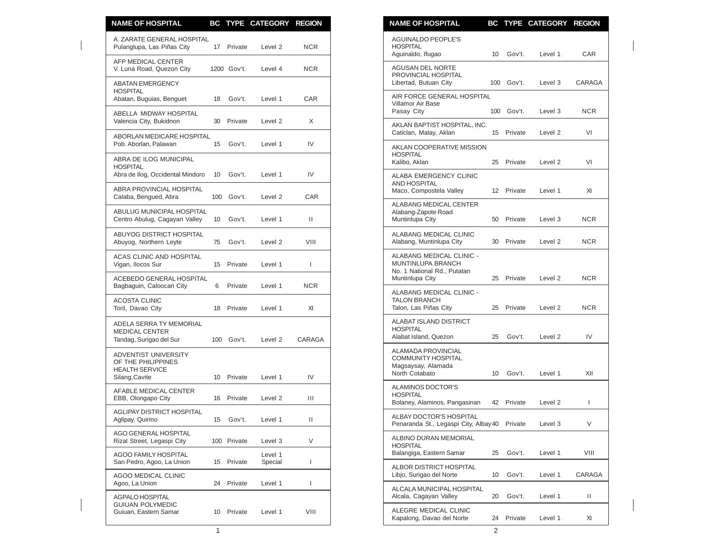| <b>NAME OF HOSPITAL</b>                                                     |   |                          | BC TYPE CATEGORY REGION |              | <b>NAME OF HOSPITAL</b>                                                          |    |            | BC TYPE CATEGORY REGION |              |
|-----------------------------------------------------------------------------|---|--------------------------|-------------------------|--------------|----------------------------------------------------------------------------------|----|------------|-------------------------|--------------|
| A. ZARATE GENERAL HOSPITAL<br>Pulanglupa, Las Piñas City                    |   | 17 Private               | Level 2                 | <b>NCR</b>   | <b>AGUINALDO PEOPLE'S</b><br><b>HOSPITAL</b><br>Aguinaldo, Ifugao                |    | 10 Gov't.  | Level 1                 | CAR          |
| AFP MEDICAL CENTER<br>V. Luna Road, Quezon City                             |   | 1200 Gov't.              | Level 4                 | <b>NCR</b>   | AGUSAN DEL NORTE<br>PROVINCIAL HOSPITAL                                          |    |            |                         |              |
| <b>ABATAN EMERGENCY</b><br><b>HOSPITAL</b><br>Abatan, Buguias, Benguet      |   | 18 Gov't.                | Level 1                 | CAR          | Libertad, Butuan City<br>AIR FORCE GENERAL HOSPITAL                              |    | 100 Gov't. | Level 3                 | CARAG/       |
| ABELLA MIDWAY HOSPITAL<br>Valencia City, Bukidnon                           |   | 30 Private               | Level 2                 | X            | Villamor Air Base<br>Pasay City                                                  |    | 100 Gov't. | Level 3                 | <b>NCR</b>   |
| <b>ABORLAN MEDICARE HOSPITAL</b><br>Pob. Aborlan, Palawan                   |   | 15 Gov't.                | Level 1                 | IV           | AKLAN BAPTIST HOSPITAL, INC.<br>Caticlan, Malay, Aklan                           |    | 15 Private | Level 2                 | VI           |
| ABRA DE ILOG MUNICIPAL                                                      |   |                          |                         |              | AKLAN COOPERATIVE MISSION<br><b>HOSPITAL</b><br>Kalibo, Aklan                    |    | 25 Private | Level 2                 | VI           |
| <b>HOSPITAL</b><br>Abra de Ilog, Occidental Mindoro                         |   | 10 Gov't.                | Level 1                 | IV           | ALABA EMERGENCY CLINIC<br><b>AND HOSPITAL</b>                                    |    |            |                         |              |
| ABRA PROVINCIAL HOSPITAL<br>Calaba, Bengued, Abra                           |   | 100 Gov't.               | Level 2                 | CAR          | Maco, Compostela Valley<br>ALABANG MEDICAL CENTER                                |    | 12 Private | Level 1                 | XI           |
| ABULUG MUNICIPAL HOSPITAL<br>Centro Abulug, Cagayan Valley                  |   | 10 Gov't.                | Level 1                 | $\mathbf{H}$ | Alabang-Zapote Road<br>Muntinlupa City                                           |    | 50 Private | Level 3                 | <b>NCR</b>   |
| ABUYOG DISTRICT HOSPITAL<br>Abuyog, Northern Leyte                          |   | 75 Gov't.                | Level 2                 | VIII         | ALABANG MEDICAL CLINIC<br>Alabang, Muntinlupa City                               |    | 30 Private | Level 2                 | <b>NCR</b>   |
| <b>ACAS CLINIC AND HOSPITAL</b><br>Vigan, Ilocos Sur                        |   | 15 Private               | Level 1                 | $\mathbf{I}$ | ALABANG MEDICAL CLINIC -<br>MUNTINLUPA BRANCH<br>No. 1 National Rd., Putatan     |    |            |                         |              |
| ACEBEDO GENERAL HOSPITAL<br>Bagbaguin, Caloocan City                        | 6 | Private                  | Level 1                 | <b>NCR</b>   | Muntinlupa City                                                                  |    | 25 Private | Level 2                 | <b>NCR</b>   |
| <b>ACOSTA CLINIC</b><br>Toril, Davao City                                   |   | 18 Private               | Level 1                 | XI           | ALABANG MEDICAL CLINIC -<br><b>TALON BRANCH</b><br>Talon, Las Piñas City         |    | 25 Private | Level 2                 | <b>NCR</b>   |
| ADELA SERRA TY MEMORIAL<br><b>MEDICAL CENTER</b><br>Tandag, Surigao del Sur |   | 100 Gov't.               | Level 2                 | CARAGA       | ALABAT ISLAND DISTRICT<br><b>HOSPITAL</b><br>Alabat Island, Quezon               |    | 25 Gov't.  | Level 2                 | IV           |
| ADVENTIST UNIVERSITY<br>OF THE PHILIPPINES<br><b>HEALTH SERVICE</b>         |   |                          | Level 1                 |              | ALAMADA PROVINCIAL<br>COMMUNITY HOSPITAL<br>Magsaysay, Alamada<br>North Cotabato |    | 10 Gov't.  | Level 1                 | XII          |
| Silang, Cavite<br>AFABLE MEDICAL CENTER<br>EBB, Olongapo City               |   | 10 Private<br>16 Private | Level 2                 | IV<br>Ш      | ALAMINOS DOCTOR'S<br><b>HOSPITAL</b><br>Bolaney, Alaminos, Pangasinan            |    | 42 Private | Level 2                 | $\mathbf{I}$ |
| AGLIPAY DISTRICT HOSPITAL<br>Aglipay, Quirino                               |   | 15 Gov't.                | Level 1                 | Ш.           | ALBAY DOCTOR'S HOSPITAL<br>Penaranda St., Legaspi City, Albay 40 Private         |    |            | Level 3                 | V            |
| <b>AGO GENERAL HOSPITAL</b><br>Rizal Street, Legaspi City                   |   | 100 Private              | Level 3                 | V            | ALBINO DURAN MEMORIAL<br><b>HOSPITAL</b>                                         |    |            |                         |              |
| <b>AGOO FAMILY HOSPITAL</b><br>San Pedro, Agoo, La Union                    |   | 15 Private               | Level 1<br>Special      | I            | Balangiga, Eastern Samar                                                         | 25 | Gov't.     | Level 1                 | VIII         |
| AGOO MEDICAL CLINIC<br>Agoo, La Union                                       |   | 24 Private               | Level 1                 | L            | ALBOR DISTRICT HOSPITAL<br>Libjo, Surigao del Norte                              |    | 10 Gov't.  | Level 1                 | CARAG/       |
| <b>AGPALO HOSPITAL</b><br><b>GUIUAN POLYMEDIC</b>                           |   |                          |                         |              | ALCALA MUNICIPAL HOSPITAL<br>Alcala, Cagayan Valley                              |    | 20 Gov't.  | Level 1                 | П.           |
| Guiuan, Eastern Samar                                                       |   | 10 Private               | Level 1                 | VIII         | ALEGRE MEDICAL CLINIC<br>Kapalong, Davao del Norte                               |    | 24 Private | Level 1                 | XI           |

| <b>NAME OF HOSPITAL</b>                                                                                | BC                | <b>TYPE</b> | <b>CATEGORY</b>    | <b>REGION</b> |
|--------------------------------------------------------------------------------------------------------|-------------------|-------------|--------------------|---------------|
| <b>AGUINALDO PEOPLE'S</b><br><b>HOSPITAL</b><br>Aguinaldo, Ifugao                                      | 10                | Gov't.      | Level 1            | CAR           |
| <b>AGUSAN DEL NORTE</b><br>PROVINCIAL HOSPITAL<br>Libertad, Butuan City                                | 100               | Gov't.      | Level 3            | CARAGA        |
| AIR FORCE GENERAL HOSPITAL<br>Villamor Air Base<br>Pasay City                                          | 100               | Gov't.      | Level 3            | <b>NCR</b>    |
| AKLAN BAPTIST HOSPITAL, INC.<br>Caticlan, Malay, Aklan                                                 | 15                | Private     | Level 2            | VI            |
| AKLAN COOPERATIVE MISSION<br><b>HOSPITAL</b><br>Kalibo, Aklan                                          | 25                | Private     | Level <sub>2</sub> | VI            |
| ALABA EMERGENCY CLINIC<br><b>AND HOSPITAL</b><br>Maco, Compostela Valley                               | $12 \overline{ }$ | Private     | Level 1            | XI            |
| ALABANG MEDICAL CENTER<br>Alabang-Zapote Road<br>Muntinlupa City                                       | 50                | Private     | Level 3            | NCR.          |
| ALABANG MEDICAL CLINIC<br>Alabang, Muntinlupa City                                                     | 30                | Private     | Level 2            | NCR.          |
| ALABANG MEDICAL CLINIC -<br><b>MUNTINLUPA BRANCH</b><br>No. 1 National Rd., Putatan<br>Muntinlupa City | 25                | Private     | Level <sub>2</sub> | <b>NCR</b>    |
| ALABANG MEDICAL CLINIC -<br><b>TALON BRANCH</b><br>Talon, Las Piñas City                               | 25                | Private     | Level 2            | <b>NCR</b>    |
| ALABAT ISLAND DISTRICT<br><b>HOSPITAL</b><br>Alabat Island, Quezon                                     | 25                | Gov't.      | Level <sub>2</sub> | IV            |
| ALAMADA PROVINCIAL<br>COMMUNITY HOSPITAL<br>Magsaysay, Alamada<br>North Cotabato                       | 10                | Gov't.      | Level 1            | XII           |
| ALAMINOS DOCTOR'S<br><b>HOSPITAL</b><br>Bolaney, Alaminos, Pangasinan                                  | 42                | Private     | Level 2            | L             |
| ALBAY DOCTOR'S HOSPITAL<br>Penaranda St., Legaspi City, Albay 40                                       |                   | Private     | Level 3            | V             |
| ALBINO DURAN MEMORIAL<br><b>HOSPITAL</b><br>Balangiga, Eastern Samar                                   | 25                | Gov't.      | Level 1            | VIII          |
| ALBOR DISTRICT HOSPITAL<br>Libjo, Surigao del Norte                                                    | 10                | Gov't.      | Level 1            | CARAGA        |
| ALCALA MUNICIPAL HOSPITAL<br>Alcala, Cagayan Valley                                                    | 20                | Gov't.      | Level 1            | П             |
| ALEGRE MEDICAL CLINIC<br>Kapalong, Davao del Norte                                                     | 24                | Private     | Level 1            | XI            |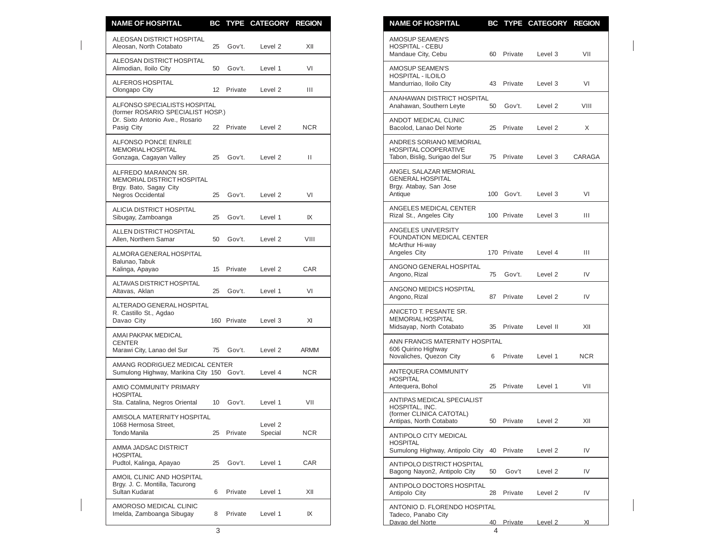| XII<br>VI<br>Ш<br><b>NCR</b><br>Ш<br>VI<br>IX<br>VIII<br><b>CAR</b><br>VI<br>XI<br><b>ARMM</b><br><b>NCR</b><br>VII<br><b>NCR</b><br>CAR<br>XII |                 | <b>NAME OF HOSPITAL</b>                                                           |                              |                                     | BC TYPE CATEGORY REGION                               |
|-------------------------------------------------------------------------------------------------------------------------------------------------|-----------------|-----------------------------------------------------------------------------------|------------------------------|-------------------------------------|-------------------------------------------------------|
|                                                                                                                                                 |                 | <b>AMOSUP SEAMEN'S</b><br>HOSPITAL - CEBU                                         |                              |                                     |                                                       |
|                                                                                                                                                 |                 | Mandaue City, Cebu<br>AMOSUP SEAMEN'S                                             |                              | 60 Private                          | Level 3                                               |
|                                                                                                                                                 |                 | <b>HOSPITAL - ILOILO</b><br>Mandurriao, Iloilo City                               |                              |                                     | 43 Private<br>Level 3                                 |
|                                                                                                                                                 |                 | Anahawan, Southern Leyte                                                          | ANAHAWAN DISTRICT HOSPITAL   | 50 Gov't.                           | Level 2                                               |
|                                                                                                                                                 |                 | ANDOT MEDICAL CLINIC<br>Bacolod. Lanao Del Norte                                  |                              |                                     | 25 Private<br>Level 2                                 |
|                                                                                                                                                 |                 | ANDRES SORIANO MEMORIAL<br>HOSPITAL COOPERATIVE<br>Tabon, Bislig, Surigao del Sur |                              | 75 Private                          | Level 3                                               |
|                                                                                                                                                 | Antique         | ANGEL SALAZAR MEMORIAL<br><b>GENERAL HOSPITAL</b><br>Brgy. Atabay, San Jose       |                              | 100 Gov't.                          | Level 3                                               |
|                                                                                                                                                 |                 | ANGELES MEDICAL CENTER<br>Rizal St., Angeles City                                 |                              |                                     | 100 Private<br>Level 3                                |
|                                                                                                                                                 |                 | ANGELES UNIVERSITY<br>McArthur Hi-way<br>Angeles City                             | FOUNDATION MEDICAL CENTER    |                                     | 170 Private<br>Level 4                                |
|                                                                                                                                                 |                 | ANGONO GENERAL HOSPITAL<br>Angono, Rizal                                          |                              | 75 Gov't.                           | Level 2                                               |
|                                                                                                                                                 |                 | ANGONO MEDICS HOSPITAL<br>Angono, Rizal                                           |                              |                                     | 87 Private<br>Level 2                                 |
|                                                                                                                                                 |                 | ANICETO T. PESANTE SR.<br>MEMORIAL HOSPITAL<br>Midsayap, North Cotabato           |                              |                                     | 35 Private<br>Level II                                |
|                                                                                                                                                 |                 | 606 Quirino Highway<br>Novaliches, Quezon City                                    |                              | ANN FRANCIS MATERNITY HOSPITAL<br>6 | Private<br>Level 1                                    |
|                                                                                                                                                 | <b>HOSPITAL</b> | ANTEQUERA COMMUNITY                                                               |                              |                                     |                                                       |
|                                                                                                                                                 |                 | Antequera, Bohol<br>ANTIPAS MEDICAL SPECIALIST                                    |                              |                                     | 25 Private<br>Level 1                                 |
|                                                                                                                                                 |                 | HOSPITAL, INC.<br>(former CLINICA CATOTAL)<br>Antipas, North Cotabato             |                              | 50 Private                          | Level 2                                               |
|                                                                                                                                                 | <b>HOSPITAL</b> | ANTIPOLO CITY MEDICAL                                                             |                              |                                     | Sumulong Highway, Antipolo City 40 Private<br>Level 2 |
|                                                                                                                                                 |                 | ANTIPOLO DISTRICT HOSPITAL<br>Bagong Nayon2, Antipolo City                        | 50                           | Gov't                               | Level 2                                               |
|                                                                                                                                                 |                 | ANTIPOLO DOCTORS HOSPITAL<br>Antipolo City                                        | 28                           |                                     | Private<br>Level 2                                    |
| IX                                                                                                                                              |                 | Tadeco, Panabo City                                                               | ANTONIO D. FLORENDO HOSPITAL |                                     |                                                       |

| AMOSUP SEAMEN'S<br>5 Gov't.<br>XII<br><b>HOSPITAL - CEBU</b><br>Level 2<br>60 Private<br>Mandaue City, Cebu<br>Level 3<br>0 Gov't.<br>VI<br>Level 1<br>AMOSUP SEAMEN'S<br>HOSPITAL - ILOILO<br>Mandurriao, Iloilo City<br>43 Private<br>Level 3<br>2 Private<br>Level 2<br>$\mathbf{III}$<br>ANAHAWAN DISTRICT HOSPITAL<br>Anahawan, Southern Leyte<br>50 Gov't.<br>Level 2<br>SP.)<br>ANDOT MEDICAL CLINIC<br>2 Private<br><b>NCR</b><br>Level 2<br>Bacolod, Lanao Del Norte<br>25 Private<br>Level 2<br>ANDRES SORIANO MEMORIAL<br>HOSPITAL COOPERATIVE<br>5 Gov't.<br>Ш<br>Tabon, Bislig, Surigao del Sur<br>75 Private<br>Level 3<br>Level 2<br>ANGEL SALAZAR MEMORIAL<br><b>GENERAL HOSPITAL</b><br>Brgy. Atabay, San Jose<br>100 Gov't.<br>Antique<br>Level 3<br>Gov't.<br>VI<br>Level 2<br>ANGELES MEDICAL CENTER<br>100 Private<br>Rizal St., Angeles City<br>Level 3<br>Gov't.<br>IX<br>Level 1<br>ANGELES UNIVERSITY<br>FOUNDATION MEDICAL CENTER<br>Gov't.<br>Level 2<br>VIII<br>McArthur Hi-way<br>Angeles City<br>170 Private<br>Level 4 |
|-------------------------------------------------------------------------------------------------------------------------------------------------------------------------------------------------------------------------------------------------------------------------------------------------------------------------------------------------------------------------------------------------------------------------------------------------------------------------------------------------------------------------------------------------------------------------------------------------------------------------------------------------------------------------------------------------------------------------------------------------------------------------------------------------------------------------------------------------------------------------------------------------------------------------------------------------------------------------------------------------------------------------------------------------------|
|                                                                                                                                                                                                                                                                                                                                                                                                                                                                                                                                                                                                                                                                                                                                                                                                                                                                                                                                                                                                                                                       |
|                                                                                                                                                                                                                                                                                                                                                                                                                                                                                                                                                                                                                                                                                                                                                                                                                                                                                                                                                                                                                                                       |
|                                                                                                                                                                                                                                                                                                                                                                                                                                                                                                                                                                                                                                                                                                                                                                                                                                                                                                                                                                                                                                                       |
|                                                                                                                                                                                                                                                                                                                                                                                                                                                                                                                                                                                                                                                                                                                                                                                                                                                                                                                                                                                                                                                       |
|                                                                                                                                                                                                                                                                                                                                                                                                                                                                                                                                                                                                                                                                                                                                                                                                                                                                                                                                                                                                                                                       |
|                                                                                                                                                                                                                                                                                                                                                                                                                                                                                                                                                                                                                                                                                                                                                                                                                                                                                                                                                                                                                                                       |
|                                                                                                                                                                                                                                                                                                                                                                                                                                                                                                                                                                                                                                                                                                                                                                                                                                                                                                                                                                                                                                                       |
|                                                                                                                                                                                                                                                                                                                                                                                                                                                                                                                                                                                                                                                                                                                                                                                                                                                                                                                                                                                                                                                       |
|                                                                                                                                                                                                                                                                                                                                                                                                                                                                                                                                                                                                                                                                                                                                                                                                                                                                                                                                                                                                                                                       |
|                                                                                                                                                                                                                                                                                                                                                                                                                                                                                                                                                                                                                                                                                                                                                                                                                                                                                                                                                                                                                                                       |
|                                                                                                                                                                                                                                                                                                                                                                                                                                                                                                                                                                                                                                                                                                                                                                                                                                                                                                                                                                                                                                                       |
| ANGONO GENERAL HOSPITAL<br>5 Private<br>Level 2<br>CAR<br>Angono, Rizal<br>75<br>Gov't.<br>Level 2                                                                                                                                                                                                                                                                                                                                                                                                                                                                                                                                                                                                                                                                                                                                                                                                                                                                                                                                                    |
| ANGONO MEDICS HOSPITAL<br>5 Gov't.<br>VI<br>Level 1<br>87 Private<br>Angono, Rizal<br>Level 2                                                                                                                                                                                                                                                                                                                                                                                                                                                                                                                                                                                                                                                                                                                                                                                                                                                                                                                                                         |
| ANICETO T. PESANTE SR.<br><b>MEMORIAL HOSPITAL</b><br>XI<br>60 Private<br>Level 3<br>Midsayap, North Cotabato<br>35 Private<br>Level II                                                                                                                                                                                                                                                                                                                                                                                                                                                                                                                                                                                                                                                                                                                                                                                                                                                                                                               |
| ANN FRANCIS MATERNITY HOSPITAL<br>606 Quirino Highway<br>5 Gov't.<br>ARMM                                                                                                                                                                                                                                                                                                                                                                                                                                                                                                                                                                                                                                                                                                                                                                                                                                                                                                                                                                             |
| Level 2<br>Novaliches, Quezon City<br>6 Private<br>Level 1<br>NTER                                                                                                                                                                                                                                                                                                                                                                                                                                                                                                                                                                                                                                                                                                                                                                                                                                                                                                                                                                                    |
| ANTEQUERA COMMUNITY<br><b>NCR</b><br>50 Gov't.<br>Level 4<br><b>HOSPITAL</b><br>Antequera, Bohol<br>25 Private<br>Level 1                                                                                                                                                                                                                                                                                                                                                                                                                                                                                                                                                                                                                                                                                                                                                                                                                                                                                                                             |
| ANTIPAS MEDICAL SPECIALIST<br>Gov't.<br>Level 1<br>VII<br>HOSPITAL, INC.                                                                                                                                                                                                                                                                                                                                                                                                                                                                                                                                                                                                                                                                                                                                                                                                                                                                                                                                                                              |
| (former CLINICA CATOTAL)<br>50 Private Level 2<br>Antipas, North Cotabato<br>Level 2<br>5 Private<br><b>NCR</b>                                                                                                                                                                                                                                                                                                                                                                                                                                                                                                                                                                                                                                                                                                                                                                                                                                                                                                                                       |
| Special<br>ANTIPOLO CITY MEDICAL<br><b>HOSPITAL</b><br>Sumulong Highway, Antipolo City 40 Private<br>Level 2                                                                                                                                                                                                                                                                                                                                                                                                                                                                                                                                                                                                                                                                                                                                                                                                                                                                                                                                          |
| 5 Gov't.<br>Level 1<br>CAR<br>ANTIPOLO DISTRICT HOSPITAL<br>Bagong Nayon2, Antipolo City<br>Level 2<br>50<br>Gov't                                                                                                                                                                                                                                                                                                                                                                                                                                                                                                                                                                                                                                                                                                                                                                                                                                                                                                                                    |
| ANTIPOLO DOCTORS HOSPITAL<br>Private<br>Level 1<br>XII<br>Antipolo City<br>28<br>Level 2<br>Private                                                                                                                                                                                                                                                                                                                                                                                                                                                                                                                                                                                                                                                                                                                                                                                                                                                                                                                                                   |
| ANTONIO D. FLORENDO HOSPITAL<br>Private<br>Level 1<br>IX<br>Tadeco, Panabo City<br>Davao del Norte<br>40 Private<br>Level 2                                                                                                                                                                                                                                                                                                                                                                                                                                                                                                                                                                                                                                                                                                                                                                                                                                                                                                                           |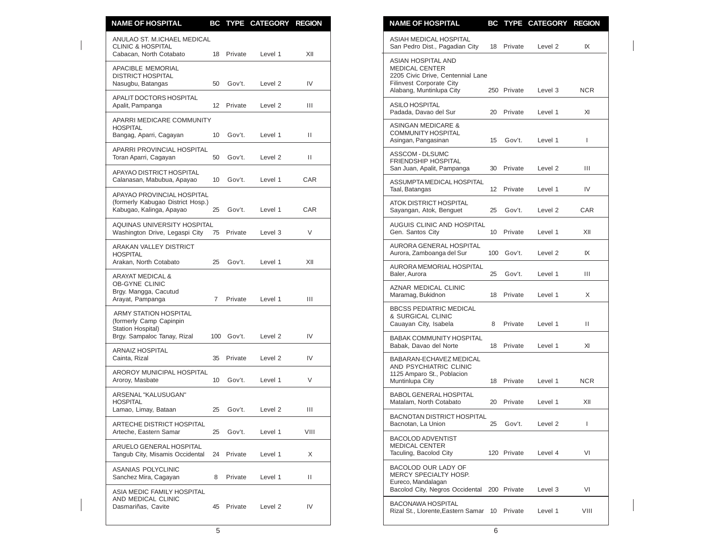| <b>NAME OF HOSPITAL</b>                                                                     |    |                      | BC TYPE CATEGORY REGION |           | <b>NAME OF HOSPITAL</b>                                                                                                                  |    |                      | BC TYPE CATEGORY REGION |              |
|---------------------------------------------------------------------------------------------|----|----------------------|-------------------------|-----------|------------------------------------------------------------------------------------------------------------------------------------------|----|----------------------|-------------------------|--------------|
| ANULAO ST. M.ICHAEL MEDICAL<br><b>CLINIC &amp; HOSPITAL</b><br>Cabacan, North Cotabato      |    | 18 Private           | Level 1                 | XII       | ASIAH MEDICAL HOSPITAL<br>San Pedro Dist., Pagadian City                                                                                 |    | 18 Private           | Level 2                 | IX           |
| <b>APACIBLE MEMORIAL</b><br><b>DISTRICT HOSPITAL</b><br>Nasugbu, Batangas                   | 50 | Gov't.               | Level <sub>2</sub>      | IV        | ASIAN HOSPITAL AND<br><b>MEDICAL CENTER</b><br>2205 Civic Drive, Centennial Lane<br>Filinvest Corporate City<br>Alabang, Muntinlupa City |    | 250 Private          | Level 3                 | <b>NCR</b>   |
| APALIT DOCTORS HOSPITAL<br>Apalit, Pampanga                                                 |    | 12 Private           | Level 2                 | Ш         | ASILO HOSPITAL<br>Padada, Davao del Sur                                                                                                  | 20 | Private              | Level 1                 | XI           |
| APARRI MEDICARE COMMUNITY<br><b>HOSPITAL</b><br>Bangag, Aparri, Cagayan                     | 10 | Gov't.               | Level 1                 | Ш         | <b>ASINGAN MEDICARE &amp;</b><br><b>COMMUNITY HOSPITAL</b>                                                                               |    |                      | Level 1                 |              |
| APARRI PROVINCIAL HOSPITAL<br>Toran Aparri, Cagayan                                         |    | 50 Gov't.            | Level 2                 | Ш         | Asingan, Pangasinan<br>ASSCOM - DLSUMC<br><b>FRIENDSHIP HOSPITAL</b>                                                                     | 15 | Gov't.               |                         | $\mathbf{I}$ |
| APAYAO DISTRICT HOSPITAL<br>Calanasan, Mabubua, Apayao                                      |    | 10 Gov't.            | Level 1                 | CAR       | San Juan, Apalit, Pampanga<br>ASSUMPTA MEDICAL HOSPITAL                                                                                  |    | 30 Private           | Level 2                 | Ш            |
| APAYAO PROVINCIAL HOSPITAL<br>(formerly Kabugao District Hosp.)<br>Kabugao, Kalinga, Apayao | 25 | Gov't.               | Level 1                 | CAR       | Taal, Batangas<br>ATOK DISTRICT HOSPITAL<br>Sayangan, Atok, Benguet                                                                      | 25 | 12 Private<br>Gov't. | Level 1<br>Level 2      | IV<br>CAR    |
| AQUINAS UNIVERSITY HOSPITAL<br>Washington Drive, Legaspi City                               |    | 75 Private           | Level 3                 | V         | AUGUIS CLINIC AND HOSPITAL<br>Gen. Santos City                                                                                           |    | 10 Private           | Level 1                 | XII          |
| <b>ARAKAN VALLEY DISTRICT</b><br><b>HOSPITAL</b>                                            |    |                      |                         |           | AURORA GENERAL HOSPITAL<br>Aurora, Zamboanga del Sur                                                                                     |    | 100 Gov't.           | Level 2                 | IX           |
| Arakan, North Cotabato<br><b>ARAYAT MEDICAL &amp;</b>                                       | 25 | Gov't.               | Level 1                 | XII       | AURORA MEMORIAL HOSPITAL<br>Baler, Aurora                                                                                                | 25 | Gov't.               | Level 1                 | Ш            |
| <b>OB-GYNE CLINIC</b><br>Brgy. Mangga, Cacutud<br>Arayat, Pampanga                          |    | 7 Private            | Level 1                 | Ш         | AZNAR MEDICAL CLINIC<br>Maramag, Bukidnon                                                                                                |    | 18 Private           | Level 1                 | X            |
| <b>ARMY STATION HOSPITAL</b><br>(formerly Camp Capinpin                                     |    |                      |                         |           | <b>BBCSS PEDIATRIC MEDICAL</b><br>& SURGICAL CLINIC<br>Cauayan City, Isabela                                                             |    | 8 Private            | Level 1                 | П.           |
| Station Hospital)<br>Brgy. Sampaloc Tanay, Rizal                                            |    | 100 Gov't.           | Level 2                 | IV        | <b>BABAK COMMUNITY HOSPITAL</b><br>Babak, Davao del Norte                                                                                |    | 18 Private           | Level 1                 | XI           |
| <b>ARNAIZ HOSPITAL</b><br>Cainta, Rizal                                                     |    | 35 Private           | Level 2                 | IV        | BABARAN-ECHAVEZ MEDICAL<br>AND PSYCHIATRIC CLINIC                                                                                        |    |                      |                         |              |
| AROROY MUNICIPAL HOSPITAL<br>Aroroy, Masbate                                                |    | 10 Gov't.            | Level 1                 | V         | 1125 Amparo St., Poblacion<br>Muntinlupa City                                                                                            |    | 18 Private           | Level 1                 | <b>NCR</b>   |
| ARSENAL "KALUSUGAN"<br><b>HOSPITAL</b>                                                      |    |                      |                         |           | BABOL GENERAL HOSPITAL<br>Matalam, North Cotabato                                                                                        |    | 20 Private           | Level 1                 | XII          |
| Lamao, Limay, Bataan<br>ARTECHE DISTRICT HOSPITAL                                           | 25 | Gov't.               | Level 2                 | Ш         | <b>BACNOTAN DISTRICT HOSPITAL</b><br>Bacnotan, La Union                                                                                  | 25 | Gov't.               | Level 2                 | $\mathbf{I}$ |
| Arteche, Eastern Samar<br>ARUELO GENERAL HOSPITAL<br>Tangub City, Misamis Occidental        | 25 | Gov't.<br>24 Private | Level 1<br>Level 1      | VIII<br>X | <b>BACOLOD ADVENTIST</b><br><b>MEDICAL CENTER</b><br>Taculing, Bacolod City                                                              |    | 120 Private          | Level 4                 | VI           |
| ASANIAS POLYCLINIC<br>Sanchez Mira, Cagayan                                                 | 8  | Private              | Level 1                 | Ш         | BACOLOD OUR LADY OF<br>MERCY SPECIALTY HOSP.                                                                                             |    |                      |                         |              |
| ASIA MEDIC FAMILY HOSPITAL                                                                  |    |                      |                         |           | Eureco, Mandalagan<br>Bacolod City, Negros Occidental                                                                                    |    | 200 Private          | Level 3                 | VI           |
| AND MEDICAL CLINIC<br>Dasmariñas, Cavite                                                    | 45 | Private              | Level 2                 | IV        | <b>BACONAWA HOSPITAL</b><br>Rizal St., Llorente, Eastern Samar 10 Private                                                                |    |                      | Level 1                 | VIII         |

| <b>NAME OF HOSPITAL</b>                                                                                                                         | BС  | TYPE        | <b>CATEGORY</b>    | <b>REGION</b> |
|-------------------------------------------------------------------------------------------------------------------------------------------------|-----|-------------|--------------------|---------------|
| ASIAH MEDICAL HOSPITAL<br>San Pedro Dist., Pagadian City                                                                                        | 18  | Private     | Level 2            | IX            |
| ASIAN HOSPITAL AND<br><b>MEDICAL CENTER</b><br>2205 Civic Drive, Centennial Lane<br><b>Filinvest Corporate City</b><br>Alabang, Muntinlupa City | 250 | Private     | Level 3            | <b>NCR</b>    |
| <b>ASILO HOSPITAL</b><br>Padada, Davao del Sur                                                                                                  | 20  | Private     | Level 1            | ΧI            |
| <b>ASINGAN MEDICARE &amp;</b><br><b>COMMUNITY HOSPITAL</b><br>Asingan, Pangasinan                                                               | 15  | Gov't.      | Level 1            | I             |
| ASSCOM - DLSUMC<br>FRIENDSHIP HOSPITAL<br>San Juan, Apalit, Pampanga                                                                            | 30  | Private     | Level <sub>2</sub> | Ш             |
| ASSUMPTAMEDICAL HOSPITAL<br>Taal, Batangas                                                                                                      | 12  | Private     | Level 1            | IV            |
| ATOK DISTRICT HOSPITAL<br>Sayangan, Atok, Benguet                                                                                               | 25  | Gov't.      | Level 2            | <b>CAR</b>    |
| AUGUIS CLINIC AND HOSPITAL<br>Gen. Santos City                                                                                                  | 10  | Private     | Level 1            | XII           |
| AURORA GENERAL HOSPITAL<br>Aurora, Zamboanga del Sur                                                                                            | 100 | Gov't.      | Level 2            | IX            |
| AURORA MEMORIAL HOSPITAL<br>Baler, Aurora                                                                                                       | 25  | Gov't.      | Level 1            | Ш             |
| AZNAR MEDICAL CLINIC<br>Maramag, Bukidnon                                                                                                       | 18  | Private     | Level 1            | X             |
| <b>BBCSS PEDIATRIC MEDICAL</b><br>& SURGICAL CLINIC<br>Cauayan City, Isabela                                                                    | 8   | Private     | Level 1            | Ш             |
| <b>BABAK COMMUNITY HOSPITAL</b><br>Babak, Davao del Norte                                                                                       | 18  | Private     | Level 1            | XI            |
| BABARAN-ECHAVEZ MEDICAL<br>AND PSYCHIATRIC CLINIC<br>1125 Amparo St., Poblacion<br>Muntinlupa City                                              | 18  | Private     | Level 1            | <b>NCR</b>    |
| <b>BABOL GENERAL HOSPITAL</b><br>Matalam, North Cotabato                                                                                        | 20  | Private     | Level 1            | XII           |
| BACNOTAN DISTRICT HOSPITAL<br>Bacnotan, La Union                                                                                                | 25  | Gov't.      | Level 2            | I             |
| <b>BACOLOD ADVENTIST</b><br><b>MEDICAL CENTER</b><br>Taculing, Bacolod City                                                                     |     | 120 Private | Level 4            | VI            |
| BACOLOD OUR LADY OF<br>MERCY SPECIALTY HOSP.<br>Eureco, Mandalagan<br>Bacolod City, Negros Occidental                                           |     | 200 Private | Level 3            | VI            |
| <b>BACONAWA HOSPITAL</b><br>Rizal St., Llorente, Eastern Samar                                                                                  | 10  | Private     | Level 1            | VIII          |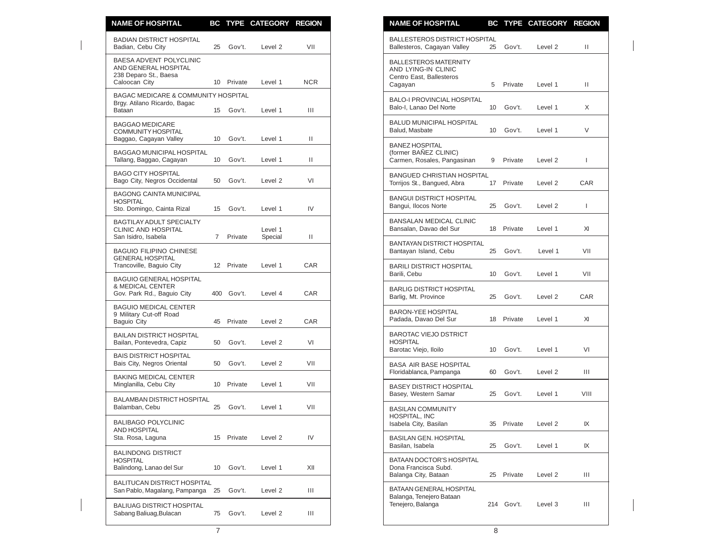| <b>NAME OF HOSPITAL</b>                                                                   |             |            | BC TYPE CATEGORY REGION |              | <b>NAME OF HOSPITAL</b>                                                                    |                 |            | BC TYPE CATEGORY REGION |              |
|-------------------------------------------------------------------------------------------|-------------|------------|-------------------------|--------------|--------------------------------------------------------------------------------------------|-----------------|------------|-------------------------|--------------|
| <b>BADIAN DISTRICT HOSPITAL</b><br>Badian, Cebu City                                      | 25          | Gov't.     | Level 2                 | VII          | <b>BALLESTEROS DISTRICT HOSPITAL</b><br>Ballesteros, Cagayan Valley                        | 25              | Gov't.     | Level 2                 | $\mathbf{H}$ |
| BAESA ADVENT POLYCLINIC<br>AND GENERAL HOSPITAL<br>238 Deparo St., Baesa<br>Caloocan City |             | 10 Private | Level 1                 | <b>NCR</b>   | <b>BALLESTEROS MATERNITY</b><br>AND LYING-IN CLINIC<br>Centro East, Ballesteros<br>Cagayan | 5               | Private    | Level 1                 | $\mathbf{H}$ |
| BAGAC MEDICARE & COMMUNITY HOSPITAL<br>Brgy. Atilano Ricardo, Bagac                       |             |            |                         |              | <b>BALO-I PROVINCIAL HOSPITAL</b>                                                          |                 |            |                         |              |
| Bataan                                                                                    |             | 15 Gov't.  | Level 1                 | Ш            | Balo-I. Lanao Del Norte                                                                    | 10 <sup>1</sup> | Gov't.     | Level 1                 | X            |
| <b>BAGGAO MEDICARE</b><br><b>COMMUNITY HOSPITAL</b><br>Baggao, Cagayan Valley             | 10          | Gov't.     | Level 1                 | Ш            | <b>BALUD MUNICIPAL HOSPITAL</b><br>Balud, Masbate                                          |                 | 10 Gov't.  | Level 1                 | V            |
| BAGGAO MUNICIPAL HOSPITAL<br>Tallang, Baggao, Cagayan                                     | 10          | Gov't.     | Level 1                 | $\mathbf{H}$ | <b>BANEZ HOSPITAL</b><br>(former BAÑEZ CLINIC)<br>Carmen, Rosales, Pangasinan              | 9               | Private    | Level 2                 | $\mathbf{I}$ |
| <b>BAGO CITY HOSPITAL</b><br>Bago City, Negros Occidental                                 | 50          | Gov't.     | Level 2                 | VI           | <b>BANGUED CHRISTIAN HOSPITAL</b><br>Torrijos St., Bangued, Abra                           |                 | 17 Private | Level 2                 | CAR          |
| <b>BAGONG CAINTA MUNICIPAL</b><br><b>HOSPITAL</b><br>Sto. Domingo, Cainta Rizal           |             | 15 Gov't.  | Level 1                 | IV           | <b>BANGUI DISTRICT HOSPITAL</b><br>Bangui, Ilocos Norte                                    | 25              | Gov't.     | Level 2                 | $\mathbf{I}$ |
| <b>BAGTILAY ADULT SPECIALTY</b><br><b>CLINIC AND HOSPITAL</b>                             |             |            | Level 1                 |              | <b>BANSALAN MEDICAL CLINIC</b><br>Bansalan, Davao del Sur                                  |                 | 18 Private | Level 1                 | XI           |
| San Isidro, Isabela<br><b>BAGUIO FILIPINO CHINESE</b>                                     | $7^{\circ}$ | Private    | Special                 | Ш            | <b>BANTAYAN DISTRICT HOSPITAL</b>                                                          | 25              | Gov't.     | Level 1                 | VII          |
| <b>GENERAL HOSPITAL</b><br>Trancoville, Baguio City                                       |             | 12 Private | Level 1                 | <b>CAR</b>   | Bantayan Island, Cebu<br><b>BARILI DISTRICT HOSPITAL</b>                                   |                 |            |                         |              |
| <b>BAGUIO GENERAL HOSPITAL</b><br>& MEDICAL CENTER<br>Gov. Park Rd., Baguio City          |             | 400 Gov't. | Level 4                 | CAR          | Barili, Cebu<br><b>BARLIG DISTRICT HOSPITAL</b>                                            | 10 <sup>°</sup> | Gov't.     | Level 1                 | VII          |
| <b>BAGUIO MEDICAL CENTER</b>                                                              |             |            |                         |              | Barlig, Mt. Province                                                                       | 25              | Gov't.     | Level 2                 | CAR          |
| 9 Military Cut-off Road<br>Baguio City                                                    | 45          | Private    | Level 2                 | CAR          | <b>BARON-YEE HOSPITAL</b><br>Padada, Davao Del Sur                                         | 18              | Private    | Level 1                 | XI           |
| <b>BAILAN DISTRICT HOSPITAL</b><br>Bailan, Pontevedra, Capiz                              | 50          | Gov't.     | Level 2                 | VI           | <b>BAROTAC VIEJO DSTRICT</b><br><b>HOSPITAL</b>                                            |                 |            |                         |              |
| <b>BAIS DISTRICT HOSPITAL</b><br>Bais City, Negros Oriental                               | 50          | Gov't.     | Level 2                 | VII          | Barotac Viejo, Iloilo<br><b>BASA AIR BASE HOSPITAL</b>                                     | 10              | Gov't.     | Level 1                 | VI           |
| <b>BAKING MEDICAL CENTER</b><br>Minglanilla, Cebu City                                    |             | 10 Private | Level 1                 | VII          | Floridablanca, Pampanga<br><b>BASEY DISTRICT HOSPITAL</b>                                  | 60              | Gov't.     | Level 2                 | Ш            |
| BALAMBAN DISTRICT HOSPITAL                                                                |             |            |                         |              | Basey, Western Samar                                                                       | 25              | Gov't.     | Level 1                 | VIII         |
| Balamban, Cebu                                                                            | 25          | Gov't.     | Level 1                 | VII          | <b>BASILAN COMMUNITY</b><br>HOSPITAL, INC                                                  |                 |            |                         |              |
| <b>BALIBAGO POLYCLINIC</b><br><b>AND HOSPITAL</b>                                         |             |            |                         |              | Isabela City, Basilan                                                                      |                 | 35 Private | Level 2                 | IX           |
| Sta. Rosa, Laguna                                                                         |             | 15 Private | Level 2                 | IV           | <b>BASILAN GEN. HOSPITAL</b><br>Basilan, Isabela                                           | 25              | Gov't.     | Level 1                 | IX           |
| <b>BALINDONG DISTRICT</b><br><b>HOSPITAL</b><br>Balindong, Lanao del Sur                  | 10          | Gov't.     | Level 1                 | XII          | BATAAN DOCTOR'S HOSPITAL<br>Dona Francisca Subd.                                           |                 |            | Level 2                 | Ш            |
| <b>BALITUCAN DISTRICT HOSPITAL</b><br>San Pablo, Magalang, Pampanga 25                    |             | Gov't.     | Level 2                 | Ш            | Balanga City, Bataan<br>BATAAN GENERAL HOSPITAL                                            | 25              | Private    |                         |              |
| <b>BALIUAG DISTRICT HOSPITAL</b><br>Sabang Baliuag, Bulacan                               |             | 75 Gov't.  | Level 2                 | Ш            | Balanga, Tenejero Bataan<br>Tenejero, Balanga                                              |                 | 214 Gov't. | Level 3                 | Ш            |

| <b>NAME OF HOSPITAL</b>                                                                    | BC  | <b>TYPE</b> | <b>CATEGORY</b>    | <b>REGION</b> |
|--------------------------------------------------------------------------------------------|-----|-------------|--------------------|---------------|
| <b>BALLESTEROS DISTRICT HOSPITAL</b><br>Ballesteros, Cagayan Valley                        | 25  | Gov't.      | Level <sub>2</sub> | Ш             |
| <b>BALLESTEROS MATERNITY</b><br>AND LYING-IN CLINIC<br>Centro East, Ballesteros<br>Cagayan | 5   | Private     | Level 1            | Ш             |
| <b>BALO-I PROVINCIAL HOSPITAL</b><br>Balo-I, Lanao Del Norte                               | 10  | Gov't.      | Level 1            | X             |
| <b>BALUD MUNICIPAL HOSPITAL</b><br>Balud. Masbate                                          | 10  | Gov't.      | Level 1            | V             |
| <b>BANEZ HOSPITAL</b><br>(former BAÑEZ CLINIC)<br>Carmen, Rosales, Pangasinan              | 9   | Private     | Level 2            | I             |
| <b>BANGUED CHRISTIAN HOSPITAL</b><br>Torrijos St., Bangued, Abra                           | 17  | Private     | Level 2            | CAR           |
| <b>BANGUI DISTRICT HOSPITAL</b><br>Bangui, Ilocos Norte                                    | 25  | Gov't.      | Level 2            | I             |
| <b>BANSALAN MEDICAL CLINIC</b><br>Bansalan. Davao del Sur                                  | 18  | Private     | Level 1            | XI            |
| <b>BANTAYAN DISTRICT HOSPITAL</b><br>Bantayan Island, Cebu                                 | 25  | Gov't.      | Level 1            | VII           |
| <b>BARILI DISTRICT HOSPITAL</b><br>Barili, Cebu                                            | 10  | Gov't.      | Level 1            | VII           |
| <b>BARLIG DISTRICT HOSPITAL</b><br>Barlig, Mt. Province                                    | 25  | Gov't.      | Level 2            | CAR           |
| <b>BARON-YEE HOSPITAL</b><br>Padada, Davao Del Sur                                         | 18  | Private     | Level 1            | XI            |
| <b>BAROTAC VIEJO DSTRICT</b><br><b>HOSPITAL</b><br>Barotac Viejo, Iloilo                   | 10  | Gov't.      | Level 1            | VI            |
| <b>BASA AIR BASE HOSPITAL</b><br>Floridablanca, Pampanga                                   | 60  | Gov't.      | Level <sub>2</sub> | Ш             |
| <b>BASEY DISTRICT HOSPITAL</b><br>Basey, Western Samar                                     | 25  | Gov't.      | Level 1            | VIII          |
| <b>BASILAN COMMUNITY</b><br>HOSPITAL, INC<br>Isabela City, Basilan                         | 35  | Private     | Level 2            | IX            |
| <b>BASILAN GEN. HOSPITAL</b><br>Basilan, Isabela                                           | 25  | Gov't.      | Level 1            | IX            |
| <b>BATAAN DOCTOR'S HOSPITAL</b><br>Dona Francisca Subd.<br>Balanga City, Bataan            | 25  | Private     | Level <sub>2</sub> | Ш             |
| BATAAN GENERAL HOSPITAL<br>Balanga, Tenejero Bataan<br>Tenejero, Balanga                   | 214 | Gov't.      | Level 3            | Ш             |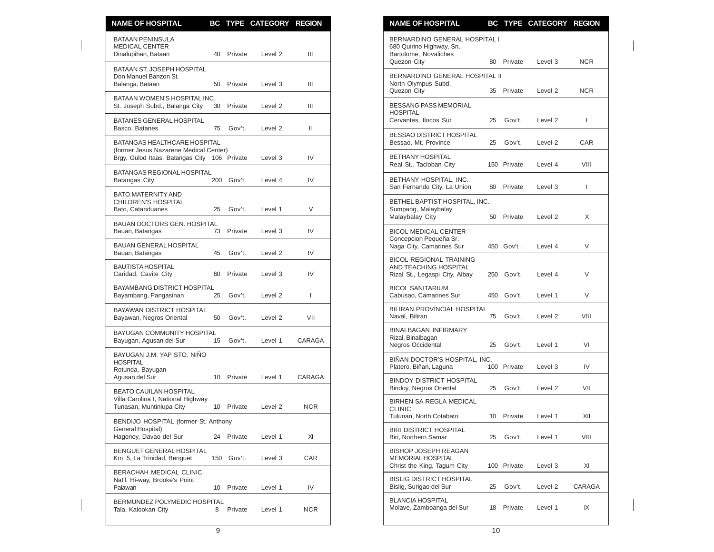| <b>NAME OF HOSPITAL</b>                                                       |            | BC TYPE CATEGORY REGION |                | <b>NAME OF HOSPITAL</b><br>BC TYPE CATEGORY REGION                                                                            |              |
|-------------------------------------------------------------------------------|------------|-------------------------|----------------|-------------------------------------------------------------------------------------------------------------------------------|--------------|
| <b>BATAAN PENINSULA</b><br><b>MEDICAL CENTER</b><br>Dinalupihan, Bataan       | 40 Private | Level 2                 | Ш              | BERNARDINO GENERAL HOSPITAL I<br>680 Quirino Highway, Sn.<br>Bartolome, Novaliches<br>Quezon City<br>80<br>Private<br>Level 3 | <b>NCR</b>   |
| <b>BATAAN ST. JOSEPH HOSPITAL</b><br>Don Manuel Banzon St.<br>Balanga, Bataan | 50 Private | Level 3                 | Ш              | BERNARDINO GENERAL HOSPITAL II<br>North Olympus Subd.                                                                         |              |
| BATAAN WOMEN'S HOSPITAL INC.<br>St. Joseph Subd., Balanga City<br>30          | Private    | Level <sub>2</sub>      | Ш              | Quezon City<br>Private<br>Level <sub>2</sub><br>35<br>BESSANG PASS MEMORIAL                                                   | <b>NCR</b>   |
| BATANES GENERAL HOSPITAL<br>75<br>Basco, Batanes                              | Gov't.     | Level 2                 | $\mathbf{H}$   | <b>HOSPITAL</b><br>Cervantes, Ilocos Sur<br>25<br>Gov't.<br>Level 2                                                           | $\mathbf{I}$ |
| BATANGAS HEALTHCARE HOSPITAL<br>(former Jesus Nazarene Medical Center)        |            |                         |                | BESSAO DISTRICT HOSPITAL<br>Gov't.<br>Bessao. Mt. Province<br>25<br>Level 2                                                   | CAR          |
| Brgy. Gulod Itaas, Batangas City 106 Private                                  |            | Level 3                 | IV             | <b>BETHANY HOSPITAL</b><br>Real St., Tacloban City<br>150 Private<br>Level 4                                                  | VIII         |
| BATANGAS REGIONAL HOSPITAL<br>Batangas City                                   | 200 Gov't. | Level 4                 | IV             | BETHANY HOSPITAL, INC.<br>San Fernando City, La Union<br>Private<br>80<br>Level 3                                             | $\mathbf{I}$ |
| <b>BATO MATERNITY AND</b><br>CHILDREN'S HOSPITAL<br>Bato, Catanduanes<br>25   | Gov't.     | Level 1                 | V              | BETHEL BAPTIST HOSPITAL, INC.<br>Sumpang, Malaybalay<br>Malaybalay City<br>Private<br>50<br>Level 2                           | X            |
| <b>BAUAN DOCTORS GEN. HOSPITAL</b><br>Bauan, Batangas                         | 73 Private | Level 3                 | IV             | <b>BICOL MEDICAL CENTER</b>                                                                                                   |              |
| <b>BAUAN GENERAL HOSPITAL</b><br>Bauan, Batangas<br>45                        | Gov't.     | Level 2                 | IV             | Concepcion Pequeña Sr.<br>Naga City, Camarines Sur<br>450 Gov't.<br>Level 4                                                   | $\vee$       |
| <b>BAUTISTA HOSPITAL</b><br>Caridad, Cavite City<br>60                        | Private    | Level 3                 | IV             | <b>BICOL REGIONAL TRAINING</b><br><b>AND TEACHING HOSPITAL</b><br>Rizal St., Legaspi City, Albay<br>250<br>Gov't.<br>Level 4  | V            |
| <b>BAYAMBANG DISTRICT HOSPITAL</b><br>Bayambang, Pangasinan<br>25             | Gov't.     | Level 2                 | $\overline{1}$ | <b>BICOL SANITARIUM</b><br>Cabusao, Camarines Sur<br>450<br>Gov't.<br>Level 1                                                 | $\vee$       |
| BAYAWAN DISTRICT HOSPITAL<br>Bayawan, Negros Oriental<br>50                   | Gov't.     | Level 2                 | VII            | BILIRAN PROVINCIAL HOSPITAL<br>Gov't.<br>Naval, Biliran<br>75<br>Level 2                                                      | VIII         |
| BAYUGAN COMMUNITY HOSPITAL<br>Bayugan, Agusan del Sur<br>15                   | Gov't.     | Level 1                 | CARAGA         | <b>BINALBAGAN INFIRMARY</b><br>Rizal, Binalbagan<br><b>Negros Occidental</b><br>25<br>Gov't.<br>Level 1                       | VI           |
| BAYUGAN J.M. YAP STO. NIÑO<br><b>HOSPITAL</b><br>Rotunda, Bayugan             |            |                         |                | BIÑAN DOCTOR'S HOSPITAL, INC.<br>Platero, Biñan, Laguna<br>100 Private<br>Level 3                                             | IV           |
| Agusan del Sur<br><b>BEATO CAUILAN HOSPITAL</b>                               | 10 Private | Level 1                 | CARAGA         | <b>BINDOY DISTRICT HOSPITAL</b><br>Bindoy, Negros Oriental<br>25<br>Gov't.<br>Level 2                                         | VII          |
| Villa Carolina I, National Highway<br>Tunasan, Muntinlupa City                | 10 Private | Level 2                 | <b>NCR</b>     | BIRHEN SA REGLA MEDICAL<br><b>CLINIC</b>                                                                                      |              |
| BENDIJO HOSPITAL (former St. Anthony<br>General Hospital)                     |            |                         |                | Tulunan, North Cotabato<br>10<br>Private<br>Level 1<br><b>BIRI DISTRICT HOSPITAL</b>                                          | XII          |
| Hagonoy, Davao del Sur                                                        | 24 Private | Level 1                 | XI             | Biri, Northern Samar<br>25<br>Gov't.<br>Level 1                                                                               | VIII         |
| BENGUET GENERAL HOSPITAL<br>Km. 5, La Trinidad, Benguet                       | 150 Gov't. | Level 3                 | CAR            | <b>BISHOP JOSEPH REAGAN</b><br>MEMORIAL HOSPITAL<br>Christ the King, Tagum City<br>100 Private<br>Level 3                     | XI           |
| BERACHAH MEDICAL CLINIC<br>Nat'l. Hi-way, Brooke's Point<br>Palawan           | 10 Private | Level 1                 | IV             | <b>BISLIG DISTRICT HOSPITAL</b><br>Bislig, Surigao del Sur<br>Gov't.<br>Level 2<br>25                                         | CARAGA       |
| BERMUNDEZ POLYMEDIC HOSPITAL<br>Tala, Kalookan City<br>8                      | Private    | Level 1                 | <b>NCR</b>     | <b>BLANCIA HOSPITAL</b><br>Molave, Zamboanga del Sur<br>Private<br>18<br>Level 1                                              | IX           |

| <b>NAME OF HOSPITAL</b>                                                                           |     |             | <b>BC TYPE CATEGORY</b> | <b>REGION</b> |
|---------------------------------------------------------------------------------------------------|-----|-------------|-------------------------|---------------|
| BERNARDINO GENERAL HOSPITAL I<br>680 Quirino Highway, Sn.<br>Bartolome, Novaliches<br>Quezon City | 80  | Private     | Level 3                 | NCR.          |
| BERNARDINO GENERAL HOSPITAL II<br>North Olympus Subd.<br>Quezon City                              | 35  | Private     | Level 2                 | NCR.          |
| <b>BESSANG PASS MEMORIAL</b><br><b>HOSPITAL</b><br>Cervantes, Ilocos Sur                          | 25  | Gov't.      | Level 2                 | L             |
| BESSAO DISTRICT HOSPITAL<br>Bessao, Mt. Province                                                  | 25  | Gov't.      | Level 2                 | CAR           |
| <b>BETHANY HOSPITAL</b><br>Real St., Tacloban City                                                |     | 150 Private | Level 4                 | VIII          |
| BETHANY HOSPITAL, INC.<br>San Fernando City, La Union                                             | 80  | Private     | Level 3                 | I             |
| BETHEL BAPTIST HOSPITAL, INC.<br>Sumpang, Malaybalay<br>Malaybalay City                           | 50  | Private     | Level 2                 | X             |
| <b>BICOL MEDICAL CENTER</b><br>Concepcion Pequeña Sr.<br>Naga City, Camarines Sur                 | 450 | Gov't.      | Level 4                 | V             |
| <b>BICOL REGIONAL TRAINING</b><br>AND TEACHING HOSPITAL<br>Rizal St., Legaspi City, Albay         | 250 | Gov't.      | Level 4                 | V             |
| <b>BICOL SANITARIUM</b><br>Cabusao, Camarines Sur                                                 | 450 | Gov't.      | Level 1                 | V             |
| BILIRAN PROVINCIAL HOSPITAL<br>Naval, Biliran                                                     | 75  | Gov't.      | Level 2                 | VIII          |
| <b>BINALBAGAN INFIRMARY</b><br>Rizal, Binalbagan<br>Negros Occidental                             | 25  | Gov't.      | Level 1                 | VI            |
| BINAN DOCTOR'S HOSPITAL, INC.<br>Platero, Biñan, Laguna                                           | 100 | Private     | Level 3                 | IV            |
| <b>BINDOY DISTRICT HOSPITAL</b><br>Bindoy, Negros Oriental                                        | 25  | Gov't.      | Level <sub>2</sub>      | VII           |
| BIRHEN SA REGLA MEDICAL<br>CLINIC<br>Tulunan, North Cotabato                                      | 10  | Private     | Level 1                 | XII           |
| <b>BIRI DISTRICT HOSPITAL</b><br>Biri, Northern Samar                                             | 25  | Gov't.      | Level 1                 | VIII          |
| <b>BISHOP JOSEPH REAGAN</b><br><b>MEMORIAL HOSPITAL</b><br>Christ the King, Tagum City            | 100 | Private     | Level 3                 | XI            |
| <b>BISLIG DISTRICT HOSPITAL</b><br>Bislig, Surigao del Sur                                        | 25  | Gov't.      | Level 2                 | CARAGA        |
| <b>BLANCIA HOSPITAL</b><br>Molave, Zamboanga del Sur                                              | 18  | Private     | Level 1                 | IX            |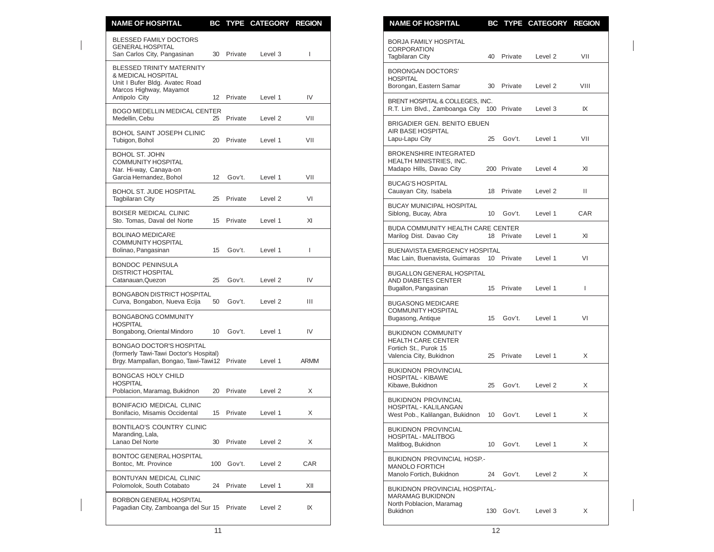| <b>NAME OF HOSPITAL</b>                                                                                             |    |            | BC TYPE CATEGORY REGION |              | <b>NAME OF HOSPITAL</b><br>BC TYPE CATEGORY REGION                                                                       |              |
|---------------------------------------------------------------------------------------------------------------------|----|------------|-------------------------|--------------|--------------------------------------------------------------------------------------------------------------------------|--------------|
| <b>BLESSED FAMILY DOCTORS</b><br><b>GENERAL HOSPITAL</b><br>San Carlos City, Pangasinan                             | 30 | Private    | Level 3                 | $\mathbf{I}$ | <b>BORJA FAMILY HOSPITAL</b><br><b>CORPORATION</b><br><b>Tagbilaran City</b><br>Private<br>40<br>Level 2                 | VII          |
| <b>BLESSED TRINITY MATERNITY</b><br>& MEDICAL HOSPITAL<br>Unit I Bufer Bldg. Avatec Road<br>Marcos Highway, Mayamot |    |            |                         |              | <b>BORONGAN DOCTORS'</b><br><b>HOSPITAL</b><br>Borongan, Eastern Samar<br>Private<br>30<br>Level 2                       | VIII         |
| Antipolo City<br><b>BOGO MEDELLIN MEDICAL CENTER</b>                                                                |    | 12 Private | Level 1                 | IV           | BRENT HOSPITAL & COLLEGES, INC.<br>R.T. Lim Blvd., Zamboanga City 100 Private<br>Level 3                                 | IX           |
| Medellin, Cebu                                                                                                      |    | 25 Private | Level <sub>2</sub>      | VII          | BRIGADIER GEN. BENITO EBUEN                                                                                              |              |
| BOHOL SAINT JOSEPH CLINIC<br>Tubigon, Bohol                                                                         |    | 20 Private | Level 1                 | VII          | AIR BASE HOSPITAL<br>Gov't.<br>Lapu-Lapu City<br>25<br>Level 1                                                           | VII          |
| <b>BOHOL ST. JOHN</b><br><b>COMMUNITY HOSPITAL</b><br>Nar. Hi-way, Canaya-on                                        |    |            |                         |              | <b>BROKENSHIRE INTEGRATED</b><br>HEALTH MINISTRIES, INC.<br>Madapo Hills, Davao City<br>200 Private<br>Level 4           | XI           |
| Garcia Hernandez, Bohol<br><b>BOHOL ST. JUDE HOSPITAL</b>                                                           | 12 | Gov't.     | Level 1                 | VII          | <b>BUCAG'S HOSPITAL</b><br>Cauayan City, Isabela<br>18<br>Private<br>Level 2                                             | Ш            |
| <b>Tagbilaran City</b><br><b>BOISER MEDICAL CLINIC</b>                                                              |    | 25 Private | Level 2                 | VI           | <b>BUCAY MUNICIPAL HOSPITAL</b><br>10<br>Gov't.<br>Siblong, Bucay, Abra<br>Level 1                                       | CAR          |
| Sto. Tomas, Daval del Norte                                                                                         |    | 15 Private | Level 1                 | XI           | <b>BUDA COMMUNITY HEALTH CARE CENTER</b>                                                                                 |              |
| <b>BOLINAO MEDICARE</b><br><b>COMMUNITY HOSPITAL</b>                                                                |    |            |                         |              | Marilog Dist. Davao City<br>18 Private<br>Level 1                                                                        | XI           |
| Bolinao, Pangasinan                                                                                                 | 15 | Gov't.     | Level 1                 | $\mathbf{I}$ | <b>BUENAVISTA EMERGENCY HOSPITAL</b><br>Mac Lain, Buenavista, Guimaras 10 Private<br>Level 1                             | VI           |
| <b>BONDOC PENINSULA</b><br><b>DISTRICT HOSPITAL</b><br>Catanauan, Quezon                                            | 25 | Gov't.     | Level 2                 | IV           | <b>BUGALLON GENERAL HOSPITAL</b><br>AND DIABETES CENTER                                                                  |              |
| <b>BONGABON DISTRICT HOSPITAL</b>                                                                                   |    |            |                         |              | 15 Private<br>Bugallon, Pangasinan<br>Level 1                                                                            | $\mathbf{I}$ |
| Curva, Bongabon, Nueva Ecija<br><b>BONGABONG COMMUNITY</b>                                                          | 50 | Gov't.     | Level 2                 | Ш            | <b>BUGASONG MEDICARE</b><br><b>COMMUNITY HOSPITAL</b><br>Gov't.<br>Level 1<br>Bugasong, Antique<br>15                    | VI           |
| <b>HOSPITAL</b><br>Bongabong, Oriental Mindoro                                                                      | 10 | Gov't.     | Level 1                 | IV           | <b>BUKIDNON COMMUNITY</b>                                                                                                |              |
| BONGAO DOCTOR'S HOSPITAL<br>(formerly Tawi-Tawi Doctor's Hospital)<br>Brgy. Mampallan, Bongao, Tawi-Tawi12 Private  |    |            | Level 1                 | ARMM         | <b>HEALTH CARE CENTER</b><br>Fortich St., Purok 15<br>Valencia City, Bukidnon<br>25 Private<br>Level 1                   | X            |
| <b>BONGCAS HOLY CHILD</b><br><b>HOSPITAL</b>                                                                        |    |            |                         |              | <b>BUKIDNON PROVINCIAL</b><br><b>HOSPITAL - KIBAWE</b><br>Level <sub>2</sub>                                             |              |
| Poblacion, Maramag, Bukidnon                                                                                        |    | 20 Private | Level 2                 | X            | Kibawe, Bukidnon<br>25<br>Gov't.                                                                                         | X            |
| BONIFACIO MEDICAL CLINIC<br>Bonifacio, Misamis Occidental                                                           |    | 15 Private | Level 1                 | X            | <b>BUKIDNON PROVINCIAL</b><br><b>HOSPITAL - KALILANGAN</b><br>West Pob., Kalilangan, Bukidnon<br>Gov't.<br>10<br>Level 1 | X            |
| BONTILAO'S COUNTRY CLINIC<br>Maranding, Lala,<br>Lanao Del Norte                                                    |    | 30 Private | Level 2                 | X            | <b>BUKIDNON PROVINCIAL</b><br><b>HOSPITAL - MALITBOG</b><br>Malitbog, Bukidnon<br>Gov't.<br>10<br>Level 1                | X            |
| BONTOC GENERAL HOSPITAL<br>Bontoc, Mt. Province                                                                     |    | 100 Gov't. | Level 2                 | CAR          | BUKIDNON PROVINCIAL HOSP.-<br><b>MANOLO FORTICH</b>                                                                      |              |
| BONTUYAN MEDICAL CLINIC<br>Polomolok, South Cotabato                                                                |    | 24 Private | Level 1                 | XII          | Manolo Fortich, Bukidnon<br>24<br>Gov't.<br>Level 2<br>BUKIDNON PROVINCIAL HOSPITAL-                                     | X            |
| BORBON GENERAL HOSPITAL<br>Pagadian City, Zamboanga del Sur 15 Private                                              |    |            | Level 2                 | IX           | <b>MARAMAG BUKIDNON</b><br>North Poblacion, Maramag<br>Bukidnon<br>130 Gov't.<br>Level 3                                 | X            |

| <b>NAME OF HOSPITAL</b>                                                                     |     |             | <b>BC TYPE CATEGORY</b> | <b>REGION</b> |
|---------------------------------------------------------------------------------------------|-----|-------------|-------------------------|---------------|
| <b>BORJA FAMILY HOSPITAL</b><br><b>CORPORATION</b>                                          |     |             |                         |               |
| <b>Tagbilaran City</b>                                                                      | 40  | Private     | Level 2                 | VII           |
| <b>BORONGAN DOCTORS'</b><br><b>HOSPITAL</b>                                                 | 30  | Private     | Level 2                 | VIII          |
| Borongan, Eastern Samar                                                                     |     |             |                         |               |
| BRENT HOSPITAL & COLLEGES, INC.<br>R.T. Lim Blvd., Zamboanga City                           |     | 100 Private | Level 3                 | IX            |
| <b>BRIGADIER GEN. BENITO EBUEN</b><br>AIR BASE HOSPITAL<br>Lapu-Lapu City                   | 25  | Gov't.      | Level 1                 | VII           |
| <b>BROKENSHIRE INTEGRATED</b><br>HEALTH MINISTRIES, INC.                                    |     |             |                         |               |
| Madapo Hills, Davao City                                                                    |     | 200 Private | Level 4                 | XI            |
| <b>BUCAG'S HOSPITAL</b><br>Cauayan City, Isabela                                            | 18  | Private     | Level 2                 | Ш             |
| <b>BUCAY MUNICIPAL HOSPITAL</b><br>Siblong, Bucay, Abra                                     | 10  | Gov't.      | Level 1                 | CAR           |
| <b>BUDA COMMUNITY HEALTH CARE CENTER</b><br>Marilog Dist. Davao City                        | 18  | Private     | Level 1                 | XI            |
| BUENAVISTA EMERGENCY HOSPITAL<br>Mac Lain, Buenavista, Guimaras                             | 10  | Private     | Level 1                 | VI            |
| <b>BUGALLON GENERAL HOSPITAL</b>                                                            |     |             |                         |               |
| AND DIABETES CENTER<br>Bugallon, Pangasinan                                                 | 15  | Private     | Level 1                 | L             |
| <b>BUGASONG MEDICARE</b><br><b>COMMUNITY HOSPITAL</b><br>Bugasong, Antique                  | 15  | Gov't.      | Level 1                 | VI            |
| <b>BUKIDNON COMMUNITY</b><br><b>HEALTH CARE CENTER</b><br>Fortich St., Purok 15             |     |             |                         |               |
| Valencia City, Bukidnon                                                                     | 25  | Private     | Level 1                 | X             |
| <b>BUKIDNON PROVINCIAL</b><br><b>HOSPITAL - KIBAWE</b><br>Kibawe, Bukidnon                  | 25  | Gov't.      | Level 2                 | X             |
|                                                                                             |     |             |                         |               |
| <b>BUKIDNON PROVINCIAL</b><br>HOSPITAL - KALILANGAN<br>West Pob., Kalilangan, Bukidnon      | 10  | Gov't.      | Level 1                 | X             |
| <b>BUKIDNON PROVINCIAL</b><br>HOSPITAL - MALITBOG<br>Malitbog, Bukidnon                     | 10  | Gov't.      | Level 1                 | X             |
| BUKIDNON PROVINCIAL HOSP.-                                                                  |     |             |                         |               |
| <b>MANOLO FORTICH</b><br>Manolo Fortich, Bukidnon                                           | 24  | Gov't.      | Level 2                 | X             |
| <b>BUKIDNON PROVINCIAL HOSPITAL-</b><br><b>MARAMAG BUKIDNON</b><br>North Poblacion, Maramag |     |             |                         |               |
| <b>Bukidnon</b>                                                                             | 130 | Gov't.      | Level 3                 | X             |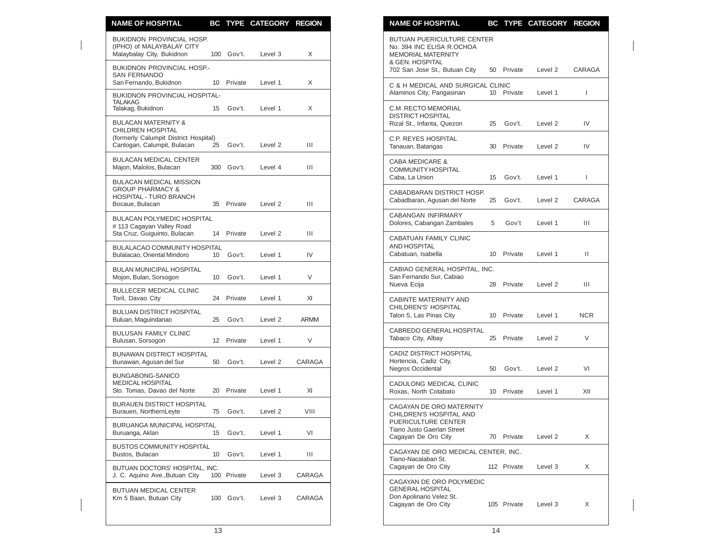| <b>NAME OF HOSPITAL</b>                                                             |                 |             | BC TYPE CATEGORY REGION |             | <b>NAME OF HOSPITAL</b><br>BC TYPE CATEGORY REGION                                                   |              |
|-------------------------------------------------------------------------------------|-----------------|-------------|-------------------------|-------------|------------------------------------------------------------------------------------------------------|--------------|
| BUKIDNON PROVINCIAL HOSP.<br>(IPHO) of MALAYBALAY CITY<br>Malaybalay City, Bukidnon |                 | 100 Gov't.  | Level 3                 | X           | <b>BUTUAN PUERICULTURE CENTER</b><br>No. 394 INC ELISA R.OCHOA<br>MEMORIAL MATERNITY                 |              |
| <b>BUKIDNON PROVINCIAL HOSP.-</b><br>SAN FERNANDO                                   |                 |             |                         |             | & GEN. HOSPITAL<br>702 San Jose St., Butuan City<br>50 Private<br>Level 2                            | CARAGA       |
| San Fernando, Bukidnon<br><b>BUKIDNON PROVINCIAL HOSPITAL-</b>                      | 10 <sup>°</sup> | Private     | Level 1                 | X           | C & H MEDICAL AND SURGICAL CLINIC<br>10 Private<br>Alaminos City, Pangasinan<br>Level 1              | $\mathbf{I}$ |
| <b>TALAKAG</b><br>Talakag, Bukidnon                                                 | 15              | Gov't.      | Level 1                 | X           | C.M. RECTO MEMORIAL                                                                                  |              |
| <b>BULACAN MATERNITY &amp;</b><br>CHILDREN HOSPITAL                                 |                 |             |                         |             | <b>DISTRICT HOSPITAL</b><br>Rizal St., Infanta, Quezon<br>Gov't.<br>25<br>Level 2                    | IV           |
| (formerly Calumpit District Hospital)<br>Canlogan, Calumpit, Bulacan                | 25              | Gov't.      | Level 2                 | Ш           | <b>C.P. REYES HOSPITAL</b><br>Tanauan, Batangas<br>Private<br>Level 2<br>30                          | IV           |
| <b>BULACAN MEDICAL CENTER</b><br>Majon, Malolos, Bulacan                            |                 | 300 Gov't.  | Level 4                 | Ш           | <b>CABA MEDICARE &amp;</b><br><b>COMMUNITY HOSPITAL</b>                                              |              |
| <b>BULACAN MEDICAL MISSION</b>                                                      |                 |             |                         |             | Caba, La Union<br>Gov't.<br>15<br>Level 1                                                            | $\mathbf{I}$ |
| <b>GROUP PHARMACY &amp;</b><br>HOSPITAL - TURO BRANCH<br>Bocaue, Bulacan            |                 | 35 Private  | Level <sub>2</sub>      | Ш           | CABADBARAN DISTRICT HOSP.<br>Cabadbaran, Agusan del Norte<br>Gov't.<br>Level 2<br>25                 | CARAGA       |
| <b>BULACAN POLYMEDIC HOSPITAL</b><br>#113 Cagayan Valley Road                       |                 |             |                         |             | <b>CABANGAN INFIRMARY</b><br>Dolores, Cabangan Zambales<br>5<br>Gov't<br>Level 1                     | Ш            |
| Sta Cruz, Guiguinto, Bulacan                                                        |                 | 14 Private  | Level 2                 | Ш           | CABATUAN FAMILY CLINIC<br>AND HOSPITAL                                                               |              |
| BULALACAO COMMUNITY HOSPITAL<br>Bulalacao, Oriental Mindoro                         | 10 <sup>°</sup> | Gov't.      | Level 1                 | IV          | Cabatuan, Isabella<br>Private<br>10<br>Level 1                                                       | Ш.           |
| <b>BULAN MUNICIPAL HOSPITAL</b><br>Mojon, Bulan, Sorsogon                           | 10 <sup>°</sup> | Gov't.      | Level 1                 | V           | CABIAO GENERAL HOSPITAL, INC.<br>San Fernando Sur, Cabiao<br>Nueva Ecija<br>28<br>Private<br>Level 2 | Ш            |
| BULLECER MEDICAL CLINIC<br>Toril, Davao City                                        |                 | 24 Private  | Level 1                 | XI          | CABINTE MATERNITY AND                                                                                |              |
| <b>BULUAN DISTRICT HOSPITAL</b><br>Buluan, Maguindanao                              | 25              | Gov't.      | Level 2                 | <b>ARMM</b> | CHILDREN'S' HOSPITAL<br>Talon 5, Las Pinas City<br>10 Private<br>Level 1                             | <b>NCR</b>   |
| <b>BULUSAN FAMILY CLINIC</b><br>Bulusan, Sorsogon                                   |                 | 12 Private  | Level 1                 | V           | CABREDO GENERAL HOSPITAL<br>Tabaco City, Albay<br>25 Private<br>Level 2                              | $\vee$       |
| <b>BUNAWAN DISTRICT HOSPITAL</b><br>Bunawan, Agusan del Sur                         | 50              | Gov't.      | Level 2                 | CARAGA      | CADIZ DISTRICT HOSPITAL<br>Hortencia, Cadiz City,                                                    |              |
| BUNGABONG-SANICO<br><b>MEDICAL HOSPITAL</b><br>Sto. Tomas, Davao del Norte          |                 | 20 Private  | Level 1                 | XI          | <b>Negros Occidental</b><br>Gov't.<br>50<br>Level 2<br>CADULONG MEDICAL CLINIC                       | VI           |
| <b>BURAUEN DISTRICT HOSPITAL</b>                                                    |                 |             |                         |             | Roxas, North Cotabato<br>10 Private<br>Level 1<br>CAGAYAN DE ORO MATERNITY                           | XII          |
| Burauen, NorthernLeyte                                                              |                 | 75 Gov't.   | Level <sub>2</sub>      | VIII        | CHILDREN'S HOSPITAL AND<br>PUERICULTURE CENTER                                                       |              |
| <b>BURUANGA MUNICIPAL HOSPITAL</b><br>Buruanga, Aklan                               | 15              | Gov't.      | Level 1                 | VI          | Tiano Justo Gaerlan Street<br>Cagayan De Oro City<br>70 Private<br>Level 2                           | X            |
| <b>BUSTOS COMMUNITY HOSPITAL</b><br>Bustos, Bulacan                                 | 10              | Gov't.      | Level 1                 | Ш           | CAGAYAN DE ORO MEDICAL CENTER, INC.<br>Tiano-Nacalaban St.                                           |              |
| BUTUAN DOCTORS' HOSPITAL, INC.<br>J. C. Aquino Ave., Butuan City                    |                 | 100 Private | Level 3                 | CARAGA      | Cagayan de Oro City<br>112 Private<br>Level 3                                                        | X            |
| BUTUAN MEDICAL CENTER<br>Km 5 Baan, Butuan City                                     |                 | 100 Gov't.  | Level 3                 | CARAGA      | CAGAYAN DE ORO POLYMEDIC<br><b>GENERAL HOSPITAL</b><br>Don Apolinario Velez St.                      |              |
|                                                                                     |                 |             |                         |             | Cagayan de Oro City<br>105 Private<br>Level 3                                                        | X            |

| <b>NAME OF HOSPITAL</b>                                                                                                                  | BС | <b>TYPE</b> | CATEGORY | <b>REGION</b> |
|------------------------------------------------------------------------------------------------------------------------------------------|----|-------------|----------|---------------|
| BUTUAN PUERICULTURE CENTER<br>No. 394 INC ELISA R.OCHOA<br><b>MEMORIAL MATERNITY</b><br>& GEN. HOSPITAL<br>702 San Jose St., Butuan City | 50 | Private     | Level 2  | CARAGA        |
| C & H MEDICAL AND SURGICAL CLINIC<br>Alaminos City, Pangasinan                                                                           | 10 | Private     | Level 1  | L             |
| C.M. RECTO MEMORIAL<br><b>DISTRICT HOSPITAL</b><br>Rizal St., Infanta, Quezon                                                            | 25 | Gov't.      | Level 2  | IV            |
| C.P. REYES HOSPITAL<br>Tanauan, Batangas                                                                                                 | 30 | Private     | Level 2  | IV            |
| <b>CABA MEDICARE &amp;</b><br><b>COMMUNITY HOSPITAL</b><br>Caba, La Union                                                                | 15 | Gov't.      | Level 1  | L             |
| CABADBARAN DISTRICT HOSP.<br>Cabadbaran, Agusan del Norte                                                                                | 25 | Gov't.      | Level 2  | CARAGA        |
| <b>CABANGAN INFIRMARY</b><br>Dolores, Cabangan Zambales                                                                                  | 5  | Gov't       | Level 1  | Ш             |
| CABATUAN FAMILY CLINIC<br><b>AND HOSPITAL</b><br>Cabatuan, Isabella                                                                      | 10 | Private     | Level 1  | Ш             |
| CABIAO GENERAL HOSPITAL, INC.<br>San Fernando Sur, Cabiao<br>Nueva Ecija                                                                 | 28 | Private     | Level 2  | Ш             |
| CABINTE MATERNITY AND<br>CHILDREN'S' HOSPITAL<br>Talon 5, Las Pinas City                                                                 | 10 | Private     | Level 1  | <b>NCR</b>    |
| CABREDO GENERAL HOSPITAL<br>Tabaco City, Albay                                                                                           | 25 | Private     | Level 2  | V             |
| <b>CADIZ DISTRICT HOSPITAL</b><br>Hortencia, Cadiz City,<br>Negros Occidental                                                            | 50 | Gov't.      | Level 2  | VI            |
| CADULONG MEDICAL CLINIC<br>Roxas, North Cotabato                                                                                         | 10 | Private     | Level 1  | XII           |
| CAGAYAN DE ORO MATERNITY<br>CHILDREN'S HOSPITAL AND<br>PUERICULTURE CENTER<br><b>Tiano Justo Gaerlan Street</b><br>Cagayan De Oro City   | 70 | Private     | Level 2  | X             |
| CAGAYAN DE ORO MEDICAL CENTER, INC.<br>Tiano-Nacalaban St.<br>Cagayan de Oro City                                                        |    | 112 Private | Level 3  | X             |
| CAGAYAN DE ORO POLYMEDIC<br><b>GENERAL HOSPITAL</b><br>Don Apolinario Velez St.<br>Cagayan de Oro City                                   |    | 105 Private | Level 3  | Χ             |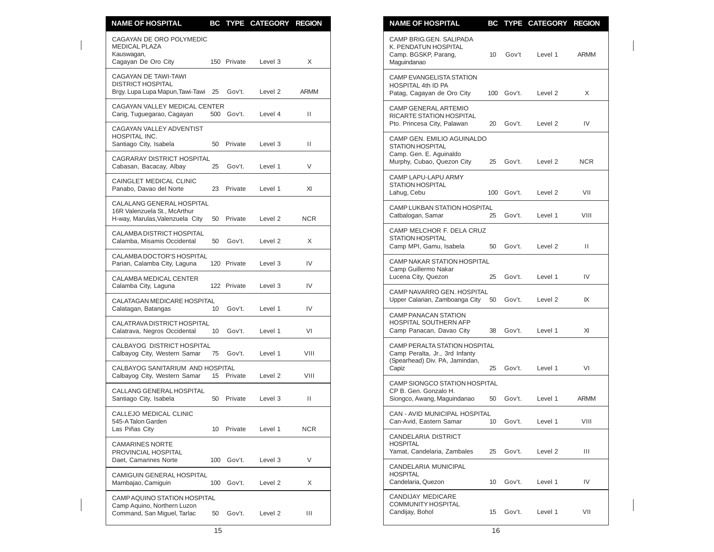| <b>NAME OF HOSPITAL</b>                                                                      |                 |             | BC TYPE CATEGORY REGION |              | <b>NAME OF HOSPITAL</b><br>BC TYPE CATEGORY REGION                                                                            |      |
|----------------------------------------------------------------------------------------------|-----------------|-------------|-------------------------|--------------|-------------------------------------------------------------------------------------------------------------------------------|------|
| CAGAYAN DE ORO POLYMEDIC<br><b>MEDICAL PLAZA</b><br>Kauswagan,<br>Cagayan De Oro City        |                 | 150 Private | Level 3                 | X            | CAMP BRIG.GEN. SALIPADA<br>K. PENDATUN HOSPITAL<br>Camp. BGSKP, Parang,<br>10 <sup>°</sup><br>Gov't<br>Level 1<br>Maguindanao | ARMM |
| CAGAYAN DE TAWI-TAWI<br><b>DISTRICT HOSPITAL</b><br>Brgy. Lupa Lupa Mapun, Tawi-Tawi 25      |                 | Gov't.      | Level 2                 | ARMM         | CAMP EVANGELISTA STATION<br>HOSPITAL 4th ID PA<br>Patag, Cagayan de Oro City<br>100 Gov't.<br>Level 2                         | X    |
| CAGAYAN VALLEY MEDICAL CENTER<br>Carig, Tuguegarao, Cagayan                                  |                 | 500 Gov't.  | Level 4                 | Ш            | CAMP GENERAL ARTEMIO<br>RICARTE STATION HOSPITAL                                                                              |      |
| CAGAYAN VALLEY ADVENTIST<br>HOSPITAL INC.<br>Santiago City, Isabela                          |                 | 50 Private  | Level 3                 | $\mathbf{H}$ | Pto. Princesa City, Palawan<br>20 Gov't.<br>Level 2<br>CAMP GEN. EMILIO AGUINALDO<br>STATION HOSPITAL                         | IV   |
| <b>CAGRARAY DISTRICT HOSPITAL</b><br>Cabasan, Bacacay, Albay                                 | 25              | Gov't.      | Level 1                 | V            | Camp. Gen. E. Aguinaldo<br>Murphy, Cubao, Quezon City<br>Gov't.<br>25<br>Level 2                                              | NCR. |
| CAINGLET MEDICAL CLINIC<br>Panabo, Davao del Norte                                           |                 | 23 Private  | Level 1                 | XI           | CAMP LAPU-LAPU ARMY<br><b>STATION HOSPITAL</b><br>Lahug, Cebu<br>100 Gov't.<br>Level 2                                        | VII  |
| CALALANG GENERAL HOSPITAL<br>16R Valenzuela St., McArthur<br>H-way, Marulas, Valenzuela City |                 | 50 Private  | Level 2                 | <b>NCR</b>   | CAMP LUKBAN STATION HOSPITAL<br>Gov't.<br>Catbalogan, Samar<br>Level 1<br>25                                                  | VIII |
| CALAMBA DISTRICT HOSPITAL<br>Calamba, Misamis Occidental                                     | 50              | Gov't.      | Level <sub>2</sub>      | X            | CAMP MELCHOR F. DELA CRUZ<br>STATION HOSPITAL                                                                                 |      |
| CALAMBA DOCTOR'S HOSPITAL<br>Parian, Calamba City, Laguna                                    |                 | 120 Private | Level 3                 | IV           | Camp MPI, Gamu, Isabela<br>Gov't.<br>Level 2<br>50<br><b>CAMP NAKAR STATION HOSPITAL</b>                                      | Ш    |
| CALAMBA MEDICAL CENTER<br>Calamba City, Laguna                                               |                 | 122 Private | Level 3                 | IV           | Camp Guillermo Nakar<br>Lucena City, Quezon<br>Gov't.<br>Level 1<br>25                                                        | IV   |
| <b>CALATAGAN MEDICARE HOSPITAL</b><br>Calatagan, Batangas                                    | 10 <sup>°</sup> | Gov't.      | Level 1                 | IV           | CAMP NAVARRO GEN. HOSPITAL<br>Upper Calarian, Zamboanga City<br>50<br>Gov't.<br>Level 2                                       | IX   |
| CALATRAVA DISTRICT HOSPITAL<br>Calatrava, Negros Occidental                                  | 10              | Gov't.      | Level 1                 | VI           | <b>CAMP PANACAN STATION</b><br><b>HOSPITAL SOUTHERN AFP</b><br>Camp Panacan, Davao City<br>Gov't.<br>Level 1<br>38            | XI   |
| CALBAYOG DISTRICT HOSPITAL<br>Calbayog City, Western Samar                                   |                 | 75 Gov't.   | Level 1                 | VIII         | CAMP PERALTA STATION HOSPITAL<br>Camp Peralta, Jr., 3rd Infanty                                                               |      |
| CALBAYOG SANITARIUM AND HOSPITAL<br>Calbayog City, Western Samar                             |                 | 15 Private  | Level 2                 | VIII         | (Spearhead) Div. PA, Jamindan,<br>Capiz<br>25<br>Gov't.<br>Level 1                                                            | VI   |
| CALLANG GENERAL HOSPITAL<br>Santiago City, Isabela                                           |                 | 50 Private  | Level 3                 | $\mathbf{H}$ | <b>CAMP SIONGCO STATION HOSPITAL</b><br>CP B. Gen. Gonzalo H.<br>Gov't.<br>Siongco, Awang, Maguindanao<br>50<br>Level 1       | ARMM |
| CALLEJO MEDICAL CLINIC<br>545-A Talon Garden                                                 |                 |             |                         |              | CAN - AVID MUNICIPAL HOSPITAL<br>Can-Avid, Eastern Samar<br>Gov't.<br>10 <sup>°</sup><br>Level 1                              | VIII |
| Las Piñas City<br><b>CAMARINES NORTE</b>                                                     |                 | 10 Private  | Level 1                 | <b>NCR</b>   | CANDELARIA DISTRICT<br><b>HOSPITAL</b>                                                                                        |      |
| PROVINCIAL HOSPITAL<br>Daet, Camarines Norte                                                 |                 | 100 Gov't.  | Level 3                 | V            | Yamat, Candelaria, Zambales<br>25 Gov't.<br>Level 2<br>CANDELARIA MUNICIPAL                                                   | Ш    |
| CAMIGUIN GENERAL HOSPITAL<br>Mambajao, Camiguin                                              |                 | 100 Gov't.  | Level 2                 | X            | <b>HOSPITAL</b><br>Gov't.<br>Candelaria, Quezon<br>10<br>Level 1                                                              | IV   |
| CAMP AQUINO STATION HOSPITAL<br>Camp Aquino, Northern Luzon<br>Command, San Miguel, Tarlac   | 50              | Gov't.      | Level 2                 | Ш            | CANDIJAY MEDICARE<br>COMMUNITY HOSPITAL<br>Gov't.<br>Candijay, Bohol<br>Level 1<br>15                                         | VII  |

| <b>NAME OF HOSPITAL</b>                                                                                        |     |        | <b>BC TYPE CATEGORY</b> | <b>REGION</b> |
|----------------------------------------------------------------------------------------------------------------|-----|--------|-------------------------|---------------|
| CAMP BRIG.GEN. SALIPADA<br>K. PENDATUN HOSPITAL<br>Camp. BGSKP, Parang,<br>Maguindanao                         | 10  | Gov't  | Level 1                 | ARMM          |
| <b>CAMP EVANGELISTA STATION</b><br>HOSPITAL 4th ID PA<br>Patag, Cagayan de Oro City                            | 100 | Gov't. | Level 2                 | X             |
| <b>CAMP GENERAL ARTEMIO</b><br>RICARTE STATION HOSPITAL<br>Pto. Princesa City, Palawan                         | 20  | Gov't. | Level 2                 | IV            |
| CAMP GEN. EMILIO AGUINALDO<br><b>STATION HOSPITAL</b><br>Camp. Gen. E. Aguinaldo<br>Murphy, Cubao, Quezon City | 25  | Gov't. | Level 2                 | NCR           |
| CAMP LAPU-LAPU ARMY<br><b>STATION HOSPITAL</b><br>Lahug, Cebu                                                  | 100 | Gov't. | Level 2                 | VII           |
| <b>CAMP LUKBAN STATION HOSPITAL</b><br>Catbalogan, Samar                                                       | 25  | Gov't. | Level 1                 | VIII          |
| CAMP MELCHOR F. DELA CRUZ<br><b>STATION HOSPITAL</b><br>Camp MPI, Gamu, Isabela                                | 50  | Gov't. | Level 2                 | Ш             |
| <b>CAMP NAKAR STATION HOSPITAL</b><br>Camp Guillermo Nakar<br>Lucena City, Quezon                              | 25  | Gov't. | Level 1                 | IV            |
| CAMP NAVARRO GEN, HOSPITAL<br>Upper Calarian, Zamboanga City                                                   | 50  | Gov't. | Level 2                 | IX            |
| <b>CAMP PANACAN STATION</b><br><b>HOSPITAL SOUTHERN AFP</b><br>Camp Panacan, Davao City                        | 38  | Gov't. | Level 1                 | XI            |
| CAMP PERALTA STATION HOSPITAL<br>Camp Peralta, Jr., 3rd Infanty<br>(Spearhead) Div. PA, Jamindan,<br>Capiz     | 25  | Gov't. | Level 1                 | VI            |
| CAMP SIONGCO STATION HOSPITAL<br>CP B. Gen. Gonzalo H.<br>Siongco, Awang, Maguindanao                          | 50  | Gov't. | Level 1                 | ARMM          |
| CAN - AVID MUNICIPAL HOSPITAL<br>Can-Avid, Eastern Samar                                                       | 10  | Gov't. | Level 1                 | VIII          |
| <b>CANDELARIA DISTRICT</b><br><b>HOSPITAL</b><br>Yamat, Candelaria, Zambales                                   | 25  | Gov't. | Level 2                 | Ш             |
| CANDELARIA MUNICIPAL<br><b>HOSPITAL</b><br>Candelaria, Quezon                                                  | 10  | Gov't. | Level 1                 | IV            |
| CANDIJAY MEDICARE<br><b>COMMUNITY HOSPITAL</b><br>Candijay, Bohol                                              | 15  | Gov't. | Level 1                 | VII           |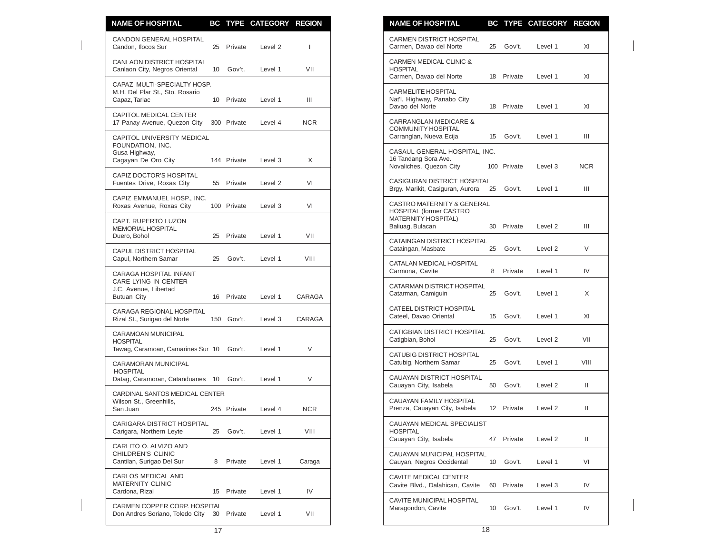| <b>NAME OF HOSPITAL</b>                                                                       |                 |             | BC TYPE CATEGORY REGION |              | <b>NAME OF HOSPITAL</b><br>BC TYPE CATEGORY REGION                                                                        |              |
|-----------------------------------------------------------------------------------------------|-----------------|-------------|-------------------------|--------------|---------------------------------------------------------------------------------------------------------------------------|--------------|
| CANDON GENERAL HOSPITAL<br>Candon, Ilocos Sur                                                 |                 | 25 Private  | Level 2                 | $\mathbf{I}$ | CARMEN DISTRICT HOSPITAL<br>Gov't.<br>Carmen, Davao del Norte<br>25<br>Level 1                                            | XI           |
| CANLAON DISTRICT HOSPITAL<br>Canlaon City, Negros Oriental                                    | 10 <sup>°</sup> | Gov't.      | Level 1                 | VII          | CARMEN MEDICAL CLINIC &<br><b>HOSPITAL</b><br>Carmen, Davao del Norte<br>18 Private<br>Level 1                            | XI           |
| CAPAZ MULTI-SPECIALTY HOSP.<br>M.H. Del Plar St., Sto. Rosario<br>Capaz, Tarlac               |                 | 10 Private  | Level 1                 | Ш            | <b>CARMELITE HOSPITAL</b><br>Nat'l. Highway, Panabo City<br>Davao del Norte<br>18 Private<br>Level 1                      | XI           |
| <b>CAPITOL MEDICAL CENTER</b><br>17 Panay Avenue, Quezon City                                 |                 | 300 Private | Level 4                 | <b>NCR</b>   | <b>CARRANGLAN MEDICARE &amp;</b><br>COMMUNITY HOSPITAL                                                                    |              |
| CAPITOL UNIVERSITY MEDICAL<br>FOUNDATION, INC.                                                |                 |             |                         |              | Carranglan, Nueva Ecija<br>15<br>Gov't.<br>Level 1                                                                        | Ш            |
| Gusa Highway,<br>Cagayan De Oro City                                                          |                 | 144 Private | Level 3                 | X            | CASAUL GENERAL HOSPITAL, INC.<br>16 Tandang Sora Ave.<br>Novaliches, Quezon City<br>100 Private<br>Level 3                | NCR          |
| CAPIZ DOCTOR'S HOSPITAL<br>Fuentes Drive, Roxas City                                          |                 | 55 Private  | Level 2                 | VI           | CASIGURAN DISTRICT HOSPITAL<br>Brgy. Marikit, Casiguran, Aurora<br>25<br>Gov't.<br>Level 1                                | Ш            |
| CAPIZ EMMANUEL HOSP., INC.<br>Roxas Avenue, Roxas City                                        |                 | 100 Private | Level 3                 | VI           | CASTRO MATERNITY & GENERAL<br>HOSPITAL (former CASTRO                                                                     |              |
| CAPT. RUPERTO LUZON<br><b>MEMORIAL HOSPITAL</b>                                               |                 |             |                         |              | <b>MATERNITY HOSPITAL)</b><br>Baliuag, Bulacan<br>30<br>Private<br>Level 2                                                | Ш            |
| Duero, Bohol<br><b>CAPUL DISTRICT HOSPITAL</b>                                                |                 | 25 Private  | Level 1                 | VII          | CATAINGAN DISTRICT HOSPITAL<br>Cataingan, Masbate<br>25<br>Gov't.<br>Level 2                                              | $\vee$       |
| Capul, Northern Samar                                                                         | 25              | Gov't.      | Level 1                 | VIII         | CATALAN MEDICAL HOSPITAL                                                                                                  |              |
| CARAGA HOSPITAL INFANT<br>CARE LYING IN CENTER<br>J.C. Avenue, Libertad<br><b>Butuan City</b> |                 | 16 Private  | Level 1                 | CARAGA       | Carmona, Cavite<br>8<br>Private<br>Level 1<br>CATARMAN DISTRICT HOSPITAL<br>25<br>Gov't.<br>Catarman, Camiguin<br>Level 1 | IV<br>X      |
| CARAGA REGIONAL HOSPITAL<br>Rizal St., Surigao del Norte                                      |                 | 150 Gov't.  | Level 3                 | CARAGA       | CATEEL DISTRICT HOSPITAL<br>Cateel, Davao Oriental<br>Gov't.<br>Level 1<br>15                                             | XI           |
| CARAMOAN MUNICIPAL<br><b>HOSPITAL</b>                                                         |                 |             |                         |              | <b>CATIGBIAN DISTRICT HOSPITAL</b><br>Gov't.<br>Catigbian, Bohol<br>25<br>Level 2                                         | VII          |
| Tawag, Caramoan, Camarines Sur 10<br><b>CARAMORAN MUNICIPAL</b>                               |                 | Gov't.      | Level 1                 | V            | CATUBIG DISTRICT HOSPITAL<br>Catubig, Northern Samar<br>25<br>Gov't.<br>Level 1                                           | VIII         |
| <b>HOSPITAL</b><br>Datag, Caramoran, Catanduanes 10 Gov't.                                    |                 |             | Level 1                 | V            | CAUAYAN DISTRICT HOSPITAL<br>Cauayan City, Isabela<br>50<br>Gov't.<br>Level 2                                             | Ш            |
| CARDINAL SANTOS MEDICAL CENTER<br>Wilson St., Greenhills,                                     |                 |             |                         |              | CAUAYAN FAMILY HOSPITAL                                                                                                   |              |
| San Juan                                                                                      |                 | 245 Private | Level 4                 | <b>NCR</b>   | Prenza, Cauayan City, Isabela<br>12 Private<br>Level 2                                                                    | $\mathbf{H}$ |
| CARIGARA DISTRICT HOSPITAL<br>Carigara, Northern Leyte                                        | 25              | Gov't.      | Level 1                 | VIII         | CAUAYAN MEDICAL SPECIALIST<br><b>HOSPITAL</b><br>Cauayan City, Isabela<br>47 Private<br>Level 2                           | Ш.           |
| CARLITO O. ALVIZO AND<br>CHILDREN'S CLINIC<br>Cantilan, Surigao Del Sur                       | 8               | Private     | Level 1                 | Caraga       | CAUAYAN MUNICIPAL HOSPITAL<br>Gov't.<br>Cauyan, Negros Occidental<br>10 <sup>°</sup><br>Level 1                           | VI           |
| CARLOS MEDICAL AND                                                                            |                 |             |                         |              | CAVITE MEDICAL CENTER                                                                                                     |              |
| <b>MATERNITY CLINIC</b><br>Cardona, Rizal                                                     |                 | 15 Private  | Level 1                 | IV           | Cavite Blvd., Dalahican, Cavite<br>Private<br>60<br>Level 3                                                               | IV           |
| CARMEN COPPER CORP. HOSPITAL<br>Don Andres Soriano, Toledo City 30 Private                    |                 |             | Level 1                 | VII          | CAVITE MUNICIPAL HOSPITAL<br>Maragondon, Cavite<br>10 Gov't.<br>Level 1                                                   | IV           |

| <b>NAME OF HOSPITAL</b>                                                                                        |    |             | BC TYPE CATEGORY REGION |            |
|----------------------------------------------------------------------------------------------------------------|----|-------------|-------------------------|------------|
| CARMEN DISTRICT HOSPITAL<br>Carmen, Davao del Norte                                                            | 25 | Gov't.      | Level 1                 | XI         |
| CARMEN MEDICAL CLINIC &<br><b>HOSPITAL</b><br>Carmen, Davao del Norte                                          | 18 | Private     | Level 1                 | XI         |
| <b>CARMELITE HOSPITAL</b><br>Nat'l. Highway, Panabo City<br>Davao del Norte                                    | 18 | Private     | Level 1                 | XI         |
| <b>CARRANGLAN MEDICARE &amp;</b><br><b>COMMUNITY HOSPITAL</b><br>Carranglan, Nueva Ecija                       | 15 | Gov't.      | Level 1                 | Ш          |
| CASAUL GENERAL HOSPITAL, INC.<br>16 Tandang Sora Ave.<br>Novaliches, Quezon City                               |    | 100 Private | Level 3                 | <b>NCR</b> |
| <b>CASIGURAN DISTRICT HOSPITAL</b><br>Brgy. Marikit, Casiguran, Aurora                                         | 25 | Gov't.      | Level 1                 | Ш          |
| CASTRO MATERNITY & GENERAL<br><b>HOSPITAL (former CASTRO</b><br><b>MATERNITY HOSPITAL)</b><br>Baliuag, Bulacan | 30 | Private     | Level 2                 | Ш          |
| CATAINGAN DISTRICT HOSPITAL<br>Cataingan, Masbate                                                              | 25 | Gov't.      | Level <sub>2</sub>      | V          |
| CATALAN MEDICAL HOSPITAL<br>Carmona, Cavite                                                                    | 8  | Private     | Level 1                 | IV         |
| CATARMAN DISTRICT HOSPITAL<br>Catarman, Camiguin                                                               | 25 | Gov't.      | Level 1                 | X          |
| CATEEL DISTRICT HOSPITAL<br>Cateel, Davao Oriental                                                             | 15 | Gov't.      | Level 1                 | XI         |
| CATIGBIAN DISTRICT HOSPITAL<br>Catigbian, Bohol                                                                | 25 | Gov't.      | Level 2                 | VII        |
| CATUBIG DISTRICT HOSPITAL<br>Catubig, Northern Samar                                                           | 25 | Gov't.      | Level 1                 | VIII       |
| CAUAYAN DISTRICT HOSPITAL<br>Cauayan City, Isabela                                                             | 50 | Gov't.      | Level <sub>2</sub>      | Ш          |
| CAUAYAN FAMILY HOSPITAL<br>Prenza, Cauayan City, Isabela                                                       | 12 | Private     | Level 2                 | Ш          |
| CAUAYAN MEDICAL SPECIALIST<br><b>HOSPITAL</b><br>Cauayan City, Isabela                                         | 47 | Private     | Level 2                 | П          |
| CAUAYAN MUNICIPAL HOSPITAL<br>Cauyan, Negros Occidental                                                        | 10 | Gov't.      | Level 1                 | VI         |
| CAVITE MEDICAL CENTER<br>Cavite Blvd., Dalahican, Cavite                                                       | 60 | Private     | Level 3                 | IV         |
| CAVITE MUNICIPAL HOSPITAL<br>Maragondon, Cavite                                                                | 10 | Gov't.      | Level 1                 | IV         |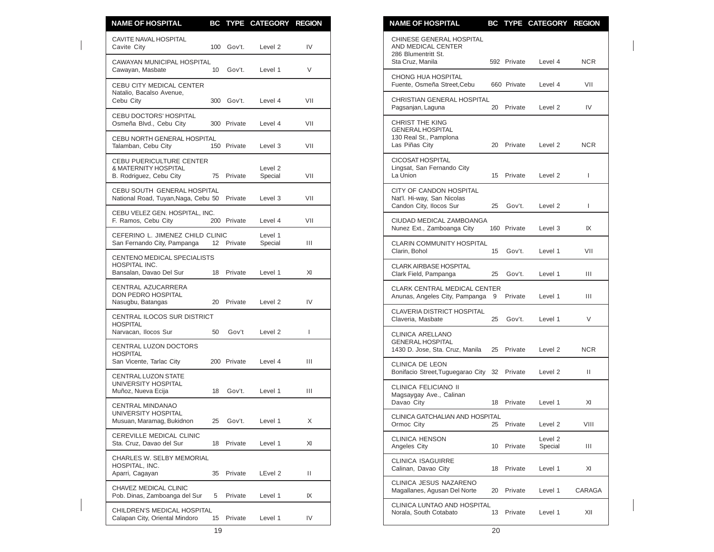| <b>NAME OF HOSPITAL</b>                                                     |                 |             | BC TYPE CATEGORY REGION |                | <b>NAME OF HOSPITAL</b>                                                          |                 |             | BC TYPE CATEGORY REGION |        |
|-----------------------------------------------------------------------------|-----------------|-------------|-------------------------|----------------|----------------------------------------------------------------------------------|-----------------|-------------|-------------------------|--------|
| CAVITE NAVAL HOSPITAL<br>Cavite City                                        |                 | 100 Gov't.  | Level 2                 | IV             | CHINESE GENERAL HOSPITAL<br>AND MEDICAL CENTER<br>286 Blumentritt St.            |                 |             |                         |        |
| CAWAYAN MUNICIPAL HOSPITAL<br>Cawayan, Masbate                              | 10 <sup>°</sup> | Gov't.      | Level 1                 | V              | Sta Cruz, Manila                                                                 |                 | 592 Private | Level 4                 | NCR.   |
| CEBU CITY MEDICAL CENTER                                                    |                 |             |                         |                | CHONG HUA HOSPITAL<br>Fuente, Osmeña Street, Cebu                                |                 | 660 Private | Level 4                 | VII    |
| Natalio, Bacalso Avenue,<br>Cebu City                                       |                 | 300 Gov't.  | Level 4                 | VII            | CHRISTIAN GENERAL HOSPITAL<br>Pagsanjan, Laguna                                  |                 | 20 Private  | Level 2                 | IV     |
| CEBU DOCTORS' HOSPITAL<br>Osmeña Blvd., Cebu City                           |                 | 300 Private | Level 4                 | VII            | CHRIST THE KING                                                                  |                 |             |                         |        |
| CEBU NORTH GENERAL HOSPITAL<br>Talamban, Cebu City                          |                 | 150 Private | Level 3                 | VII            | <b>GENERAL HOSPITAL</b><br>130 Real St., Pamplona<br>Las Piñas City              |                 | 20 Private  | Level 2                 | NCR.   |
| CEBU PUERICULTURE CENTER<br>& MATERNITY HOSPITAL<br>B. Rodriguez, Cebu City |                 | 75 Private  | Level 2<br>Special      | VII            | CICOSAT HOSPITAL<br>Lingsat, San Fernando City<br>La Union                       |                 | 15 Private  | Level 2                 | T      |
| CEBU SOUTH GENERAL HOSPITAL<br>National Road, Tuyan, Naga, Cebu 50          |                 | Private     | Level 3                 | VII            | CITY OF CANDON HOSPITAL<br>Nat'l. Hi-way, San Nicolas<br>Candon City, Ilocos Sur |                 | 25 Gov't.   | Level 2                 | Τ.     |
| CEBU VELEZ GEN. HOSPITAL, INC.<br>F. Ramos, Cebu City                       |                 | 200 Private | Level 4                 | VII            | CIUDAD MEDICAL ZAMBOANGA                                                         |                 |             |                         |        |
| CEFERINO L. JIMENEZ CHILD CLINIC<br>San Fernando City, Pampanga             |                 | 12 Private  | Level 1<br>Special      | Ш              | Nunez Ext., Zamboanga City<br><b>CLARIN COMMUNITY HOSPITAL</b>                   |                 | 160 Private | Level 3                 | IX     |
| CENTENO MEDICAL SPECIALISTS<br>HOSPITAL INC.<br>Bansalan, Davao Del Sur     |                 | 18 Private  | Level 1                 | XI             | Clarin, Bohol<br><b>CLARK AIRBASE HOSPITAL</b>                                   | 15              | Gov't.      | Level 1                 | VII    |
| CENTRAL AZUCARRERA                                                          |                 |             |                         |                | Clark Field, Pampanga<br><b>CLARK CENTRAL MEDICAL CENTER</b>                     | 25              | Gov't.      | Level 1                 | Ш      |
| DON PEDRO HOSPITAL<br>Nasugbu, Batangas                                     |                 | 20 Private  | Level 2                 | IV             | Anunas, Angeles City, Pampanga 9                                                 |                 | Private     | Level 1                 | Ш      |
| CENTRAL ILOCOS SUR DISTRICT<br><b>HOSPITAL</b>                              |                 |             |                         |                | <b>CLAVERIA DISTRICT HOSPITAL</b><br>Claveria, Masbate                           | 25              | Gov't.      | Level 1                 | V      |
| Narvacan, Ilocos Sur<br>CENTRAL LUZON DOCTORS                               | 50              | Gov't       | Level 2                 | $\mathbf{I}$   | CLINICA ARELLANO<br><b>GENERAL HOSPITAL</b>                                      |                 |             |                         |        |
| <b>HOSPITAL</b><br>San Vicente, Tarlac City                                 |                 | 200 Private | Level 4                 | $\mathbf{III}$ | 1430 D. Jose, Sta. Cruz, Manila<br>CLINICA DE LEON                               |                 | 25 Private  | Level 2                 | NCR.   |
| CENTRAL LUZON STATE<br>UNIVERSITY HOSPITAL                                  |                 |             |                         |                | Bonifacio Street, Tuguegarao City 32 Private                                     |                 |             | Level 2                 | Ш.     |
| Muñoz, Nueva Ecija                                                          |                 | 18 Gov't.   | Level 1                 | Ш              | CLINICA FELICIANO II<br>Magsaygay Ave., Calinan<br>Davao City                    |                 | 18 Private  | Level 1                 | XI     |
| <b>CENTRAL MINDANAO</b><br>UNIVERSITY HOSPITAL<br>Musuan, Maramag, Bukidnon |                 | 25 Gov't.   | Level 1                 | Χ              | <b>CLINICA GATCHALIAN AND HOSPITAL</b><br>Ormoc City                             |                 | 25 Private  | Level 2                 | VIII   |
| CEREVILLE MEDICAL CLINIC<br>Sta. Cruz, Davao del Sur                        |                 | 18 Private  | Level 1                 | XI             | <b>CLINICA HENSON</b><br>Angeles City                                            | 10 <sup>°</sup> | Private     | Level 2<br>Special      | Ш      |
| CHARLES W. SELBY MEMORIAL<br>HOSPITAL, INC.                                 |                 |             |                         |                | <b>CLINICA ISAGUIRRE</b><br>Calinan, Davao City                                  | 18              | Private     | Level 1                 | XI     |
| Aparri, Cagayan<br>CHAVEZ MEDICAL CLINIC                                    |                 | 35 Private  | LEvel 2                 | Ш              | CLINICA JESUS NAZARENO                                                           | 20              | Private     | Level 1                 | CARAG/ |
| Pob. Dinas, Zamboanga del Sur                                               | 5               | Private     | Level 1                 | IX             | Magallanes, Agusan Del Norte<br>CLINICA LUNTAO AND HOSPITAL                      |                 |             |                         |        |
| CHILDREN'S MEDICAL HOSPITAL<br>Calapan City, Oriental Mindoro               |                 | 15 Private  | Level 1                 | IV             | Norala, South Cotabato                                                           |                 | 13 Private  | Level 1                 | XII    |

| <b>NAME OF HOSPITAL</b>                                                                       |    |             | BC TYPE CATEGORY REGION |            |
|-----------------------------------------------------------------------------------------------|----|-------------|-------------------------|------------|
| CHINESE GENERAL HOSPITAL<br>AND MEDICAL CENTER<br>286 Blumentritt St.<br>Sta Cruz, Manila     |    | 592 Private | Level 4                 | NCR.       |
| <b>CHONG HUA HOSPITAL</b><br>Fuente, Osmeña Street, Cebu                                      |    | 660 Private | Level 4                 | VII        |
| <b>CHRISTIAN GENERAL HOSPITAL</b><br>Pagsanjan, Laguna                                        | 20 | Private     | Level <sub>2</sub>      | IV         |
| <b>CHRIST THE KING</b><br><b>GENERAL HOSPITAL</b><br>130 Real St., Pamplona<br>Las Piñas City | 20 | Private     | Level 2                 | <b>NCR</b> |
| CICOSAT HOSPITAL<br>Lingsat, San Fernando City<br>La Union                                    | 15 | Private     | Level 2                 | L          |
| CITY OF CANDON HOSPITAL<br>Nat'l. Hi-way, San Nicolas<br>Candon City, Ilocos Sur              | 25 | Gov't.      | Level <sub>2</sub>      | L          |
| CIUDAD MEDICAL ZAMBOANGA<br>Nunez Ext., Zamboanga City                                        |    | 160 Private | Level 3                 | IX         |
| <b>CLARIN COMMUNITY HOSPITAL</b><br>Clarin, Bohol                                             | 15 | Gov't.      | Level 1                 | VII        |
| <b>CLARK AIRBASE HOSPITAL</b><br>Clark Field, Pampanga                                        | 25 | Gov't.      | Level 1                 | Ш          |
| <b>CLARK CENTRAL MEDICAL CENTER</b><br>Anunas, Angeles City, Pampanga                         | 9  | Private     | Level 1                 | Ш          |
| <b>CLAVERIA DISTRICT HOSPITAL</b><br>Claveria, Masbate                                        | 25 | Gov't.      | Level 1                 | V          |
| CLINICA ARELLANO<br><b>GENERAL HOSPITAL</b><br>1430 D. Jose, Sta. Cruz, Manila                | 25 | Private     | Level 2                 | NCR        |
| <b>CLINICA DE LEON</b><br>Bonifacio Street, Tuguegarao City                                   | 32 | Private     | Level 2                 | Ш          |
| CLINICA FELICIANO II<br>Magsaygay Ave., Calinan<br>Davao City                                 | 18 | Private     | Level 1                 | XI         |
| <b>CLINICA GATCHALIAN AND HOSPITAL</b><br>Ormoc City                                          | 25 | Private     | Level 2                 | VIII       |
| <b>CLINICA HENSON</b><br>Angeles City                                                         | 10 | Private     | Level 2<br>Special      | Ш          |
| CLINICA ISAGUIRRE<br>Calinan, Davao City                                                      | 18 | Private     | Level 1                 | XI         |
| CLINICA JESUS NAZARENO<br>Magallanes, Agusan Del Norte                                        | 20 | Private     | Level 1                 | CARAGA     |
| CLINICA LUNTAO AND HOSPITAL<br>Norala, South Cotabato                                         | 13 | Private     | Level 1                 | XII        |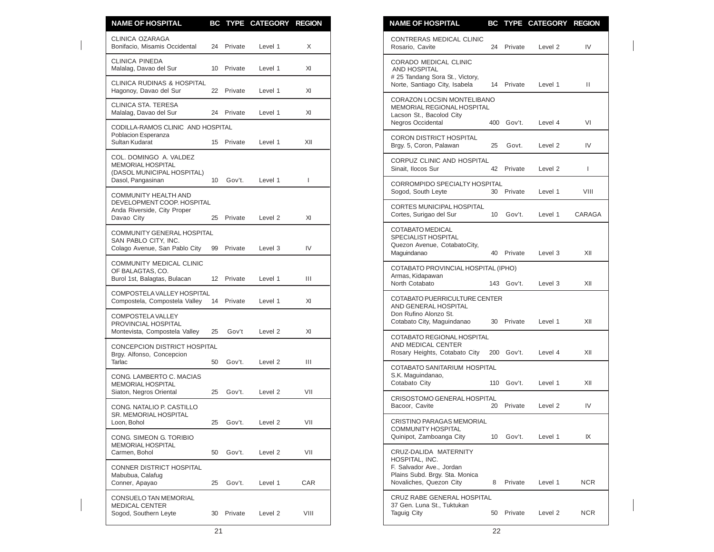| <b>NAME OF HOSPITAL</b>                                                                  |    |            | BC TYPE CATEGORY REGION |                |
|------------------------------------------------------------------------------------------|----|------------|-------------------------|----------------|
| <b>CLINICA OZARAGA</b><br>Bonifacio, Misamis Occidental                                  |    | 24 Private | Level 1                 | X              |
| <b>CLINICA PINEDA</b><br>Malalag, Davao del Sur                                          |    | 10 Private | Level 1                 | XI             |
| <b>CLINICA RUDINAS &amp; HOSPITAL</b><br>Hagonoy, Davao del Sur                          |    | 22 Private | Level 1                 | XI             |
| <b>CLINICA STA, TERESA</b><br>Malalag, Davao del Sur                                     |    | 24 Private | Level 1                 | XI             |
| CODILLA-RAMOS CLINIC AND HOSPITAL<br>Poblacion Esperanza<br>Sultan Kudarat               |    | 15 Private | Level 1                 | XII            |
| COL. DOMINGO A. VALDEZ<br>MEMORIAL HOSPITAL                                              |    |            |                         |                |
| (DASOL MUNICIPAL HOSPITAL)<br>Dasol, Pangasinan                                          | 10 | Gov't.     | Level 1                 | ı              |
| <b>COMMUNITY HEALTH AND</b><br>DEVELOPMENT COOP. HOSPITAL<br>Anda Riverside, City Proper |    |            |                         |                |
| Davao City<br><b>COMMUNITY GENERAL HOSPITAL</b>                                          | 25 | Private    | Level 2                 | XI             |
| SAN PABLO CITY, INC.<br>Colago Avenue, San Pablo City                                    | 99 | Private    | Level 3                 | IV             |
| COMMUNITY MEDICAL CLINIC<br>OF BALAGTAS, CO.<br>Burol 1st, Balagtas, Bulacan             |    | 12 Private | Level 1                 | $\mathbf{III}$ |
| COMPOSTELA VALLEY HOSPITAL                                                               |    |            |                         |                |
| Compostela, Compostela Valley 14 Private<br>COMPOSTELA VALLEY                            |    |            | Level 1                 | XI             |
| PROVINCIAL HOSPITAL<br>Montevista, Compostela Valley                                     | 25 | Gov't      | Level 2                 | XI             |
| CONCEPCION DISTRICT HOSPITAL<br>Brgy. Alfonso, Concepcion                                |    |            |                         |                |
| Tarlac                                                                                   | 50 | Gov't.     | Level 2                 | Ш              |
| CONG. LAMBERTO C. MACIAS<br>MEMORIAL HOSPITAL<br>Siaton, Negros Oriental                 | 25 | Gov't.     | Level 2                 | VII            |
| CONG. NATALIO P. CASTILLO                                                                |    |            |                         |                |
| SR. MEMORIAL HOSPITAL<br>Loon, Bohol                                                     | 25 | Gov't.     | Level 2                 | VII            |
| CONG. SIMEON G. TORIBIO<br><b>MEMORIAL HOSPITAL</b>                                      |    |            |                         |                |
| Carmen, Bohol                                                                            | 50 | Gov't.     | Level 2                 | VII            |
| CONNER DISTRICT HOSPITAL<br>Mabubua, Calafug<br>Conner, Apayao                           | 25 | Gov't.     | Level 1                 | CAR            |
| <b>CONSUELO TAN MEMORIAL</b><br><b>MEDICAL CENTER</b>                                    |    |            |                         |                |
| Sogod, Southern Leyte                                                                    |    | 30 Private | Level 2                 | VIII           |

| <b>NAME OF HOSPITAL</b>                                                                                                          | BC              |         | <b>TYPE CATEGORY</b> | <b>REGION</b> |
|----------------------------------------------------------------------------------------------------------------------------------|-----------------|---------|----------------------|---------------|
| CONTRERAS MEDICAL CLINIC<br>Rosario, Cavite                                                                                      | 24              | Private | Level <sub>2</sub>   | IV            |
| CORADO MEDICAL CLINIC<br><b>AND HOSPITAL</b><br># 25 Tandang Sora St., Victory,<br>Norte, Santiago City, Isabela                 | 14              | Private | Level 1              | Ш             |
| CORAZON LOCSIN MONTELIBANO<br>MEMORIAL REGIONAL HOSPITAL<br>Lacson St., Bacolod City<br>Negros Occidental                        | 400             | Gov't.  | Level 4              | VI            |
| CORON DISTRICT HOSPITAL<br>Brgy. 5, Coron, Palawan                                                                               | 25              | Govt.   | Level 2              | IV            |
| CORPUZ CLINIC AND HOSPITAL<br>Sinait, Ilocos Sur                                                                                 | 42              | Private | Level 2              | I             |
| CORROMPIDO SPECIALTY HOSPITAL<br>Sogod, South Leyte                                                                              | 30              | Private | Level 1              | VIII          |
| CORTES MUNICIPAL HOSPITAL<br>Cortes, Surigao del Sur                                                                             | 10 <sup>°</sup> | Gov't.  | Level 1              | CARAGA        |
| COTABATO MEDICAL<br>SPECIALIST HOSPITAL<br>Quezon Avenue, CotabatoCity,<br>Maguindanao                                           | 40              | Private | Level 3              | XII           |
| COTABATO PROVINCIAL HOSPITAL (IPHO)<br>Armas, Kidapawan<br>North Cotabato                                                        | 143             | Gov't.  | Level 3              | XII           |
| COTABATO PUERRICULTURE CENTER<br>AND GENERAL HOSPITAL<br>Don Rufino Alonzo St.<br>Cotabato City, Maguindanao                     | 30              | Private | Level 1              | XII           |
| COTABATO REGIONAL HOSPITAL<br>AND MEDICAL CENTER<br>Rosary Heights, Cotabato City                                                | 200             | Gov't.  | Level 4              | XII           |
| COTABATO SANITARIUM HOSPITAL<br>S.K. Maguindanao,<br>Cotabato City                                                               | 110             | Gov't.  | Level 1              | XII           |
| <b>CRISOSTOMO GENERAL HOSPITAL</b><br>Bacoor, Cavite                                                                             | 20              | Private | Level 2              | IV            |
| CRISTINO PARAGAS MEMORIAL<br>COMMUNITY HOSPITAL<br>Quinipot, Zamboanga City                                                      | 10              | Gov't.  | Level 1              | ΙX            |
| CRUZ-DALIDA MATERNITY<br>HOSPITAL, INC.<br>F. Salvador Ave., Jordan<br>Plains Subd. Brgy. Sta. Monica<br>Novaliches, Quezon City | 8               | Private | Level 1              | <b>NCR</b>    |
| CRUZ RABE GENERAL HOSPITAL<br>37 Gen. Luna St., Tuktukan<br>Taguig City                                                          | 50              | Private | Level 2              | <b>NCR</b>    |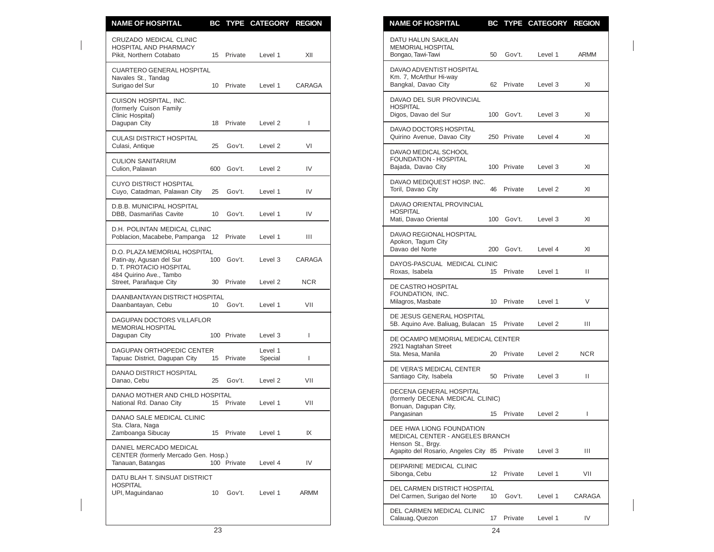| <b>NAME OF HOSPITAL</b>                                                             |           |                  | BC TYPE CATEGORY REGION |              | <b>NAME OF HOSPITAL</b><br>BC TYPE CATEGORY REGION                                                                  |              |
|-------------------------------------------------------------------------------------|-----------|------------------|-------------------------|--------------|---------------------------------------------------------------------------------------------------------------------|--------------|
| CRUZADO MEDICAL CLINIC<br>HOSPITAL AND PHARMACY<br>Pikit, Northern Cotabato         |           | 15 Private       | Level 1                 | XII          | DATU HALUN SAKILAN<br>MEMORIAL HOSPITAL<br>Bongao, Tawi-Tawi<br>50<br>Gov't.<br>Level 1                             | ARMM         |
| <b>CUARTERO GENERAL HOSPITAL</b><br>Navales St., Tandag<br>Surigao del Sur          |           | 10 Private       | Level 1                 | CARAGA       | DAVAO ADVENTIST HOSPITAL<br>Km. 7, McArthur Hi-way<br>Bangkal, Davao City<br>62 Private<br>Level 3                  | XI           |
| CUISON HOSPITAL, INC.<br>(formerly Cuison Family<br>Clinic Hospital)                |           |                  |                         |              | DAVAO DEL SUR PROVINCIAL<br><b>HOSPITAL</b><br>Digos, Davao del Sur<br>100 Gov't.<br>Level 3                        | XI           |
| Dagupan City<br><b>CULASI DISTRICT HOSPITAL</b>                                     |           | 18 Private       | Level 2                 | ı            | DAVAO DOCTORS HOSPITAL<br>Quirino Avenue, Davao City<br>250 Private<br>Level 4                                      | XI           |
| Culasi, Antique<br><b>CULION SANITARIUM</b><br>Culion, Palawan                      | 25<br>600 | Gov't.<br>Gov't. | Level 2<br>Level 2      | VI<br>IV     | DAVAO MEDICAL SCHOOL<br><b>FOUNDATION - HOSPITAL</b><br>Bajada, Davao City<br>100 Private<br>Level 3                | XI           |
| <b>CUYO DISTRICT HOSPITAL</b><br>Cuyo, Catadman, Palawan City                       | 25        | Gov't.           | Level 1                 | IV           | DAVAO MEDIQUEST HOSP. INC.<br>Toril, Davao City<br>46 Private<br>Level 2                                            | XI           |
| D.B.B. MUNICIPAL HOSPITAL<br>DBB. Dasmariñas Cavite                                 | 10        | Gov't.           | Level 1                 | IV           | DAVAO ORIENTAL PROVINCIAL<br><b>HOSPITAL</b><br>Mati, Davao Oriental<br>Gov't.<br>100<br>Level 3                    | XI           |
| D.H. POLINTAN MEDICAL CLINIC<br>Poblacion, Macabebe, Pampanga 12 Private            |           |                  | Level 1                 | Ш            | DAVAO REGIONAL HOSPITAL<br>Apokon, Tagum City                                                                       |              |
| D.O. PLAZA MEMORIAL HOSPITAL<br>Patin-ay, Agusan del Sur<br>D. T. PROTACIO HOSPITAL |           | 100 Gov't.       | Level 3                 | CARAGA       | Davao del Norte<br>200 Gov't.<br>Level 4<br>DAYOS-PASCUAL MEDICAL CLINIC<br>Roxas, Isabela<br>15 Private<br>Level 1 | XI<br>Ш      |
| 484 Quirino Ave., Tambo<br>Street, Parañaque City                                   |           | 30 Private       | Level 2                 | <b>NCR</b>   | DE CASTRO HOSPITAL                                                                                                  |              |
| DAANBANTAYAN DISTRICT HOSPITAL<br>Daanbantayan, Cebu                                | 10        | Gov't.           | Level 1                 | VII          | FOUNDATION, INC.<br>Milagros, Masbate<br>10 Private<br>Level 1                                                      | V            |
| <b>DAGUPAN DOCTORS VILLAFLOR</b><br>MEMORIAL HOSPITAL                               |           | 100 Private      | Level 3                 | <sup>1</sup> | DE JESUS GENERAL HOSPITAL<br>5B. Aquino Ave. Baliuag, Bulacan 15 Private<br>Level 2                                 | Ш            |
| Dagupan City<br>DAGUPAN ORTHOPEDIC CENTER<br>Tapuac District, Dagupan City          |           | 15 Private       | Level 1<br>Special      | T            | DE OCAMPO MEMORIAL MEDICAL CENTER<br>2921 Nagtahan Street<br>Sta. Mesa, Manila<br>20 Private<br>Level 2             | <b>NCR</b>   |
| DANAO DISTRICT HOSPITAL<br>Danao, Cebu                                              | 25        | Gov't.           | Level 2                 | VII          | DE VERA'S MEDICAL CENTER<br>Santiago City, Isabela<br>50<br>Private<br>Level 3                                      | Ш            |
| DANAO MOTHER AND CHILD HOSPITAL<br>National Rd. Danao City                          |           | 15 Private       | Level 1                 | VII          | DECENA GENERAL HOSPITAL<br>(formerly DECENA MEDICAL CLINIC)<br>Bonuan, Dagupan City,                                |              |
| DANAO SALE MEDICAL CLINIC<br>Sta. Clara, Naga                                       |           |                  |                         |              | Pangasinan<br>15 Private<br>Level 2<br>DEE HWA LIONG FOUNDATION                                                     | $\mathbf{I}$ |
| Zamboanga Sibucay<br>DANIEL MERCADO MEDICAL<br>CENTER (formerly Mercado Gen. Hosp.) |           | 15 Private       | Level 1                 | IX           | MEDICAL CENTER - ANGELES BRANCH<br>Henson St., Brgy.<br>Agapito del Rosario, Angeles City 85 Private<br>Level 3     | Ш            |
| Tanauan, Batangas                                                                   |           | 100 Private      | Level 4                 | IV           | DEIPARINE MEDICAL CLINIC<br>Sibonga, Cebu<br>12 Private<br>Level 1                                                  | VII          |
| DATU BLAH T. SINSUAT DISTRICT<br><b>HOSPITAL</b><br>UPI, Maguindanao                | 10        | Gov't.           | Level 1                 | ARMM         | DEL CARMEN DISTRICT HOSPITAL<br>Del Carmen, Surigao del Norte<br>10<br>Gov't.<br>Level 1                            | CARAGA       |
|                                                                                     |           |                  |                         |              | DEL CARMEN MEDICAL CLINIC                                                                                           |              |

| <b>NAME OF HOSPITAL</b>                                                                                               | ВC  |             | TYPE CATEGORY | <b>REGION</b> |
|-----------------------------------------------------------------------------------------------------------------------|-----|-------------|---------------|---------------|
| DATU HALUN SAKILAN<br><b>MEMORIAL HOSPITAL</b><br>Bongao, Tawi-Tawi                                                   | 50  | Gov't.      | Level 1       | <b>ARMM</b>   |
| DAVAO ADVENTIST HOSPITAL<br>Km. 7, McArthur Hi-way<br>Bangkal, Davao City                                             | 62  | Private     | Level 3       | XI            |
| DAVAO DEL SUR PROVINCIAL<br><b>HOSPITAL</b><br>Digos, Davao del Sur                                                   | 100 | Gov't.      | Level 3       | XI            |
| DAVAO DOCTORS HOSPITAL<br>Quirino Avenue, Davao City                                                                  |     | 250 Private | Level 4       | XI            |
| DAVAO MEDICAL SCHOOL<br>FOUNDATION - HOSPITAL<br>Bajada, Davao City                                                   |     | 100 Private | Level 3       | ΧI            |
| DAVAO MEDIQUEST HOSP. INC.<br>Toril, Davao City                                                                       | 46  | Private     | Level 2       | XI            |
| DAVAO ORIENTAL PROVINCIAL<br><b>HOSPITAL</b><br>Mati, Davao Oriental                                                  | 100 | Gov't.      | Level 3       | XI            |
| DAVAO REGIONAL HOSPITAL<br>Apokon, Tagum City<br>Davao del Norte                                                      | 200 | Gov't.      | Level 4       | ΧI            |
| DAYOS-PASCUAL MEDICAL CLINIC<br>Roxas, Isabela                                                                        | 15  | Private     | Level 1       | н             |
| DE CASTRO HOSPITAL<br>FOUNDATION, INC.<br>Milagros, Masbate                                                           | 10  | Private     | Level 1       | V             |
| DE JESUS GENERAL HOSPITAL<br>5B. Aquino Ave. Baliuag, Bulacan                                                         | 15  | Private     | Level 2       | Ш             |
| DE OCAMPO MEMORIAL MEDICAL CENTER<br>2921 Nagtahan Street<br>Sta. Mesa, Manila                                        | 20  | Private     | Level 2       | NCR.          |
| DE VERA'S MEDICAL CENTER<br>Santiago City, Isabela                                                                    | 50  | Private     | Level 3       | Ш             |
| DECENA GENERAL HOSPITAL<br>(formerly DECENA MEDICAL CLINIC)<br>Bonuan, Dagupan City,                                  |     |             |               |               |
| Pangasinan                                                                                                            | 15  | Private     | Level 2       | L             |
| DEE HWA LIONG FOUNDATION<br>MEDICAL CENTER - ANGELES BRANCH<br>Henson St., Brgy.<br>Agapito del Rosario, Angeles City | 85  | Private     | Level 3       | Ш             |
| DEIPARINE MEDICAL CLINIC<br>Sibonga, Cebu                                                                             | 12  | Private     | Level 1       | VII           |
| DEL CARMEN DISTRICT HOSPITAL<br>Del Carmen, Surigao del Norte                                                         | 10  | Gov't.      | Level 1       | CARAGA        |
| <b>DEL CARMEN MEDICAL CLINIC</b><br>Calauag, Quezon                                                                   |     | 17 Private  | Level 1       | IV            |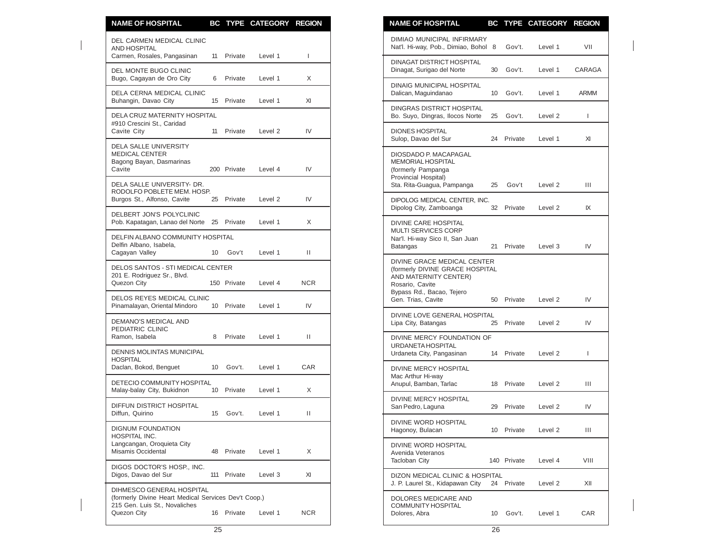| <b>NAME OF HOSPITAL</b>                                                           |    |             | BC TYPE CATEGORY REGION |            | <b>NAME OF HOSPITAL</b><br>BC TYPE CATEGORY REGION                                                |         |             |
|-----------------------------------------------------------------------------------|----|-------------|-------------------------|------------|---------------------------------------------------------------------------------------------------|---------|-------------|
| DEL CARMEN MEDICAL CLINIC<br><b>AND HOSPITAL</b>                                  |    |             |                         |            | <b>DIMIAO MUNICIPAL INFIRMARY</b><br>Nat'l. Hi-way, Pob., Dimiao, Bohol 8<br>Gov't.               | Level 1 | VII         |
| Carmen, Rosales, Pangasinan<br>DEL MONTE BUGO CLINIC                              |    | 11 Private  | Level 1                 | 1          | DINAGAT DISTRICT HOSPITAL<br>Dinagat, Surigao del Norte<br>30<br>Gov't.                           | Level 1 | CARAG/      |
| Bugo, Cagayan de Oro City<br>DELA CERNA MEDICAL CLINIC                            | 6  | Private     | Level 1                 | X          | DINAIG MUNICIPAL HOSPITAL<br>Dalican, Maguindanao<br>10 Gov't.                                    | Level 1 | <b>ARMM</b> |
| Buhangin, Davao City                                                              |    | 15 Private  | Level 1                 | XI         | <b>DINGRAS DISTRICT HOSPITAL</b>                                                                  |         |             |
| <b>DELA CRUZ MATERNITY HOSPITAL</b><br>#910 Crescini St., Caridad<br>Cavite City  |    | 11 Private  | Level 2                 | IV         | 25<br>Gov't.<br>Bo. Suyo, Dingras, Ilocos Norte<br><b>DIONES HOSPITAL</b>                         | Level 2 | T           |
| DELA SALLE UNIVERSITY                                                             |    |             |                         |            | 24 Private<br>Sulop, Davao del Sur                                                                | Level 1 | XI          |
| <b>MEDICAL CENTER</b><br>Bagong Bayan, Dasmarinas<br>Cavite                       |    | 200 Private | Level 4                 | IV         | DIOSDADO P. MACAPAGAL<br>MEMORIAL HOSPITAL<br>(formerly Pampanga<br>Provincial Hospital)          |         |             |
| DELA SALLE UNIVERSITY- DR.<br>RODOLFO POBLETE MEM. HOSP.                          |    |             |                         |            | Sta. Rita-Guagua, Pampanga<br>25<br>Gov't                                                         | Level 2 | Ш           |
| Burgos St., Alfonso, Cavite                                                       |    | 25 Private  | Level 2                 | IV         | DIPOLOG MEDICAL CENTER. INC.<br>Dipolog City, Zamboanga<br>32<br>Private                          | Level 2 | IX          |
| DELBERT JON'S POLYCLINIC<br>Pob. Kapatagan, Lanao del Norte 25 Private            |    |             | Level 1                 | X          | <b>DIVINE CARE HOSPITAL</b>                                                                       |         |             |
| DELFIN ALBANO COMMUNITY HOSPITAL<br>Delfin Albano, Isabela,<br>Cagayan Valley     | 10 | Gov't       | Level 1                 | Ш          | <b>MULTI SERVICES CORP</b><br>Nar'l. Hi-way Sico II, San Juan<br>Private<br><b>Batangas</b><br>21 | Level 3 | IV          |
| DELOS SANTOS - STI MEDICAL CENTER                                                 |    |             |                         |            | DIVINE GRACE MEDICAL CENTER<br>(formerly DIVINE GRACE HOSPITAL                                    |         |             |
| 201 E. Rodriguez Sr., Blvd.<br>Quezon City                                        |    | 150 Private | Level 4                 | <b>NCR</b> | AND MATERNITY CENTER)<br>Rosario, Cavite                                                          |         |             |
| <b>DELOS REYES MEDICAL CLINIC</b><br>Pinamalayan, Oriental Mindoro                |    | 10 Private  | Level 1                 | IV         | Bypass Rd., Bacao, Tejero<br>Private<br>Gen. Trias, Cavite<br>50                                  | Level 2 | IV          |
| DEMANO'S MEDICAL AND<br>PEDIATRIC CLINIC                                          |    |             |                         |            | DIVINE LOVE GENERAL HOSPITAL<br>Lipa City, Batangas<br>25<br>Private                              | Level 2 | IV          |
| Ramon, Isabela                                                                    | 8  | Private     | Level 1                 | Ш          | DIVINE MERCY FOUNDATION OF<br>URDANETA HOSPITAL                                                   |         |             |
| DENNIS MOLINTAS MUNICIPAL<br><b>HOSPITAL</b>                                      |    |             |                         |            | Urdaneta City, Pangasinan<br>14<br>Private                                                        | Level 2 | L           |
| Daclan, Bokod, Benguet                                                            | 10 | Gov't.      | Level 1                 | <b>CAR</b> | DIVINE MERCY HOSPITAL<br>Mac Arthur Hi-way                                                        |         |             |
| DETECIO COMMUNITY HOSPITAL<br>Malay-balay City, Bukidnon                          |    | 10 Private  | Level 1                 | X          | Anupul, Bamban, Tarlac<br>Private<br>18                                                           | Level 2 | Ш           |
| DIFFUN DISTRICT HOSPITAL<br>Diffun, Quirino                                       | 15 | Gov't.      | Level 1                 | Ш          | DIVINE MERCY HOSPITAL<br>San Pedro, Laguna<br>Private<br>29                                       | Level 2 | IV          |
| <b>DIGNUM FOUNDATION</b>                                                          |    |             |                         |            | DIVINE WORD HOSPITAL<br>Hagonoy, Bulacan<br>10 Private                                            | Level 2 | Ш           |
| HOSPITAL INC.<br>Langcangan, Oroquieta City<br>Misamis Occidental                 |    | 48 Private  | Level 1                 | X          | DIVINE WORD HOSPITAL<br>Avenida Veteranos<br>Tacloban City<br>140 Private                         | Level 4 | VIII        |
| DIGOS DOCTOR'S HOSP., INC.<br>Digos, Davao del Sur                                |    | 111 Private | Level 3                 | XI         | DIZON MEDICAL CLINIC & HOSPITAL<br>J. P. Laurel St., Kidapawan City<br>24 Private                 | Level 2 | XII         |
| DIHMESCO GENERAL HOSPITAL<br>(formerly Divine Heart Medical Services Dev't Coop.) |    |             |                         |            | DOLORES MEDICARE AND                                                                              |         |             |
| 215 Gen. Luis St., Novaliches<br>Quezon City                                      |    | 16 Private  | Level 1                 | <b>NCR</b> | <b>COMMUNITY HOSPITAL</b><br>Dolores, Abra<br>Gov't.<br>10                                        | Level 1 | CAR         |

| <b>NAME OF HOSPITAL</b>                                                                                                                                       |    |             | BC TYPE CATEGORY REGION |        |
|---------------------------------------------------------------------------------------------------------------------------------------------------------------|----|-------------|-------------------------|--------|
| DIMIAO MUNICIPAL INFIRMARY<br>Nat'l. Hi-way, Pob., Dimiao, Bohol                                                                                              | 8  | Gov't.      | Level 1                 | VII    |
| <b>DINAGAT DISTRICT HOSPITAL</b><br>Dinagat, Surigao del Norte                                                                                                | 30 | Gov't.      | Level 1                 | CARAGA |
| <b>DINAIG MUNICIPAL HOSPITAL</b><br>Dalican, Maguindanao                                                                                                      | 10 | Gov't.      | Level 1                 | ARMM   |
| DINGRAS DISTRICT HOSPITAL<br>Bo. Suyo, Dingras, Ilocos Norte                                                                                                  | 25 | Gov't.      | Level 2                 | L      |
| <b>DIONES HOSPITAL</b><br>Sulop, Davao del Sur                                                                                                                | 24 | Private     | Level 1                 | XI     |
| DIOSDADO P. MACAPAGAL<br>MEMORIAL HOSPITAL<br>(formerly Pampanga<br>Provincial Hospital)<br>Sta. Rita-Guagua, Pampanga                                        | 25 | Gov't       | Level 2                 | Ш      |
| DIPOLOG MEDICAL CENTER, INC.<br>Dipolog City, Zamboanga                                                                                                       | 32 | Private     | Level 2                 | IX     |
| DIVINE CARE HOSPITAL<br><b>MULTI SERVICES CORP</b><br>Nar'l. Hi-way Sico II, San Juan<br><b>Batangas</b>                                                      | 21 | Private     | Level 3                 | IV     |
| DIVINE GRACE MEDICAL CENTER<br>(formerly DIVINE GRACE HOSPITAL<br>AND MATERNITY CENTER)<br>Rosario, Cavite<br>Bypass Rd., Bacao, Tejero<br>Gen. Trias, Cavite | 50 | Private     | Level 2                 | IV     |
| DIVINE LOVE GENERAL HOSPITAL<br>Lipa City, Batangas                                                                                                           | 25 | Private     | Level 2                 | IV     |
| DIVINE MERCY FOUNDATION OF<br>URDANETA HOSPITAL<br>Urdaneta City, Pangasinan                                                                                  | 14 | Private     | Level 2                 | L      |
| <b>DIVINE MERCY HOSPITAL</b><br>Mac Arthur Hi-way<br>Anupul, Bamban, Tarlac                                                                                   | 18 | Private     | Level 2                 | Ш      |
| <b>DIVINE MERCY HOSPITAL</b><br>San Pedro, Laguna                                                                                                             | 29 | Private     | Level 2                 | IV     |
| DIVINE WORD HOSPITAL<br>Hagonoy, Bulacan                                                                                                                      | 10 | Private     | Level 2                 | Ш      |
| DIVINE WORD HOSPITAL<br>Avenida Veteranos<br><b>Tacloban City</b>                                                                                             |    | 140 Private | Level 4                 | VIII   |
| DIZON MEDICAL CLINIC & HOSPITAL<br>J. P. Laurel St., Kidapawan City                                                                                           | 24 | Private     | Level 2                 | XII    |
| DOLORES MEDICARE AND<br><b>COMMUNITY HOSPITAL</b><br>Dolores, Abra                                                                                            | 10 | Gov't.      | Level 1                 | CAR    |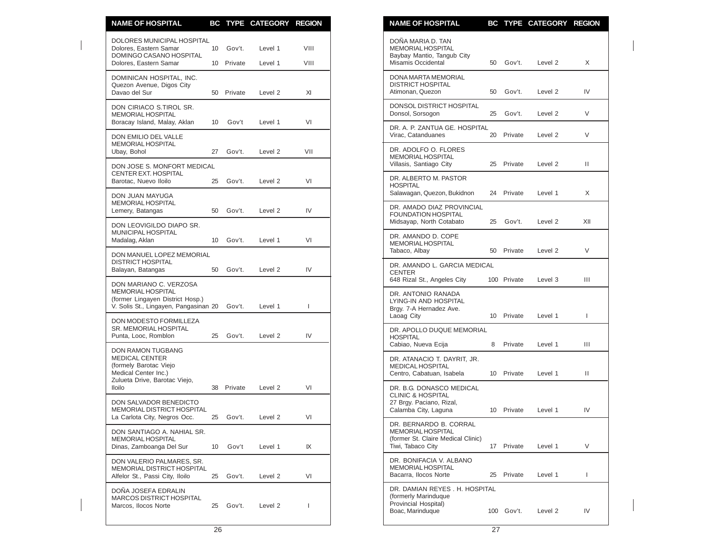| <b>NAME OF HOSPITAL</b>                                                                                   |                 |                      | BC TYPE CATEGORY REGION |              | <b>NAME OF HOSPITAL</b>                                                                                       |    |             | BC TYPE CATEGORY REGION |              |
|-----------------------------------------------------------------------------------------------------------|-----------------|----------------------|-------------------------|--------------|---------------------------------------------------------------------------------------------------------------|----|-------------|-------------------------|--------------|
| DOLORES MUNICIPAL HOSPITAL<br>Dolores, Eastern Samar<br>DOMINGO CASANO HOSPITAL<br>Dolores, Eastern Samar | 10 <sup>°</sup> | Gov't.<br>10 Private | Level 1<br>Level 1      | VIII<br>VIII | DOÑA MARIA D. TAN<br><b>MEMORIAL HOSPITAL</b><br>Baybay Mantio, Tangub City<br>Misamis Occidental             | 50 | Gov't.      | Level 2                 | X            |
| DOMINICAN HOSPITAL, INC.<br>Quezon Avenue, Digos City<br>Davao del Sur                                    |                 | 50 Private           | Level 2                 | XI           | DONA MARTA MEMORIAL<br><b>DISTRICT HOSPITAL</b><br>Atimonan, Quezon                                           | 50 | Gov't.      | Level 2                 | IV           |
| DON CIRIACO S.TIROL SR.<br>MEMORIAL HOSPITAL<br>Boracay Island, Malay, Aklan                              | 10              | Gov't                | Level 1                 | VI           | DONSOL DISTRICT HOSPITAL<br>Donsol, Sorsogon                                                                  | 25 | Gov't.      | Level 2                 | V            |
| DON EMILIO DEL VALLE                                                                                      |                 |                      |                         |              | DR. A. P. ZANTUA GE. HOSPITAL<br>Virac, Catanduanes                                                           |    | 20 Private  | Level 2                 | V            |
| MEMORIAL HOSPITAL<br>Ubay, Bohol                                                                          | 27              | Gov't.               | Level 2                 | VII          | DR. ADOLFO O. FLORES<br><b>MEMORIAL HOSPITAL</b>                                                              |    |             |                         |              |
| DON JOSE S. MONFORT MEDICAL<br>CENTER EXT. HOSPITAL<br>Barotac, Nuevo Iloilo                              | 25              | Gov't.               | Level 2                 | VI           | Villasis, Santiago City<br>DR. ALBERTO M. PASTOR                                                              |    | 25 Private  | Level 2                 | Ш            |
| DON JUAN MAYUGA<br>MEMORIAL HOSPITAL                                                                      |                 |                      |                         |              | <b>HOSPITAL</b><br>Salawagan, Quezon, Bukidnon                                                                |    | 24 Private  | Level 1                 | X            |
| Lemery, Batangas                                                                                          | 50              | Gov't.               | Level 2                 | IV           | DR. AMADO DIAZ PROVINCIAL<br><b>FOUNDATION HOSPITAL</b><br>Midsayap, North Cotabato                           | 25 | Gov't.      | Level 2                 | XII          |
| DON LEOVIGILDO DIAPO SR.<br>MUNICIPAL HOSPITAL<br>Madalag, Aklan                                          | 10 <sup>1</sup> | Gov't.               | Level 1                 | VI           | DR. AMANDO D. COPE<br><b>MEMORIAL HOSPITAL</b>                                                                |    |             |                         |              |
| DON MANUEL LOPEZ MEMORIAL<br><b>DISTRICT HOSPITAL</b>                                                     |                 |                      |                         |              | Tabaco, Albay<br>DR. AMANDO L. GARCIA MEDICAL                                                                 |    | 50 Private  | Level 2                 | V            |
| Balayan, Batangas<br>DON MARIANO C. VERZOSA                                                               | 50              | Gov't.               | Level 2                 | IV           | <b>CENTER</b><br>648 Rizal St., Angeles City                                                                  |    | 100 Private | Level 3                 | Ш            |
| MEMORIAL HOSPITAL<br>(former Lingayen District Hosp.)<br>V. Solis St., Lingayen, Pangasinan 20            |                 | Gov't.               | Level 1                 | T            | DR. ANTONIO RANADA<br>LYING-IN AND HOSPITAL<br>Brgy. 7-A Hernadez Ave.                                        |    |             |                         |              |
| DON MODESTO FORMILLEZA<br>SR. MEMORIAL HOSPITAL<br>Punta, Looc, Romblon                                   | 25              | Gov't.               | Level 2                 | IV           | Laoag City<br>DR. APOLLO DUQUE MEMORIAL<br><b>HOSPITAL</b>                                                    |    | 10 Private  | Level 1                 | $\mathbf{I}$ |
| DON RAMON TUGBANG                                                                                         |                 |                      |                         |              | Cabiao, Nueva Ecija                                                                                           | 8  | Private     | Level 1                 | Ш            |
| <b>MEDICAL CENTER</b><br>(formely Barotac Viejo<br>Medical Center Inc.)<br>Zulueta Drive, Barotac Viejo,  |                 |                      |                         |              | DR. ATANACIO T. DAYRIT, JR.<br><b>MEDICAL HOSPITAL</b><br>Centro, Cabatuan, Isabela                           |    | 10 Private  | Level 1                 | $\mathbf{H}$ |
| <b>Iloilo</b>                                                                                             | 38              | Private              | Level 2                 | VI           | DR. B.G. DONASCO MEDICAL<br><b>CLINIC &amp; HOSPITAL</b>                                                      |    |             |                         |              |
| DON SALVADOR BENEDICTO<br>MEMORIAL DISTRICT HOSPITAL<br>La Carlota City, Negros Occ.                      | 25              | Gov't.               | Level 2                 | VI           | 27 Brgy. Paciano, Rizal,<br>Calamba City, Laguna                                                              |    | 10 Private  | Level 1                 | IV           |
| DON SANTIAGO A. NAHIAL SR.<br>MEMORIAL HOSPITAL<br>Dinas, Zamboanga Del Sur                               | 10              | Gov't                | Level 1                 | IX           | DR. BERNARDO B. CORRAL<br><b>MEMORIAL HOSPITAL</b><br>(former St. Claire Medical Clinic)<br>Tiwi, Tabaco City |    | 17 Private  | Level 1                 | V            |
| DON VALERIO PALMARES, SR.<br>MEMORIAL DISTRICT HOSPITAL<br>Alfelor St., Passi City, Iloilo                | 25              | Gov't.               | Level 2                 | VI           | DR. BONIFACIA V. ALBANO<br><b>MEMORIAL HOSPITAL</b><br>Bacarra, Ilocos Norte                                  | 25 | Private     | Level 1                 | $\mathbf{I}$ |
| DOÑA JOSEFA EDRALIN<br><b>MARCOS DISTRICT HOSPITAL</b><br>Marcos, Ilocos Norte                            | 25              | Gov't.               | Level 2                 | T            | DR. DAMIAN REYES. H. HOSPITAL<br>(formerly Marinduque<br>Provincial Hospital)<br>Boac, Marinduque             |    | 100 Gov't.  | Level 2                 | IV           |

| <b>NAME OF HOSPITAL</b>                                                                                       |                  | <b>BC TYPE</b> | <b>CATEGORY REGION</b> |     |
|---------------------------------------------------------------------------------------------------------------|------------------|----------------|------------------------|-----|
| DOÑA MARIA D. TAN<br><b>MEMORIAL HOSPITAL</b><br>Baybay Mantio, Tangub City<br>Misamis Occidental             | 50               | Gov't.         | Level 2                | X   |
| DONA MARTA MEMORIAL<br>DISTRICT HOSPITAL<br>Atimonan, Quezon                                                  | 50               | Gov't.         | Level 2                | IV  |
| DONSOL DISTRICT HOSPITAL<br>Donsol, Sorsogon                                                                  | 25               | Gov't.         | Level 2                | V   |
| DR. A. P. ZANTUA GE. HOSPITAL<br>Virac, Catanduanes                                                           | 20               | Private        | Level 2                | V   |
| DR. ADOLFO O. FLORES<br><b>MEMORIAL HOSPITAL</b><br>Villasis, Santiago City                                   | 25               | Private        | Level 2                | Ш   |
| DR. ALBERTO M. PASTOR<br><b>HOSPITAL</b><br>Salawagan, Quezon, Bukidnon                                       | 24               | Private        | Level 1                | X   |
| DR. AMADO DIAZ PROVINCIAL<br><b>FOUNDATION HOSPITAL</b><br>Midsayap, North Cotabato                           | 25               | Gov't.         | Level 2                | XII |
| DR. AMANDO D. COPE<br><b>MEMORIAL HOSPITAL</b><br>Tabaco, Albay                                               | 50               | Private        | Level 2                | V   |
| DR. AMANDO L. GARCIA MEDICAL<br><b>CENTER</b><br>648 Rizal St., Angeles City                                  |                  | 100 Private    | Level 3                | Ш   |
| DR. ANTONIO RANADA<br>LYING-IN AND HOSPITAL<br>Brgy. 7-A Hernadez Ave.<br>Laoag City                          | 10               | Private        | Level 1                | L   |
| DR. APOLLO DUQUE MEMORIAL<br><b>HOSPITAL</b><br>Cabiao, Nueva Ecija                                           | 8                | Private        | Level 1                | Ш   |
| DR. ATANACIO T. DAYRIT, JR.<br><b>MEDICAL HOSPITAL</b><br>Centro, Cabatuan, Isabela                           | 10 <sup>10</sup> | Private        | Level 1                | Ш   |
| DR. B.G. DONASCO MEDICAL<br><b>CLINIC &amp; HOSPITAL</b><br>27 Brgy. Paciano, Rizal,<br>Calamba City, Laguna  | 10               | Private        | Level 1                | IV  |
| DR. BERNARDO B. CORRAL<br><b>MEMORIAL HOSPITAL</b><br>(former St. Claire Medical Clinic)<br>Tiwi, Tabaco City | 17               | Private        | Level 1                | V   |
| DR. BONIFACIA V. ALBANO<br><b>MEMORIAL HOSPITAL</b><br>Bacarra. Ilocos Norte                                  | 25               | Private        | Level 1                | L   |
| DR. DAMIAN REYES . H. HOSPITAL<br>(formerly Marinduque<br>Provincial Hospital)<br>Boac, Marinduque            | 100              | Gov't.         | Level 2                | IV  |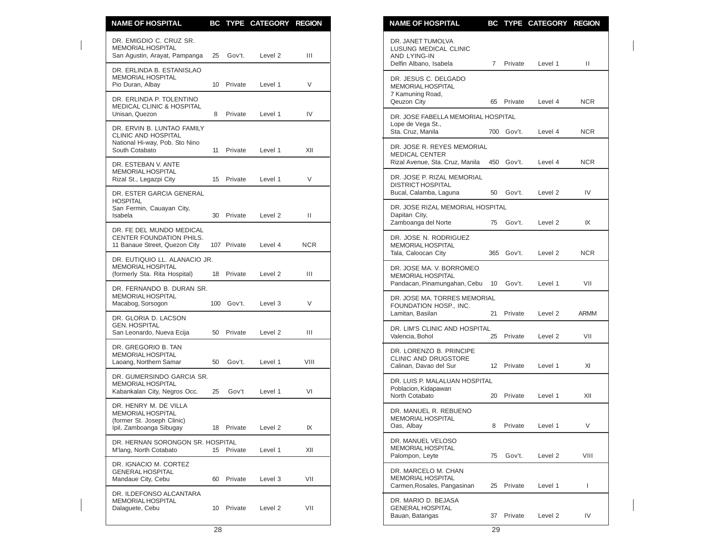| <b>NAME OF HOSPITAL</b>                                                                                      |                 |             | BC TYPE CATEGORY REGION |            | <b>NAME OF HOSPITAL</b><br>BC TYPE CATEGORY REGION                                                           |             |
|--------------------------------------------------------------------------------------------------------------|-----------------|-------------|-------------------------|------------|--------------------------------------------------------------------------------------------------------------|-------------|
| DR. EMIGDIO C. CRUZ SR.<br><b>MEMORIAL HOSPITAL</b><br>San Agustin, Arayat, Pampanga                         |                 | 25 Gov't.   | Level 2                 | Ш          | DR. JANET TUMOLVA<br>LUSUNG MEDICAL CLINIC<br>AND LYING-IN<br>Delfin Albano, Isabela<br>7 Private<br>Level 1 | Ш           |
| DR. ERLINDA B. ESTANISLAO<br><b>MEMORIAL HOSPITAL</b><br>Pio Duran, Albay                                    | 10 <sup>1</sup> | Private     | Level 1                 | V          | DR. JESUS C. DELGADO<br>MEMORIAL HOSPITAL                                                                    |             |
| DR. ERLINDA P. TOLENTINO<br><b>MEDICAL CLINIC &amp; HOSPITAL</b>                                             |                 |             |                         |            | 7 Kamuning Road,<br>Qeuzon City<br>65 Private<br>Level 4                                                     | <b>NCR</b>  |
| Unisan, Quezon                                                                                               | 8               | Private     | Level 1                 | IV         | DR. JOSE FABELLA MEMORIAL HOSPITAL<br>Lope de Vega St.,                                                      |             |
| DR. ERVIN B. LUNTAO FAMILY<br><b>CLINIC AND HOSPITAL</b><br>National Hi-way, Pob. Sto Nino<br>South Cotabato |                 | 11 Private  | Level 1                 | XII        | Sta. Cruz. Manila<br>700 Gov't.<br>Level 4<br>DR. JOSE R. REYES MEMORIAL                                     | <b>NCR</b>  |
| DR. ESTEBAN V. ANTE                                                                                          |                 |             |                         |            | <b>MEDICAL CENTER</b><br>450 Gov't.<br>Rizal Avenue, Sta. Cruz, Manila<br>Level 4                            | <b>NCR</b>  |
| MEMORIAL HOSPITAL<br>Rizal St., Legazpi City                                                                 |                 | 15 Private  | Level 1                 | V          | DR. JOSE P. RIZAL MEMORIAL<br><b>DISTRICT HOSPITAL</b>                                                       |             |
| DR. ESTER GARCIA GENERAL<br><b>HOSPITAL</b>                                                                  |                 |             |                         |            | Bucal, Calamba, Laguna<br>50<br>Gov't.<br>Level 2<br>DR. JOSE RIZAL MEMORIAL HOSPITAL                        | IV          |
| San Fermin, Cauayan City,<br>Isabela                                                                         |                 | 30 Private  | Level 2                 | Ш          | Dapitan City,<br>Zamboanga del Norte<br>75 Gov't.<br>Level 2                                                 | IX          |
| DR. FE DEL MUNDO MEDICAL<br>CENTER FOUNDATION PHILS.<br>11 Banaue Street, Quezon City                        |                 | 107 Private | Level 4                 | <b>NCR</b> | DR. JOSE N. RODRIGUEZ<br>MEMORIAL HOSPITAL<br>Tala, Caloocan City<br>365 Gov't.                              | <b>NCR</b>  |
| DR. EUTIQUIO LL. ALANACIO JR.<br><b>MEMORIAL HOSPITAL</b>                                                    |                 |             |                         |            | Level 2<br>DR. JOSE MA. V. BORROMEO                                                                          |             |
| (formerly Sta. Rita Hospital)                                                                                | 18              | Private     | Level 2                 | Ш          | MEMORIAL HOSPITAL<br>Pandacan, Pinamungahan, Cebu 10<br>Gov't.<br>Level 1                                    | VII         |
| DR. FERNANDO B. DURAN SR.<br>MEMORIAL HOSPITAL<br>Macabog, Sorsogon                                          |                 | 100 Gov't.  | Level 3                 | V          | DR. JOSE MA. TORRES MEMORIAL<br>FOUNDATION HOSP., INC.                                                       |             |
| DR. GLORIA D. LACSON<br><b>GEN. HOSPITAL</b>                                                                 |                 |             |                         |            | Lamitan, Basilan<br>21<br>Private<br>Level 2<br>DR. LIM'S CLINIC AND HOSPITAL                                | <b>ARMM</b> |
| San Leonardo, Nueva Ecija                                                                                    | 50              | Private     | Level 2                 | Ш          | Valencia, Bohol<br>25 Private<br>Level 2                                                                     | VII         |
| DR. GREGORIO B. TAN<br><b>MEMORIAL HOSPITAL</b><br>Laoang, Northern Samar                                    | 50              | Gov't.      | Level 1                 | VIII       | DR. LORENZO B. PRINCIPE<br>CLINIC AND DRUGSTORE<br>Calinan, Davao del Sur<br>12 Private<br>Level 1           | XI          |
| DR. GUMERSINDO GARCIA SR.<br><b>MEMORIAL HOSPITAL</b><br>Kabankalan City, Negros Occ.                        | 25              | Gov't       | Level 1                 | VI         | DR. LUIS P. MALALUAN HOSPITAL<br>Poblacion, Kidapawan                                                        |             |
| DR. HENRY M. DE VILLA                                                                                        |                 |             |                         |            | North Cotabato<br>20 Private<br>Level 1                                                                      | XII         |
| MEMORIAL HOSPITAL<br>(former St. Joseph Clinic)<br>Ipil, Zamboanga Sibugay                                   |                 | 18 Private  | Level 2                 | IX         | DR. MANUEL R. REBUENO<br><b>MEMORIAL HOSPITAL</b><br>8<br>Oas, Albay<br>Private<br>Level 1                   | V           |
| DR. HERNAN SORONGON SR. HOSPITAL<br>M'lang, North Cotabato                                                   |                 | 15 Private  | Level 1                 | XII        | DR. MANUEL VELOSO<br>MEMORIAL HOSPITAL<br>Palompon, Leyte<br>75 Gov't.<br>Level 2                            | VIII        |
| DR. IGNACIO M. CORTEZ<br><b>GENERAL HOSPITAL</b><br>Mandaue City, Cebu                                       | 60              | Private     | Level 3                 | VII        | DR. MARCELO M. CHAN<br>MEMORIAL HOSPITAL<br>Carmen, Rosales, Pangasinan<br>25 Private<br>Level 1             | L           |
| DR. ILDEFONSO ALCANTARA<br><b>MEMORIAL HOSPITAL</b><br>Dalaguete, Cebu                                       | 10              | Private     | Level 2                 | VII        | DR. MARIO D. BEJASA<br><b>GENERAL HOSPITAL</b><br>37 Private<br>Bauan, Batangas<br>Level 2                   | IV          |

| <b>NAME OF HOSPITAL</b>                                                                |             | <b>BC TYPE</b> | <b>CATEGORY</b>    | <b>REGION</b> |
|----------------------------------------------------------------------------------------|-------------|----------------|--------------------|---------------|
| DR. JANET TUMOLVA<br>LUSUNG MEDICAL CLINIC<br>AND LYING-IN<br>Delfin Albano, Isabela   | $7^{\circ}$ | Private        | Level 1            | Ш             |
| DR. JESUS C. DELGADO<br><b>MEMORIAL HOSPITAL</b><br>7 Kamuning Road,<br>Qeuzon City    | 65          | Private        | Level 4            | <b>NCR</b>    |
| DR. JOSE FABELLA MEMORIAL HOSPITAL<br>Lope de Vega St.,<br>Sta. Cruz, Manila           | 700         | Gov't.         | Level 4            | <b>NCR</b>    |
| DR. JOSE R. REYES MEMORIAL<br><b>MEDICAL CENTER</b><br>Rizal Avenue, Sta. Cruz, Manila | 450         | Gov't.         | Level 4            | NCR           |
| DR. JOSE P. RIZAL MEMORIAL<br><b>DISTRICT HOSPITAL</b><br>Bucal, Calamba, Laguna       | 50          | Gov't.         | Level 2            | IV            |
| DR. JOSE RIZAL MEMORIAL HOSPITAL<br>Dapitan City,<br>Zamboanga del Norte               | 75          | Gov't.         | Level 2            | IX            |
| DR. JOSE N. RODRIGUEZ<br><b>MEMORIAL HOSPITAL</b><br>Tala, Caloocan City               | 365         | Gov't.         | Level 2            | NCR           |
| DR. JOSE MA. V. BORROMEO<br><b>MEMORIAL HOSPITAL</b><br>Pandacan, Pinamungahan, Cebu   | 10          | Gov't.         | Level 1            | VII           |
| DR. JOSE MA. TORRES MEMORIAL<br>FOUNDATION HOSP., INC.<br>Lamitan, Basilan             | 21          | Private        | Level 2            | ARMM          |
| DR. LIM'S CLINIC AND HOSPITAL<br>Valencia, Bohol                                       | 25          | Private        | Level <sub>2</sub> | VII           |
| DR. LORENZO B. PRINCIPE<br>CLINIC AND DRUGSTORE<br>Calinan, Davao del Sur              | 12          | Private        | Level 1            | XI            |
| DR. LUIS P. MALALUAN HOSPITAL<br>Poblacion, Kidapawan<br>North Cotabato                | 20          | Private        | Level 1            | XII           |
| DR. MANUEL R. REBUENO<br><b>MEMORIAL HOSPITAL</b><br>Oas, Albay                        | 8           | Private        | Level 1            | V             |
| DR. MANUEL VELOSO<br><b>MEMORIAL HOSPITAL</b><br>Palompon, Leyte                       | 75          | Gov't.         | Level 2            | VIII          |
| DR. MARCELO M. CHAN<br><b>MEMORIAL HOSPITAL</b><br>Carmen, Rosales, Pangasinan         | 25          | Private        | Level 1            | T             |
| DR. MARIO D. BEJASA<br><b>GENERAL HOSPITAL</b><br>Bauan, Batangas                      | 37          | Private        | Level 2            | IV            |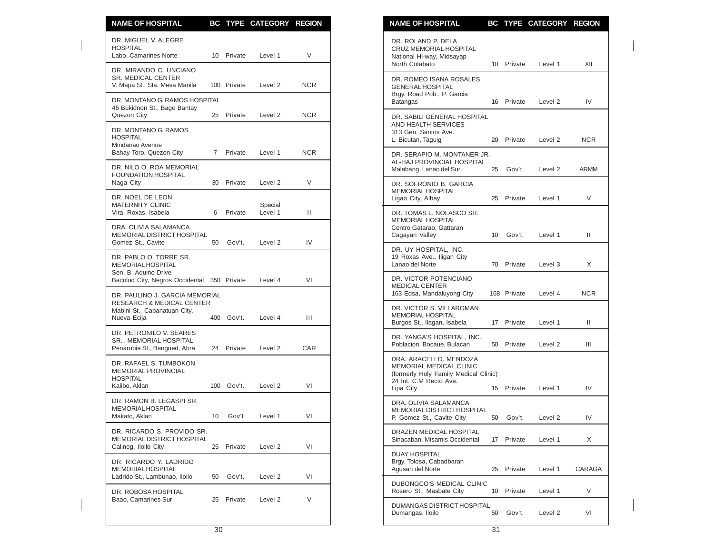| <b>NAME OF HOSPITAL</b>                                                              |             |             | BC TYPE CATEGORY REGION |            | <b>NAME OF HOSPITAL</b>                                                                          |    |             | BC TYPE CATEGORY REGION |        |
|--------------------------------------------------------------------------------------|-------------|-------------|-------------------------|------------|--------------------------------------------------------------------------------------------------|----|-------------|-------------------------|--------|
| DR. MIGUEL V. ALEGRE<br><b>HOSPITAL</b><br>Labo, Camarines Norte                     | 10          | Private     | Level 1                 | V          | DR. ROLAND P. DELA<br>CRUZ MEMORIAL HOSPITAL<br>National Hi-way, Midsayap                        |    |             |                         |        |
| DR. MIRANDO C. UNCIANO<br><b>SR. MEDICAL CENTER</b><br>V. Mapa St., Sta. Mesa Manila |             | 100 Private | Level 2                 | <b>NCR</b> | North Cotabato<br>DR. ROMEO ISANA ROSALES<br><b>GENERAL HOSPITAL</b>                             |    | 10 Private  | Level 1                 |        |
| DR. MONTANO G. RAMOS HOSPITAL<br>46 Bukidnon St., Bago Bantay                        |             |             |                         |            | Brgy. Road Pob., P. Garcia<br>Batangas                                                           |    | 16 Private  | Level <sub>2</sub>      |        |
| Quezon City<br>DR. MONTANO G. RAMOS<br><b>HOSPITAL</b>                               |             | 25 Private  | Level 2                 | <b>NCR</b> | DR. SABILI GENERAL HOSPITAL<br>AND HEALTH SERVICES<br>313 Gen. Santos Ave.<br>L. Bicutan, Taguig |    | 20 Private  | Level 2                 |        |
| Mindanao Avenue<br>Bahay Toro, Quezon City                                           | $7^{\circ}$ | Private     | Level 1                 | <b>NCR</b> | DR. SERAPIO M. MONTANER JR.<br>AL-HAJ PROVINCIAL HOSPITAL                                        |    |             |                         |        |
| DR. NILO O. ROA MEMORIAL<br><b>FOUNDATION HOSPITAL</b><br>Naga City                  |             | 30 Private  | Level 2                 | V          | Malabang, Lanao del Sur<br>DR. SOFRONIO B. GARCIA                                                | 25 | Gov't.      | Level <sub>2</sub>      | ARMM   |
| DR. NOEL DE LEON<br><b>MATERNITY CLINIC</b>                                          |             |             | Special                 |            | MEMORIAL HOSPITAL<br>Ligao City, Albay                                                           | 25 | Private     | Level 1                 |        |
| Vira, Roxas, Isabela<br>DRA. OLIVIA SALAMANCA<br>MEMORIAL DISTRICT HOSPITAL          | 6           | Private     | Level 1                 | Ш          | DR. TOMAS L. NOLASCO SR.<br>MEMORIAL HOSPITAL<br>Centro Gatarao, Gattaran<br>Cagayan Valley      |    | 10 Gov't.   | Level 1                 |        |
| Gomez St., Cavite                                                                    | 50          | Gov't.      | Level <sub>2</sub>      | IV         | DR. UY HOSPITAL, INC.                                                                            |    |             |                         |        |
| DR. PABLO O. TORRE SR.<br><b>MEMORIAL HOSPITAL</b><br>Sen. B. Aquino Drive           |             |             |                         |            | 19 Roxas Ave., Iligan City<br>Lanao del Norte                                                    |    | 70 Private  | Level 3                 |        |
| Bacolod City, Negros Occidental 350 Private<br>DR. PAULINO J. GARCIA MEMORIAL        |             |             | Level 4                 | VI         | DR. VICTOR POTENCIANO<br><b>MEDICAL CENTER</b><br>163 Edsa, Mandaluyong City                     |    | 168 Private | Level 4                 |        |
| RESEARCH & MEDICAL CENTER<br>Mabini St., Cabanatuan City,<br>Nueva Ecija             |             | 400 Gov't.  | Level 4                 | Ш          | DR. VICTOR S. VILLAROMAN<br>MEMORIAL HOSPITAL<br>Burgos St., Ilagan, Isabela                     |    | 17 Private  | Level 1                 |        |
| DR. PETRONILO V. SEARES<br>SR., MEMORIAL HOSPITAL<br>Penarubia St., Bangued, Abra    |             | 24 Private  | Level 2                 | <b>CAR</b> | DR. YANGA'S HOSPITAL, INC.<br>Poblacion, Bocaue, Bulacan                                         |    | 50 Private  | Level 2                 |        |
| DR. RAFAEL S. TUMBOKON<br><b>MEMORIAL PROVINCIAL</b><br><b>HOSPITAL</b>              |             |             |                         |            | DRA. ARACELI D. MENDOZA<br>MEMORIAL MEDICAL CLINIC<br>(formerly Holy Family Medical Clinic)      |    |             |                         |        |
| Kalibo, Aklan                                                                        |             | 100 Gov't.  | Level 2                 | VI         | 24 Int. C.M Recto Ave.<br>Lipa City                                                              |    | 15 Private  | Level 1                 |        |
| DR. RAMON B. LEGASPI SR.<br><b>MEMORIAL HOSPITAL</b><br>Makato, Aklan                |             | 10 Gov't    | Level 1                 | VI         | DRA. OLIVIA SALAMANCA<br>MEMORIAL DISTRICT HOSPITAL<br>P. Gomez St., Cavite City                 |    |             | 50 Gov't. Level 2       |        |
| DR. RICARDO S. PROVIDO SR.<br>MEMORIAL DISTRICT HOSPITAL                             |             |             |                         |            | DRAZEN MEDICAL HOSPITAL<br>Sinacaban, Misamis Occidental                                         |    | 17 Private  | Level 1                 |        |
| Calinog, Iloilo City<br>DR. RICARDO Y. LADRIDO                                       |             | 25 Private  | Level 2                 | VI         | <b>DUAY HOSPITAL</b><br>Brgy. Tolosa, Cabadbaran                                                 |    |             |                         |        |
| MEMORIAL HOSPITAL<br>Ladrido St., Lambunao, Iloilo                                   | 50          | Gov't.      | Level 2                 | VI         | Agusan del Norte                                                                                 |    | 25 Private  | Level 1                 | CARAG/ |
| DR. ROBOSA HOSPITAL<br>Baao, Camarines Sur                                           |             | 25 Private  | Level 2                 | V          | DUBONGCO'S MEDICAL CLINIC<br>Rosero St., Masbate City                                            |    | 10 Private  | Level 1                 |        |
|                                                                                      |             |             |                         |            | DUMANGAS DISTRICT HOSPITAL<br>Dumangas, Iloilo                                                   |    | 50 Gov't.   | Level 2                 |        |

| <b>NAME OF HOSPITAL</b>                                                                                                            | ВC | <b>TYPE</b> | <b>CATEGORY</b>    | <b>REGION</b> |
|------------------------------------------------------------------------------------------------------------------------------------|----|-------------|--------------------|---------------|
| DR. ROLAND P. DELA<br><b>CRUZ MEMORIAL HOSPITAL</b><br>National Hi-way, Midsayap<br>North Cotabato                                 | 10 | Private     | Level 1            | XII           |
| DR. ROMEO ISANA ROSALES<br><b>GENERAL HOSPITAL</b><br>Brgy. Road Pob., P. Garcia<br>Batangas                                       | 16 | Private     | Level 2            | IV            |
| DR. SABILI GENERAL HOSPITAL<br>AND HEALTH SERVICES<br>313 Gen. Santos Ave.<br>L. Bicutan, Taguig                                   | 20 | Private     | Level 2            | NCR.          |
| DR. SERAPIO M. MONTANER JR.<br>AL-HAJ PROVINCIAL HOSPITAL<br>Malabang, Lanao del Sur                                               | 25 | Gov't.      | Level 2            | ARMM          |
| DR. SOFRONIO B. GARCIA<br><b>MEMORIAL HOSPITAL</b><br>Ligao City, Albay                                                            | 25 | Private     | Level 1            | V             |
| DR. TOMAS L. NOLASCO SR.<br><b>MEMORIAL HOSPITAL</b><br>Centro Gatarao, Gattaran<br>Cagayan Valley                                 | 10 | Gov't.      | Level 1            | Ш             |
| DR. UY HOSPITAL, INC.<br>19 Roxas Ave., Iligan City<br>Lanao del Norte                                                             | 70 | Private     | Level 3            | Χ             |
| DR. VICTOR POTENCIANO<br><b>MEDICAL CENTER</b><br>163 Edsa, Mandaluyong City                                                       |    | 168 Private | Level 4            | NCR           |
| DR. VICTOR S. VILLAROMAN<br><b>MEMORIAL HOSPITAL</b><br>Burgos St., Ilagan, Isabela                                                | 17 | Private     | Level 1            | Ш             |
| DR. YANGA'S HOSPITAL, INC.<br>Poblacion, Bocaue, Bulacan                                                                           | 50 | Private     | Level <sub>2</sub> | Ш             |
| DRA. ARACELI D. MENDOZA<br>MEMORIAL MEDICAL CLINIC<br>(formerly Holy Family Medical Clinic)<br>24 Int. C.M Recto Ave.<br>Lipa City | 15 | Private     | Level 1            | IV            |
| DRA. OLIVIA SALAMANCA<br><b>MEMORIAL DISTRICT HOSPITAL</b><br>P. Gomez St., Cavite City                                            | 50 | Gov't.      | Level <sub>2</sub> | IV            |
| DRAZEN MEDICAL HOSPITAL<br>Sinacaban, Misamis Occidental                                                                           | 17 | Private     | Level 1            | X             |
| <b>DUAY HOSPITAL</b><br>Brgy. Tolosa, Cabadbaran<br>Agusan del Norte                                                               | 25 | Private     | Level 1            | CARAGA        |
| <b>DUBONGCO'S MEDICAL CLINIC</b><br>Rosero St., Masbate City                                                                       | 10 | Private     | Level 1            | V             |
| DUMANGAS DISTRICT HOSPITAL<br>Dumangas, Iloilo                                                                                     | 50 | Gov't.      | Level 2            | VI            |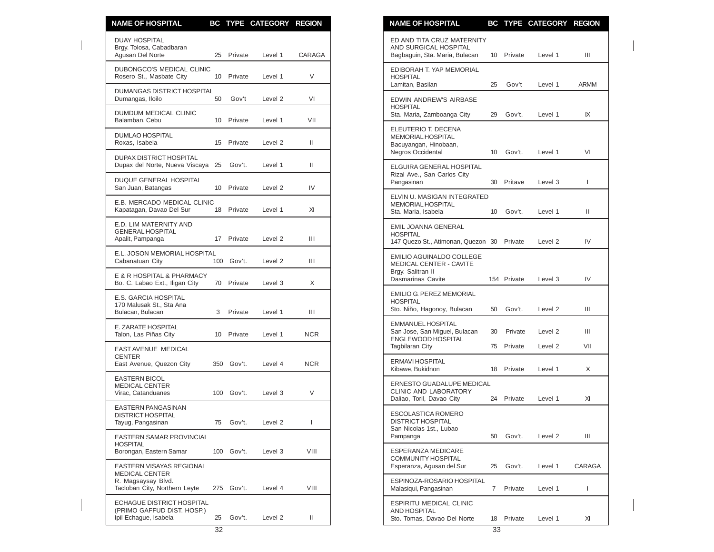| <b>NAME OF HOSPITAL</b>                                                                                  |    |            | BC TYPE CATEGORY REGION |            | <b>NAME OF HOSPITAL</b>                                                                     |                 |         | BC TYPE CATEGORY REGION |                    |
|----------------------------------------------------------------------------------------------------------|----|------------|-------------------------|------------|---------------------------------------------------------------------------------------------|-----------------|---------|-------------------------|--------------------|
| <b>DUAY HOSPITAL</b><br>Brgy. Tolosa, Cabadbaran<br>Agusan Del Norte                                     | 25 | Private    | Level 1                 | CARAGA     | ED AND TITA CRUZ MATERNITY<br>AND SURGICAL HOSPITAL<br>Bagbaguin, Sta. Maria, Bulacan       | 10 Private      |         | Level 1                 | Ш                  |
| DUBONGCO'S MEDICAL CLINIC<br>Rosero St., Masbate City                                                    |    | 10 Private | Level 1                 | V          | EDIBORAH T. YAP MEMORIAL<br><b>HOSPITAL</b><br>Lamitan, Basilan                             | 25              | Gov't   | Level 1                 | <b>ARMM</b>        |
| DUMANGAS DISTRICT HOSPITAL<br>Dumangas, Iloilo                                                           | 50 | Gov't      | Level 2                 | VI         | EDWIN ANDREW'S AIRBASE                                                                      |                 |         |                         |                    |
| <b>DUMDUM MEDICAL CLINIC</b><br>Balamban, Cebu                                                           |    | 10 Private | Level 1                 | VII        | <b>HOSPITAL</b><br>Sta. Maria, Zamboanga City                                               | 29              | Gov't.  | Level 1                 | IX                 |
| <b>DUMLAO HOSPITAL</b><br>Roxas. Isabela                                                                 |    | 15 Private | Level 2                 | Ш.         | ELEUTERIO T. DECENA<br><b>MEMORIAL HOSPITAL</b><br>Bacuyangan, Hinobaan,                    |                 |         |                         |                    |
| <b>DUPAX DISTRICT HOSPITAL</b><br>Dupax del Norte, Nueva Viscaya 25                                      |    | Gov't.     | Level 1                 | Ш.         | Negros Occidental<br>ELGUIRA GENERAL HOSPITAL                                               | 10              | Gov't.  | Level 1                 | VI                 |
| DUQUE GENERAL HOSPITAL<br>San Juan, Batangas                                                             |    | 10 Private | Level 2                 | IV         | Rizal Ave., San Carlos City<br>Pangasinan                                                   | 30              | Pritave | Level 3                 | L                  |
| E.B. MERCADO MEDICAL CLINIC<br>Kapatagan, Davao Del Sur                                                  |    | 18 Private | Level 1                 | XI         | ELVIN U. MASIGAN INTEGRATED<br><b>MEMORIAL HOSPITAL</b><br>Sta. Maria, Isabela              | 10              | Gov't.  | Level 1                 | Ш                  |
| E.D. LIM MATERNITY AND<br><b>GENERAL HOSPITAL</b><br>Apalit, Pampanga                                    |    | 17 Private | Level 2                 | Ш          | <b>EMIL JOANNA GENERAL</b><br><b>HOSPITAL</b><br>147 Quezo St., Atimonan, Quezon 30 Private |                 |         | Level 2                 | IV                 |
| E.L. JOSON MEMORIAL HOSPITAL<br>Cabanatuan City                                                          |    | 100 Gov't. | Level 2                 | Ш          | <b>EMILIO AGUINALDO COLLEGE</b><br><b>MEDICAL CENTER - CAVITE</b>                           |                 |         |                         |                    |
| E & R HOSPITAL & PHARMACY<br>Bo. C. Labao Ext., Iligan City                                              |    | 70 Private | Level 3                 | X          | Brgy. Salitran II<br><b>Dasmarinas Cavite</b>                                               | 154 Private     |         | Level 3                 | IV                 |
| <b>E.S. GARCIA HOSPITAL</b><br>170 Malusak St., Sta Ana<br>Bulacan, Bulacan                              | 3  | Private    | Level 1                 | Ш          | EMILIO G. PEREZ MEMORIAL<br><b>HOSPITAL</b><br>Sto. Niño, Hagonoy, Bulacan                  | 50              | Gov't.  | Level 2                 | Ш                  |
| E. ZARATE HOSPITAL<br>Talon, Las Piñas City                                                              |    | 10 Private | Level 1                 | <b>NCR</b> | <b>EMMANUEL HOSPITAL</b><br>San Jose, San Miguel, Bulacan<br>ENGLEWOOD HOSPITAL             | 30              | Private | Level 2                 | Ш                  |
| EAST AVENUE MEDICAL<br><b>CENTER</b>                                                                     |    |            |                         |            | <b>Tagbilaran City</b>                                                                      | 75 Private      |         | Level 2                 | VII                |
| East Avenue, Quezon City                                                                                 |    | 350 Gov't. | Level 4                 | <b>NCR</b> | ERMAVI HOSPITAL<br>Kibawe, Bukidnon                                                         | 18<br>Private   |         | Level 1                 | X                  |
| <b>EASTERN BICOL</b><br><b>MEDICAL CENTER</b><br>Virac, Catanduanes                                      |    | 100 Gov't. | Level 3                 | $\vee$     | ERNESTO GUADALUPE MEDICAL<br>CLINIC AND LABORATORY<br>Daliao, Toril, Davao City             | 24              | Private | Level 1                 | XI                 |
| <b>EASTERN PANGASINAN</b><br><b>DISTRICT HOSPITAL</b><br>Tayug, Pangasinan                               | 75 | Gov't.     | Level 2                 | ı          | <b>ESCOLASTICA ROMERO</b><br>DISTRICT HOSPITAL                                              |                 |         |                         |                    |
| EASTERN SAMAR PROVINCIAL<br><b>HOSPITAL</b>                                                              |    |            |                         |            | San Nicolas 1st., Lubao<br>Pampanga                                                         | 50              | Gov't.  | Level 2                 | Ш                  |
| Borongan, Eastern Samar                                                                                  |    | 100 Gov't. | Level 3                 | VIII       | <b>ESPERANZA MEDICARE</b><br>COMMUNITY HOSPITAL                                             |                 |         |                         |                    |
| EASTERN VISAYAS REGIONAL<br><b>MEDICAL CENTER</b><br>R. Magsaysay Blvd.<br>Tacloban City, Northern Leyte |    | 275 Gov't. | Level 4                 | VIII       | Esperanza, Agusan del Sur<br>ESPINOZA-ROSARIO HOSPITAL<br>Malasiqui, Pangasinan             | 25<br>7 Private | Gov't.  | Level 1<br>Level 1      | <b>CARAGA</b><br>L |
| ECHAGUE DISTRICT HOSPITAL<br>(PRIMO GAFFUD DIST. HOSP.)<br>Ipil Echague, Isabela                         | 25 | Gov't.     | Level 2                 | Ш.         | <b>ESPIRITU MEDICAL CLINIC</b><br>AND HOSPITAL<br>Sto. Tomas. Davao Del Norte               | 18 Private      |         | Level 1                 | XI                 |

| <u>NAME OF HOSPITAL</u>                                                                                     |          |                    | <b>BC TYPE CATEGORY</b> | <b>REGION</b> |
|-------------------------------------------------------------------------------------------------------------|----------|--------------------|-------------------------|---------------|
| ED AND TITA CRUZ MATERNITY<br>AND SURGICAL HOSPITAL<br>Bagbaguin, Sta. Maria, Bulacan                       | 10       | Private            | Level 1                 | Ш             |
| EDIBORAH T. YAP MEMORIAL<br><b>HOSPITAL</b><br>Lamitan, Basilan                                             | 25       | Gov't              | Level 1                 | ARMM          |
| EDWIN ANDREW'S AIRBASE<br><b>HOSPITAL</b><br>Sta. Maria, Zamboanga City                                     | 29       | Gov't.             | Level 1                 | IX            |
| ELEUTERIO T. DECENA<br><b>MEMORIAL HOSPITAL</b><br>Bacuyangan, Hinobaan,<br><b>Negros Occidental</b>        | 10       | Gov't.             | Level 1                 | VI            |
| ELGUIRA GENERAL HOSPITAL<br>Rizal Ave., San Carlos City<br>Pangasinan                                       | 30       | Pritave            | Level 3                 | L             |
| ELVIN U. MASIGAN INTEGRATED<br><b>MEMORIAL HOSPITAL</b><br>Sta. Maria, Isabela                              | 10       | Gov't.             | Level 1                 | Ш             |
| EMIL JOANNA GENERAL<br><b>HOSPITAL</b><br>147 Quezo St., Atimonan, Quezon 30                                |          | Private            | Level <sub>2</sub>      | IV            |
| <b>EMILIO AGUINALDO COLLEGE</b><br><b>MEDICAL CENTER - CAVITE</b><br>Brgy. Salitran II<br>Dasmarinas Cavite |          | 154 Private        | Level 3                 | IV            |
| <b>EMILIO G. PEREZ MEMORIAL</b><br><b>HOSPITAL</b><br>Sto. Niño, Hagonoy, Bulacan                           | 50       | Gov't.             | Level 2                 | Ш             |
| <b>EMMANUEL HOSPITAL</b><br>San Jose, San Miguel, Bulacan<br>ENGLEWOOD HOSPITAL<br><b>Tagbilaran City</b>   | 30<br>75 | Private<br>Private | Level 2<br>Level 2      | Ш<br>VII      |
| ERMAVI HOSPITAL<br>Kibawe, Bukidnon                                                                         | 18       | Private            | Level 1                 | X             |
| ERNESTO GUADALUPE MEDICAL<br><b>CLINIC AND LABORATORY</b><br>Daliao, Toril, Davao City                      | 24       | Private            | Level 1                 | XI            |
| <b>ESCOLASTICA ROMERO</b><br><b>DISTRICT HOSPITAL</b><br>San Nicolas 1st., Lubao<br>Pampanga                | 50       | Gov't.             | Level 2                 | Ш             |
| <b>ESPERANZA MEDICARE</b><br><b>COMMUNITY HOSPITAL</b><br>Esperanza, Agusan del Sur                         | 25       | Gov't.             | Level 1                 | CARAGA        |
| ESPINOZA-ROSARIO HOSPITAL<br>Malasiqui, Pangasinan                                                          | 7        | Private            | Level 1                 | I             |
| <b>ESPIRITU MEDICAL CLINIC</b><br><b>AND HOSPITAL</b><br>Sto. Tomas, Davao Del Norte                        | 18       | Private            | Level 1                 | XI            |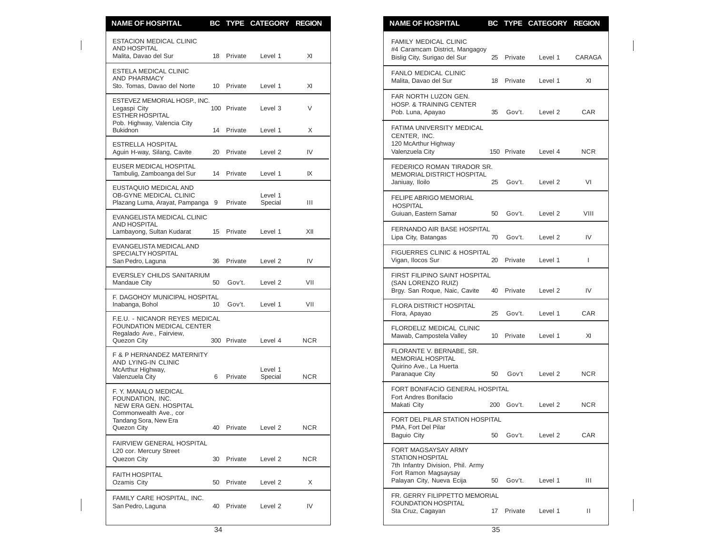| <b>NAME OF HOSPITAL</b>                                                                                |    |             | BC TYPE CATEGORY REGION |            | <b>NAME OF HOSPITAL</b><br>BC TYPE CATEGORY REGION                                                                          |            |
|--------------------------------------------------------------------------------------------------------|----|-------------|-------------------------|------------|-----------------------------------------------------------------------------------------------------------------------------|------------|
| <b>ESTACION MEDICAL CLINIC</b><br>AND HOSPITAL<br>Malita, Davao del Sur                                |    | 18 Private  | Level 1                 | XI         | <b>FAMILY MEDICAL CLINIC</b><br>#4 Caramcam District, Mangagoy<br>Bislig City, Surigao del Sur<br>25 Private<br>Level 1     | CARAG/     |
| <b>ESTELA MEDICAL CLINIC</b><br><b>AND PHARMACY</b><br>Sto. Tomas, Davao del Norte                     |    | 10 Private  | Level 1                 | XI         | FANLO MEDICAL CLINIC<br>Malita, Davao del Sur<br>18 Private<br>Level 1                                                      | XI         |
| ESTEVEZ MEMORIAL HOSP., INC.<br>Legaspi City<br><b>ESTHER HOSPITAL</b>                                 |    | 100 Private | Level 3                 | V          | FAR NORTH LUZON GEN.<br><b>HOSP. &amp; TRAINING CENTER</b><br>Pob. Luna, Apayao<br>35 Gov't.<br>Level 2                     | CAR        |
| Pob. Highway, Valencia City<br><b>Bukidnon</b>                                                         |    | 14 Private  | Level 1                 | X          | FATIMA UNIVERSITY MEDICAL<br>CENTER, INC.                                                                                   |            |
| <b>ESTRELLA HOSPITAL</b><br>Aguin H-way, Silang, Cavite                                                |    | 20 Private  | Level 2                 | IV         | 120 McArthur Highway<br>Valenzuela City<br>150 Private<br>Level 4                                                           | <b>NCR</b> |
| EUSER MEDICAL HOSPITAL<br>Tambulig, Zamboanga del Sur                                                  |    | 14 Private  | Level 1                 | IX         | FEDERICO ROMAN TIRADOR SR.<br>MEMORIAL DISTRICT HOSPITAL<br>Janiuay, Iloilo<br>25 Gov't.<br>Level 2                         | VI         |
| EUSTAQUIO MEDICAL AND<br>OB-GYNE MEDICAL CLINIC<br>Plazang Luma, Arayat, Pampanga 9                    |    | Private     | Level 1<br>Special      | Ш          | <b>FELIPE ABRIGO MEMORIAL</b><br><b>HOSPITAL</b><br>Guiuan, Eastern Samar<br>50 Gov't.<br>Level 2                           | VIII       |
| EVANGELISTA MEDICAL CLINIC<br><b>AND HOSPITAL</b><br>Lambayong, Sultan Kudarat                         |    | 15 Private  | Level 1                 | XII        | FERNANDO AIR BASE HOSPITAL<br>Lipa City, Batangas<br>70 Gov't.<br>Level 2                                                   |            |
| EVANGELISTA MEDICAL AND<br>SPECIALTY HOSPITAL<br>San Pedro, Laguna                                     |    | 36 Private  | Level 2                 | IV         | <b>FIGUERRES CLINIC &amp; HOSPITAL</b><br>Vigan, Ilocos Sur<br>20 Private<br>Level 1                                        |            |
| EVERSLEY CHILDS SANITARIUM<br>Mandaue City                                                             | 50 | Gov't.      | Level 2                 | VII        | FIRST FILIPINO SAINT HOSPITAL<br>(SAN LORENZO RUIZ)<br>40 Private                                                           |            |
| F. DAGOHOY MUNICIPAL HOSPITAL<br>Inabanga, Bohol                                                       | 10 | Gov't.      | Level 1                 | VII        | Brgy. San Roque, Naic, Cavite<br>Level 2<br><b>FLORA DISTRICT HOSPITAL</b><br>Flora, Apayao<br>25 Gov't.<br>Level 1         | CAR        |
| F.E.U. - NICANOR REYES MEDICAL<br>FOUNDATION MEDICAL CENTER<br>Regalado Ave., Fairview,<br>Quezon City |    | 300 Private | Level 4                 | <b>NCR</b> | FLORDELIZ MEDICAL CLINIC<br>Mawab, Campostela Valley<br>10 Private<br>Level 1                                               |            |
| F & P HERNANDEZ MATERNITY<br>AND LYING-IN CLINIC<br>McArthur Highway,                                  |    |             | Level 1                 |            | FLORANTE V. BERNABE, SR.<br><b>MEMORIAL HOSPITAL</b><br>Quirino Ave., La Huerta<br>Paranaque City<br>50<br>Gov't<br>Level 2 | <b>NCR</b> |
| Valenzuela City<br>F. Y. MANALO MEDICAL                                                                |    | 6 Private   | Special                 | <b>NCR</b> | FORT BONIFACIO GENERAL HOSPITAL                                                                                             |            |
| FOUNDATION. INC.<br>NEW ERA GEN. HOSPITAL                                                              |    |             |                         |            | Fort Andres Bonifacio<br>200 Gov't.<br>Level 2<br>Makati City                                                               | <b>NCR</b> |
| Commonwealth Ave., cor<br>Tandang Sora, New Era<br>Quezon City                                         |    | 40 Private  | Level 2                 | <b>NCR</b> | FORT DEL PILAR STATION HOSPITAL<br>PMA, Fort Del Pilar<br><b>Baguio City</b><br>50<br>Gov't.<br>Level <sub>2</sub>          | CAR        |
| FAIRVIEW GENERAL HOSPITAL<br>L20 cor. Mercury Street<br>Quezon City                                    |    | 30 Private  | Level 2                 | NCR.       | FORT MAGSAYSAY ARMY<br><b>STATION HOSPITAL</b>                                                                              |            |
| <b>FAITH HOSPITAL</b><br>Ozamis City                                                                   | 50 | Private     | Level 2                 | X          | 7th Infantry Division, Phil. Army<br>Fort Ramon Magsaysay<br>Palayan City, Nueva Ecija<br>50<br>Gov't.<br>Level 1           |            |
| FAMILY CARE HOSPITAL, INC.<br>San Pedro, Laguna                                                        |    | 40 Private  | Level 2                 | IV         | FR. GERRY FILIPPETTO MEMORIAL<br><b>FOUNDATION HOSPITAL</b><br>Sta Cruz, Cagayan<br>17 Private<br>Level 1                   |            |

| <b>NAME OF HOSPITAL</b>                                                                                                                  |     |             | BC TYPE CATEGORY REGION |            |
|------------------------------------------------------------------------------------------------------------------------------------------|-----|-------------|-------------------------|------------|
| <b>FAMILY MEDICAL CLINIC</b><br>#4 Caramcam District, Mangagoy<br>Bislig City, Surigao del Sur                                           | 25  | Private     | Level 1                 | CARAGA     |
| <b>FANLO MEDICAL CLINIC</b><br>Malita, Davao del Sur                                                                                     | 18  | Private     | Level 1                 | XI         |
| FAR NORTH LUZON GEN.<br>HOSP. & TRAINING CENTER<br>Pob. Luna, Apayao                                                                     | 35  | Gov't.      | Level 2                 | <b>CAR</b> |
| <b>FATIMA UNIVERSITY MEDICAL</b><br>CENTER, INC.<br>120 McArthur Highway<br>Valenzuela City                                              |     | 150 Private | Level 4                 | <b>NCR</b> |
| FEDERICO ROMAN TIRADOR SR.<br><b>MEMORIAL DISTRICT HOSPITAL</b><br>Janiuay, Iloilo                                                       | 25  | Gov't.      | Level 2                 | VI         |
| <b>FELIPE ABRIGO MEMORIAL</b><br><b>HOSPITAL</b><br>Guiuan, Eastern Samar                                                                | 50  | Gov't.      | Level <sub>2</sub>      | VIII       |
| FERNANDO AIR BASE HOSPITAL<br>Lipa City, Batangas                                                                                        | 70  | Gov't.      | Level <sub>2</sub>      | IV         |
| FIGUERRES CLINIC & HOSPITAL<br>Vigan, Ilocos Sur                                                                                         | 20  | Private     | Level 1                 | L          |
| FIRST FILIPINO SAINT HOSPITAL<br>(SAN LORENZO RUIZ)<br>Brgy. San Roque, Naic, Cavite                                                     | 40  | Private     | Level <sub>2</sub>      | IV         |
| FLORA DISTRICT HOSPITAL<br>Flora, Apayao                                                                                                 | 25  | Gov't.      | Level 1                 | <b>CAR</b> |
| <b>FLORDELIZ MEDICAL CLINIC</b><br>Mawab, Campostela Valley                                                                              | 10  | Private     | Level 1                 | XI         |
| FLORANTE V. BERNABE, SR.<br><b>MEMORIAL HOSPITAL</b><br>Quirino Ave., La Huerta<br>Paranaque City                                        | 50  | Gov't       | Level 2                 | NCR        |
| FORT BONIFACIO GENERAL HOSPITAL<br>Fort Andres Bonifacio<br>Makati City                                                                  | 200 | Gov't.      | Level <sub>2</sub>      | <b>NCR</b> |
| FORT DEL PILAR STATION HOSPITAL<br>PMA, Fort Del Pilar<br><b>Baquio City</b>                                                             | 50  | Gov't.      | Level 2                 | CAR        |
| FORT MAGSAYSAY ARMY<br><b>STATION HOSPITAL</b><br>7th Infantry Division, Phil. Army<br>Fort Ramon Magsaysay<br>Palayan City, Nueva Ecija | 50  | Gov't.      | Level 1                 | Ш          |
| FR. GERRY FILIPPETTO MEMORIAL<br><b>FOUNDATION HOSPITAL</b><br>Sta Cruz, Cagayan                                                         | 17  | Private     | Level 1                 | Ш          |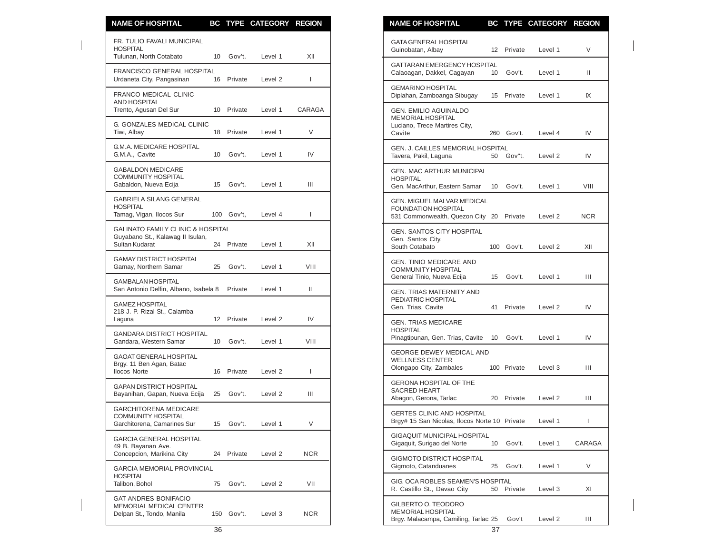| <b>NAME OF HOSPITAL</b>                                                                            |    |                         | BC TYPE CATEGORY REGION |                | <b>NAME OF HOSPITAL</b><br>BC TYPE CATEGORY REGION                                                                     |            |
|----------------------------------------------------------------------------------------------------|----|-------------------------|-------------------------|----------------|------------------------------------------------------------------------------------------------------------------------|------------|
| FR. TULIO FAVALI MUNICIPAL<br><b>HOSPITAL</b><br>Tulunan, North Cotabato                           | 10 | Gov't.                  | Level 1                 | XII            | <b>GATA GENERAL HOSPITAL</b><br>Guinobatan, Albay<br>12 Private<br>Level 1                                             | V          |
| FRANCISCO GENERAL HOSPITAL<br>Urdaneta City, Pangasinan                                            |    | 16 Private              | Level 2                 | $\mathbf{I}$   | GATTARAN EMERGENCY HOSPITAL<br>Gov't.<br>Calaoagan, Dakkel, Cagayan<br>10 <sup>°</sup><br>Level 1                      | Ш.         |
| FRANCO MEDICAL CLINIC                                                                              |    |                         |                         |                | <b>GEMARINO HOSPITAL</b><br>Diplahan, Zamboanga Sibugay<br>15<br>Private<br>Level 1                                    | IX         |
| <b>AND HOSPITAL</b><br>Trento, Agusan Del Sur                                                      |    | 10 Private              | Level 1                 | CARAGA         | GEN. EMILIO AGUINALDO<br>MEMORIAL HOSPITAL                                                                             |            |
| <b>G. GONZALES MEDICAL CLINIC</b><br>Tiwi, Albay                                                   |    | 18 Private              | Level 1                 | $\vee$         | Luciano, Trece Martires City,<br>260 Gov't.<br>Cavite<br>Level 4                                                       | IV         |
| <b>G.M.A. MEDICARE HOSPITAL</b><br>G.M.A., Cavite                                                  |    | 10 Gov't.               | Level 1                 | IV             | GEN. J. CAILLES MEMORIAL HOSPITAL<br>Tavera, Pakil, Laguna<br>50 Gov"t.<br>Level 2                                     | IV         |
| <b>GABALDON MEDICARE</b><br>COMMUNITY HOSPITAL<br>Gabaldon, Nueva Ecija                            |    | 15 Gov't.               | Level 1                 | Ш              | <b>GEN. MAC ARTHUR MUNICIPAL</b><br><b>HOSPITAL</b><br>Gen. MacArthur, Eastern Samar<br>10<br>Gov't.<br>Level 1        | VIII       |
| GABRIELA SILANG GENERAL<br><b>HOSPITAL</b><br>Tamag, Vigan, Ilocos Sur                             |    | 100 Gov't,              | Level 4                 | $\mathbf{I}$   | <b>GEN. MIGUEL MALVAR MEDICAL</b><br><b>FOUNDATION HOSPITAL</b><br>531 Commonwealth, Quezon City 20 Private<br>Level 2 | <b>NCR</b> |
| <b>GALINATO FAMILY CLINIC &amp; HOSPITAL</b><br>Guyabano St., Kalawag II Isulan,<br>Sultan Kudarat |    | 24 Private              | Level 1                 | XII            | <b>GEN. SANTOS CITY HOSPITAL</b><br>Gen. Santos City,<br>South Cotabato<br>100 Gov't.<br>Level 2                       | XII        |
| <b>GAMAY DISTRICT HOSPITAL</b><br>Gamay, Northern Samar                                            | 25 | Gov't.                  | Level 1                 | VIII           | <b>GEN. TINIO MEDICARE AND</b><br><b>COMMUNITY HOSPITAL</b><br>15 Gov't.<br>Level 1                                    | Ш          |
| GAMBALAN HOSPITAL<br>San Antonio Delfin, Albano, Isabela 8                                         |    | Private                 | Level 1                 | $\mathbf{H}$   | General Tinio, Nueva Ecija<br><b>GEN. TRIAS MATERNITY AND</b>                                                          |            |
| GAMEZ HOSPITAL<br>218 J. P. Rizal St., Calamba                                                     |    |                         |                         |                | PEDIATRIC HOSPITAL<br>Gen. Trias, Cavite<br>41<br>Private<br>Level 2                                                   | IV         |
| Laguna<br>GANDARA DISTRICT HOSPITAL<br>Gandara, Western Samar                                      |    | 12 Private<br>10 Gov't. | Level 2<br>Level 1      | IV<br>VIII     | <b>GEN. TRIAS MEDICARE</b><br><b>HOSPITAL</b><br>Pinagtipunan, Gen. Trias, Cavite 10 Gov't.<br>Level 1                 | IV         |
| GAOAT GENERAL HOSPITAL<br>Brgy. 11 Ben Agan, Batac<br><b>Ilocos Norte</b>                          |    | 16 Private              | Level 2                 | $\overline{1}$ | <b>GEORGE DEWEY MEDICAL AND</b><br><b>WELLNESS CENTER</b><br>Olongapo City, Zambales<br>100 Private<br>Level 3         | Ш          |
| <b>GAPAN DISTRICT HOSPITAL</b><br>Bayanihan, Gapan, Nueva Ecija                                    | 25 | Gov't.                  | Level 2                 | Ш              | <b>GERONA HOSPITAL OF THE</b><br><b>SACRED HEART</b><br>Abagon, Gerona, Tarlac<br>20 Private<br>Level 2                | Ш          |
| <b>GARCHITORENA MEDICARE</b><br>COMMUNITY HOSPITAL<br>Garchitorena, Camarines Sur                  | 15 | Gov't.                  | Level 1                 | V              | <b>GERTES CLINIC AND HOSPITAL</b><br>Brgy# 15 San Nicolas, Ilocos Norte 10 Private<br>Level 1                          |            |
| <b>GARCIA GENERAL HOSPITAL</b><br>49 B. Bayanan Ave.                                               |    |                         |                         |                | <b>GIGAQUIT MUNICIPAL HOSPITAL</b><br>Gigaquit, Surigao del Norte<br>10 Gov't.<br>Level 1                              | CARAG/     |
| Concepcion, Marikina City                                                                          |    | 24 Private              | Level 2                 | <b>NCR</b>     | GIGMOTO DISTRICT HOSPITAL<br>Gigmoto, Catanduanes<br>25 Gov't.<br>Level 1                                              | V          |
| GARCIA MEMORIAL PROVINCIAL<br><b>HOSPITAL</b><br>Talibon, Bohol                                    | 75 | Gov't.                  | Level 2                 | VII            | GIG. OCA ROBLES SEAMEN'S HOSPITAL<br>R. Castillo St., Davao City<br>50<br>Private<br>Level 3                           | XI         |
| <b>GAT ANDRES BONIFACIO</b><br><b>MEMORIAL MEDICAL CENTER</b><br>Delpan St., Tondo, Manila         |    | 150 Gov't.              | Level 3                 | <b>NCR</b>     | GILBERTO O. TEODORO<br>MEMORIAL HOSPITAL                                                                               |            |

| <b>NAME OF HOSPITAL</b>                                                                             |     |             | BC TYPE CATEGORY REGION |        |
|-----------------------------------------------------------------------------------------------------|-----|-------------|-------------------------|--------|
| <b>GATA GENERAL HOSPITAL</b><br>Guinobatan, Albay                                                   | 12  | Private     | Level 1                 | V      |
| <b>GATTARAN EMERGENCY HOSPITAL</b><br>Calaoagan, Dakkel, Cagayan                                    | 10  | Gov't.      | Level 1                 | н      |
| <b>GEMARINO HOSPITAL</b><br>Diplahan, Zamboanga Sibugay                                             | 15  | Private     | Level 1                 | IX     |
| <b>GEN. EMILIO AGUINALDO</b><br><b>MEMORIAL HOSPITAL</b><br>Luciano, Trece Martires City,<br>Cavite | 260 | Gov't.      | Level 4                 | IV     |
| <b>GEN. J. CAILLES MEMORIAL HOSPITAL</b><br>Tavera, Pakil, Laguna                                   | 50  | Gov"t.      | Level 2                 | IV     |
| <b>GEN. MAC ARTHUR MUNICIPAL</b><br><b>HOSPITAL</b><br>Gen. MacArthur, Eastern Samar                | 10  | Gov't.      | Level 1                 | VIII   |
| <b>GEN. MIGUEL MALVAR MEDICAL</b><br><b>FOUNDATION HOSPITAL</b><br>531 Commonwealth, Quezon City 20 |     | Private     | Level 2                 | NCR    |
| <b>GEN. SANTOS CITY HOSPITAL</b><br>Gen. Santos City,<br>South Cotabato                             | 100 | Gov't.      | Level 2                 | XII    |
| <b>GEN. TINIO MEDICARE AND</b><br>COMMUNITY HOSPITAL<br>General Tinio, Nueva Ecija                  | 15  | Gov't.      | Level 1                 | Ш      |
| <b>GEN. TRIAS MATERNITY AND</b><br>PEDIATRIC HOSPITAL<br>Gen. Trias, Cavite                         | 41  | Private     | Level 2                 | IV     |
| <b>GEN. TRIAS MEDICARE</b><br><b>HOSPITAL</b><br>Pinagtipunan, Gen. Trias, Cavite                   | 10  | Gov't.      | Level 1                 | IV     |
| <b>GEORGE DEWEY MEDICAL AND</b><br><b>WELLNESS CENTER</b><br>Olongapo City, Zambales                |     | 100 Private | Level 3                 | Ш      |
| <b>GERONA HOSPITAL OF THE</b><br><b>SACRED HEART</b><br>Abagon, Gerona, Tarlac                      | 20  | Private     | Level 2                 | Ш      |
| GERTES CLINIC AND HOSPITAL<br>Brgy# 15 San Nicolas, Ilocos Norte 10 Private                         |     |             | Level 1                 | I      |
| <b>GIGAQUIT MUNICIPAL HOSPITAL</b><br>Gigaguit, Surigao del Norte                                   | 10  | Gov't.      | Level 1                 | CARAGA |
| GIGMOTO DISTRICT HOSPITAL<br>Gigmoto, Catanduanes                                                   | 25  | Gov't.      | Level 1                 | V      |
| GIG. OCA ROBLES SEAMEN'S HOSPITAL<br>R. Castillo St., Davao City                                    | 50  | Private     | Level 3                 | XI     |
| GILBERTO O. TEODORO<br><b>MEMORIAL HOSPITAL</b><br>Brgy. Malacampa, Camiling, Tarlac 25             |     | Gov't       | Level 2                 | Ш      |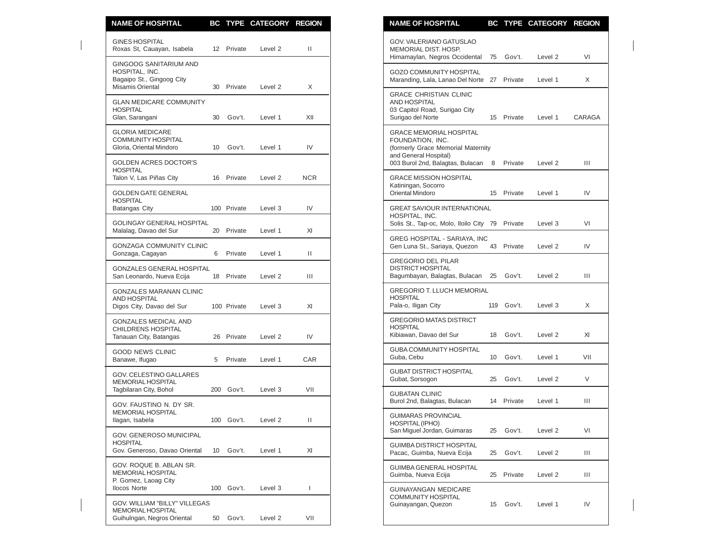| <b>NAME OF HOSPITAL</b>                                                                                 |    |                       | BC TYPE CATEGORY REGION |              | <b>NAME OF HOSPITAL</b><br>BC TYPE CATEGORY REGION                                                                           |        |
|---------------------------------------------------------------------------------------------------------|----|-----------------------|-------------------------|--------------|------------------------------------------------------------------------------------------------------------------------------|--------|
| <b>GINES HOSPITAL</b><br>Roxas St, Cauayan, Isabela                                                     |    | 12 Private            | Level <sub>2</sub>      | Ш            | GOV. VALERIANO GATUSLAO<br>MEMORIAL DIST. HOSP.<br>Gov't.<br>Himamaylan, Negros Occidental<br>75<br>Level 2                  |        |
| <b>GINGOOG SANITARIUM AND</b><br>HOSPITAL, INC.<br>Bagaipo St., Gingoog City<br><b>Misamis Oriental</b> |    | 30 Private            | Level 2                 | X            | <b>GOZO COMMUNITY HOSPITAL</b><br>Maranding, Lala, Lanao Del Norte 27 Private<br>Level 1                                     |        |
| <b>GLAN MEDICARE COMMUNITY</b><br><b>HOSPITAL</b><br>Glan, Sarangani                                    | 30 | Gov't.                | Level 1                 | XII          | <b>GRACE CHRISTIAN CLINIC</b><br>AND HOSPITAL<br>03 Capitol Road, Surigao City<br>15 Private<br>Surigao del Norte<br>Level 1 | CARAGA |
| <b>GLORIA MEDICARE</b><br><b>COMMUNITY HOSPITAL</b><br>Gloria, Oriental Mindoro                         |    | 10 Gov't.             | Level 1                 | IV           | <b>GRACE MEMORIAL HOSPITAL</b><br>FOUNDATION. INC.<br>(formerly Grace Memorial Maternity<br>and General Hospital)            |        |
| <b>GOLDEN ACRES DOCTOR'S</b><br><b>HOSPITAL</b><br>Talon V, Las Piñas City                              |    | 16 Private            | Level 2                 | <b>NCR</b>   | 003 Burol 2nd, Balagtas, Bulacan 8<br>Private<br>Level 2<br><b>GRACE MISSION HOSPITAL</b>                                    |        |
| <b>GOLDEN GATE GENERAL</b><br><b>HOSPITAL</b>                                                           |    |                       |                         |              | Katiningan, Socorro<br>Oriental Mindoro<br>15 Private<br>Level 1                                                             |        |
| Batangas City<br><b>GOLINGAY GENERAL HOSPITAL</b>                                                       |    | 100 Private           | Level 3                 | IV           | <b>GREAT SAVIOUR INTERNATIONAL</b><br>HOSPITAL. INC.<br>Solis St., Tap-oc, Molo, Iloilo City 79 Private<br>Level 3           |        |
| Malalag, Davao del Sur<br><b>GONZAGA COMMUNITY CLINIC</b>                                               | 20 | Private               | Level 1                 | XI           | GREG HOSPITAL - SARIAYA, INC<br>43 Private<br>Gen Luna St., Sariaya, Quezon<br>Level 2                                       |        |
| Gonzaga, Cagayan<br>GONZALES GENERAL HOSPITAL<br>San Leonardo, Nueva Ecija                              | 6  | Private<br>18 Private | Level 1<br>Level 2      | Ш<br>Ш       | <b>GREGORIO DEL PILAR</b><br><b>DISTRICT HOSPITAL</b><br>Bagumbayan, Balagtas, Bulacan<br>25<br>Gov't.<br>Level <sub>2</sub> |        |
| <b>GONZALES MARANAN CLINIC</b><br><b>AND HOSPITAL</b><br>Digos City, Davao del Sur                      |    | 100 Private           | Level 3                 | XI           | <b>GREGORIO T. LLUCH MEMORIAL</b><br><b>HOSPITAL</b><br>Pala-o, Iligan City<br>119 Gov't.<br>Level 3                         |        |
| <b>GONZALES MEDICAL AND</b><br>CHILDRENS HOSPITAL<br>Tanauan City, Batangas                             |    | 26 Private            | Level <sub>2</sub>      | IV           | <b>GREGORIO MATAS DISTRICT</b><br><b>HOSPITAL</b><br>Kibiawan, Davao del Sur<br>Gov't.<br>Level 2<br>18                      |        |
| <b>GOOD NEWS CLINIC</b><br>Banawe, Ifugao                                                               | 5  | Private               | Level 1                 | CAR          | <b>GUBA COMMUNITY HOSPITAL</b><br>Guba, Cebu<br>Gov't.<br>10<br>Level 1                                                      | VII    |
| <b>GOV. CELESTINO GALLARES</b><br>MEMORIAL HOSPITAL                                                     |    |                       |                         |              | <b>GUBAT DISTRICT HOSPITAL</b><br>Gubat, Sorsogon<br>Gov't.<br>25<br>Level 2                                                 |        |
| Tagbilaran City, Bohol<br>GOV. FAUSTINO N. DY SR.                                                       |    | 200 Gov't.            | Level 3                 | VII          | <b>GUBATAN CLINIC</b><br>Burol 2nd, Balagtas, Bulacan<br>14 Private<br>Level 1                                               |        |
| <b>MEMORIAL HOSPITAL</b><br>Ilagan, Isabela                                                             |    |                       | 100 Gov't. Level 2      | Ш            | <b>GUIMARAS PROVINCIAL</b><br>HOSPITAL (IPHO)<br>San Miguel Jordan, Guimaras<br>Gov't.<br>25<br>Level 2                      |        |
| GOV. GENEROSO MUNICIPAL<br><b>HOSPITAL</b><br>Gov. Generoso, Davao Oriental                             |    | 10 Gov't.             | Level 1                 | XI           | <b>GUIMBA DISTRICT HOSPITAL</b><br>Pacac, Guimba, Nueva Ecija<br>Gov't.<br>Level 2<br>25                                     |        |
| GOV. ROQUE B. ABLAN SR.<br>MEMORIAL HOSPITAL                                                            |    |                       |                         |              | <b>GUIMBA GENERAL HOSPITAL</b><br>Guimba, Nueva Ecija<br>25 Private<br>Level 2                                               |        |
| P. Gomez, Laoag City<br><b>Ilocos Norte</b><br>GOV. WILLIAM "BILLY" VILLEGAS                            |    | 100 Gov't.            | Level 3                 | $\mathbf{I}$ | <b>GUINAYANGAN MEDICARE</b><br>COMMUNITY HOSPITAL<br>Guinayangan, Quezon<br>Level 1                                          |        |
| MEMORIAL HOSPITAL<br>Guihulngan, Negros Oriental                                                        |    | 50 Gov't.             | Level 2                 | VII          | 15 Gov't.                                                                                                                    |        |

| VI<br>X<br>CARAGA |
|-------------------|
|                   |
|                   |
|                   |
|                   |
| Ш                 |
| IV                |
| VI                |
| IV                |
| Ш                 |
| X                 |
| XI                |
| VII               |
| V                 |
| Ш                 |
| VI                |
| Ш                 |
| Ш                 |
| IV                |
|                   |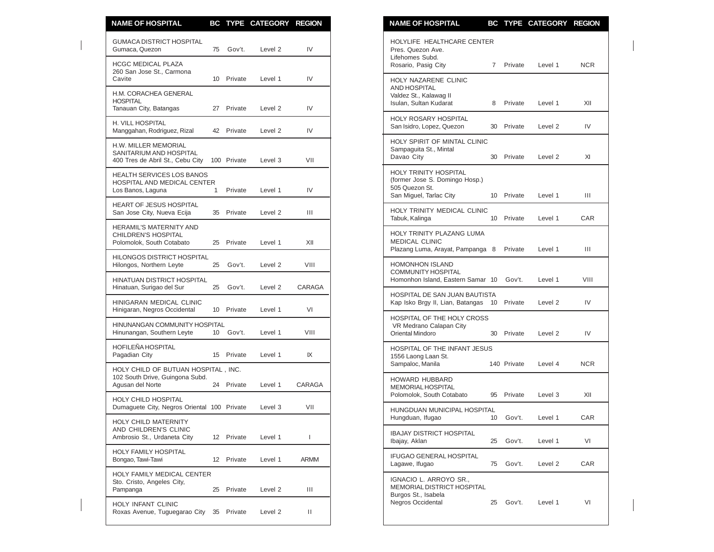| <b>NAME OF HOSPITAL</b>                                                                    |              |             | BC TYPE CATEGORY REGION |        | <b>NAME OF HOSPITAL</b><br>BC TYPE CATEGORY REGION                                                                            |            |
|--------------------------------------------------------------------------------------------|--------------|-------------|-------------------------|--------|-------------------------------------------------------------------------------------------------------------------------------|------------|
| <b>GUMACA DISTRICT HOSPITAL</b><br>Gumaca, Quezon                                          |              | 75 Gov't.   | Level 2                 | IV     | HOLYLIFE HEALTHCARE CENTER<br>Pres. Quezon Ave.<br>Lifehomes Subd.                                                            |            |
| <b>HCGC MEDICAL PLAZA</b><br>260 San Jose St., Carmona<br>Cavite                           |              | 10 Private  | Level 1                 | IV     | Rosario, Pasig City<br>7 Private<br>Level 1<br>HOLY NAZARENE CLINIC                                                           | <b>NCR</b> |
| H.M. CORACHEA GENERAL<br><b>HOSPITAL</b><br>Tanauan City, Batangas                         |              | 27 Private  | Level 2                 | IV     | <b>AND HOSPITAL</b><br>Valdez St., Kalawag II<br>Isulan, Sultan Kudarat<br>8 Private<br>Level 1                               | XII        |
| H. VILL HOSPITAL<br>Manggahan, Rodriguez, Rizal                                            |              | 42 Private  | Level 2                 | IV     | HOLY ROSARY HOSPITAL<br>San Isidro, Lopez, Quezon<br>30 Private<br>Level 2                                                    | IV         |
| H.W. MILLER MEMORIAL<br>SANITARIUM AND HOSPITAL<br>400 Tres de Abril St., Cebu City        |              | 100 Private | Level 3                 | VII    | HOLY SPIRIT OF MINTAL CLINIC<br>Sampaguita St., Mintal<br>Davao City<br>30 Private<br>Level 2                                 | XI         |
| <b>HEALTH SERVICES LOS BANOS</b><br>HOSPITAL AND MEDICAL CENTER<br>Los Banos, Laguna       | $\mathbf{1}$ | Private     | Level 1                 | IV     | HOLY TRINITY HOSPITAL<br>(former Jose S. Domingo Hosp.)<br>505 Quezon St.<br>San Miguel, Tarlac City<br>10 Private<br>Level 1 | Ш          |
| HEART OF JESUS HOSPITAL<br>San Jose City, Nueva Ecija                                      |              | 35 Private  | Level 2                 | Ш      | HOLY TRINITY MEDICAL CLINIC<br>Tabuk, Kalinga<br>10 Private<br>Level 1                                                        | CAR        |
| HERAMIL'S MATERNITY AND<br>CHILDREN'S HOSPITAL<br>Polomolok, South Cotabato                |              | 25 Private  | Level 1                 | XII    | HOLY TRINITY PLAZANG LUMA<br>MEDICAL CLINIC<br>Plazang Luma, Arayat, Pampanga 8 Private<br>Level 1                            | III        |
| HILONGOS DISTRICT HOSPITAL<br>Hilongos, Northern Leyte                                     | 25           | Gov't.      | Level 2                 | VIII   | <b>HOMONHON ISLAND</b>                                                                                                        |            |
| HINATUAN DISTRICT HOSPITAL<br>Hinatuan, Surigao del Sur                                    |              | 25 Gov't.   | Level 2                 | CARAGA | <b>COMMUNITY HOSPITAL</b><br>Homonhon Island, Eastern Samar 10<br>Gov't.<br>Level 1                                           | VIII       |
| HINIGARAN MEDICAL CLINIC<br>Hinigaran, Negros Occidental                                   |              | 10 Private  | Level 1                 | VI     | HOSPITAL DE SAN JUAN BAUTISTA<br>Kap Isko Brgy II, Lian, Batangas 10 Private<br>Level 2                                       | IV         |
| HINUNANGAN COMMUNITY HOSPITAL<br>Hinunangan, Southern Leyte                                | 10           | Gov't.      | Level 1                 | VIII   | HOSPITAL OF THE HOLY CROSS<br>VR Medrano Calapan City<br><b>Oriental Mindoro</b><br>30<br>Private<br>Level 2                  | IV         |
| HOFILEÑA HOSPITAL<br>Pagadian City                                                         |              | 15 Private  | Level 1                 | IX     | HOSPITAL OF THE INFANT JESUS<br>1556 Laong Laan St.<br>Sampaloc, Manila<br>140 Private<br>Level 4                             | <b>NCR</b> |
| HOLY CHILD OF BUTUAN HOSPITAL, INC.<br>102 South Drive, Guingona Subd.<br>Agusan del Norte |              | 24 Private  | Level 1                 | CARAGA | <b>HOWARD HUBBARD</b><br><b>MEMORIAL HOSPITAL</b>                                                                             |            |
| HOLY CHILD HOSPITAL<br>Dumaguete City, Negros Oriental 100 Private                         |              |             | Level 3                 | VII    | Polomolok, South Cotabato<br>95 Private<br>Level 3                                                                            | XII        |
| HOLY CHILD MATERNITY                                                                       |              |             |                         |        | HUNGDUAN MUNICIPAL HOSPITAL<br>Gov't.<br>Hungduan, Ifugao<br>10<br>Level 1                                                    | CAR        |
| AND CHILDREN'S CLINIC<br>Ambrosio St., Urdaneta City                                       |              | 12 Private  | Level 1                 |        | <b>IBAJAY DISTRICT HOSPITAL</b><br>25<br>Gov't.<br>Level 1<br>Ibajay, Aklan                                                   | VI         |
| HOLY FAMILY HOSPITAL<br>Bongao, Tawi-Tawi                                                  |              | 12 Private  | Level 1                 | ARMM   | IFUGAO GENERAL HOSPITAL<br>Lagawe, Ifugao<br>75 Gov't.<br>Level 2                                                             | CAR        |
| HOLY FAMILY MEDICAL CENTER<br>Sto. Cristo, Angeles City,<br>Pampanga                       | 25           | Private     | Level 2                 | Ш      | IGNACIO L. ARROYO SR.,<br>MEMORIAL DISTRICT HOSPITAL<br>Burgos St., Isabela                                                   |            |
| HOLY INFANT CLINIC<br>Roxas Avenue, Tuguegarao City 35 Private                             |              |             | Level 2                 | Ш      | <b>Negros Occidental</b><br>25<br>Gov't.<br>Level 1                                                                           | VI         |

| <b>NAME OF HOSPITAL</b>                                                                                     | BС             | <b>TYPE</b> | <b>CATEGORY</b> | <b>REGION</b> |
|-------------------------------------------------------------------------------------------------------------|----------------|-------------|-----------------|---------------|
| HOLYLIFE HEALTHCARE CENTER<br>Pres. Quezon Ave.<br>Lifehomes Subd.<br>Rosario, Pasig City                   | $\overline{7}$ | Private     | Level 1         | <b>NCR</b>    |
| HOLY NAZARENE CLINIC<br><b>AND HOSPITAL</b><br>Valdez St., Kalawag II<br>Isulan, Sultan Kudarat             | 8              | Private     | Level 1         | XII           |
| <b>HOLY ROSARY HOSPITAL</b><br>San Isidro, Lopez, Quezon                                                    | 30             | Private     | Level 2         | IV            |
| HOLY SPIRIT OF MINTAL CLINIC<br>Sampaguita St., Mintal<br>Davao City                                        | 30             | Private     | Level 2         | XI            |
| <b>HOLY TRINITY HOSPITAL</b><br>(former Jose S. Domingo Hosp.)<br>505 Quezon St.<br>San Miguel, Tarlac City | 10             | Private     | Level 1         | Ш             |
| HOLY TRINITY MEDICAL CLINIC<br>Tabuk, Kalinga                                                               | 10             | Private     | Level 1         | <b>CAR</b>    |
| HOLY TRINITY PLAZANG LUMA<br><b>MEDICAL CLINIC</b><br>Plazang Luma, Arayat, Pampanga 8                      |                | Private     | Level 1         | Ш             |
| <b>HOMONHON ISLAND</b><br><b>COMMUNITY HOSPITAL</b><br>Homonhon Island, Eastern Samar 10 Gov't.             |                |             | Level 1         | VIII          |
| HOSPITAL DE SAN JUAN BAUTISTA<br>Kap Isko Brgy II, Lian, Batangas                                           | 10             | Private     | Level 2         | IV            |
| HOSPITAL OF THE HOLY CROSS<br>VR Medrano Calapan City<br>Oriental Mindoro                                   | 30             | Private     | Level 2         | IV            |
| HOSPITAL OF THE INFANT JESUS<br>1556 Laong Laan St.<br>Sampaloc, Manila                                     |                | 140 Private | Level 4         | NCR.          |
| <b>HOWARD HUBBARD</b><br><b>MEMORIAL HOSPITAL</b><br>Polomolok, South Cotabato                              | 95             | Private     | Level 3         | XII           |
| HUNGDUAN MUNICIPAL HOSPITAL<br>Hungduan, Ifugao                                                             | 10             | Gov't.      | Level 1         | CAR           |
| <b>IBAJAY DISTRICT HOSPITAL</b><br>Ibajay, Aklan                                                            | 25             | Gov't.      | Level 1         | VI            |
| IFUGAO GENERAL HOSPITAL<br>Lagawe, Ifugao                                                                   | 75             | Gov't.      | Level 2         | CAR           |
| IGNACIO L. ARROYO SR.,<br>MEMORIAL DISTRICT HOSPITAL<br>Burgos St., Isabela<br>Negros Occidental            | 25             | Gov't.      | Level 1         | VI            |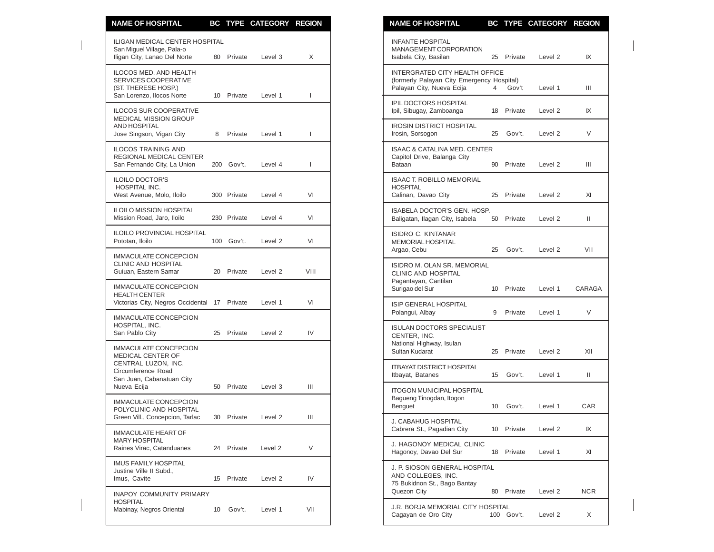| <b>NAME OF HOSPITAL</b>                                                                              |    |             | BC TYPE CATEGORY REGION |              | <b>NAME OF HOSPITAL</b><br>BC TYPE CATEGORY REGION                                                                                              |              |
|------------------------------------------------------------------------------------------------------|----|-------------|-------------------------|--------------|-------------------------------------------------------------------------------------------------------------------------------------------------|--------------|
| ILIGAN MEDICAL CENTER HOSPITAL<br>San Miguel Village, Pala-o<br>Iligan City, Lanao Del Norte         |    | 80 Private  | Level 3                 | X            | <b>INFANTE HOSPITAL</b><br>MANAGEMENT CORPORATION<br>25 Private<br>Isabela City, Basilan<br>Level 2                                             | IX           |
| ILOCOS MED. AND HEALTH<br>SERVICES COOPERATIVE<br>(ST. THERESE HOSP.)                                |    |             |                         |              | INTERGRATED CITY HEALTH OFFICE<br>(formerly Palayan City Emergency Hospital)<br>Palayan City, Nueva Ecija<br>$\overline{4}$<br>Gov't<br>Level 1 | Ш            |
| San Lorenzo, Ilocos Norte<br><b>ILOCOS SUR COOPERATIVE</b>                                           |    | 10 Private  | Level 1                 | 1            | IPIL DOCTORS HOSPITAL<br>Ipil, Sibugay, Zamboanga<br>18 Private<br>Level 2                                                                      | IX           |
| <b>MEDICAL MISSION GROUP</b><br>AND HOSPITAL<br>Jose Singson, Vigan City                             | 8  | Private     | Level 1                 | 1            | <b>IROSIN DISTRICT HOSPITAL</b><br>Irosin, Sorsogon<br>25<br>Gov't.<br>Level 2                                                                  | V            |
| <b>ILOCOS TRAINING AND</b><br>REGIONAL MEDICAL CENTER<br>San Fernando City, La Union                 |    | 200 Gov't.  | Level 4                 | $\mathbf{I}$ | <b>ISAAC &amp; CATALINA MED. CENTER</b><br>Capitol Drive, Balanga City<br>Bataan<br>90 Private<br>Level 2                                       | Ш            |
| <b>ILOILO DOCTOR'S</b><br>HOSPITAL INC.<br>West Avenue, Molo, Iloilo                                 |    | 300 Private | Level 4                 | VI           | <b>ISAAC T. ROBILLO MEMORIAL</b><br><b>HOSPITAL</b><br>Calinan, Davao City<br>25 Private<br>Level 2                                             | XI           |
| <b>ILOILO MISSION HOSPITAL</b><br>Mission Road, Jaro, Iloilo                                         |    | 230 Private | Level 4                 | VI           | ISABELA DOCTOR'S GEN. HOSP.<br>Baligatan, Ilagan City, Isabela<br>50 Private<br>Level 2                                                         | $\mathbf{H}$ |
| <b>ILOILO PROVINCIAL HOSPITAL</b><br>Pototan, Iloilo                                                 |    | 100 Gov't.  | Level 2                 | VI           | <b>ISIDRO C. KINTANAR</b><br><b>MEMORIAL HOSPITAL</b>                                                                                           |              |
| <b>IMMACULATE CONCEPCION</b><br><b>CLINIC AND HOSPITAL</b><br>Guiuan, Eastern Samar                  |    | 20 Private  | Level 2                 | VIII         | Argao, Cebu<br>25<br>Gov't.<br>Level <sub>2</sub><br>ISIDRO M. OLAN SR. MEMORIAL<br>CLINIC AND HOSPITAL<br>Pagantayan, Cantilan                 | VII          |
| <b>IMMACULATE CONCEPCION</b><br><b>HEALTH CENTER</b><br>Victorias City, Negros Occidental 17 Private |    |             | Level 1                 | VI           | Surigao del Sur<br>10 Private<br>Level 1<br>ISIP GENERAL HOSPITAL                                                                               | CARAG/       |
| IMMACULATE CONCEPCION<br>HOSPITAL, INC.                                                              |    |             |                         |              | Polangui, Albay<br>9<br>Private<br>Level 1<br><b>ISULAN DOCTORS SPECIALIST</b>                                                                  | V            |
| San Pablo City<br><b>IMMACULATE CONCEPCION</b><br>MEDICAL CENTER OF                                  |    | 25 Private  | Level 2                 | IV           | CENTER, INC.<br>National Highway, Isulan<br>Sultan Kudarat<br>25 Private<br>Level 2                                                             | XII          |
| CENTRAL LUZON, INC.<br>Circumference Road<br>San Juan, Cabanatuan City                               |    |             |                         |              | <b>ITBAYAT DISTRICT HOSPITAL</b><br>Itbayat, Batanes<br>15 Gov't.<br>Level 1                                                                    | Ш            |
| Nueva Ecija<br><b>IMMACULATE CONCEPCION</b>                                                          |    | 50 Private  | Level 3                 | Ш            | <b>ITOGON MUNICIPAL HOSPITAL</b><br>Bagueng Tinogdan, Itogon<br>Benguet<br>10 <sup>°</sup><br>Gov't.<br>Level 1                                 | <b>CAR</b>   |
| POLYCLINIC AND HOSPITAL<br>Green Vill., Concepcion, Tarlac                                           |    | 30 Private  | Level 2                 | Ш            | J. CABAHUG HOSPITAL                                                                                                                             |              |
| <b>IMMACULATE HEART OF</b><br><b>MARY HOSPITAL</b><br>Raines Virac, Catanduanes                      |    | 24 Private  | Level 2                 | V            | Cabrera St., Pagadian City<br>10 Private<br>Level 2<br>J. HAGONOY MEDICAL CLINIC<br>Hagonoy, Davao Del Sur<br>18 Private<br>Level 1             | IX<br>XI     |
| <b>IMUS FAMILY HOSPITAL</b><br>Justine Ville II Subd.,<br>Imus, Cavite                               |    | 15 Private  | Level 2                 | IV           | J. P. SIOSON GENERAL HOSPITAL<br>AND COLLEGES, INC.<br>75 Bukidnon St., Bago Bantay                                                             |              |
| <b>INAPOY COMMUNITY PRIMARY</b><br><b>HOSPITAL</b>                                                   |    |             |                         |              | Quezon City<br>80 Private<br>Level 2                                                                                                            | NCR.         |
| Mabinay, Negros Oriental                                                                             | 10 | Gov't.      | Level 1                 | VII          | J.R. BORJA MEMORIAL CITY HOSPITAL<br>Cagayan de Oro City<br>100 Gov't.<br>Level 2                                                               | X            |

| <b>NAME OF HOSPITAL</b>                                                                                     |     | <b>BC TYPE</b> | <b>CATEGORY</b>    | <b>REGION</b> |
|-------------------------------------------------------------------------------------------------------------|-----|----------------|--------------------|---------------|
| <b>INFANTE HOSPITAL</b><br><b>MANAGEMENT CORPORATION</b><br>Isabela City, Basilan                           | 25  | Private        | Level 2            | IX            |
| INTERGRATED CITY HEALTH OFFICE<br>(formerly Palayan City Emergency Hospital)<br>Palayan City, Nueva Ecija   | 4   | Gov't          | Level 1            | Ш             |
| IPIL DOCTORS HOSPITAL<br>Ipil, Sibugay, Zamboanga                                                           | 18  | Private        | Level <sub>2</sub> | IX            |
| <b>IROSIN DISTRICT HOSPITAL</b><br>Irosin, Sorsogon                                                         | 25  | Gov't.         | Level 2            | V             |
| <b>ISAAC &amp; CATALINA MED. CENTER</b><br>Capitol Drive, Balanga City<br>Bataan                            | 90  | Private        | Level <sub>2</sub> | Ш             |
| <b>ISAAC T. ROBILLO MEMORIAL</b><br><b>HOSPITAL</b><br>Calinan, Davao City                                  | 25  | Private        | Level <sub>2</sub> | XI            |
| ISABELA DOCTOR'S GEN. HOSP.<br>Baligatan, Ilagan City, Isabela                                              | 50  | Private        | Level <sub>2</sub> | Ш             |
| <b>ISIDRO C. KINTANAR</b><br><b>MEMORIAL HOSPITAL</b><br>Argao, Cebu                                        | 25  | Gov't.         | Level <sub>2</sub> | VII           |
| <b>ISIDRO M. OLAN SR. MEMORIAL</b><br><b>CLINIC AND HOSPITAL</b><br>Pagantayan, Cantilan<br>Surigao del Sur | 10  | Private        | Level 1            | CARAGA        |
| <b>ISIP GENERAL HOSPITAL</b><br>Polangui, Albay                                                             | 9   | Private        | Level 1            | V             |
| <b>ISULAN DOCTORS SPECIALIST</b><br>CENTER, INC.<br>National Highway, Isulan<br>Sultan Kudarat              | 25  | Private        | Level 2            | XII           |
| <b>ITBAYAT DISTRICT HOSPITAL</b><br>Itbayat, Batanes                                                        | 15  | Gov't.         | Level 1            | Ш             |
| <b>ITOGON MUNICIPAL HOSPITAL</b><br>Bagueng Tinogdan, Itogon<br>Benguet                                     | 10  | Gov't.         | Level 1            | CAR           |
| J. CABAHUG HOSPITAL<br>Cabrera St., Pagadian City                                                           | 10  | Private        | Level 2            | IX            |
| J. HAGONOY MEDICAL CLINIC<br>Hagonoy, Davao Del Sur                                                         | 18  | Private        | Level 1            | XI            |
| J. P. SIOSON GENERAL HOSPITAL<br>AND COLLEGES, INC.<br>75 Bukidnon St., Bago Bantay<br>Quezon City          | 80  | Private        | Level <sub>2</sub> | NCR           |
| J.R. BORJA MEMORIAL CITY HOSPITAL<br>Cagayan de Oro City                                                    | 100 | Gov't.         | Level 2            | X             |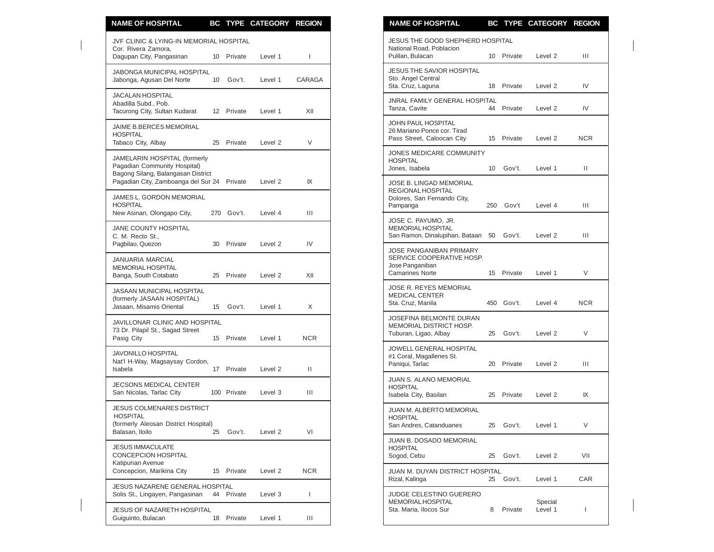| <b>NAME OF HOSPITAL</b>                                                                            |    |                          | BC TYPE CATEGORY REGION |              | <b>NAME OF HOSPITAL</b>                                                                           |    |            | BC TYPE CATEGORY REGION |              |
|----------------------------------------------------------------------------------------------------|----|--------------------------|-------------------------|--------------|---------------------------------------------------------------------------------------------------|----|------------|-------------------------|--------------|
| JVF CLINIC & LYING-IN MEMORIAL HOSPITAL                                                            |    |                          |                         |              | JESUS THE GOOD SHEPHERD HOSPITAL                                                                  |    |            |                         |              |
| Cor. Rivera Zamora.<br>Dagupan City, Pangasinan                                                    |    | 10 Private               | Level 1                 |              | National Road, Poblacion<br>Pulilan, Bulacan                                                      |    | 10 Private | Level 2                 | Ш            |
| <b>JABONGA MUNICIPAL HOSPITAL</b><br>Jabonga, Agusan Del Norte                                     | 10 | Gov't.                   | Level 1                 | CARAGA       | <b>JESUS THE SAVIOR HOSPITAL</b><br>Sto. Angel Central<br>Sta. Cruz, Laguna                       |    | 18 Private | Level 2                 | IV           |
| <b>JACALAN HOSPITAL</b><br>Abadilla Subd., Pob.<br>Tacurong City, Sultan Kudarat                   |    | 12 Private               | Level 1                 | XII          | <b>JNRAL FAMILY GENERAL HOSPITAL</b><br>Tanza, Cavite                                             | 44 | Private    | Level <sub>2</sub>      | IV           |
| JAIME B.BERCES MEMORIAL<br><b>HOSPITAL</b><br>Tabaco City, Albay                                   |    | 25 Private               | Level 2                 | V            | JOHN PAUL HOSPITAL<br>26 Mariano Ponce cor. Tirad<br>Pass Street, Caloocan City                   |    | 15 Private | Level 2                 | <b>NCR</b>   |
| JAMELARIN HOSPITAL (formerly<br>Pagadian Community Hospital)<br>Bagong Silang, Balangasan District |    |                          |                         |              | JONES MEDICARE COMMUNITY<br><b>HOSPITAL</b><br>Jones, Isabela                                     | 10 | Gov't.     | Level 1                 | Ш            |
| Pagadian City, Zamboanga del Sur 24 Private<br>JAMES L. GORDON MEMORIAL                            |    |                          | Level 2                 | IX           | JOSE B. LINGAD MEMORIAL<br><b>REGIONAL HOSPITAL</b><br>Dolores, San Fernando City,                |    |            |                         |              |
| <b>HOSPITAL</b><br>New Asinan, Olongapo City,                                                      |    | 270 Gov't.               | Level 4                 | Ш            | Pampanga                                                                                          |    | 250 Gov't  | Level 4                 | Ш            |
| <b>JANE COUNTY HOSPITAL</b><br>C. M. Recto St.,                                                    |    |                          |                         |              | JOSE C. PAYUMO, JR.<br><b>MEMORIAL HOSPITAL</b><br>San Ramon, Dinalupihan, Bataan                 | 50 | Gov't.     | Level 2                 | Ш            |
| Pagbilao, Quezon<br><b>JANUARIA MARCIAL</b><br><b>MEMORIAL HOSPITAL</b><br>Banga, South Cotabato   |    | 30 Private<br>25 Private | Level 2<br>Level 2      | IV<br>XII    | JOSE PANGANIBAN PRIMARY<br>SERVICE COOPERATIVE HOSP.<br>Jose Panganiban<br><b>Camarines Norte</b> |    | 15 Private | Level 1                 | V            |
| JASAAN MUNICIPAL HOSPITAL<br>(formerly JASAAN HOSPITAL)                                            |    |                          |                         |              | <b>JOSE R. REYES MEMORIAL</b><br><b>MEDICAL CENTER</b><br>Sta. Cruz, Manila                       |    | 450 Gov't. | Level 4                 | <b>NCR</b>   |
| Jasaan, Misamis Oriental                                                                           |    | 15 Gov't.                | Level 1                 | X            | JOSEFINA BELMONTE DURAN                                                                           |    |            |                         |              |
| JAVILLONAR CLINIC AND HOSPITAL<br>73 Dr. Pilapil St., Sagad Street<br>Pasig City                   |    | 15 Private               | Level 1                 | <b>NCR</b>   | MEMORIAL DISTRICT HOSP.<br>Tuburan, Ligao, Albay                                                  | 25 | Gov't.     | Level 2                 | $\vee$       |
| <b>JAVONILLO HOSPITAL</b><br>Nat'l H-Way, Magsaysay Cordon,<br>Isabela                             |    | 17 Private               | Level 2                 | Ш            | <b>JOWELL GENERAL HOSPITAL</b><br>#1 Coral, Magallenes St.<br>Paniqui, Tarlac                     |    | 20 Private | Level 2                 | Ш            |
| JECSONS MEDICAL CENTER<br>San Nicolas, Tarlac City                                                 |    | 100 Private              | Level 3                 | Ш            | <b>JUAN S. ALANO MEMORIAL</b><br><b>HOSPITAL</b><br>Isabela City, Basilan                         |    | 25 Private | Level 2                 | IX           |
| <b>JESUS COLMENARES DISTRICT</b><br><b>HOSPITAL</b><br>(formerly Aleosan District Hospital)        |    |                          |                         |              | JUAN M. ALBERTO MEMORIAL<br><b>HOSPITAL</b><br>San Andres, Catanduanes                            | 25 | Gov't.     | Level 1                 | V            |
| Balasan, Iloilo                                                                                    | 25 | Gov't.                   | Level 2                 | VI           | JUAN B. DOSADO MEMORIAL                                                                           |    |            |                         |              |
| <b>JESUS IMMACULATE</b><br>CONCEPCION HOSPITAL<br>Katipunan Avenue                                 |    |                          |                         |              | <b>HOSPITAL</b><br>Sogod, Cebu                                                                    | 25 | Gov't.     | Level 2                 | VII          |
| Concepcion, Marikina City                                                                          |    | 15 Private               | Level 2                 | <b>NCR</b>   | JUAN M. DUYAN DISTRICT HOSPITAL<br>Rizal, Kalinga                                                 |    | 25 Gov't.  | Level 1                 | CAR          |
| <b>JESUS NAZARENE GENERAL HOSPITAL</b><br>Solis St., Lingayen, Pangasinan                          | 44 | Private                  | Level 3                 | $\mathbf{I}$ | JUDGE CELESTINO GUERERO                                                                           |    |            |                         |              |
| JESUS OF NAZARETH HOSPITAL<br>Guiguinto, Bulacan                                                   |    | 18 Private               | Level 1                 | Ш            | MEMORIAL HOSPITAL<br>Sta. Maria, Ilocos Sur                                                       | 8  | Private    | Special<br>Level 1      | $\mathbf{I}$ |

| <b>NAME OF HOSPITAL</b>                                                                           |                 |         | BC TYPE CATEGORY REGION |      |
|---------------------------------------------------------------------------------------------------|-----------------|---------|-------------------------|------|
| JESUS THE GOOD SHEPHERD HOSPITAL<br>National Road, Poblacion<br>Pulilan, Bulacan                  | 10 <sup>1</sup> | Private | Level 2                 | Ш    |
|                                                                                                   |                 |         |                         |      |
| JESUS THE SAVIOR HOSPITAL<br>Sto. Angel Central<br>Sta. Cruz, Laguna                              | 18              | Private | Level 2                 | IV   |
| JNRAL FAMILY GENERAL HOSPITAL<br>Tanza, Cavite                                                    | 44              | Private | Level 2                 | IV   |
| JOHN PAUL HOSPITAL<br>26 Mariano Ponce cor. Tirad<br>Pass Street, Caloocan City                   | 15              | Private | Level 2                 | NCR. |
| JONES MEDICARE COMMUNITY<br><b>HOSPITAL</b><br>Jones, Isabela                                     | 10 <sup>1</sup> | Gov't.  | Level 1                 | Ш    |
| JOSE B. LINGAD MEMORIAL<br>REGIONAL HOSPITAL<br>Dolores, San Fernando City,<br>Pampanga           | 250             | Gov't   | Level 4                 | Ш    |
| JOSE C. PAYUMO, JR.<br><b>MEMORIAL HOSPITAL</b><br>San Ramon, Dinalupihan, Bataan                 | 50              | Gov't.  | Level 2                 | Ш    |
| JOSE PANGANIBAN PRIMARY<br>SERVICE COOPERATIVE HOSP.<br>Jose Panganiban<br><b>Camarines Norte</b> | 15              | Private | Level 1                 | V    |
| JOSE R. REYES MEMORIAL<br><b>MEDICAL CENTER</b><br>Sta. Cruz, Manila                              | 450             | Gov't.  | Level 4                 | NCR. |
| JOSEFINA BELMONTE DURAN<br>MEMORIAL DISTRICT HOSP.<br>Tuburan, Ligao, Albay                       | 25              | Gov't.  | Level 2                 | V    |
| JOWELL GENERAL HOSPITAL<br>#1 Coral, Magallenes St.<br>Paniqui, Tarlac                            | 20              | Private | Level 2                 | Ш    |
| JUAN S. ALANO MEMORIAL<br><b>HOSPITAL</b><br>Isabela City, Basilan                                | 25              | Private | Level 2                 | IX   |
| <b>JUAN M. ALBERTO MEMORIAL</b><br><b>HOSPITAL</b><br>San Andres, Catanduanes                     | 25              | Gov't.  | Level 1                 | V    |
| JUAN B. DOSADO MEMORIAL<br><b>HOSPITAL</b><br>Sogod, Cebu                                         | 25              | Gov't.  | Level 2                 | VII  |
| JUAN M. DUYAN DISTRICT HOSPITAL<br>Rizal, Kalinga                                                 | 25              | Gov't.  | Level 1                 | CAR  |
| JUDGE CELESTINO GUERERO<br><b>MEMORIAL HOSPITAL</b><br>Sta. Maria, Ilocos Sur                     | 8               | Private | Special<br>Level 1      | L    |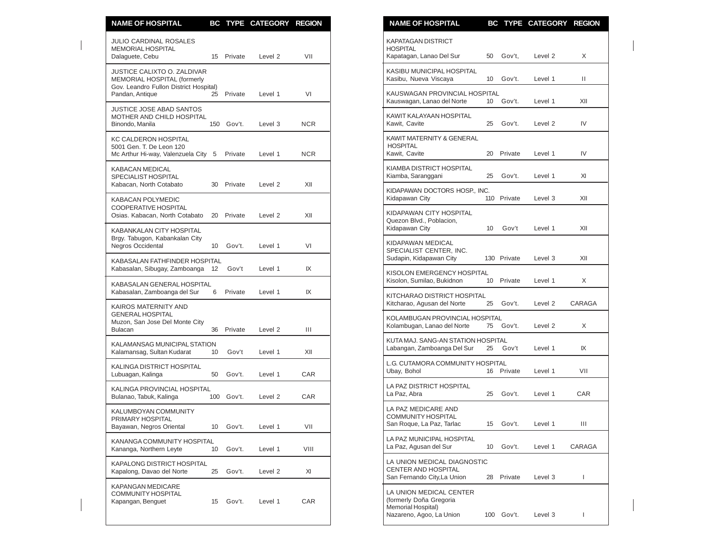| <b>NAME OF HOSPITAL</b>                                                                             |                 |            | BC TYPE CATEGORY REGION |            | <b>NAME OF HOSPITAL</b><br>BC TYPE CATEGORY REGION                                                                             |              |
|-----------------------------------------------------------------------------------------------------|-----------------|------------|-------------------------|------------|--------------------------------------------------------------------------------------------------------------------------------|--------------|
| <b>JULIO CARDINAL ROSALES</b><br>MEMORIAL HOSPITAL<br>Dalaguete, Cebu                               |                 | 15 Private | Level 2                 | VII        | <b>KAPATAGAN DISTRICT</b><br><b>HOSPITAL</b><br>Kapatagan, Lanao Del Sur<br>50 Gov't,<br>Level 2                               | X            |
| JUSTICE CALIXTO O. ZALDIVAR<br>MEMORIAL HOSPITAL (formerly                                          |                 |            |                         |            | KASIBU MUNICIPAL HOSPITAL<br>Kasibu, Nueva Viscaya<br>10<br>Gov't.<br>Level 1                                                  | Ш            |
| Gov. Leandro Fullon District Hospital)<br>Pandan, Antique                                           |                 | 25 Private | Level 1                 | VI         | KAUSWAGAN PROVINCIAL HOSPITAL<br>Kauswagan, Lanao del Norte<br>10 <sup>°</sup><br>Gov't.<br>Level 1                            | XII          |
| <b>JUSTICE JOSE ABAD SANTOS</b><br>MOTHER AND CHILD HOSPITAL<br>Binondo, Manila                     |                 | 150 Gov't. | Level 3                 | <b>NCR</b> | KAWIT KALAYAAN HOSPITAL<br>Kawit, Cavite<br>25<br>Gov't.<br>Level 2                                                            | IV           |
| <b>KC CALDERON HOSPITAL</b><br>5001 Gen. T. De Leon 120<br>Mc Arthur Hi-way, Valenzuela City 5      |                 | Private    | Level 1                 | <b>NCR</b> | <b>KAWIT MATERNITY &amp; GENERAL</b><br><b>HOSPITAL</b><br>Kawit, Cavite<br>20 Private<br>Level 1                              | IV           |
| <b>KABACAN MEDICAL</b><br>SPECIALIST HOSPITAL                                                       |                 | 30 Private |                         |            | KIAMBA DISTRICT HOSPITAL<br>Gov't.<br>Kiamba, Saranggani<br>25<br>Level 1                                                      | XI           |
| Kabacan, North Cotabato<br><b>KABACAN POLYMEDIC</b>                                                 |                 |            | Level 2                 | XII        | KIDAPAWAN DOCTORS HOSP., INC.<br>110 Private<br>Kidapawan City<br>Level 3                                                      | XII          |
| COOPERATIVE HOSPITAL<br>Osias. Kabacan, North Cotabato                                              |                 | 20 Private | Level 2                 | XII        | KIDAPAWAN CITY HOSPITAL<br>Quezon Blvd., Poblacion,                                                                            |              |
| KABANKALAN CITY HOSPITAL<br>Brgy. Tabugon, Kabankalan City<br>Negros Occidental                     | 10 <sup>1</sup> | Gov't.     | Level 1                 | VI         | Kidapawan City<br>Gov't<br>Level 1<br>10<br>KIDAPAWAN MEDICAL<br>SPECIALIST CENTER, INC.                                       | XII          |
| KABASALAN FATHFINDER HOSPITAL<br>Kabasalan, Sibugay, Zamboanga 12                                   |                 | Gov't      | Level 1                 | IX         | 130 Private<br>Sudapin, Kidapawan City<br>Level 3                                                                              | XII          |
| KABASALAN GENERAL HOSPITAL                                                                          |                 |            |                         |            | KISOLON EMERGENCY HOSPITAL<br>Kisolon, Sumilao, Bukidnon<br>10 Private<br>Level 1                                              | X            |
| Kabasalan, Zamboanga del Sur                                                                        | 6               | Private    | Level 1                 | IX         | KITCHARAO DISTRICT HOSPITAL<br>Kitcharao, Agusan del Norte<br>25<br>Gov't.<br>Level <sub>2</sub>                               | CARAGA       |
| KAIROS MATERNITY AND<br><b>GENERAL HOSPITAL</b><br>Muzon, San Jose Del Monte City<br><b>Bulacan</b> | 36              | Private    | Level 2                 | Ш          | KOLAMBUGAN PROVINCIAL HOSPITAL<br>Kolambugan, Lanao del Norte<br>75 Gov't.<br>Level 2                                          | X            |
| KALAMANSAG MUNICIPAL STATION<br>Kalamansag, Sultan Kudarat                                          | 10              | Gov't      | Level 1                 | XII        | KUTA MAJ. SANG-AN STATION HOSPITAL<br>Labangan, Zamboanga Del Sur<br>25 Gov't<br>Level 1                                       | IX           |
| KALINGA DISTRICT HOSPITAL<br>Lubuagan, Kalinga                                                      | 50              | Gov't.     | Level 1                 | <b>CAR</b> | L.G. CUTAMORA COMMUNITY HOSPITAL<br>Ubay, Bohol<br>16 Private<br>Level 1                                                       | VII          |
| KALINGA PROVINCIAL HOSPITAL<br>Bulanao, Tabuk, Kalinga                                              |                 | 100 Gov't. | Level 2                 | <b>CAR</b> | LA PAZ DISTRICT HOSPITAL<br>Gov't.<br>La Paz, Abra<br>25<br>Level 1                                                            | CAR          |
| KALUMBOYAN COMMUNITY<br>PRIMARY HOSPITAL<br>Bayawan, Negros Oriental                                | 10              | Gov't.     | Level 1                 | VII        | LA PAZ MEDICARE AND<br><b>COMMUNITY HOSPITAL</b><br>San Roque, La Paz, Tarlac<br>Gov't.<br>Level 1<br>15                       | Ш            |
| KANANGA COMMUNITY HOSPITAL<br>Kananga, Northern Leyte                                               | 10              | Gov't.     | Level 1                 | VIII       | LA PAZ MUNICIPAL HOSPITAL<br>Gov't.<br>La Paz, Agusan del Sur<br>10<br>Level 1                                                 | CARAGA       |
| KAPALONG DISTRICT HOSPITAL<br>Kapalong, Davao del Norte                                             | 25              | Gov't.     | Level 2                 | XI         | LA UNION MEDICAL DIAGNOSTIC<br>CENTER AND HOSPITAL<br>San Fernando City, La Union<br>Private<br>Level 3<br>28                  | $\mathbf{I}$ |
| KAPANGAN MEDICARE<br>COMMUNITY HOSPITAL<br>Kapangan, Benguet                                        | 15              | Gov't.     | Level 1                 | CAR        | LA UNION MEDICAL CENTER<br>(formerly Doña Gregoria<br>Memorial Hospital)<br>Nazareno, Agoo, La Union<br>$100$ Gov't<br>level 3 |              |

| <u>NAME OF HOSPITAL</u>                                                                              | ВG              | <u>IYPE</u> | <b>CAI EGORY</b>   | <b>KEGIUN</b> |
|------------------------------------------------------------------------------------------------------|-----------------|-------------|--------------------|---------------|
| <b>KAPATAGAN DISTRICT</b><br><b>HOSPITAL</b><br>Kapatagan, Lanao Del Sur                             | 50              | Gov't,      | Level <sub>2</sub> | X             |
| KASIBU MUNICIPAL HOSPITAL                                                                            |                 |             |                    |               |
| Kasibu, Nueva Viscaya                                                                                | 10              | Gov't.      | Level 1            | Ш             |
| KAUSWAGAN PROVINCIAL HOSPITAL<br>Kauswagan, Lanao del Norte                                          | 10              | Gov't.      | Level 1            | XII           |
| KAWIT KALAYAAN HOSPITAL<br>Kawit, Cavite                                                             | 25              | Gov't.      | Level 2            | IV            |
| KAWIT MATERNITY & GENERAL<br><b>HOSPITAL</b>                                                         |                 |             |                    |               |
| Kawit, Cavite                                                                                        | 20              | Private     | Level 1            | IV            |
| KIAMBA DISTRICT HOSPITAL<br>Kiamba, Saranggani                                                       | 25              | Gov't.      | Level 1            | XI            |
| KIDAPAWAN DOCTORS HOSP., INC.<br>Kidapawan City                                                      |                 | 110 Private | Level 3            | XII           |
| KIDAPAWAN CITY HOSPITAL<br>Quezon Blvd., Poblacion.<br>Kidapawan City                                | 10 <sup>°</sup> | Gov't       | Level 1            | XII           |
| KIDAPAWAN MEDICAL<br>SPECIALIST CENTER, INC.<br>Sudapin, Kidapawan City                              |                 | 130 Private | Level 3            | XII           |
| KISOLON EMERGENCY HOSPITAL<br>Kisolon, Sumilao, Bukidnon                                             | 10              | Private     | Level 1            | X             |
| KITCHARAO DISTRICT HOSPITAL<br>Kitcharao, Agusan del Norte                                           | 25              | Gov't.      | Level 2            | CARAGA        |
| KOLAMBUGAN PROVINCIAL HOSPITAL<br>Kolambugan, Lanao del Norte                                        | 75              | Gov't.      | Level 2            | X             |
| KUTA MAJ. SANG-AN STATION HOSPITAL<br>Labangan, Zamboanga Del Sur                                    | 25              | Gov't       | Level 1            | IX            |
| L.G. CUTAMORA COMMUNITY HOSPITAL<br>Ubay, Bohol                                                      | 16              | Private     | Level 1            | VII           |
| LA PAZ DISTRICT HOSPITAL<br>La Paz. Abra                                                             | 25              | Gov't.      | Level 1            | CAR           |
| LA PAZ MEDICARE AND<br><b>COMMUNITY HOSPITAL</b><br>San Roque, La Paz, Tarlac                        | 15              | Gov't.      | Level 1            | Ш             |
| LA PAZ MUNICIPAL HOSPITAL<br>La Paz, Agusan del Sur                                                  | 10              | Gov't.      | Level 1            | CARAGA        |
| LA UNION MEDICAL DIAGNOSTIC<br><b>CENTER AND HOSPITAL</b><br>San Fernando City, La Union             | 28              | Private     | Level 3            | I             |
| LA UNION MEDICAL CENTER<br>(formerly Doña Gregoria<br>Memorial Hospital)<br>Nazareno, Agoo, La Union | 100             | Gov't.      | Level 3            | I             |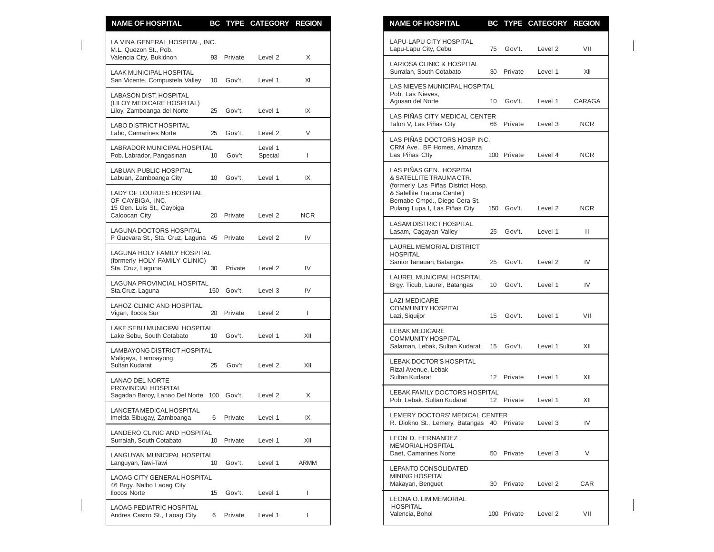| <b>NAME OF HOSPITAL</b>                                                                    |                 |            | BC TYPE CATEGORY REGION |              | <b>NAME OF HOSPITAL</b><br>BC TYPE CATEGORY REGION                                                                                                          |            |
|--------------------------------------------------------------------------------------------|-----------------|------------|-------------------------|--------------|-------------------------------------------------------------------------------------------------------------------------------------------------------------|------------|
| LA VINA GENERAL HOSPITAL, INC.<br>M.L. Quezon St., Pob.                                    |                 |            |                         |              | <b>LAPU-LAPU CITY HOSPITAL</b><br>Gov't.<br>Lapu-Lapu City, Cebu<br>75<br>Level 2                                                                           | VII        |
| Valencia City, Bukidnon<br><b>LAAK MUNICIPAL HOSPITAL</b>                                  | 93              | Private    | Level <sub>2</sub>      | X            | <b>LARIOSA CLINIC &amp; HOSPITAL</b><br>Surralah, South Cotabato<br>Private<br>30<br>Level 1                                                                | XII        |
| San Vicente, Compustela Valley                                                             | 10 <sup>1</sup> | Gov't.     | Level 1                 | XI           | LAS NIEVES MUNICIPAL HOSPITAL                                                                                                                               |            |
| <b>LABASON DIST. HOSPITAL</b><br>(LILOY MEDICARE HOSPITAL)<br>Liloy, Zamboanga del Norte   | 25              | Gov't.     | Level 1                 | IX           | Pob. Las Nieves,<br>Agusan del Norte<br>Gov't.<br>Level 1<br>10                                                                                             | CARAGA     |
| LABO DISTRICT HOSPITAL<br>Labo. Camarines Norte                                            | 25              | Gov't.     | Level 2                 | V            | LAS PIÑAS CITY MEDICAL CENTER<br>Talon V, Las Piñas City<br>Private<br>66<br>Level 3                                                                        | <b>NCR</b> |
| <b>LABRADOR MUNICIPAL HOSPITAL</b><br>Pob. Labrador, Pangasinan                            | 10 <sup>°</sup> | Gov't      | Level 1<br>Special      | T            | LAS PIÑAS DOCTORS HOSP INC.<br>CRM Ave., BF Homes, Almanza<br>Las Piñas Clty<br>100 Private<br>Level 4                                                      | <b>NCR</b> |
| LABUAN PUBLIC HOSPITAL<br>Labuan, Zamboanga City                                           | 10              | Gov't.     | Level 1                 | IX           | LAS PIÑAS GEN. HOSPITAL<br>& SATELLITE TRAUMA CTR.                                                                                                          |            |
| LADY OF LOURDES HOSPITAL<br>OF CAYBIGA, INC.<br>15 Gen. Luis St., Caybiga<br>Caloocan City |                 | 20 Private | Level 2                 | <b>NCR</b>   | (formerly Las Piñas District Hosp.<br>& Satellite Trauma Center)<br>Bernabe Cmpd., Diego Cera St.<br>Pulang Lupa I, Las Piñas City<br>150 Gov't.<br>Level 2 | <b>NCR</b> |
| LAGUNA DOCTORS HOSPITAL<br>P Guevara St., Sta. Cruz, Laguna 45                             |                 | Private    | Level 2                 | IV           | <b>LASAM DISTRICT HOSPITAL</b><br>Lasam, Cagayan Valley<br>25<br>Gov't.<br>Level 1                                                                          | Ш          |
| LAGUNA HOLY FAMILY HOSPITAL<br>(formerly HOLY FAMILY CLINIC)<br>Sta. Cruz, Laguna          | 30              | Private    | Level 2                 | IV           | LAUREL MEMORIAL DISTRICT<br><b>HOSPITAL</b><br>Santor Tanauan, Batangas<br>Gov't.<br>25<br>Level 2                                                          | IV         |
| LAGUNA PROVINCIAL HOSPITAL<br>Sta.Cruz, Laguna                                             |                 | 150 Gov't. | Level 3                 | IV           | LAUREL MUNICIPAL HOSPITAL<br>Brgy. Ticub, Laurel, Batangas<br>10 Gov't.<br>Level 1                                                                          | IV         |
| LAHOZ CLINIC AND HOSPITAL<br>Vigan, Ilocos Sur                                             | 20              | Private    | Level 2                 | $\mathbf{I}$ | <b>LAZI MEDICARE</b><br><b>COMMUNITY HOSPITAL</b><br>Gov't.<br>Lazi, Siquijor<br>15<br>Level 1                                                              | VII        |
| LAKE SEBU MUNICIPAL HOSPITAL<br>Lake Sebu, South Cotabato                                  | 10              | Gov't.     | Level 1                 | XII          | <b>LEBAK MEDICARE</b><br><b>COMMUNITY HOSPITAL</b>                                                                                                          |            |
| LAMBAYONG DISTRICT HOSPITAL<br>Maligaya, Lambayong,                                        |                 |            |                         |              | Salaman, Lebak, Sultan Kudarat<br>Gov't.<br>Level 1<br>15                                                                                                   | XII        |
| Sultan Kudarat<br><b>LANAO DEL NORTE</b>                                                   | 25              | Gov't      | Level 2                 | XII          | <b>LEBAK DOCTOR'S HOSPITAL</b><br>Rizal Avenue, Lebak<br>Sultan Kudarat<br>12 Private<br>Level 1                                                            | XII        |
| PROVINCIAL HOSPITAL<br>Sagadan Baroy, Lanao Del Norte 100 Gov't.                           |                 |            | Level 2                 | X            | <b>LEBAK FAMILY DOCTORS HOSPITAL</b><br>12 Private<br>Pob. Lebak, Sultan Kudarat<br>Level 1                                                                 | XII        |
| LANCETA MEDICAL HOSPITAL<br>Imelda Sibugay, Zamboanga                                      | 6               | Private    | Level 1                 | IX           | LEMERY DOCTORS' MEDICAL CENTER<br>R. Diokno St., Lemery, Batangas 40 Private<br>Level 3                                                                     | IV         |
| LANDERO CLINIC AND HOSPITAL<br>Surralah, South Cotabato                                    | 10              | Private    | Level 1                 | XII          | LEON D. HERNANDEZ<br>MEMORIAL HOSPITAL                                                                                                                      |            |
| LANGUYAN MUNICIPAL HOSPITAL<br>Languyan, Tawi-Tawi                                         | 10              | Gov't.     | Level 1                 | ARMM         | Daet, Camarines Norte<br>50 Private<br>Level 3<br>LEPANTO CONSOLIDATED                                                                                      | V          |
| LAOAG CITY GENERAL HOSPITAL<br>46 Brgy. Nalbo Laoag City<br><b>Ilocos Norte</b>            |                 |            |                         | I.           | MINING HOSPITAL<br>Makayan, Benguet<br>30 Private<br>Level 2                                                                                                | CAR        |
|                                                                                            | 15              | Gov't.     | Level 1                 |              | LEONA O. LIM MEMORIAL<br><b>HOSPITAL</b>                                                                                                                    | VII        |
| <b>LAOAG PEDIATRIC HOSPITAL</b><br>Andres Castro St., Laoag City                           | 6               | Private    | Level 1                 | $\mathbf{I}$ | Valencia, Bohol<br>100 Private<br>Level 2                                                                                                                   |            |

| N | <b>NAME OF HOSPITAL</b>                                                                                                                                                                  |    |             | BC TYPE CATEGORY REGION |            |
|---|------------------------------------------------------------------------------------------------------------------------------------------------------------------------------------------|----|-------------|-------------------------|------------|
|   | LAPU-LAPU CITY HOSPITAL<br>Lapu-Lapu City, Cebu                                                                                                                                          | 75 | Gov't.      | Level <sub>2</sub>      | VII        |
|   | LARIOSA CLINIC & HOSPITAL<br>Surralah, South Cotabato                                                                                                                                    | 30 | Private     | Level 1                 | XII        |
|   | LAS NIEVES MUNICIPAL HOSPITAL<br>Pob. Las Nieves,<br>Agusan del Norte                                                                                                                    | 10 | Gov't.      | Level 1                 | CARAGA     |
|   | LAS PIÑAS CITY MEDICAL CENTER<br>Talon V, Las Piñas City                                                                                                                                 | 66 | Private     | Level 3                 | NCR        |
|   | LAS PIÑAS DOCTORS HOSP INC.<br>CRM Ave., BF Homes, Almanza<br>Las Piñas Clty                                                                                                             |    | 100 Private | Level 4                 | NCR        |
|   | LAS PIÑAS GEN. HOSPITAL<br>& SATELLITE TRAUMA CTR.<br>(formerly Las Piñas District Hosp.<br>& Satellite Trauma Center)<br>Bernabe Cmpd., Diego Cera St.<br>Pulang Lupa I, Las Piñas City |    | 150 Gov't.  | Level 2                 | NCR        |
|   | LASAM DISTRICT HOSPITAL<br>Lasam, Cagayan Valley                                                                                                                                         | 25 | Gov't.      | Level 1                 | Ш.         |
|   | LAUREL MEMORIAL DISTRICT<br><b>HOSPITAL</b><br>Santor Tanauan, Batangas                                                                                                                  | 25 | Gov't.      | Level 2                 | IV         |
|   | LAUREL MUNICIPAL HOSPITAL<br>Brgy. Ticub, Laurel, Batangas                                                                                                                               | 10 | Gov't.      | Level 1                 | IV         |
|   | <b>LAZI MEDICARE</b><br>COMMUNITY HOSPITAL<br>Lazi, Siquijor                                                                                                                             | 15 | Gov't.      | Level 1                 | VII        |
|   | <b>LEBAK MEDICARE</b><br>COMMUNITY HOSPITAL<br>Salaman, Lebak, Sultan Kudarat                                                                                                            | 15 | Gov't.      | Level 1                 | XII        |
|   | LEBAK DOCTOR'S HOSPITAL<br>Rizal Avenue, Lebak<br>Sultan Kudarat                                                                                                                         | 12 | Private     | Level 1                 | XII        |
|   | LEBAK FAMILY DOCTORS HOSPITAL<br>Pob. Lebak, Sultan Kudarat                                                                                                                              |    | 12 Private  | Level 1                 | XII        |
|   | LEMERY DOCTORS' MEDICAL CENTER<br>R. Diokno St., Lemery, Batangas 40 Private                                                                                                             |    |             | Level 3                 | IV         |
|   | LEON D. HERNANDEZ<br><b>MEMORIAL HOSPITAL</b><br>Daet, Camarines Norte                                                                                                                   | 50 | Private     | Level 3                 | V          |
|   | LEPANTO CONSOLIDATED<br><b>MINING HOSPITAL</b><br>Makayan, Benguet                                                                                                                       | 30 | Private     | Level 2                 | <b>CAR</b> |
|   | LEONA O. LIM MEMORIAL<br><b>HOSPITAL</b><br>Valencia, Bohol                                                                                                                              |    | 100 Private | Level 2                 | VII        |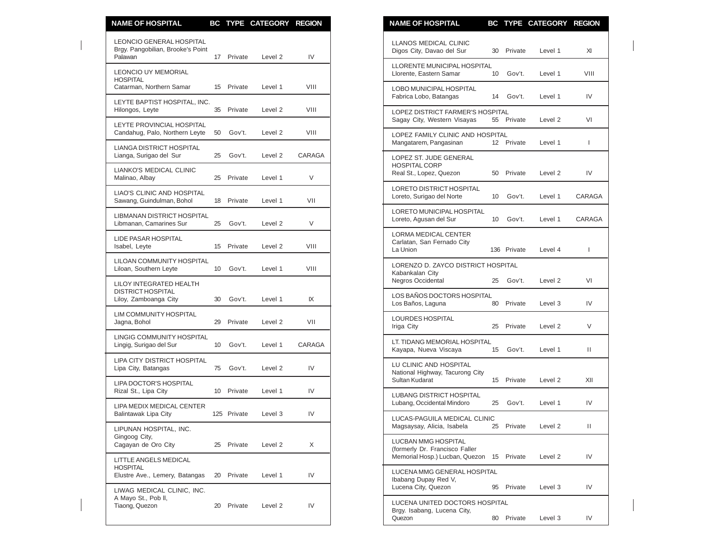| <b>NAME OF HOSPITAL</b>                                                         |                 |             | BC TYPE CATEGORY REGION |        | <b>NAME OF HOSPITAL</b><br>BC TYPE CATEGORY REGION                                                           |              |
|---------------------------------------------------------------------------------|-----------------|-------------|-------------------------|--------|--------------------------------------------------------------------------------------------------------------|--------------|
| <b>LEONCIO GENERAL HOSPITAL</b><br>Brgy. Pangobilian, Brooke's Point<br>Palawan |                 | 17 Private  | Level 2                 | IV     | <b>LLANOS MEDICAL CLINIC</b><br>Digos City, Davao del Sur<br>30<br>Private<br>Level 1                        | XI           |
| <b>LEONCIO UY MEMORIAL</b><br><b>HOSPITAL</b>                                   |                 |             |                         |        | LLORENTE MUNICIPAL HOSPITAL<br>Llorente, Eastern Samar<br>10 Gov't.<br>Level 1                               | VIII         |
| Catarman, Northern Samar<br>LEYTE BAPTIST HOSPITAL, INC.                        |                 | 15 Private  | Level 1                 | VIII   | LOBO MUNICIPAL HOSPITAL<br>Fabrica Lobo, Batangas<br>Gov't.<br>14<br>Level 1                                 | IV           |
| Hilongos, Leyte                                                                 |                 | 35 Private  | Level 2                 | VIII   | LOPEZ DISTRICT FARMER'S HOSPITAL<br>Sagay City, Western Visayas<br>55 Private<br>Level 2                     | VI           |
| LEYTE PROVINCIAL HOSPITAL<br>Candahug, Palo, Northern Leyte                     | 50              | Gov't.      | Level 2                 | VIII   | LOPEZ FAMILY CLINIC AND HOSPITAL                                                                             |              |
| <b>LIANGA DISTRICT HOSPITAL</b><br>Lianga, Surigao del Sur                      | 25              | Gov't.      | Level 2                 | CARAGA | Mangatarem, Pangasinan<br>12 Private<br>Level 1<br>LOPEZ ST. JUDE GENERAL                                    | $\mathbf{I}$ |
| LIANKO'S MEDICAL CLINIC<br>Malinao, Albay                                       |                 | 25 Private  | Level 1                 | V      | <b>HOSPITAL CORP</b><br>Real St., Lopez, Quezon<br>50<br>Private<br>Level 2                                  | IV           |
| LIAO'S CLINIC AND HOSPITAL<br>Sawang, Guindulman, Bohol                         | 18              | Private     | Level 1                 | VII    | <b>LORETO DISTRICT HOSPITAL</b><br>Loreto, Surigao del Norte<br>10 <sup>°</sup><br>Gov't.<br>Level 1         | CARAG/       |
| <b>LIBMANAN DISTRICT HOSPITAL</b><br>Libmanan, Camarines Sur                    | 25              | Gov't.      | Level 2                 | V      | <b>LORETO MUNICIPAL HOSPITAL</b><br>Loreto, Agusan del Sur<br>10 Gov't.<br>Level 1                           | CARAG/       |
| <b>LIDE PASAR HOSPITAL</b><br>Isabel, Leyte                                     |                 | 15 Private  | Level <sub>2</sub>      | VIII   | <b>LORMA MEDICAL CENTER</b><br>Carlatan, San Fernado City<br>La Union<br>136 Private<br>Level 4              | $\mathsf{I}$ |
| LILOAN COMMUNITY HOSPITAL<br>Liloan, Southern Leyte                             |                 | 10 Gov't.   | Level 1                 | VIII   | LORENZO D. ZAYCO DISTRICT HOSPITAL<br>Kabankalan City                                                        |              |
| LILOY INTEGRATED HEALTH<br><b>DISTRICT HOSPITAL</b>                             |                 |             |                         |        | Negros Occidental<br>Gov't.<br>Level 2<br>25                                                                 | VI           |
| Liloy, Zamboanga City                                                           | 30              | Gov't.      | Level 1                 | IX     | LOS BAÑOS DOCTORS HOSPITAL<br>Los Baños, Laguna<br>80<br>Private<br>Level 3                                  | IV           |
| LIM COMMUNITY HOSPITAL<br>Jagna, Bohol                                          |                 | 29 Private  | Level 2                 | VII    | LOURDES HOSPITAL<br>Iriga City<br>25<br>Private<br>Level 2                                                   | V            |
| LINGIG COMMUNITY HOSPITAL<br>Lingig, Surigao del Sur                            | 10 <sup>°</sup> | Gov't.      | Level 1                 | CARAGA | LT. TIDANG MEMORIAL HOSPITAL<br>Kayapa, Nueva Viscaya<br>15 Gov't.<br>Level 1                                | $\mathbf{H}$ |
| LIPA CITY DISTRICT HOSPITAL<br>Lipa City, Batangas                              | 75              | Gov't.      | Level 2                 | IV     | LU CLINIC AND HOSPITAL<br>National Highway, Tacurong City                                                    |              |
| LIPA DOCTOR'S HOSPITAL<br>Rizal St., Lipa City                                  |                 | 10 Private  | Level 1                 | IV     | Sultan Kudarat<br>15 Private<br>Level 2<br><b>LUBANG DISTRICT HOSPITAL</b>                                   | XII          |
| LIPA MEDIX MEDICAL CENTER<br>Balintawak Lipa City                               |                 | 125 Private | Level 3                 | IV     | Lubang, Occidental Mindoro<br>25 Gov't.<br>Level 1                                                           | IV           |
| LIPUNAN HOSPITAL, INC.                                                          |                 |             |                         |        | LUCAS-PAGUILA MEDICAL CLINIC<br>Magsaysay, Alicia, Isabela<br>25 Private<br>Level 2                          | Ш.           |
| Gingoog City,<br>Cagayan de Oro City                                            |                 | 25 Private  | Level <sub>2</sub>      | X      | <b>LUCBAN MMG HOSPITAL</b><br>(formerly Dr. Francisco Faller                                                 |              |
| LITTLE ANGELS MEDICAL<br><b>HOSPITAL</b>                                        |                 | 20 Private  |                         | IV     | Memorial Hosp.) Lucban, Quezon 15 Private<br>Level 2<br>LUCENA MMG GENERAL HOSPITAL                          | IV           |
| Elustre Ave., Lemery, Batangas<br>LIWAG MEDICAL CLINIC, INC.                    |                 |             | Level 1                 |        | Ibabang Dupay Red V,<br>Lucena City, Quezon<br>Private<br>95<br>Level 3                                      | IV           |
| A Mayo St., Pob II,<br>Tiaong, Quezon                                           |                 | 20 Private  | Level 2                 | IV     | LUCENA UNITED DOCTORS HOSPITAL<br>Brgy. Isabang, Lucena City,<br>Q <sub>II</sub><br>80 Private<br>$1$ avel 3 | $\mathbf{N}$ |

| <b>NAME OF HOSPITAL</b>                                                                 |    |             | BC TYPE CATEGORY REGION |        |
|-----------------------------------------------------------------------------------------|----|-------------|-------------------------|--------|
| <b>LLANOS MEDICAL CLINIC</b><br>Digos City, Davao del Sur                               | 30 | Private     | Level 1                 | XI     |
| LLORENTE MUNICIPAL HOSPITAL<br>Llorente, Eastern Samar                                  | 10 | Gov't.      | Level 1                 | VIII   |
| <b>LOBO MUNICIPAL HOSPITAL</b><br>Fabrica Lobo, Batangas                                | 14 | Gov't.      | Level 1                 | IV     |
| LOPEZ DISTRICT FARMER'S HOSPITAL<br>Sagay City, Western Visayas                         | 55 | Private     | Level 2                 | VI     |
| LOPEZ FAMILY CLINIC AND HOSPITAL<br>Mangatarem, Pangasinan                              | 12 | Private     | Level 1                 | L      |
| LOPEZ ST. JUDE GENERAL<br><b>HOSPITAL CORP</b><br>Real St., Lopez, Quezon               | 50 | Private     | Level 2                 | IV     |
| LORETO DISTRICT HOSPITAL<br>Loreto, Surigao del Norte                                   | 10 | Gov't.      | Level 1                 | CARAGA |
| LORETO MUNICIPAL HOSPITAL<br>Loreto, Agusan del Sur                                     | 10 | Gov't.      | Level 1                 | CARAGA |
| LORMA MEDICAL CENTER<br>Carlatan, San Fernado City<br>La Union                          |    | 136 Private | Level 4                 | L      |
| LORENZO D. ZAYCO DISTRICT HOSPITAL<br>Kabankalan City<br>Negros Occidental              | 25 | Gov't.      | Level 2                 | VI     |
| LOS BAÑOS DOCTORS HOSPITAL<br>Los Baños, Laguna                                         | 80 | Private     | Level 3                 | IV     |
| <b>LOURDES HOSPITAL</b><br>Iriga City                                                   | 25 | Private     | Level 2                 | V      |
| LT. TIDANG MEMORIAL HOSPITAL<br>Kayapa, Nueva Viscaya                                   | 15 | Gov't.      | Level 1                 | н      |
| LU CLINIC AND HOSPITAL<br>National Highway, Tacurong City<br>Sultan Kudarat             | 15 | Private     | Level <sub>2</sub>      | XII    |
| LUBANG DISTRICT HOSPITAL<br>Lubang, Occidental Mindoro                                  | 25 | Gov't.      | Level 1                 | IV     |
| LUCAS-PAGUILA MEDICAL CLINIC<br>Magsaysay, Alicia, Isabela                              | 25 | Private     | Level 2                 | Ш      |
| LUCBAN MMG HOSPITAL<br>(formerly Dr. Francisco Faller<br>Memorial Hosp.) Lucban, Quezon | 15 | Private     | Level <sub>2</sub>      | IV     |
| LUCENA MMG GENERAL HOSPITAL<br>Ibabang Dupay Red V,<br>Lucena City, Quezon              | 95 | Private     | Level 3                 | IV     |
| LUCENA UNITED DOCTORS HOSPITAL<br>Brgy. Isabang, Lucena City,<br>Quezon                 | 80 | Private     | Level 3                 | IV     |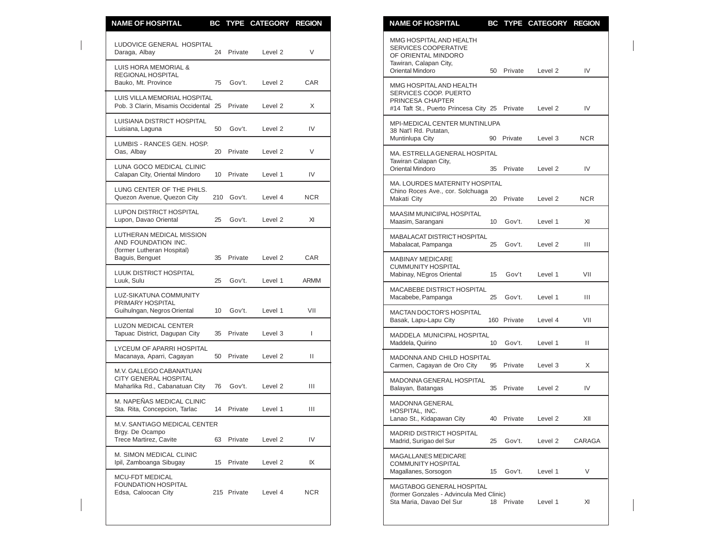| <b>NAME OF HOSPITAL</b>                                                            |    |             | BC TYPE CATEGORY REGION |              | <b>NAME OF HOSPITAL</b><br>BC TYPE CATEGORY REGION                                                                         |            |
|------------------------------------------------------------------------------------|----|-------------|-------------------------|--------------|----------------------------------------------------------------------------------------------------------------------------|------------|
| LUDOVICE GENERAL HOSPITAL<br>Daraga, Albay                                         |    | 24 Private  | Level <sub>2</sub>      | V            | MMG HOSPITAL AND HEALTH<br><b>SERVICES COOPERATIVE</b><br>OF ORIENTAL MINDORO                                              |            |
| LUIS HORA MEMORIAL &<br>REGIONAL HOSPITAL                                          |    |             |                         |              | Tawiran, Calapan City,<br>Oriental Mindoro<br>Private<br>Level 2<br>50                                                     | IV         |
| Bauko, Mt. Province<br>LUIS VILLA MEMORIAL HOSPITAL                                | 75 | Gov't.      | Level 2                 | CAR          | MMG HOSPITAL AND HEALTH<br>SERVICES COOP. PUERTO                                                                           |            |
| Pob. 3 Clarin, Misamis Occidental 25                                               |    | Private     | Level 2                 | X            | PRINCESA CHAPTER<br>#14 Taft St., Puerto Princesa City 25 Private<br>Level 2                                               | IV         |
| LUISIANA DISTRICT HOSPITAL<br>Luisiana, Laguna                                     | 50 | Gov't.      | Level 2                 | IV           | MPI-MEDICAL CENTER MUNTINLUPA<br>38 Nat'l Rd. Putatan,                                                                     |            |
| LUMBIS - RANCES GEN. HOSP.<br>Oas, Albay                                           | 20 | Private     | Level 2                 | V            | Muntinlupa City<br>90 Private<br>Level 3<br>MA. ESTRELLA GENERAL HOSPITAL                                                  | <b>NCR</b> |
| LUNA GOCO MEDICAL CLINIC<br>Calapan City, Oriental Mindoro                         |    | 10 Private  | Level 1                 | IV           | Tawiran Calapan City,<br>Oriental Mindoro<br>Private<br>35<br>Level 2                                                      | IV         |
| LUNG CENTER OF THE PHILS.<br>Quezon Avenue, Quezon City                            |    | 210 Gov't.  | Level 4                 | <b>NCR</b>   | MA. LOURDES MATERNITY HOSPITAL<br>Chino Roces Ave., cor. Solchuaga<br>Makati City<br>20 Private<br>Level 2                 | <b>NCR</b> |
| LUPON DISTRICT HOSPITAL<br>Lupon, Davao Oriental                                   |    | 25 Gov't.   | Level <sub>2</sub>      | XI           | MAASIM MUNICIPAL HOSPITAL<br>Maasim, Sarangani<br>10<br>Gov't.<br>Level 1                                                  | XI         |
| LUTHERAN MEDICAL MISSION<br>AND FOUNDATION INC.<br>(former Lutheran Hospital)      |    |             |                         |              | MABALACAT DISTRICT HOSPITAL<br>Mabalacat, Pampanga<br>Gov't.<br>Level 2<br>25                                              | Ш          |
| Baguis, Benguet<br>LUUK DISTRICT HOSPITAL                                          | 35 | Private     | Level <sub>2</sub>      | CAR          | <b>MABINAY MEDICARE</b><br><b>CUMMUNITY HOSPITAL</b><br>Mabinay, NEgros Oriental<br>Gov't<br>Level 1<br>15                 | VII        |
| Luuk, Sulu                                                                         | 25 | Gov't.      | Level 1                 | <b>ARMM</b>  | MACABEBE DISTRICT HOSPITAL                                                                                                 |            |
| LUZ-SIKATUNA COMMUNITY<br>PRIMARY HOSPITAL<br>Guihulngan, Negros Oriental          | 10 | Gov't.      | Level 1                 | VII          | Gov't.<br>Macabebe, Pampanga<br>25<br>Level 1                                                                              | Ш          |
| <b>LUZON MEDICAL CENTER</b>                                                        |    |             |                         |              | MACTAN DOCTOR'S HOSPITAL<br>Basak, Lapu-Lapu City<br>160 Private<br>Level 4                                                | VII        |
| Tapuac District, Dagupan City                                                      | 35 | Private     | Level 3                 | $\mathbf{I}$ | MADDELA MUNICIPAL HOSPITAL<br>Maddela, Quirino<br>10 <sup>°</sup><br>Gov't.<br>Level 1                                     | Ш          |
| LYCEUM OF APARRI HOSPITAL<br>Macanaya, Aparri, Cagayan                             | 50 | Private     | Level 2                 | Ш.           | MADONNA AND CHILD HOSPITAL<br>Carmen, Cagayan de Oro City<br>95 Private<br>Level 3                                         | X          |
| M.V. GALLEGO CABANATUAN<br>CITY GENERAL HOSPITAL<br>Maharlika Rd., Cabanatuan City | 76 | Gov't.      | Level 2                 | Ш            | MADONNA GENERAL HOSPITAL<br>Balayan, Batangas<br>35 Private<br>Level 2                                                     | IV         |
| M. NAPEÑAS MEDICAL CLINIC<br>Sta. Rita, Concepcion, Tarlac                         |    | 14 Private  | Level 1                 | Ш            | MADONNA GENERAL<br>HOSPITAL, INC.                                                                                          |            |
| M.V. SANTIAGO MEDICAL CENTER                                                       |    |             |                         |              | Lanao St., Kidapawan City<br>40 Private<br>Level 2                                                                         | XII        |
| Brgy. De Ocampo<br>Trece Martirez, Cavite                                          |    | 63 Private  | Level 2                 | IV           | <b>MADRID DISTRICT HOSPITAL</b><br>Madrid, Surigao del Sur<br>25<br>Gov't.<br>Level 2                                      | CARAGA     |
| M. SIMON MEDICAL CLINIC<br>Ipil, Zamboanga Sibugay                                 |    | 15 Private  | Level 2                 | IX           | MAGALLANES MEDICARE<br>COMMUNITY HOSPITAL<br>Magallanes, Sorsogon<br>15 Gov't.<br>Level 1                                  | V          |
| MCU-FDT MEDICAL<br><b>FOUNDATION HOSPITAL</b><br>Edsa, Caloocan City               |    | 215 Private | Level 4                 | <b>NCR</b>   | MAGTABOG GENERAL HOSPITAL<br>(former Gonzales - Advincula Med Clinic)<br>Sta Maria, Davao Del Sur<br>18 Private<br>Level 1 | XI         |
|                                                                                    |    |             |                         |              |                                                                                                                            |            |

| <b>NAME OF HOSPITAL</b>                                                                                                     | BС  |         | <b>TYPE CATEGORY</b> | <b>REGION</b> |
|-----------------------------------------------------------------------------------------------------------------------------|-----|---------|----------------------|---------------|
| MMG HOSPITAL AND HEALTH<br>SERVICES COOPERATIVE<br>OF ORIENTAL MINDORO<br>Tawiran, Calapan City,<br><b>Oriental Mindoro</b> | 50  | Private | Level <sub>2</sub>   | IV            |
| MMG HOSPITAL AND HEALTH<br>SERVICES COOP. PUERTO<br>PRINCESA CHAPTER<br>#14 Taft St., Puerto Princesa City 25               |     | Private | Level 2              | IV            |
| <b>MPI-MEDICAL CENTER MUNTINLUPA</b><br>38 Nat'l Rd. Putatan,<br>Muntinlupa City                                            | 90  | Private | Level 3              | NCR           |
| MA. ESTRELLA GENERAL HOSPITAL<br>Tawiran Calapan City,<br><b>Oriental Mindoro</b>                                           | 35  | Private | Level <sub>2</sub>   | IV            |
| MA. LOURDES MATERNITY HOSPITAL<br>Chino Roces Ave., cor. Solchuaga<br>Makati City                                           | 20  | Private | Level <sub>2</sub>   | <b>NCR</b>    |
| <b>MAASIM MUNICIPAL HOSPITAL</b><br>Maasim, Sarangani                                                                       | 10  | Gov't.  | Level 1              | XI            |
| <b>MABALACAT DISTRICT HOSPITAL</b><br>Mabalacat, Pampanga                                                                   | 25  | Gov't.  | Level 2              | Ш             |
| <b>MABINAY MEDICARE</b><br><b>CUMMUNITY HOSPITAL</b><br>Mabinay, NEgros Oriental                                            | 15  | Gov't   | Level 1              | VII           |
| <b>MACABEBE DISTRICT HOSPITAL</b><br>Macabebe, Pampanga                                                                     | 25  | Gov't.  | Level 1              | Ш             |
| <b>MACTAN DOCTOR'S HOSPITAL</b><br>Basak, Lapu-Lapu City                                                                    | 160 | Private | Level 4              | VII           |
| MADDELA MUNICIPAL HOSPITAL<br>Maddela, Quirino                                                                              | 10  | Gov't.  | Level 1              | Ш             |
| <b>MADONNA AND CHILD HOSPITAL</b><br>Carmen, Cagayan de Oro City                                                            | 95  | Private | Level 3              | X             |
| MADONNA GENERAL HOSPITAL<br>Balayan, Batangas                                                                               | 35  | Private | Level <sub>2</sub>   | IV            |
| <b>MADONNA GENERAL</b><br>HOSPITAL, INC.<br>Lanao St., Kidapawan City                                                       | 40  | Private | Level <sub>2</sub>   | XII           |
| <b>MADRID DISTRICT HOSPITAL</b><br>Madrid, Surigao del Sur                                                                  | 25  | Gov't.  | Level <sub>2</sub>   | CARAGA        |
| <b>MAGALLANES MEDICARE</b><br>COMMUNITY HOSPITAL<br>Magallanes, Sorsogon                                                    | 15  | Gov't.  | Level 1              | V             |
| MAGTABOG GENERAL HOSPITAL<br>(former Gonzales - Advincula Med Clinic)<br>Sta Maria, Davao Del Sur                           | 18  | Private | Level 1              | XI            |
|                                                                                                                             |     |         |                      |               |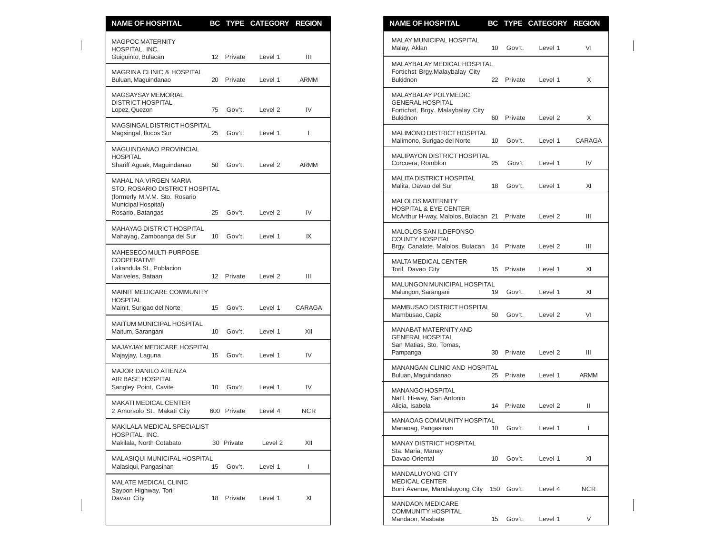| <b>NAME OF HOSPITAL</b>                                                                       |    |             | BC TYPE CATEGORY REGION |                | <b>NAME OF HOSPITAL</b><br>BC TYPE CATEGORY REGION                                                                                 |              |
|-----------------------------------------------------------------------------------------------|----|-------------|-------------------------|----------------|------------------------------------------------------------------------------------------------------------------------------------|--------------|
| <b>MAGPOC MATERNITY</b><br>HOSPITAL, INC.<br>Guiguinto, Bulacan                               |    | 12 Private  | Level 1                 | Ш              | MALAY MUNICIPAL HOSPITAL<br>Malay, Aklan<br>10<br>Gov't.<br>Level 1                                                                | VI           |
| <b>MAGRINA CLINIC &amp; HOSPITAL</b><br>Buluan, Maguindanao                                   | 20 | Private     | Level 1                 | <b>ARMM</b>    | MALAYBALAY MEDICAL HOSPITAL<br>Fortichst Brgy.Malaybalay City<br><b>Bukidnon</b><br>22 Private<br>Level 1                          | X            |
| <b>MAGSAYSAY MEMORIAL</b><br><b>DISTRICT HOSPITAL</b><br>Lopez, Quezon                        |    | 75 Gov't.   | Level 2                 | IV             | MALAYBALAY POLYMEDIC<br><b>GENERAL HOSPITAL</b><br>Fortichst, Brgy. Malaybalay City<br><b>Bukidnon</b><br>60<br>Private<br>Level 2 | X            |
| MAGSINGAL DISTRICT HOSPITAL<br>Magsingal, Ilocos Sur                                          | 25 | Gov't.      | Level 1                 | $\mathbf{I}$   | MALIMONO DISTRICT HOSPITAL<br>Malimono, Surigao del Norte<br>10<br>Gov't.<br>Level 1                                               | CARAG/       |
| MAGUINDANAO PROVINCIAL<br><b>HOSPITAL</b><br>Shariff Aguak, Maguindanao                       | 50 | Gov't.      | Level 2                 | <b>ARMM</b>    | MALIPAYON DISTRICT HOSPITAL<br>Corcuera, Romblon<br>25<br>Gov't<br>Level 1                                                         | IV           |
| MAHAL NA VIRGEN MARIA<br>STO. ROSARIO DISTRICT HOSPITAL                                       |    |             |                         |                | <b>MALITA DISTRICT HOSPITAL</b><br>Malita, Davao del Sur<br>18 Gov't.<br>Level 1                                                   | XI           |
| (formerly M.V.M. Sto. Rosario<br>Municipal Hospital)<br>Rosario, Batangas                     | 25 | Gov't.      | Level <sub>2</sub>      | IV             | <b>MALOLOS MATERNITY</b><br><b>HOSPITAL &amp; EYE CENTER</b><br>McArthur H-way, Malolos, Bulacan 21<br>Private<br>Level 2          | Ш            |
| MAHAYAG DISTRICT HOSPITAL<br>Mahayag, Zamboanga del Sur                                       |    | 10 Gov't.   | Level 1                 | IX             | MALOLOS SAN ILDEFONSO<br><b>COUNTY HOSPITAL</b><br>Brgy. Canalate, Malolos, Bulacan 14 Private<br>Level <sub>2</sub>               | Ш            |
| MAHESECO MULTI-PURPOSE<br><b>COOPERATIVE</b><br>Lakandula St., Poblacion<br>Mariveles, Bataan |    | 12 Private  | Level <sub>2</sub>      | $\mathbf{III}$ | <b>MALTA MEDICAL CENTER</b><br>Toril, Davao City<br>15 Private<br>Level 1                                                          | XI           |
| MAINIT MEDICARE COMMUNITY<br><b>HOSPITAL</b>                                                  |    |             |                         |                | MALUNGON MUNICIPAL HOSPITAL<br>Malungon, Sarangani<br>19<br>Gov't.<br>Level 1                                                      | XI           |
| Mainit, Surigao del Norte                                                                     | 15 | Gov't.      | Level 1                 | CARAGA         | MAMBUSAO DISTRICT HOSPITAL<br>Mambusao, Capiz<br>50<br>Gov't.<br>Level 2                                                           | VI           |
| MAITUM MUNICIPAL HOSPITAL<br>Maitum, Sarangani                                                | 10 | Gov't.      | Level 1                 | XII            | MANABAT MATERNITY AND<br><b>GENERAL HOSPITAL</b>                                                                                   |              |
| MAJAYJAY MEDICARE HOSPITAL<br>Majayjay, Laguna                                                | 15 | Gov't.      | Level 1                 | IV             | San Matias, Sto. Tomas,<br>30<br>Private<br>Level 2<br>Pampanga                                                                    | Ш            |
| <b>MAJOR DANILO ATIENZA</b><br>AIR BASE HOSPITAL                                              |    |             |                         |                | MANANGAN CLINIC AND HOSPITAL<br>Buluan, Maguindanao<br>Private<br>Level 1<br>25                                                    | ARMM         |
| Sangley Point, Cavite<br><b>MAKATI MEDICAL CENTER</b>                                         | 10 | Gov't.      | Level 1                 | IV             | MANANGO HOSPITAL<br>Nat'l. Hi-way, San Antonio<br>14 Private<br>Level 2<br>Alicia, Isabela                                         | Ш            |
| 2 Amorsolo St., Makati City<br>MAKILALA MEDICAL SPECIALIST                                    |    | 600 Private | Level 4                 | <b>NCR</b>     | MANAOAG COMMUNITY HOSPITAL<br>Manaoag, Pangasinan<br>10 Gov't.<br>Level 1                                                          | $\mathbf{I}$ |
| HOSPITAL, INC.<br>Makilala, North Cotabato                                                    |    | 30 Private  | Level 2                 | XII            | MANAY DISTRICT HOSPITAL                                                                                                            |              |
| MALASIQUI MUNICIPAL HOSPITAL<br>Malasiqui, Pangasinan                                         |    | 15 Gov't.   | Level 1                 | L              | Sta. Maria, Manay<br>Davao Oriental<br>10 Gov't.<br>Level 1                                                                        | XI           |
| MALATE MEDICAL CLINIC<br>Saypon Highway, Toril                                                |    |             |                         |                | MANDALUYONG CITY<br><b>MEDICAL CENTER</b><br>Boni Avenue, Mandaluyong City 150 Gov't.<br>Level 4                                   | NCR.         |
| Davao City                                                                                    |    | 18 Private  | Level 1                 | XI             | <b>MANDAON MEDICARE</b><br><b>COMMUNITY HOSPITAL</b>                                                                               |              |

| <b>NAME OF HOSPITAL</b>                                                                                | BС  | <b>TYPE</b> | <b>CATEGORY</b>    | <b>REGION</b> |
|--------------------------------------------------------------------------------------------------------|-----|-------------|--------------------|---------------|
| <b>MALAY MUNICIPAL HOSPITAL</b><br>Malay, Aklan                                                        | 10  | Gov't.      | Level 1            | VI            |
| <b>MALAYBALAY MEDICAL HOSPITAL</b><br>Fortichst Brgy.Malaybalay City<br><b>Bukidnon</b>                | 22  | Private     | Level 1            | X             |
| MALAYBALAY POLYMEDIC<br><b>GENERAL HOSPITAL</b><br>Fortichst, Brgy. Malaybalay City<br><b>Bukidnon</b> | 60  | Private     | Level <sub>2</sub> | X             |
| <b>MALIMONO DISTRICT HOSPITAL</b><br>Malimono, Surigao del Norte                                       | 10  | Gov't.      | Level 1            | CARAGA        |
| <b>MALIPAYON DISTRICT HOSPITAL</b><br>Corcuera, Romblon                                                | 25  | Gov't       | Level 1            | IV            |
| MALITA DISTRICT HOSPITAL<br>Malita, Davao del Sur                                                      | 18  | Gov't.      | Level 1            | XI            |
| <b>MALOLOS MATERNITY</b><br><b>HOSPITAL &amp; EYE CENTER</b><br>McArthur H-way, Malolos, Bulacan 21    |     | Private     | Level 2            | Ш             |
| MALOLOS SAN ILDEFONSO<br><b>COUNTY HOSPITAL</b><br>Brgy. Canalate, Malolos, Bulacan                    | 14  | Private     | Level 2            | Ш             |
| <b>MALTA MEDICAL CENTER</b><br>Toril, Davao City                                                       | 15  | Private     | Level 1            | XI            |
| <b>MALUNGON MUNICIPAL HOSPITAL</b><br>Malungon, Sarangani                                              | 19  | Gov't.      | Level 1            | XI            |
| MAMBUSAO DISTRICT HOSPITAL<br>Mambusao, Capiz                                                          | 50  | Gov't.      | Level <sub>2</sub> | VI            |
| <b>MANABAT MATERNITY AND</b><br><b>GENERAL HOSPITAL</b><br>San Matias, Sto. Tomas,<br>Pampanga         | 30  | Private     | Level 2            | Ш             |
| <b>MANANGAN CLINIC AND HOSPITAL</b><br>Buluan, Maguindanao                                             | 25  | Private     | Level 1            | <b>ARMM</b>   |
| <b>MANANGO HOSPITAL</b><br>Nat'l. Hi-way, San Antonio<br>Alicia, Isabela                               | 14  | Private     | Level 2            | П             |
| <b>MANAOAG COMMUNITY HOSPITAL</b><br>Manaoag, Pangasinan                                               | 10  | Gov't.      | Level 1            | L             |
| <b>MANAY DISTRICT HOSPITAL</b><br>Sta. Maria, Manay<br>Davao Oriental                                  | 10  | Gov't.      | Level 1            | XI            |
| <b>MANDALUYONG CITY</b><br><b>MEDICAL CENTER</b><br>Boni Avenue, Mandaluyong City                      | 150 | Gov't.      | Level 4            | NCR.          |
| <b>MANDAON MEDICARE</b><br><b>COMMUNITY HOSPITAL</b><br>Mandaon, Masbate                               | 15  | Gov't.      | Level 1            | V             |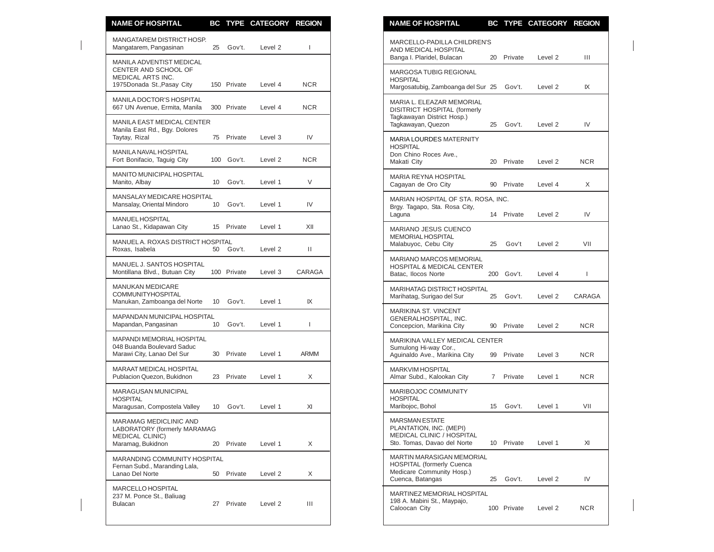| <b>NAME OF HOSPITAL</b>                                                                               |                 |             | BC TYPE CATEGORY REGION |              | <b>NAME OF HOSPITAL</b><br>BC TYPE CATEGORY REGION                                                                                           |              |
|-------------------------------------------------------------------------------------------------------|-----------------|-------------|-------------------------|--------------|----------------------------------------------------------------------------------------------------------------------------------------------|--------------|
| MANGATAREM DISTRICT HOSP.<br>Mangatarem, Pangasinan                                                   | 25              | Gov't.      | Level 2                 | $\mathbf{L}$ | MARCELLO-PADILLA CHILDREN'S<br>AND MEDICAL HOSPITAL<br>20 Private<br>Level 2                                                                 | Ш            |
| MANILA ADVENTIST MEDICAL<br>CENTER AND SCHOOL OF<br>MEDICAL ARTS INC.<br>1975Donada St., Pasay City   |                 | 150 Private | Level 4                 | <b>NCR</b>   | Banga I. Plaridel, Bulacan<br>MARGOSA TUBIG REGIONAL<br><b>HOSPITAL</b><br>Margosatubig, Zamboanga del Sur 25<br>Gov't.<br>Level 2           | IX           |
| MANILA DOCTOR'S HOSPITAL<br>667 UN Avenue, Ermita, Manila                                             |                 | 300 Private | Level 4                 | <b>NCR</b>   | MARIA L. ELEAZAR MEMORIAL<br>DISITRICT HOSPITAL (formerly                                                                                    |              |
| <b>MANILA EAST MEDICAL CENTER</b><br>Manila East Rd., Bgy. Dolores<br>Taytay, Rizal                   |                 | 75 Private  | Level 3                 | IV           | Tagkawayan District Hosp.)<br>Tagkawayan, Quezon<br>25<br>Gov't.<br>Level 2                                                                  | IV           |
| MANILA NAVAL HOSPITAL<br>Fort Bonifacio, Taguig City                                                  |                 | 100 Gov't.  | Level 2                 | <b>NCR</b>   | <b>MARIA LOURDES MATERNITY</b><br><b>HOSPITAL</b><br>Don Chino Roces Ave.,<br>Makati City<br>Private<br>Level 2<br>20                        | <b>NCR</b>   |
| MANITO MUNICIPAL HOSPITAL<br>Manito, Albay                                                            | 10 <sup>°</sup> | Gov't.      | Level 1                 | V            | MARIA REYNA HOSPITAL<br>Cagayan de Oro City<br>Private<br>Level 4<br>90                                                                      | X            |
| MANSALAY MEDICARE HOSPITAL<br>Mansalay, Oriental Mindoro                                              | 10              | Gov't.      | Level 1                 | IV           | MARIAN HOSPITAL OF STA. ROSA, INC.<br>Brgy. Tagapo, Sta. Rosa City,                                                                          |              |
| MANUEL HOSPITAL<br>Lanao St., Kidapawan City                                                          | 15              | Private     | Level 1                 | XII          | Laguna<br>14 Private<br>Level 2<br>MARIANO JESUS CUENCO                                                                                      | IV           |
| MANUEL A. ROXAS DISTRICT HOSPITAL<br>Roxas, Isabela                                                   |                 | 50 Gov't.   | Level 2                 | Ш            | <b>MEMORIAL HOSPITAL</b><br>Malabuyoc, Cebu City<br>Gov't<br>Level 2<br>25                                                                   | VII          |
| MANUEL J. SANTOS HOSPITAL<br>Montillana Blvd., Butuan City                                            |                 | 100 Private | Level 3                 | CARAGA       | MARIANO MARCOS MEMORIAL<br><b>HOSPITAL &amp; MEDICAL CENTER</b><br>Batac, Ilocos Norte<br>200 Gov't.<br>Level 4                              | $\mathbf{I}$ |
| <b>MANUKAN MEDICARE</b><br>COMMUNITYHOSPITAL<br>Manukan, Zamboanga del Norte                          | 10              | Gov't.      | Level 1                 | IX           | MARIHATAG DISTRICT HOSPITAL<br>Marihatag, Surigao del Sur<br>Gov't.<br>Level 2<br>25                                                         | CARAGA       |
| MAPANDAN MUNICIPAL HOSPITAL<br>Mapandan, Pangasinan                                                   | 10 <sup>°</sup> | Gov't.      | Level 1                 | L            | MARIKINA ST. VINCENT<br>GENERALHOSPITAL, INC.<br>Concepcion, Marikina City<br>90 Private<br>Level 2                                          | <b>NCR</b>   |
| <b>MAPANDI MEMORIAL HOSPITAL</b><br>048 Buanda Boulevard Saduc<br>Marawi City, Lanao Del Sur          |                 | 30 Private  | Level 1                 | <b>ARMM</b>  | MARIKINA VALLEY MEDICAL CENTER<br>Sumulong Hi-way Cor.,<br>Aguinaldo Ave., Marikina City<br>99 Private<br>Level 3                            | <b>NCR</b>   |
| MARAAT MEDICAL HOSPITAL<br>Publacion Quezon, Bukidnon                                                 |                 | 23 Private  | Level 1                 | X            | <b>MARKVIM HOSPITAL</b><br>Almar Subd., Kalookan City<br>Private<br>Level 1<br>$7\overline{ }$                                               | <b>NCR</b>   |
| MARAGUSAN MUNICIPAL<br><b>HOSPITAL</b><br>Maragusan, Compostela Valley                                | 10              | Gov't.      | Level 1                 | XI           | MARIBOJOC COMMUNITY<br><b>HOSPITAL</b><br>Gov't.<br>Maribojoc, Bohol<br>15<br>Level 1                                                        | VII          |
| MARAMAG MEDICLINIC AND<br>LABORATORY (formerly MARAMAG<br><b>MEDICAL CLINIC)</b><br>Maramag, Bukidnon |                 | 20 Private  | Level 1                 | X            | <b>MARSMAN ESTATE</b><br>PLANTATION, INC. (MEPI)<br><b>MEDICAL CLINIC / HOSPITAL</b><br>Sto. Tomas, Davao del Norte<br>10 Private<br>Level 1 | XI           |
| <b>MARANDING COMMUNITY HOSPITAL</b><br>Fernan Subd., Maranding Lala,<br>Lanao Del Norte               |                 | 50 Private  | Level 2                 | X            | MARTIN MARASIGAN MEMORIAL<br><b>HOSPITAL (formerly Cuenca</b><br>Medicare Community Hosp.)<br>Cuenca, Batangas<br>Gov't.<br>Level 2<br>25    | IV           |
| MARCELLO HOSPITAL<br>237 M. Ponce St., Baliuag<br><b>Bulacan</b>                                      |                 | 27 Private  | Level 2                 | Ш            | MARTINEZ MEMORIAL HOSPITAL<br>198 A. Mabini St., Maypajo,<br>Caloocan City<br>100 Private<br>Level 2                                         | <b>NCR</b>   |
|                                                                                                       |                 |             |                         |              |                                                                                                                                              |              |

|  | NAME OF HOSPITAL                                                                                                      |    |             | BC TYPE CATEGORY REGION |        |
|--|-----------------------------------------------------------------------------------------------------------------------|----|-------------|-------------------------|--------|
|  | MARCELLO-PADILLA CHILDREN'S<br>AND MEDICAL HOSPITAL<br>Banga I. Plaridel, Bulacan                                     | 20 | Private     | Level 2                 | Ш      |
|  | <b>MARGOSA TUBIG REGIONAL</b><br><b>HOSPITAL</b><br>Margosatubig, Zamboanga del Sur 25                                |    | Gov't.      | Level 2                 | IX     |
|  | MARIA L. ELEAZAR MEMORIAL<br>DISITRICT HOSPITAL (formerly<br>Tagkawayan District Hosp.)<br>Tagkawayan, Quezon         | 25 | Gov't.      | Level 2                 | IV     |
|  | <b>MARIA LOURDES MATERNITY</b><br><b>HOSPITAL</b><br>Don Chino Roces Ave.,<br>Makati City                             | 20 | Private     | Level 2                 | NCR.   |
|  | <b>MARIA REYNA HOSPITAL</b><br>Cagayan de Oro City                                                                    | 90 | Private     | Level 4                 | X      |
|  | MARIAN HOSPITAL OF STA. ROSA, INC.<br>Brgy. Tagapo, Sta. Rosa City,<br>Laguna                                         |    | 14 Private  | Level 2                 | IV     |
|  | <b>MARIANO JESUS CUENCO</b><br><b>MEMORIAL HOSPITAL</b><br>Malabuyoc, Cebu City                                       | 25 | Gov't       | Level 2                 | VII    |
|  | <b>MARIANO MARCOS MEMORIAL</b><br><b>HOSPITAL &amp; MEDICAL CENTER</b><br>Batac, Ilocos Norte                         |    | 200 Gov't.  | Level 4                 | L      |
|  | <b>MARIHATAG DISTRICT HOSPITAL</b><br>Marihatag, Surigao del Sur                                                      | 25 | Gov't.      | Level 2                 | CARAGA |
|  | <b>MARIKINA ST. VINCENT</b><br>GENERALHOSPITAL, INC.<br>Concepcion, Marikina City                                     | 90 | Private     | Level 2                 | NCR    |
|  | MARIKINA VALLEY MEDICAL CENTER<br>Sumulong Hi-way Cor.,<br>Aguinaldo Ave., Marikina City                              | 99 | Private     | Level 3                 | NCR    |
|  | <b>MARKVIM HOSPITAL</b><br>Almar Subd., Kalookan City                                                                 | 7  | Private     | Level 1                 | NCR    |
|  | MARIBOJOC COMMUNITY<br><b>HOSPITAL</b><br>Maribojoc, Bohol                                                            | 15 | Gov't.      | Level 1                 | VII    |
|  | <b>MARSMAN ESTATE</b><br>PLANTATION, INC. (MEPI)<br><b>MEDICAL CLINIC / HOSPITAL</b><br>Sto. Tomas, Davao del Norte   | 10 | Private     | Level 1                 | XI     |
|  | <b>MARTIN MARASIGAN MEMORIAL</b><br><b>HOSPITAL (formerly Cuenca</b><br>Medicare Community Hosp.)<br>Cuenca, Batangas | 25 | Gov't.      | Level 2                 | IV     |
|  | MARTINEZ MEMORIAL HOSPITAL<br>198 A. Mabini St., Maypajo,<br>Caloocan City                                            |    | 100 Private | Level <sub>2</sub>      | NCR    |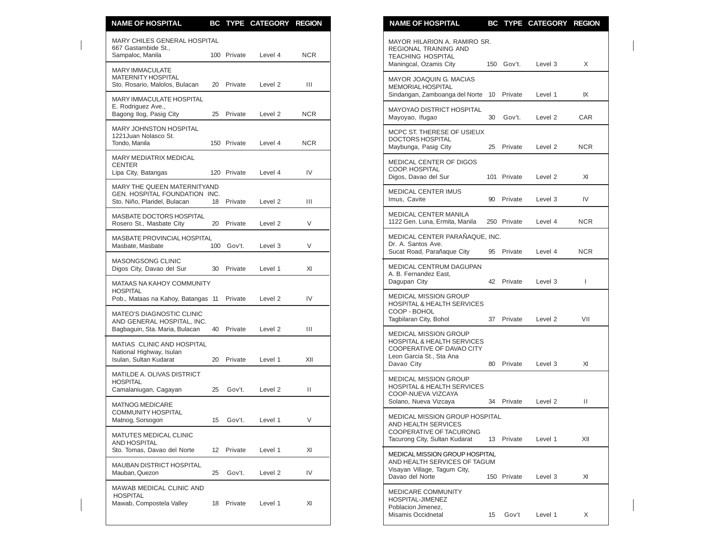| <b>NAME OF HOSPITAL</b>                                                                          |    |             | BC TYPE CATEGORY REGION |            | <b>NAME OF HOSPITAL</b><br>BC TYPE CATEGORY REGION                                                                      |              |
|--------------------------------------------------------------------------------------------------|----|-------------|-------------------------|------------|-------------------------------------------------------------------------------------------------------------------------|--------------|
| MARY CHILES GENERAL HOSPITAL<br>667 Gastambide St.,<br>Sampaloc, Manila                          |    | 100 Private | Level 4                 | <b>NCR</b> | MAYOR HILARION A. RAMIRO SR.<br>REGIONAL TRAINING AND<br><b>TEACHING HOSPITAL</b>                                       |              |
| <b>MARY IMMACULATE</b><br><b>MATERNITY HOSPITAL</b><br>Sto. Rosario, Malolos, Bulacan            | 20 | Private     | Level 2                 | Ш          | Maningcal, Ozamis City<br>150 Gov't.<br>Level 3<br>MAYOR JOAQUIN G. MACIAS<br><b>MEMORIAL HOSPITAL</b>                  | X            |
| MARY IMMACULATE HOSPITAL                                                                         |    |             |                         |            | Sindangan, Zamboanga del Norte 10 Private<br>Level 1                                                                    | IX           |
| E. Rodriguez Ave.,<br>Bagong Ilog, Pasig City                                                    |    | 25 Private  | Level 2                 | <b>NCR</b> | MAYOYAO DISTRICT HOSPITAL<br>Mayoyao, Ifugao<br>30<br>Gov't.<br>Level 2                                                 | CAR          |
| <b>MARY JOHNSTON HOSPITAL</b><br>1221 Juan Nolasco St.<br>Tondo, Manila                          |    | 150 Private | Level 4                 | <b>NCR</b> | MCPC ST. THERESE OF USIEUX<br>DOCTORS HOSPITAL<br>Maybunga, Pasig City<br>Private<br>Level 2<br>25                      | <b>NCR</b>   |
| MARY MEDIATRIX MEDICAL<br><b>CENTER</b><br>Lipa City, Batangas                                   |    | 120 Private | Level 4                 | IV         | MEDICAL CENTER OF DIGOS<br>COOP. HOSPITAL<br>Digos, Davao del Sur<br>101 Private<br>Level 2                             | XI           |
| MARY THE QUEEN MATERNITYAND<br>GEN. HOSPITAL FOUNDATION INC.<br>Sto. Niño, Plaridel, Bulacan     |    | 18 Private  | Level 2                 | Ш          | MEDICAL CENTER IMUS<br>Imus, Cavite<br>90 Private<br>Level 3                                                            | IV           |
| MASBATE DOCTORS HOSPITAL<br>Rosero St., Masbate City                                             |    | 20 Private  | Level 2                 | V          | MEDICAL CENTER MANILA<br>1122 Gen. Luna, Ermita, Manila<br>250 Private<br>Level 4                                       | <b>NCR</b>   |
| MASBATE PROVINCIAL HOSPITAL<br>Masbate. Masbate                                                  |    | 100 Gov't.  | Level 3                 | V          | MEDICAL CENTER PARAÑAQUE. INC.<br>Dr. A. Santos Ave.<br>Sucat Road, Parañaque City<br>95 Private<br>Level 4             | <b>NCR</b>   |
| MASONGSONG CLINIC<br>Digos City, Davao del Sur                                                   | 30 | Private     | Level 1                 | XI         | MEDICAL CENTRUM DAGUPAN                                                                                                 |              |
| MATAAS NA KAHOY COMMUNITY                                                                        |    |             |                         |            | A. B. Fernandez East,<br>Dagupan City<br>42 Private<br>Level 3                                                          | $\mathbf{I}$ |
| <b>HOSPITAL</b><br>Pob., Mataas na Kahoy, Batangas 11 Private                                    |    |             | Level 2                 | IV         | MEDICAL MISSION GROUP<br><b>HOSPITAL &amp; HEALTH SERVICES</b>                                                          |              |
| <b>MATEO'S DIAGNOSTIC CLINIC</b><br>AND GENERAL HOSPITAL, INC.<br>Bagbaguin, Sta. Maria, Bulacan |    | 40 Private  | Level 2                 | Ш          | COOP - BOHOL<br>Tagbilaran City, Bohol<br>37 Private<br>Level 2                                                         | VII          |
| MATIAS CLINIC AND HOSPITAL<br>National Highway, Isulan<br>Isulan, Sultan Kudarat                 |    | 20 Private  | Level 1                 | XII        | MEDICAL MISSION GROUP<br><b>HOSPITAL &amp; HEALTH SERVICES</b><br>COOPERATIVE OF DAVAO CITY<br>Leon Garcia St., Sta Ana |              |
| MATILDE A. OLIVAS DISTRICT<br><b>HOSPITAL</b><br>Camalaniugan, Cagayan                           | 25 | Gov't.      | Level 2                 | Ш          | Davao City<br>80 Private<br>Level 3<br>MEDICAL MISSION GROUP<br><b>HOSPITAL &amp; HEALTH SERVICES</b>                   | XI           |
| <b>MATNOG MEDICARE</b>                                                                           |    |             |                         |            | COOP-NUEVA VIZCAYA<br>Solano, Nueva Vizcaya<br>34 Private<br>Level 2                                                    | Ш            |
| <b>COMMUNITY HOSPITAL</b><br>Matnog, Sorsogon                                                    |    | 15 Gov't.   | Level 1                 | V          | <b>MEDICAL MISSION GROUP HOSPITAL</b><br>AND HEALTH SERVICES                                                            |              |
| MATUTES MEDICAL CLINIC<br>AND HOSPITAL                                                           |    |             |                         |            | COOPERATIVE OF TACURONG<br>Tacurong City, Sultan Kudarat<br>13 Private<br>Level 1                                       | XII          |
| Sto. Tomas, Davao del Norte<br><b>MAUBAN DISTRICT HOSPITAL</b>                                   |    | 12 Private  | Level 1                 | XI         | MEDICAL MISSION GROUP HOSPITAL<br>AND HEALTH SERVICES OF TAGUM<br>Visayan Village, Tagum City,                          |              |
| Mauban, Quezon                                                                                   | 25 | Gov't.      | Level 2                 | IV         | Davao del Norte<br>150 Private<br>Level 3                                                                               | XI           |
| MAWAB MEDICAL CLINIC AND<br><b>HOSPITAL</b><br>Mawab, Compostela Valley                          |    | 18 Private  | Level 1                 | XI         | MEDICARE COMMUNITY<br>HOSPITAL-JIMENEZ<br>Poblacion Jimenez,<br>Misamis Occidnetal<br>Gov't<br>Level 1<br>15            | X —          |

| <b>NAME OF HOSPITAL</b>                                                                                                               |                  |             | BC TYPE CATEGORY REGION |            |
|---------------------------------------------------------------------------------------------------------------------------------------|------------------|-------------|-------------------------|------------|
| MAYOR HILARION A. RAMIRO SR.<br>REGIONAL TRAINING AND<br>TEACHING HOSPITAL<br>Maningcal, Ozamis City                                  | 150              | Gov't.      | Level 3                 | X          |
| MAYOR JOAQUIN G. MACIAS<br>MEMORIAL HOSPITAL<br>Sindangan, Zamboanga del Norte                                                        | 10 <sup>10</sup> | Private     | Level 1                 | IX         |
| <b>MAYOYAO DISTRICT HOSPITAL</b><br>Mayoyao, Ifugao                                                                                   | 30               | Gov't.      | Level <sub>2</sub>      | <b>CAR</b> |
| MCPC ST. THERESE OF USIEUX<br>DOCTORS HOSPITAL<br>Maybunga, Pasig City                                                                | 25               | Private     | Level 2                 | <b>NCR</b> |
| MEDICAL CENTER OF DIGOS<br>COOP. HOSPITAL<br>Digos, Davao del Sur                                                                     |                  | 101 Private | Level 2                 | XI         |
| MEDICAL CENTER IMUS<br>Imus, Cavite                                                                                                   | 90               | Private     | Level 3                 | IV         |
| MEDICAL CENTER MANILA<br>1122 Gen. Luna, Ermita, Manila                                                                               |                  | 250 Private | Level 4                 | NCR.       |
| MEDICAL CENTER PARAÑAQUE, INC.<br>Dr. A. Santos Ave.<br>Sucat Road, Parañaque City                                                    | 95               | Private     | Level 4                 | <b>NCR</b> |
| <b>MEDICAL CENTRUM DAGUPAN</b><br>A. B. Fernandez East.<br>Dagupan City                                                               | 42               | Private     | Level 3                 | L          |
| <b>MEDICAL MISSION GROUP</b><br><b>HOSPITAL &amp; HEALTH SERVICES</b><br>COOP - BOHOL<br>Tagbilaran City, Bohol                       | 37               | Private     | Level 2                 | VII        |
| MEDICAL MISSION GROUP<br><b>HOSPITAL &amp; HEALTH SERVICES</b><br>COOPERATIVE OF DAVAO CITY<br>Leon Garcia St., Sta Ana<br>Davao City | 80               | Private     | Level 3                 | XI         |
| <b>MEDICAL MISSION GROUP</b><br><b>HOSPITAL &amp; HEALTH SERVICES</b><br>COOP-NUEVA VIZCAYA<br>Solano, Nueva Vizcaya                  | 34               | Private     | Level 2                 | Ш          |
| MEDICAL MISSION GROUP HOSPITAL<br>AND HEALTH SERVICES<br>COOPERATIVE OF TACURONG<br>Tacurong City, Sultan Kudarat                     | 13               | Private     | Level 1                 | XII        |
| <b>MEDICAL MISSION GROUP HOSPITAL</b><br>AND HEALTH SERVICES OF TAGUM<br>Visayan Village, Tagum City,<br>Davao del Norte              | 150              | Private     | Level 3                 | XI         |
| <b>MEDICARE COMMUNITY</b><br>HOSPITAL-JIMENEZ<br>Poblacion Jimenez,<br>Misamis Occidnetal                                             | 15               | Gov't       | Level 1                 | X          |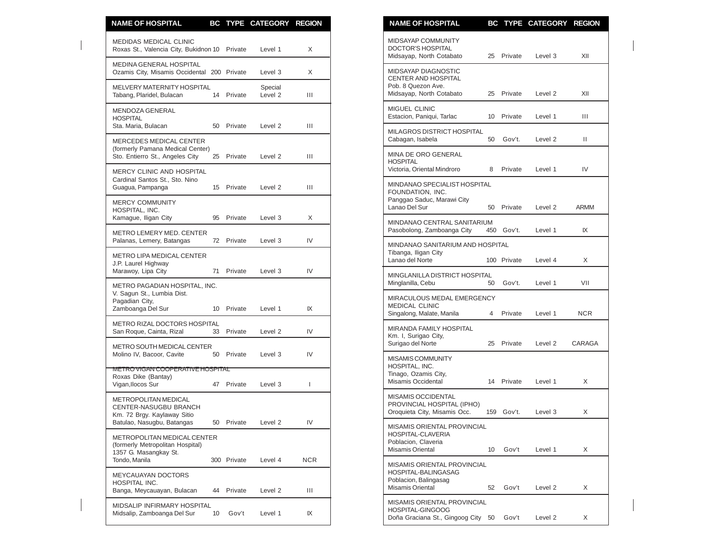| <b>NAME OF HOSPITAL</b>                                                                            |    |             | BC TYPE CATEGORY REGION |              | <b>NAME OF HOSPITAL</b><br>BC TYPE CATEGORY REGION                                                                          |                |
|----------------------------------------------------------------------------------------------------|----|-------------|-------------------------|--------------|-----------------------------------------------------------------------------------------------------------------------------|----------------|
| <b>MEDIDAS MEDICAL CLINIC</b><br>Roxas St., Valencia City, Bukidnon 10 Private                     |    |             | Level 1                 | X            | MIDSAYAP COMMUNITY<br><b>DOCTOR'S HOSPITAL</b><br>Private<br>Midsayap, North Cotabato<br>25<br>Level 3                      | XII            |
| MEDINA GENERAL HOSPITAL<br>Ozamis City, Misamis Occidental 200 Private                             |    |             | Level 3                 | X            | MIDSAYAP DIAGNOSTIC<br><b>CENTER AND HOSPITAL</b>                                                                           |                |
| MELVERY MATERNITY HOSPITAL<br>Tabang, Plaridel, Bulacan                                            |    | 14 Private  | Special<br>Level 2      | Ш            | Pob. 8 Quezon Ave.<br>Midsayap, North Cotabato<br>Private<br>Level <sub>2</sub><br>25                                       | XII            |
| MENDOZA GENERAL<br><b>HOSPITAL</b>                                                                 |    |             |                         |              | MIGUEL CLINIC<br>Estacion, Paniqui, Tarlac<br>10<br>Private<br>Level 1                                                      | $\mathbf{III}$ |
| Sta. Maria, Bulacan<br><b>MERCEDES MEDICAL CENTER</b>                                              | 50 | Private     | Level 2                 | Ш            | MILAGROS DISTRICT HOSPITAL<br>Cabagan, Isabela<br>50<br>Gov't.<br>Level <sub>2</sub>                                        | Ш              |
| (formerly Pamana Medical Center)<br>Sto. Entierro St., Angeles City                                |    | 25 Private  | Level 2                 | Ш            | MINA DE ORO GENERAL<br><b>HOSPITAL</b>                                                                                      |                |
| MERCY CLINIC AND HOSPITAL<br>Cardinal Santos St., Sto. Nino                                        |    |             |                         |              | Victoria, Oriental Mindroro<br>8<br>Private<br>Level 1                                                                      | IV             |
| Guagua, Pampanga<br><b>MERCY COMMUNITY</b>                                                         |    | 15 Private  | Level 2                 | Ш            | MINDANAO SPECIALIST HOSPITAL<br>FOUNDATION, INC.<br>Panggao Saduc, Marawi City<br>Lanao Del Sur<br>50<br>Private<br>Level 2 | <b>ARMM</b>    |
| HOSPITAL, INC.<br>Kamague, Iligan City                                                             | 95 | Private     | Level 3                 | X            | MINDANAO CENTRAL SANITARIUM                                                                                                 |                |
| METRO LEMERY MED. CENTER<br>Palanas, Lemery, Batangas                                              |    | 72 Private  | Level 3                 | IV           | Gov't.<br>Pasobolong, Zamboanga City<br>450<br>Level 1                                                                      | IX             |
| METRO LIPA MEDICAL CENTER<br>J.P. Laurel Highway                                                   |    |             |                         |              | MINDANAO SANITARIUM AND HOSPITAL<br>Tibanga, Iligan City<br>Lanao del Norte<br>100 Private<br>Level 4                       | X              |
| Marawoy, Lipa City                                                                                 |    | 71 Private  | Level 3                 | IV           | MINGLANILLA DISTRICT HOSPITAL<br>Gov't.<br>Minglanilla, Cebu<br>50<br>Level 1                                               | VII            |
| METRO PAGADIAN HOSPITAL, INC.<br>V. Sagun St., Lumbia Dist.<br>Pagadian City,<br>Zamboanga Del Sur |    | 10 Private  | Level 1                 | IX           | MIRACULOUS MEDAL EMERGENCY<br>MEDICAL CLINIC                                                                                |                |
| METRO RIZAL DOCTORS HOSPITAL                                                                       |    |             |                         |              | Singalong, Malate, Manila<br>Private<br>Level 1<br>$\overline{4}$                                                           | <b>NCR</b>     |
| San Roque, Cainta, Rizal                                                                           | 33 | Private     | Level 2                 | IV           | MIRANDA FAMILY HOSPITAL<br>Km. I, Surigao City,<br>Surigao del Norte<br>25 Private<br>Level 2                               | CARAGA         |
| METRO SOUTH MEDICAL CENTER<br>Molino IV, Bacoor, Cavite                                            | 50 | Private     | Level 3                 | IV           | MISAMIS COMMUNITY                                                                                                           |                |
| <b>METRO VIGAN COOPERATIVE HOSPITAL</b><br>Roxas Dike (Bantay)<br>Vigan, Ilocos Sur                |    | 47 Private  | Level 3                 | $\mathbf{I}$ | HOSPITAL, INC.<br>Tinago, Ozamis City,<br>Misamis Occidental<br>14 Private<br>Level 1                                       | X              |
| <b>METROPOLITAN MEDICAL</b><br>CENTER-NASUGBU BRANCH                                               |    |             |                         |              | <b>MISAMIS OCCIDENTAL</b><br>PROVINCIAL HOSPITAL (IPHO)<br>Oroquieta City, Misamis Occ.<br>159 Gov't.<br>Level 3            | X              |
| Km. 72 Brgy. Kaylaway Sitio<br>Batulao, Nasugbu, Batangas                                          |    | 50 Private  | Level 2                 | IV           | MISAMIS ORIENTAL PROVINCIAL                                                                                                 |                |
| METROPOLITAN MEDICAL CENTER<br>(formerly Metropolitan Hospital)<br>1357 G. Masangkay St.           |    |             |                         |              | HOSPITAL-CLAVERIA<br>Poblacion, Claveria<br><b>Misamis Oriental</b><br>10<br>Gov't<br>Level 1                               | X              |
| Tondo, Manila                                                                                      |    | 300 Private | Level 4                 | <b>NCR</b>   | MISAMIS ORIENTAL PROVINCIAL<br>HOSPITAL-BALINGASAG                                                                          |                |
| MEYCAUAYAN DOCTORS<br>HOSPITAL INC.<br>Banga, Meycauayan, Bulacan                                  |    | 44 Private  | Level 2                 | Ш            | Poblacion, Balingasag<br>Misamis Oriental<br>52<br>Gov't<br>Level 2                                                         | X              |
| MIDSALIP INFIRMARY HOSPITAL<br>Midsalip, Zamboanga Del Sur                                         | 10 | Gov't       | Level 1                 | IX           | MISAMIS ORIENTAL PROVINCIAL<br>HOSPITAL-GINGOOG<br>Doña Graciana St., Gingoog City 50<br>Gov't<br>Level 2                   | X              |

| <b>NAME OF HOSPITAL</b>                                                                                              |     |             | BC TYPE CATEGORY   | <b>REGION</b> |
|----------------------------------------------------------------------------------------------------------------------|-----|-------------|--------------------|---------------|
| MIDSAYAP COMMUNITY<br>DOCTOR'S HOSPITAL<br>Midsayap, North Cotabato                                                  | 25  | Private     | Level 3            | XII           |
| <b>MIDSAYAP DIAGNOSTIC</b><br><b>CENTER AND HOSPITAL</b><br>Pob. 8 Quezon Ave.<br>Midsayap, North Cotabato           | 25  | Private     | Level 2            | XII           |
| <b>MIGUEL CLINIC</b><br>Estacion, Paniqui, Tarlac                                                                    | 10  | Private     | Level 1            | Ш             |
| <b>MILAGROS DISTRICT HOSPITAL</b><br>Cabagan, Isabela                                                                | 50  | Gov't.      | Level 2            | Ш             |
| MINA DE ORO GENERAL<br><b>HOSPITAL</b><br>Victoria, Oriental Mindroro                                                | 8   | Private     | Level 1            | IV            |
| MINDANAO SPECIALIST HOSPITAL<br>FOUNDATION, INC.<br>Panggao Saduc, Marawi City<br>Lanao Del Sur                      | 50  | Private     | Level 2            | ARMM          |
| MINDANAO CENTRAL SANITARIUM<br>Pasobolong, Zamboanga City                                                            |     | 450 Gov't.  | Level 1            | IX            |
| MINDANAO SANITARIUM AND HOSPITAL<br>Tibanga, Iligan City<br>Lanao del Norte                                          |     | 100 Private | Level 4            | X             |
| MINGLANILLA DISTRICT HOSPITAL<br>Minglanilla, Cebu                                                                   | 50  | Gov't.      | Level 1            | VII           |
| MIRACULOUS MEDAL EMERGENCY<br><b>MEDICAL CLINIC</b><br>Singalong, Malate, Manila                                     | 4   | Private     | Level 1            | <b>NCR</b>    |
| MIRANDA FAMILY HOSPITAL<br>Km. I, Surigao City,<br>Surigao del Norte                                                 | 25  | Private     | Level 2            | CARAGA        |
| MISAMIS COMMUNITY<br>HOSPITAL, INC.<br>Tinago, Ozamis City,<br>Misamis Occidental                                    | 14  | Private     | Level 1            | X             |
| MISAMIS OCCIDENTAL<br>PROVINCIAL HOSPITAL (IPHO)<br>Oroquieta City, Misamis Occ.                                     | 159 | Gov't.      | Level 3            | X             |
| MISAMIS ORIENTAL PROVINCIAL<br>HOSPITAL-CLAVERIA<br>Poblacion, Claveria<br><b>Misamis Oriental</b>                   | 10  | Gov't       | Level 1            | X             |
| <b>MISAMIS ORIENTAL PROVINCIAL</b><br><b>HOSPITAL-BALINGASAG</b><br>Poblacion, Balingasag<br><b>Misamis Oriental</b> | 52  | Gov't       | Level <sub>2</sub> | X             |
| <b>MISAMIS ORIENTAL PROVINCIAL</b><br><b>HOSPITAL-GINGOOG</b><br>Doña Graciana St., Gingoog City 50                  |     | Gov't       | Level <sub>2</sub> | X.            |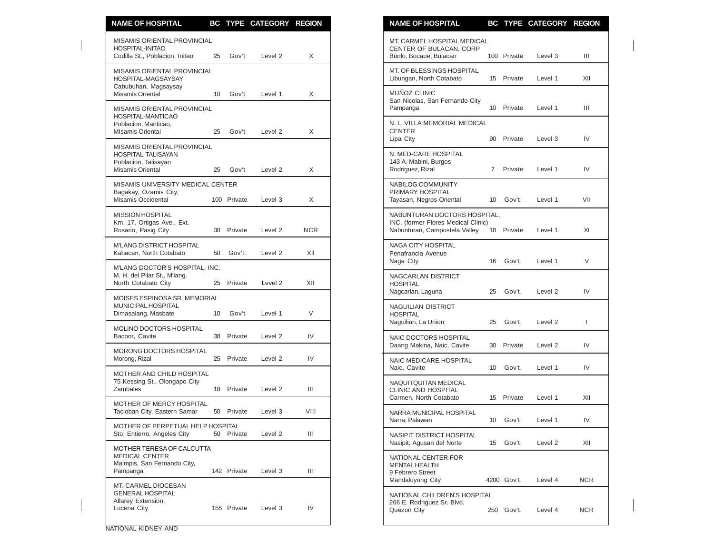| <b>NAME OF HOSPITAL</b>                                                                       |    |             | BC TYPE CATEGORY REGION |                | <b>NAME OF HOSPITAL</b>                                                                                                | BC TYPE CATEGORY REGION        |
|-----------------------------------------------------------------------------------------------|----|-------------|-------------------------|----------------|------------------------------------------------------------------------------------------------------------------------|--------------------------------|
| MISAMIS ORIENTAL PROVINCIAL<br>HOSPITAL-INITAO<br>Codilla St., Poblacion, Initao              | 25 | Gov't       | Level 2                 | X              | MT. CARMEL HOSPITAL MEDICAL<br>CENTER OF BULACAN, CORP<br>Bunlo, Bocaue, Bulacan<br>100 Private                        | Level 3<br>Ш                   |
| MISAMIS ORIENTAL PROVINCIAL<br>HOSPITAL-MAGSAYSAY                                             |    |             |                         |                | MT. OF BLESSINGS HOSPITAL<br>Libungan, North Cotabato<br>15 Private                                                    | XII<br>Level 1                 |
| Cabubuhan, Magsaysay<br>Misamis Oriental<br>MISAMIS ORIENTAL PROVINCIAL                       | 10 | Gov't       | Level 1                 | X              | MUÑOZ CLINIC<br>San Nicolas, San Fernando City<br>Pampanga<br>10 Private                                               | Level 1<br>Ш                   |
| HOSPITAL-MANTICAO<br>Poblacion, Manticao,<br><b>MIsamis Oriental</b>                          | 25 | Gov't       | Level 2                 | X              | N. L. VILLA MEMORIAL MEDICAL<br><b>CENTER</b>                                                                          |                                |
| MISAMIS ORIENTAL PROVINCIAL<br>HOSPITAL-TALISAYAN<br>Poblacion, Talisayan<br>Misamis Oriental | 25 | Gov't       | Level 2                 | X              | Lipa City<br>90 Private<br>N. MED-CARE HOSPITAL<br>143 A. Mabini, Burgos<br>Rodriguez, Rizal<br>Private<br>$7^{\circ}$ | IV<br>Level 3<br>IV<br>Level 1 |
| MISAMIS UNIVERSITY MEDICAL CENTER<br>Bagakay, Ozamis City,<br>Misamis Occidental              |    | 100 Private | Level 3                 | X              | NABILOG COMMUNITY<br>PRIMARY HOSPITAL<br>Tayasan, Negros Oriental<br>Gov't.<br>10                                      | Level 1<br>VII                 |
| <b>MISSION HOSPITAL</b><br>Km. 17, Ortigas Ave., Ext.<br>Rosario, Pasig City                  | 30 | Private     | Level 2                 | <b>NCR</b>     | NABUNTURAN DOCTORS HOSPITAL.<br>INC. (former Flores Medical Clinic)<br>Nabunturan, Campostela Valley<br>18<br>Private  | XI<br>Level 1                  |
| M'LANG DISTRICT HOSPITAL<br>Kabacan, North Cotabato                                           | 50 | Gov't.      | Level 2                 | XII            | NAGA CITY HOSPITAL<br>Penafrancia Avenue<br>Naga City<br>Gov't.<br>16                                                  | $\vee$<br>Level 1              |
| M'LANG DOCTOR'S HOSPITAL, INC.<br>M. H. del Pilar St., M'lang.<br>North Cotabato City         |    | 25 Private  | Level 2                 | XII            | NAGCARLAN DISTRICT<br><b>HOSPITAL</b>                                                                                  |                                |
| MOISES ESPINOSA SR. MEMORIAL<br>MUNICIPAL HOSPITAL<br>Dimasalang, Masbate                     | 10 | Gov't       | Level 1                 | V              | Nagcarlan, Laguna<br>Gov't.<br>25<br><b>NAGUILIAN DISTRICT</b><br><b>HOSPITAL</b>                                      | IV<br>Level 2                  |
| <b>MOLINO DOCTORS HOSPITAL</b><br>Bacoor, Cavite                                              |    | 38 Private  | Level 2                 | IV             | Naguilian, La Union<br>Gov't.<br>25<br>NAIC DOCTORS HOSPITAL                                                           | Level 2<br>$\mathbf{I}$        |
| MORONG DOCTORS HOSPITAL<br>Morong, Rizal                                                      |    | 25 Private  | Level 2                 | IV             | Daang Makina, Naic, Cavite<br>30 Private<br>NAIC MEDICARE HOSPITAL                                                     | IV<br>Level 2                  |
| MOTHER AND CHILD HOSPITAL<br>75 Kessing St., Olongapo City<br>Zambales                        |    | 18 Private  | Level 2                 | $\mathbf{III}$ | Naic, Cavite<br>Gov't.<br>10<br>NAQUITQUITAN MEDICAL                                                                   | IV<br>Level 1                  |
| MOTHER OF MERCY HOSPITAL<br>Tacloban City, Eastern Samar                                      |    | 50 Private  | Level 3                 | VIII           | <b>CLINIC AND HOSPITAL</b><br>15 Private<br>Carmen, North Cotabato<br>NARRA MUNICIPAL HOSPITAL                         | XII<br>Level 1                 |
| MOTHER OF PERPETUAL HELP HOSPITAL<br>Sto. Entierro, Angeles City                              |    | 50 Private  | Level 2                 | Ш              | Narra, Palawan<br>10 <sup>1</sup><br>Gov't.<br><b>NASIPIT DISTRICT HOSPITAL</b>                                        | Level 1<br>IV                  |
| MOTHER TERESA OF CALCUTTA<br><b>MEDICAL CENTER</b>                                            |    |             |                         |                | Nasipit, Agusan del Norte<br>15 Gov't.<br>NATIONAL CENTER FOR                                                          | Level 2<br>XII                 |
| Maimpis, San Fernando City,<br>Pampanga                                                       |    | 142 Private | Level 3                 | Ш              | <b>MENTAL HEALTH</b><br>9 Febrero Street<br>Mandaluyong City<br>4200 Gov't.                                            | <b>NCR</b><br>Level 4          |
| MT. CARMEL DIOCESAN<br><b>GENERAL HOSPITAL</b><br>Allarey Extension,<br>Lucena City           |    | 155 Private | Level 3                 | IV             | NATIONAL CHILDREN'S HOSPITAL<br>266 E. Rodriguez Sr. Blvd.<br>Quezon City<br>250 Gov't.                                | <b>NCR</b><br>Level 4          |

| <u>NAME OF HOSPITAL</u>                                                                              | вc  |             | THE CATEGORY | <b>KEGIUN</b> |
|------------------------------------------------------------------------------------------------------|-----|-------------|--------------|---------------|
| MT. CARMEL HOSPITAL MEDICAL<br>CENTER OF BULACAN, CORP<br>Bunlo, Bocaue, Bulacan                     | 100 | Private     | Level 3      | Ш             |
| MT. OF BLESSINGS HOSPITAL<br>Libungan, North Cotabato                                                | 15  | Private     | Level 1      | XII           |
| <b>MUNOZ CLINIC</b><br>San Nicolas, San Fernando City<br>Pampanga                                    | 10  | Private     | Level 1      | Ш             |
| N. L. VILLA MEMORIAL MEDICAL<br><b>CENTER</b><br>Lipa City                                           | 90  | Private     | Level 3      | IV            |
| N. MED-CARE HOSPITAL<br>143 A. Mabini, Burgos<br>Rodriguez, Rizal                                    | 7   | Private     | Level 1      | IV            |
| NABILOG COMMUNITY<br>PRIMARY HOSPITAL<br>Tayasan, Negros Oriental                                    | 10  | Gov't.      | Level 1      | VII           |
| NABUNTURAN DOCTORS HOSPITAL,<br>INC. (former Flores Medical Clinic)<br>Nabunturan, Campostela Valley | 18  | Private     | Level 1      | XI            |
| <b>NAGA CITY HOSPITAL</b><br>Penafrancia Avenue<br>Naga City                                         | 16  | Gov't.      | Level 1      | V             |
| NAGCARLAN DISTRICT<br><b>HOSPITAL</b><br>Nagcarlan, Laguna                                           | 25  | Gov't.      | Level 2      | IV            |
| <b>NAGUILIAN DISTRICT</b><br><b>HOSPITAL</b><br>Naguilian, La Union                                  | 25  | Gov't.      | Level 2      | I             |
| NAIC DOCTORS HOSPITAL<br>Daang Makina, Naic, Cavite                                                  | 30  | Private     | Level 2      | IV            |
| NAIC MEDICARE HOSPITAL<br>Naic, Cavite                                                               | 10  | Gov't.      | Level 1      | IV            |
| NAQUITQUITAN MEDICAL<br>CLINIC AND HOSPITAL<br>Carmen, North Cotabato                                | 15  | Private     | Level 1      | XII           |
| NARRA MUNICIPAL HOSPITAL<br>Narra, Palawan                                                           | 10  | Gov't.      | Level 1      | IV            |
| <b>NASIPIT DISTRICT HOSPITAL</b><br>Nasipit, Agusan del Norte                                        | 15  | Gov't.      | Level 2      | XII           |
| NATIONAL CENTER FOR<br><b>MENTAL HEALTH</b><br>9 Febrero Street<br>Mandaluyong City                  |     | 4200 Gov't. | Level 4      | NCR.          |
| NATIONAL CHILDREN'S HOSPITAL<br>266 E. Rodriguez Sr. Blvd.<br>Quezon City                            | 250 | Gov't.      | Level 4      | <b>NCR</b>    |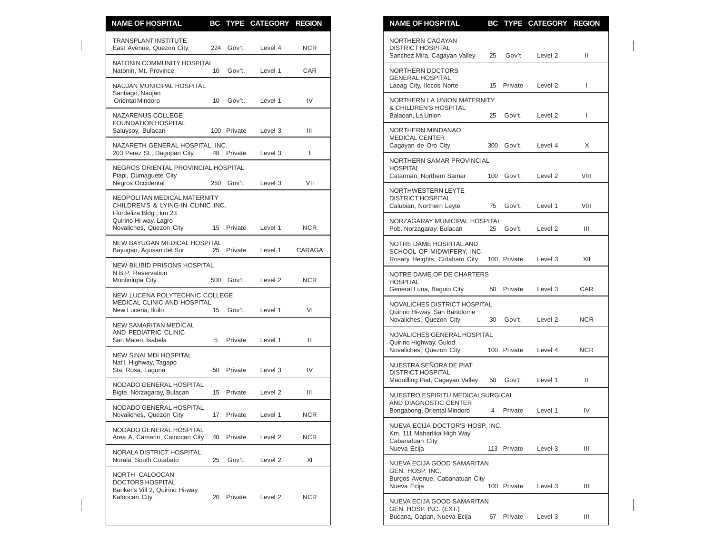| <b>NAME OF HOSPITAL</b>                                                                |                 |             | BC TYPE CATEGORY REGION |              | <b>NAME OF HOSPITAL</b><br>BC TYPE CATEGORY REGION                                                                     |              |
|----------------------------------------------------------------------------------------|-----------------|-------------|-------------------------|--------------|------------------------------------------------------------------------------------------------------------------------|--------------|
| <b>TRANSPLANT INSTITUTE</b><br>East Avenue, Quezon City                                |                 | 224 Gov't.  | Level 4                 | <b>NCR</b>   | NORTHERN CAGAYAN<br><b>DISTRICT HOSPITAL</b><br>Sanchez Mira, Cagayan Valley<br>Gov't<br>25<br>Level 2                 | П.           |
| NATONIN COMMUNITY HOSPITAL<br>Natonin, Mt. Province                                    |                 | 10 Gov't.   | Level 1                 | CAR          | NORTHERN DOCTORS                                                                                                       |              |
| NAUJAN MUNICIPAL HOSPITAL<br>Santiago, Naujan                                          |                 |             |                         |              | <b>GENERAL HOSPITAL</b><br>Laoag City, Ilocos Norte<br>15 Private<br>Level 2                                           | $\mathbf{I}$ |
| Oriental Mindoro<br>NAZARENUS COLLEGE                                                  | 10 <sup>°</sup> | Gov't.      | Level 1                 | IV           | NORTHERN LA UNION MATERNITY<br>& CHILDREN'S HOSPITAL<br>Balaoan, La Union<br>25<br>Gov't.<br>Level 2                   | T            |
| <b>FOUNDATION HOSPITAL</b><br>Saluysoy, Bulacan                                        |                 | 100 Private | Level 3                 | Ш            | NORTHERN MINDANAO<br><b>MEDICAL CENTER</b>                                                                             |              |
| NAZARETH GENERAL HOSPITAL, INC.<br>203 Perez St., Dagupan City                         |                 | 48 Private  | Level 3                 | $\mathbf{I}$ | Cagayan de Oro City<br>300 Gov't.<br>Level 4                                                                           | X            |
| NEGROS ORIENTAL PROVINCIAL HOSPITAL<br>Piapi, Dumaguete City                           |                 |             |                         |              | NORTHERN SAMAR PROVINCIAL<br><b>HOSPITAL</b><br>Catarman, Northern Samar<br>100<br>Gov't.<br>Level 2                   | VIII         |
| Negros Occidental<br>NEOPOLITAN MEDICAL MATERNITY<br>CHILDREN'S & LYING-IN CLINIC INC. |                 | 250 Gov't.  | Level 3                 | VII          | NORTHWESTERN LEYTE<br><b>DISTRICT HOSPITAL</b><br>Calubian, Northern Leyte<br>75<br>Gov't.<br>Level 1                  | VIII         |
| Flordeliza Bldg., km 23<br>Quirino Hi-way, Lagro<br>Novaliches, Quezon City            |                 | 15 Private  | Level 1                 | <b>NCR</b>   | NORZAGARAY MUNICIPAL HOSPITAL<br>Pob. Norzagaray, Bulacan<br>25 Gov't.<br>Level 2                                      | Ш            |
| NEW BAYUGAN MEDICAL HOSPITAL<br>Bayugan, Agusan del Sur                                |                 | 25 Private  | Level 1                 | CARAGA       | NOTRE DAME HOSPITAL AND<br>SCHOOL OF MIDWIFERY, INC.<br>Rosary Heights, Cotabato City<br>100 Private                   |              |
| NEW BILIBID PRISONS HOSPITAL<br>N.B.P. Reservation<br>Muntinlupa City                  |                 | 500 Gov't.  | Level 2                 | <b>NCR</b>   | Level 3<br>NOTRE DAME OF DE CHARTERS<br><b>HOSPITAL</b>                                                                | XII          |
| NEW LUCENA POLYTECHNIC COLLEGE<br>MEDICAL CLINIC AND HOSPITAL<br>New Lucena, Iloilo    |                 | 15 Gov't.   | Level 1                 | VI           | General Luna, Baguio City<br>Private<br>Level 3<br>50<br>NOVALICHES DISTRICT HOSPITAL<br>Quirino Hi-way, San Bartolome | CAR          |
| NEW SAMARITAN MEDICAL<br>AND PEDIATRIC CLINIC<br>San Mateo, Isabela                    | 5               | Private     | Level 1                 | Ш            | Novaliches, Quezon City<br>30<br>Gov't.<br>Level 2<br>NOVALICHES GENERAL HOSPITAL                                      | <b>NCR</b>   |
| NEW SINAI MDI HOSPITAL                                                                 |                 |             |                         |              | Quirino Highway, Gulod<br>Novaliches, Quezon City<br>100 Private<br>Level 4                                            | <b>NCR</b>   |
| Nat'l. Highway, Tagapo<br>Sta. Rosa, Laguna                                            | 50              | Private     | Level 3                 | IV           | NUESTRA SEÑORA DE PIAT<br><b>DISTRICT HOSPITAL</b><br>Maquilling Piat, Cagayan Valley<br>50 Gov't.<br>Level 1          | Ш            |
| NODADO GENERAL HOSPITAL<br>Bigte, Norzagaray, Bulacan                                  | 15              | Private     | Level 2                 | Ш            | NUESTRO ESPIRITU MEDICALSURGICAL                                                                                       |              |
| NODADO GENERAL HOSPITAL<br>Novaliches, Quezon City                                     |                 | 17 Private  | Level 1                 | <b>NCR</b>   | AND DIAGNOSTIC CENTER<br>Bongabong, Oriental Mindoro<br>4 Private<br>Level 1                                           | IV           |
| NODADO GENERAL HOSPITAL<br>Area A, Camarin, Caloocan City                              |                 | 40 Private  | Level 2                 | <b>NCR</b>   | NUEVA ECIJA DOCTOR'S HOSP. INC.<br>Km. 111 Maharlika High Way<br>Cabanatuan City                                       |              |
| NORALA DISTRICT HOSPITAL<br>Norala, South Cotabato                                     | 25              | Gov't.      | Level 2                 | XI           | Nueva Ecija<br>113 Private<br>Level 3<br>NUEVA ECIJA GOOD SAMARITAN                                                    | Ш            |
| NORTH CALOOCAN<br><b>DOCTORS HOSPITAL</b><br>Banker's Vill 2, Quirino Hi-way           |                 |             |                         |              | GEN. HOSP. INC.<br>Burgos Avenue, Cabanatuan City<br>Nueva Ecija<br>100 Private<br>Level 3                             | Ш            |
| Kaloocan City                                                                          |                 | 20 Private  | Level 2                 | <b>NCR</b>   | NUEVA ECIJA GOOD SAMARITAN<br>GEN. HOSP. INC. (EXT.)<br>Rucana, Canan, Nuova Ecija<br>67 Drivato<br>N <sub>0</sub>     |              |

| <b>NAME OF HOSPITAL</b>                                                                         |                |             | BC TYPE CATEGORY REGION |            |
|-------------------------------------------------------------------------------------------------|----------------|-------------|-------------------------|------------|
| NORTHERN CAGAYAN<br><b>DISTRICT HOSPITAL</b><br>Sanchez Mira, Cagayan Valley                    | 25             | Gov't       | Level <sub>2</sub>      | Ш          |
| NORTHERN DOCTORS<br><b>GENERAL HOSPITAL</b><br>Laoag City, Ilocos Norte                         | 15             | Private     | Level 2                 | L          |
| NORTHERN LA UNION MATERNITY<br>& CHILDREN'S HOSPITAL<br>Balaoan, La Union                       | 25             | Gov't.      | Level 2                 | L          |
| NORTHERN MINDANAO<br><b>MEDICAL CENTER</b><br>Cagayan de Oro City                               | 300            | Gov't.      | Level 4                 | Χ          |
| NORTHERN SAMAR PROVINCIAL<br><b>HOSPITAL</b><br>Catarman, Northern Samar                        | 100            | Gov't.      | Level 2                 | VIII       |
| NORTHWESTERN LEYTE<br><b>DISTRICT HOSPITAL</b><br>Calubian, Northern Leyte                      | 75             | Gov't.      | Level 1                 | VIII       |
| NORZAGARAY MUNICIPAL HOSPITAL<br>Pob. Norzagaray, Bulacan                                       | 25             | Gov't.      | Level 2                 | Ш          |
| NOTRE DAME HOSPITAL AND<br>SCHOOL OF MIDWIFERY, INC.<br>Rosary Heights, Cotabato City           |                | 100 Private | Level 3                 | XII        |
| NOTRE DAME OF DE CHARTERS<br><b>HOSPITAL</b><br>General Luna, Baguio City                       | 50             | Private     | Level 3                 | CAR        |
| <b>NOVALICHES DISTRICT HOSPITAL</b><br>Quirino Hi-way, San Bartolome<br>Novaliches, Quezon City | 30             | Gov't.      | Level 2                 | <b>NCR</b> |
| NOVALICHES GENERAL HOSPITAL<br>Quirino Highway, Gulod<br>Novaliches, Quezon City                |                | 100 Private | Level 4                 | <b>NCR</b> |
| NUESTRA SEÑORA DE PIAT<br><b>DISTRICT HOSPITAL</b><br>Maquilling Piat, Cagayan Valley           | 50             | Gov't.      | Level 1                 | Ш          |
| NUESTRO ESPIRITU MEDICALSURGICAL<br>AND DIAGNOSTIC CENTER<br>Bongabong, Oriental Mindoro        | $\overline{4}$ | Private     | Level 1                 | IV         |
| NUEVA ECIJA DOCTOR'S HOSP. INC.<br>Km. 111 Maharlika High Way<br>Cabanatuan City<br>Nueva Ecija |                | 113 Private | Level 3                 | Ш          |
| NUEVA ECIJA GOOD SAMARITAN<br>GEN. HOSP. INC.<br>Burgos Avenue, Cabanatuan City<br>Nueva Ecija  |                | 100 Private | Level 3                 | Ш          |
| NUEVA ECIJA GOOD SAMARITAN<br>GEN. HOSP. INC. (EXT.)<br>Bucana, Gapan, Nueva Ecija              | 67             | Private     | Level 3                 | Ш          |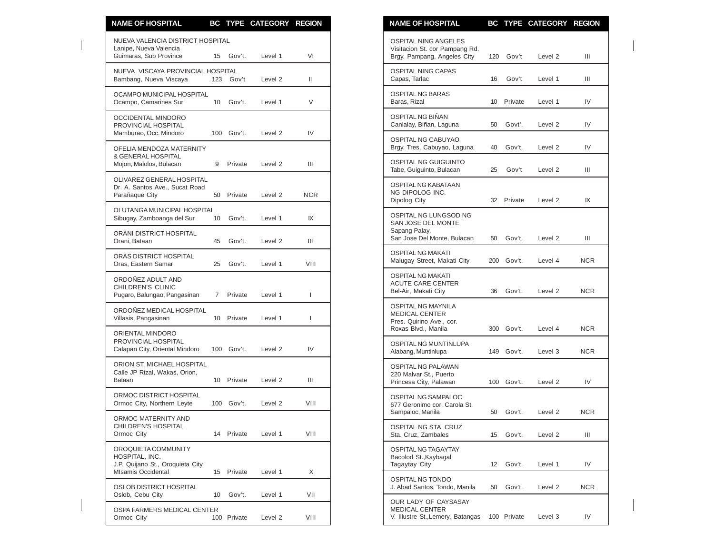| <b>NAME OF HOSPITAL</b>                                                                                |                 |                       | BC TYPE CATEGORY REGION |              | <b>NAME OF HOSPITAL</b>                                                                      |     |                          | BC TYPE CATEGORY REGION |                          |
|--------------------------------------------------------------------------------------------------------|-----------------|-----------------------|-------------------------|--------------|----------------------------------------------------------------------------------------------|-----|--------------------------|-------------------------|--------------------------|
| NUEVA VALENCIA DISTRICT HOSPITAL<br>Lanipe, Nueva Valencia<br>Guimaras, Sub Province                   |                 | 15 Gov't.             | Level 1                 | VI           | <b>OSPITAL NING ANGELES</b><br>Visitacion St. cor Pampang Rd.<br>Brgy. Pampang, Angeles City | 120 | Gov't                    | Level 2                 | Ш                        |
| NUEVA VISCAYA PROVINCIAL HOSPITAL<br>Bambang, Nueva Viscaya                                            |                 | 123 Gov't             | Level 2                 | $\mathbf{H}$ | <b>OSPITAL NING CAPAS</b><br>Capas, Tarlac                                                   | 16  | Gov't                    | Level 1                 | Ш                        |
| OCAMPO MUNICIPAL HOSPITAL<br>Ocampo, Camarines Sur                                                     |                 | 10 Gov't.             | Level 1                 | V            | <b>OSPITAL NG BARAS</b><br>Baras, Rizal                                                      |     | 10 Private               | Level 1                 | IV                       |
| OCCIDENTAL MINDORO<br>PROVINCIAL HOSPITAL                                                              |                 |                       |                         | IV           | OSPITAL NG BIÑAN<br>Canlalay, Biñan, Laguna                                                  | 50  | Govt'.                   | Level 2                 | IV                       |
| Mamburao, Occ. Mindoro<br>OFELIA MENDOZA MATERNITY                                                     |                 | 100 Gov't.            | Level 2                 |              | OSPITAL NG CABUYAO<br>Brgy. Tres, Cabuyao, Laguna                                            | 40  | Gov't.                   | Level 2                 | IV                       |
| & GENERAL HOSPITAL<br>Mojon, Malolos, Bulacan                                                          | 9               | Private               | Level 2                 | Ш            | <b>OSPITAL NG GUIGUINTO</b><br>Tabe, Guiguinto, Bulacan                                      | 25  | Gov't                    | Level 2                 | Ш                        |
| OLIVAREZ GENERAL HOSPITAL<br>Dr. A. Santos Ave., Sucat Road<br>Parañaque City                          |                 | 50 Private            | Level 2                 | <b>NCR</b>   | OSPITAL NG KABATAAN<br>NG DIPOLOG INC.<br>Dipolog City                                       |     | 32 Private               | Level 2                 | IX                       |
| OLUTANGA MUNICIPAL HOSPITAL<br>Sibugay, Zamboanga del Sur                                              | 10 <sup>°</sup> | Gov't.                | Level 1                 | IX           | OSPITAL NG LUNGSOD NG<br>SAN JOSE DEL MONTE                                                  |     |                          |                         |                          |
| ORANI DISTRICT HOSPITAL<br>Orani, Bataan                                                               | 45              | Gov't.                | Level 2                 | Ш            | Sapang Palay,<br>San Jose Del Monte, Bulacan                                                 | 50  | Gov't.                   | Level 2                 | Ш                        |
| ORAS DISTRICT HOSPITAL<br>Oras. Eastern Samar                                                          | 25              | Gov't.                | Level 1                 | VIII         | <b>OSPITAL NG MAKATI</b><br>Malugay Street, Makati City                                      |     | 200 Gov't.               | Level 4                 | <b>NCR</b>               |
| ORDOÑEZ ADULT AND<br><b>CHILDREN'S CLINIC</b><br>Pugaro, Balungao, Pangasinan                          | $7^{\circ}$     | Private               | Level 1                 | Ť            | <b>OSPITAL NG MAKATI</b><br>ACUTE CARE CENTER<br>Bel-Air, Makati City                        | 36  | Gov't.                   | Level 2                 | <b>NCR</b>               |
| ORDOÑEZ MEDICAL HOSPITAL<br>Villasis, Pangasinan                                                       |                 | 10 Private            | Level 1                 | T            | <b>OSPITAL NG MAYNILA</b><br><b>MEDICAL CENTER</b><br>Pres. Quirino Ave., cor.               |     |                          |                         |                          |
| ORIENTAL MINDORO<br>PROVINCIAL HOSPITAL<br>Calapan City, Oriental Mindoro                              |                 | 100 Gov't.            | Level 2                 | IV           | Roxas Blvd., Manila<br>OSPITAL NG MUNTINLUPA<br>Alabang, Muntinlupa                          |     | 300 Gov't.<br>149 Gov't. | Level 4<br>Level 3      | <b>NCR</b><br><b>NCR</b> |
| ORION ST. MICHAEL HOSPITAL<br>Calle JP Rizal, Wakas, Orion,<br>Bataan                                  |                 | 10 Private            | Level 2                 | Ш            | <b>OSPITAL NG PALAWAN</b><br>220 Malvar St., Puerto<br>Princesa City, Palawan                | 100 | Gov't.                   | Level 2                 | IV                       |
| ORMOC DISTRICT HOSPITAL<br>Ormoc City, Northern Leyte                                                  |                 | 100 Gov't.            | Level 2                 | VIII         | OSPITAL NG SAMPALOC<br>677 Geronimo cor. Carola St.                                          |     |                          |                         |                          |
| ORMOC MATERNITY AND<br>CHILDREN'S HOSPITAL<br>Ormoc City                                               |                 | 14 Private            | Level 1                 | VIII         | Sampaloc, Manila<br>OSPITAL NG STA. CRUZ<br>Sta. Cruz, Zambales                              | 15  | 50 Gov't.<br>Gov't.      | Level 2<br>Level 2      | <b>NCR</b><br>Ш          |
| OROQUIETA COMMUNITY<br>HOSPITAL, INC.<br>J.P. Quijano St., Oroquieta City<br><b>MIsamis Occidental</b> |                 | 15 Private            | Level 1                 | X            | OSPITAL NG TAGAYTAY<br>Bacolod St., Kaybagal<br>Tagaytay City                                | 12  | Gov't.                   | Level 1                 | IV                       |
| OSLOB DISTRICT HOSPITAL                                                                                |                 |                       |                         |              | <b>OSPITAL NG TONDO</b><br>J. Abad Santos, Tondo, Manila                                     |     | 50 Gov't.                | Level 2                 | <b>NCR</b>               |
| Oslob, Cebu City<br>OSPA FARMERS MEDICAL CENTER<br>Ormoc City                                          | 10              | Gov't.<br>100 Private | Level 1<br>Level 2      | VII<br>VIII  | OUR LADY OF CAYSASAY<br><b>MEDICAL CENTER</b><br>V. Illustre St., Lemery, Batangas           |     | 100 Private              | Level 3                 | IV                       |

| NAME OF HOSPITAL                                                                                      |     |             | BC TYPE CATEGORY REGION |      |
|-------------------------------------------------------------------------------------------------------|-----|-------------|-------------------------|------|
| <b>OSPITAL NING ANGELES</b><br>Visitacion St. cor Pampang Rd.<br>Brgy. Pampang, Angeles City          | 120 | Gov't       | Level 2                 | Ш    |
| <b>OSPITAL NING CAPAS</b><br>Capas, Tarlac                                                            | 16  | Gov't       | Level 1                 | Ш    |
| OSPITAL NG BARAS<br>Baras, Rizal                                                                      | 10  | Private     | Level 1                 | IV   |
| OSPITAL NG BIÑAN<br>Canlalay, Biñan, Laguna                                                           | 50  | Govť.       | Level 2                 | IV   |
| OSPITAL NG CABUYAO<br>Brgy. Tres, Cabuyao, Laguna                                                     | 40  | Gov't.      | Level 2                 | IV   |
| OSPITAL NG GUIGUINTO<br>Tabe, Guiguinto, Bulacan                                                      | 25  | Gov't       | Level 2                 | Ш    |
| OSPITAL NG KABATAAN<br>NG DIPOLOG INC.<br>Dipolog City                                                | 32  | Private     | Level 2                 | IX   |
| OSPITAL NG LUNGSOD NG<br>SAN JOSE DEL MONTE<br>Sapang Palay,<br>San Jose Del Monte, Bulacan           | 50  | Gov't.      | Level 2                 | Ш    |
| <b>OSPITAL NG MAKATI</b><br>Malugay Street, Makati City                                               | 200 | Gov't.      | Level 4                 | NCR. |
| <b>OSPITAL NG MAKATI</b><br><b>ACUTE CARE CENTER</b><br>Bel-Air, Makati City                          | 36  | Gov't.      | Level <sub>2</sub>      | NCR. |
| <b>OSPITAL NG MAYNILA</b><br><b>MEDICAL CENTER</b><br>Pres. Quirino Ave., cor.<br>Roxas Blvd., Manila | 300 | Gov't.      | Level 4                 | NCR. |
| OSPITAL NG MUNTINLUPA<br>Alabang, Muntinlupa                                                          | 149 | Gov't.      | Level 3                 | NCR. |
| OSPITAL NG PALAWAN<br>220 Malvar St., Puerto<br>Princesa City, Palawan                                | 100 | Gov't.      | Level 2                 | IV   |
| OSPITAL NG SAMPALOC<br>677 Geronimo cor. Carola St.<br>Sampaloc, Manila                               | 50  | Gov't.      | Level 2                 | NCR  |
| OSPITAL NG STA. CRUZ<br>Sta. Cruz, Zambales                                                           | 15  | Gov't.      | Level 2                 | Ш    |
| <b>OSPITAL NG TAGAYTAY</b><br>Bacolod St., Kaybagal<br>Tagaytay City                                  | 12  | Gov't.      | Level 1                 | IV   |
| <b>OSPITAL NG TONDO</b><br>J. Abad Santos, Tondo, Manila                                              | 50  | Gov't.      | Level 2                 | NCR  |
| OUR LADY OF CAYSASAY<br><b>MEDICAL CENTER</b><br>V. Illustre St., Lemery, Batangas                    |     | 100 Private | Level 3                 | IV   |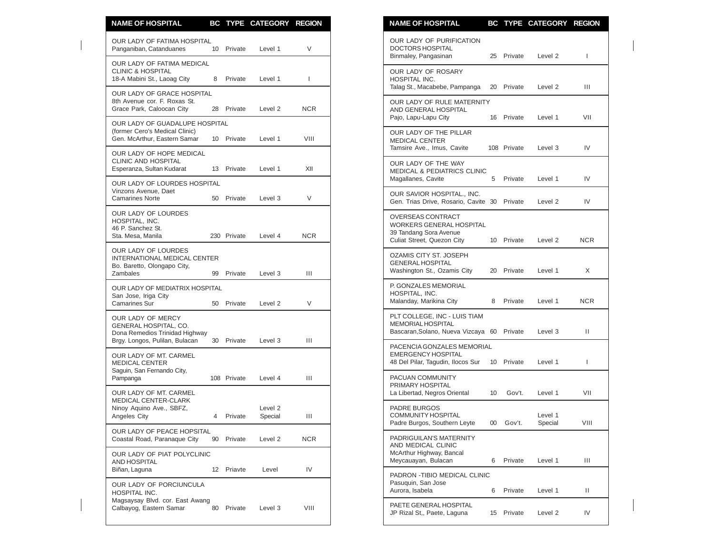| <b>NAME OF HOSPITAL</b>                                                                               |    |             | BC TYPE CATEGORY REGION       |                          |
|-------------------------------------------------------------------------------------------------------|----|-------------|-------------------------------|--------------------------|
| OUR LADY OF FATIMA HOSPITAL<br>Panganiban, Catanduanes                                                |    | 10 Private  | Level 1                       | V                        |
| OUR LADY OF FATIMA MEDICAL<br><b>CLINIC &amp; HOSPITAL</b><br>18-A Mabini St., Laoag City             | 8  | Private     | Level 1                       | $\overline{\phantom{a}}$ |
| OUR LADY OF GRACE HOSPITAL<br>8th Avenue cor. F. Roxas St.<br>Grace Park, Caloocan City               |    | 28 Private  | Level 2                       | <b>NCR</b>               |
| OUR LADY OF GUADALUPE HOSPITAL<br>(former Cero's Medical Clinic)<br>Gen. McArthur, Eastern Samar      |    | 10 Private  | Level 1                       | VIII                     |
| OUR LADY OF HOPE MEDICAL<br>CLINIC AND HOSPITAL                                                       |    |             |                               | XII                      |
| Esperanza, Sultan Kudarat<br>OUR LADY OF LOURDES HOSPITAL<br>Vinzons Avenue, Daet                     |    | 13 Private  | Level 1                       |                          |
| <b>Camarines Norte</b><br><b>OUR LADY OF LOURDES</b>                                                  |    | 50 Private  | Level 3                       | V                        |
| HOSPITAL, INC.<br>46 P. Sanchez St.<br>Sta. Mesa, Manila                                              |    | 230 Private | Level 4                       | <b>NCR</b>               |
| OUR LADY OF LOURDES<br>INTERNATIONAL MEDICAL CENTER<br>Bo. Baretto, Olongapo City,<br><b>Zambales</b> | 99 | Private     | Level 3                       | Ш                        |
| OUR LADY OF MEDIATRIX HOSPITAL<br>San Jose, Iriga City<br><b>Camarines Sur</b>                        |    | 50 Private  | Level 2                       | V                        |
| OUR LADY OF MERCY<br>GENERAL HOSPITAL, CO.<br>Dona Remedios Trinidad Highway                          |    |             |                               |                          |
| Brgy. Longos, Pulilan, Bulacan<br>OUR LADY OF MT. CARMEL<br><b>MEDICAL CENTER</b>                     |    | 30 Private  | Level 3                       | Ш                        |
| Saguin, San Fernando City,<br>Pampanga<br>OUR LADY OF MT. CARMEL                                      |    | 108 Private | Level 4                       | Ш                        |
| MEDICAL CENTER-CLARK<br>Ninoy Aquino Ave., SBFZ,<br>Angeles City                                      | 4  | Private     | Level <sub>2</sub><br>Special | Ш                        |
| OUR LADY OF PEACE HOPSITAL<br>Coastal Road, Paranaque City                                            |    | 90 Private  | Level 2                       | <b>NCR</b>               |
| OUR LADY OF PIAT POLYCLINIC<br><b>AND HOSPITAL</b><br>Biñan, Laguna                                   |    | 12 Priavte  | Level                         | IV                       |
| OUR LADY OF PORCIUNCULA<br>HOSPITAL INC.                                                              |    |             |                               |                          |
| Magsaysay Blvd. cor. East Awang<br>Calbayog, Eastern Samar                                            |    | 80 Private  | Level 3                       | VIII                     |

| <b>NAME OF HOSPITAL</b>                                                                                      |    |             | BC TYPE CATEGORY REGION |              |
|--------------------------------------------------------------------------------------------------------------|----|-------------|-------------------------|--------------|
| OUR LADY OF PURIFICATION<br>DOCTORS HOSPITAL<br>Binmaley, Pangasinan                                         | 25 | Private     | Level 2                 | L            |
| OUR LADY OF ROSARY<br>HOSPITAL INC.<br>Talag St., Macabebe, Pampanga                                         | 20 | Private     | Level 2                 | Ш            |
| OUR LADY OF RULE MATERNITY<br>AND GENERAL HOSPITAL<br>Pajo, Lapu-Lapu City                                   | 16 | Private     | Level 1                 | VII          |
| OUR LADY OF THE PILLAR<br><b>MEDICAL CENTER</b><br>Tamsire Ave., Imus, Cavite                                |    | 108 Private | Level 3                 | IV           |
| OUR LADY OF THE WAY<br><b>MEDICAL &amp; PEDIATRICS CLINIC</b><br>Magallanes, Cavite                          | 5  | Private     | Level 1                 | IV           |
| OUR SAVIOR HOSPITAL., INC.<br>Gen. Trias Drive, Rosario, Cavite 30 Private                                   |    |             | Level 2                 | IV           |
| OVERSEAS CONTRACT<br><b>WORKERS GENERAL HOSPITAL</b><br>39 Tandang Sora Avenue<br>Culiat Street, Quezon City |    | 10 Private  | Level 2                 | NCR          |
| OZAMIS CITY ST. JOSEPH<br><b>GENERAL HOSPITAL</b><br>Washington St., Ozamis City                             | 20 | Private     | Level 1                 | X            |
| P. GONZALES MEMORIAL<br>HOSPITAL, INC.<br>Malanday, Marikina City                                            | 8  | Private     | Level 1                 | NCR.         |
| PLT COLLEGE, INC - LUIS TIAM<br><b>MEMORIAL HOSPITAL</b><br>Bascaran, Solano, Nueva Vizcaya 60               |    | Private     | Level 3                 | $\mathbf{H}$ |
| PACENCIA GONZALES MEMORIAL<br><b>EMERGENCY HOSPITAL</b><br>48 Del Pilar, Tagudin, Ilocos Sur 10              |    | Private     | Level 1                 | L            |
| PACUAN COMMUNITY<br>PRIMARY HOSPITAL<br>La Libertad, Negros Oriental                                         | 10 | Gov't.      | Level 1                 | VII          |
| <b>PADRE BURGOS</b><br><b>COMMUNITY HOSPITAL</b><br>Padre Burgos, Southern Leyte                             |    | 00 Gov't.   | Level 1<br>Special      | VIII         |
| PADRIGUILAN'S MATERNITY<br>AND MEDICAL CLINIC<br>McArthur Highway, Bancal<br>Meycauayan, Bulacan             | 6  | Private     | Level 1                 | Ш            |
| PADRON - TIBIO MEDICAL CLINIC<br>Pasuquin, San Jose<br>Aurora, Isabela                                       | 6  | Private     | Level 1                 | Ш            |
| PAETE GENERAL HOSPITAL<br>JP Rizal St,, Paete, Laguna                                                        | 15 | Private     | Level 2                 | IV           |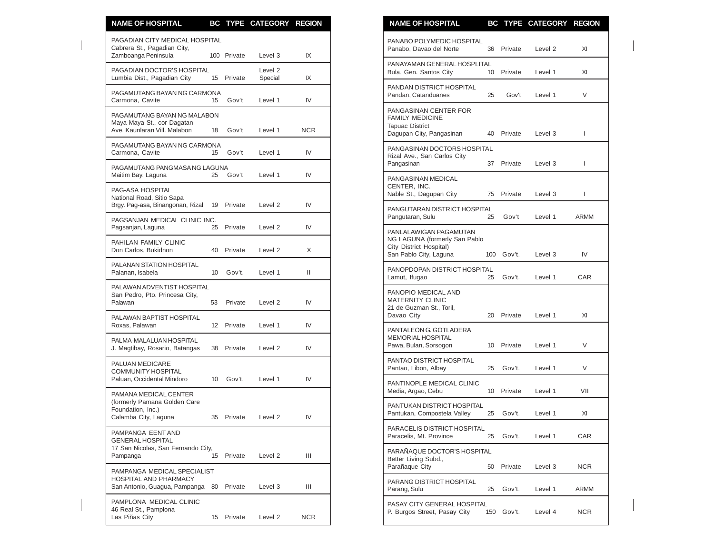| <b>NAME OF HOSPITAL</b>                                                                                 |    |             | BC TYPE CATEGORY REGION |              | <b>NAME OF HOSPITAL</b><br>BC TYPE CATEGORY REGION                                                                                |                    |
|---------------------------------------------------------------------------------------------------------|----|-------------|-------------------------|--------------|-----------------------------------------------------------------------------------------------------------------------------------|--------------------|
| PAGADIAN CITY MEDICAL HOSPITAL<br>Cabrera St., Pagadian City,<br>Zamboanga Peninsula                    |    | 100 Private | Level 3                 | IX           | PANABO POLYMEDIC HOSPITAL<br>36 Private<br>Panabo, Davao del Norte<br>Level <sub>2</sub>                                          | XI                 |
| PAGADIAN DOCTOR'S HOSPITAL<br>Lumbia Dist., Pagadian City                                               |    | 15 Private  | Level 2<br>Special      | IX           | PANAYAMAN GENERAL HOSPLITAL<br>Bula, Gen. Santos City<br>10 Private<br>Level 1                                                    | XI                 |
| PAGAMUTANG BAYAN NG CARMONA<br>Carmona, Cavite                                                          | 15 | Gov't       | Level 1                 | IV           | PANDAN DISTRICT HOSPITAL<br>Pandan, Catanduanes<br>25<br>Gov't<br>Level 1                                                         | V                  |
| PAGAMUTANG BAYAN NG MALABON<br>Maya-Maya St., cor Dagatan<br>Ave. Kaunlaran Vill. Malabon               | 18 | Gov't       | Level 1                 | <b>NCR</b>   | PANGASINAN CENTER FOR<br><b>FAMILY MEDICINE</b><br><b>Tapuac District</b><br>Dagupan City, Pangasinan<br>Private<br>Level 3<br>40 | $\mathbf{I}$       |
| PAGAMUTANG BAYAN NG CARMONA<br>Carmona, Cavite                                                          | 15 | Gov't       | Level 1                 | IV           | PANGASINAN DOCTORS HOSPITAL<br>Rizal Ave., San Carlos City                                                                        |                    |
| PAGAMUTANG PANGMASA NG LAGUNA<br>Maitim Bay, Laguna                                                     | 25 | Gov't       | Level 1                 | IV           | Pangasinan<br>37 Private<br>Level 3<br>PANGASINAN MEDICAL                                                                         | $\mathbf{I}$       |
| PAG-ASA HOSPITAL<br>National Road, Sitio Sapa                                                           |    |             |                         |              | CENTER, INC.<br>Nable St., Dagupan City<br>75<br>Private<br>Level 3                                                               | T                  |
| Brgy. Pag-asa, Binangonan, Rizal 19<br>PAGSANJAN MEDICAL CLINIC INC.                                    |    | Private     | Level 2                 | IV           | PANGUTARAN DISTRICT HOSPITAL<br>Pangutaran, Sulu<br>25<br>Gov't<br>Level 1                                                        | <b>ARMM</b>        |
| Pagsanjan, Laguna                                                                                       | 25 | Private     | Level 2                 | IV           | PANLALAWIGAN PAGAMUTAN<br>NG LAGUNA (formerly San Pablo                                                                           |                    |
| PAHILAN FAMILY CLINIC<br>Don Carlos, Bukidnon                                                           | 40 | Private     | Level 2                 | X            | City District Hospital)<br>San Pablo City, Laguna<br>100 Gov't.<br>Level 3                                                        | IV                 |
| PALANAN STATION HOSPITAL<br>Palanan, Isabela                                                            |    | 10 Gov't.   | Level 1                 | $\mathbf{H}$ | PANOPDOPAN DISTRICT HOSPITAL<br>Gov't.<br>Lamut, Ifugao<br>25<br>Level 1                                                          | CAR                |
| PALAWAN ADVENTIST HOSPITAL<br>San Pedro, Pto. Princesa City,<br>Palawan                                 | 53 | Private     | Level 2                 | IV           | PANOPIO MEDICAL AND<br><b>MATERNITY CLINIC</b><br>21 de Guzman St., Toril,                                                        |                    |
| PALAWAN BAPTIST HOSPITAL<br>Roxas, Palawan                                                              |    | 12 Private  | Level 1                 | IV           | Davao City<br>20 Private<br>Level 1                                                                                               | XI                 |
| PALMA-MALALUAN HOSPITAL<br>J. Magtibay, Rosario, Batangas                                               |    | 38 Private  | Level 2                 | IV           | PANTALEON G. GOTLADERA<br>MEMORIAL HOSPITAL<br>Pawa, Bulan, Sorsogon<br>10 Private<br>Level 1                                     | $\vee$             |
| PALUAN MEDICARE<br><b>COMMUNITY HOSPITAL</b>                                                            |    |             |                         |              | PANTAO DISTRICT HOSPITAL<br>Pantao, Libon, Albay<br>25<br>Gov't.<br>Level 1                                                       | V                  |
| Paluan, Occidental Mindoro<br>PAMANA MEDICAL CENTER                                                     | 10 | Gov't.      | Level 1                 | IV           | PANTINOPLE MEDICAL CLINIC<br>Media, Argao, Cebu<br>10 Private<br>Level 1                                                          | VII                |
| (formerly Pamana Golden Care<br>Foundation, Inc.)<br>Calamba City, Laguna                               | 35 | Private     | Level 2                 | IV           | PANTUKAN DISTRICT HOSPITAL<br>Pantukan, Compostela Valley<br>25 Gov't.<br>Level 1                                                 | XI                 |
| PAMPANGA EENT AND<br><b>GENERAL HOSPITAL</b>                                                            |    |             |                         |              | PARACELIS DISTRICT HOSPITAL<br>Paracelis, Mt. Province<br>25<br>Gov't.<br>Level 1                                                 | CAR                |
| 17 San Nicolas, San Fernando City,<br>Pampanga                                                          |    | 15 Private  | Level 2                 | Ш            | PARAÑAQUE DOCTOR'S HOSPITAL<br>Better Living Subd.,                                                                               |                    |
| PAMPANGA MEDICAL SPECIALIST<br><b>HOSPITAL AND PHARMACY</b><br>San Antonio, Guagua, Pampanga 80 Private |    |             | Level 3                 | Ш            | Parañaque City<br>50 Private<br>Level 3<br>PARANG DISTRICT HOSPITAL<br>Parang, Sulu<br>25 Gov't.<br>Level 1                       | <b>NCR</b><br>ARMM |
| PAMPLONA MEDICAL CLINIC<br>46 Real St., Pamplona<br>Las Piñas City                                      |    | 15 Private  | Level 2                 | ${\sf NCR}$  | PASAY CITY GENERAL HOSPITAL<br>150 Gov't.<br>P. Burgos Street, Pasay City<br>Level 4                                              | <b>NCR</b>         |

| <b>NAME OF HOSPITAL</b>                                                                                      | BС  |         | <b>TYPE CATEGORY</b> | <b>REGION</b> |
|--------------------------------------------------------------------------------------------------------------|-----|---------|----------------------|---------------|
| PANABO POLYMEDIC HOSPITAL<br>Panabo. Davao del Norte                                                         | 36  | Private | Level <sub>2</sub>   | XI            |
| PANAYAMAN GENERAL HOSPLITAL<br>Bula, Gen. Santos City                                                        | 10  | Private | Level 1              | XI            |
| PANDAN DISTRICT HOSPITAL<br>Pandan, Catanduanes                                                              | 25  | Gov't   | Level 1              | V             |
| PANGASINAN CENTER FOR<br><b>FAMILY MEDICINE</b><br><b>Tapuac District</b><br>Dagupan City, Pangasinan        | 40  | Private | Level 3              | L             |
| PANGASINAN DOCTORS HOSPITAL<br>Rizal Ave., San Carlos City<br>Pangasinan                                     | 37  | Private | Level 3              | L             |
| PANGASINAN MEDICAL<br>CENTER, INC.<br>Nable St., Dagupan City                                                | 75  | Private | Level 3              | L             |
| PANGUTARAN DISTRICT HOSPITAL<br>Pangutaran, Sulu                                                             | 25  | Gov't   | Level 1              | ARMM          |
| PANLALAWIGAN PAGAMUTAN<br>NG LAGUNA (formerly San Pablo<br>City District Hospital)<br>San Pablo City, Laguna | 100 | Gov't.  | Level 3              | IV            |
| PANOPDOPAN DISTRICT HOSPITAL<br>Lamut, Ifugao                                                                | 25  | Gov't.  | Level 1              | CAR           |
| PANOPIO MEDICAL AND<br><b>MATERNITY CLINIC</b><br>21 de Guzman St., Toril,<br>Davao City                     | 20  | Private | Level 1              | XI            |
| PANTALEON G. GOTLADERA<br><b>MEMORIAL HOSPITAL</b><br>Pawa, Bulan, Sorsogon                                  | 10  | Private | Level 1              | V             |
| PANTAO DISTRICT HOSPITAL<br>Pantao, Libon, Albay                                                             | 25  | Gov't.  | Level 1              | V             |
| PANTINOPLE MEDICAL CLINIC<br>Media, Argao, Cebu                                                              | 10  | Private | Level 1              | VII           |
| PANTUKAN DISTRICT HOSPITAL<br>Pantukan, Compostela Valley                                                    | 25  | Gov't.  | Level 1              | XI            |
| PARACELIS DISTRICT HOSPITAL<br>Paracelis, Mt. Province                                                       | 25  | Gov't.  | Level 1              | CAR           |
| PARAÑAQUE DOCTOR'S HOSPITAL<br>Better Living Subd.,<br>Parañaque City                                        | 50  | Private | Level 3              | NCR           |
| PARANG DISTRICT HOSPITAL<br>Parang, Sulu                                                                     | 25  | Gov't.  | Level 1              | ARMM          |
| PASAY CITY GENERAL HOSPITAL<br>P. Burgos Street, Pasay City                                                  | 150 | Gov't.  | Level 4              | <b>NCR</b>    |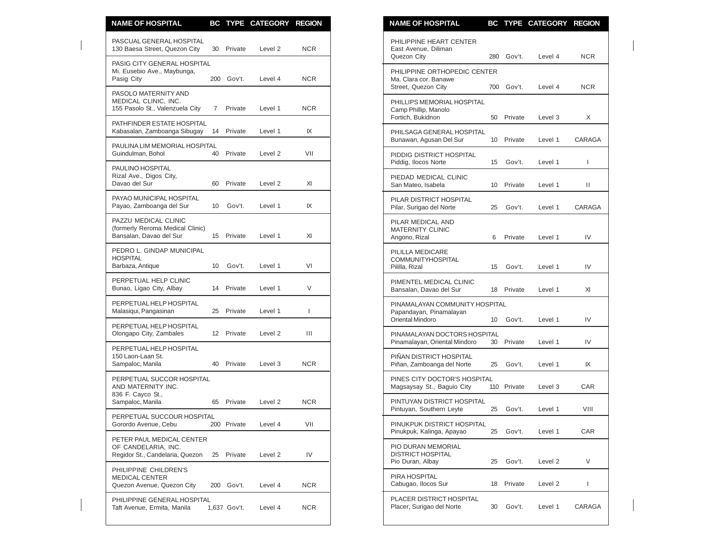| <b>NAME OF HOSPITAL</b>                                                             |             |              | BC TYPE CATEGORY REGION |              | <b>NAME OF HOSPITAL</b><br>BC TYPE CATEGORY REGION                                                                         |               |
|-------------------------------------------------------------------------------------|-------------|--------------|-------------------------|--------------|----------------------------------------------------------------------------------------------------------------------------|---------------|
| PASCUAL GENERAL HOSPITAL<br>130 Baesa Street, Quezon City                           | 30          | Private      | Level <sub>2</sub>      | <b>NCR</b>   | PHILIPPINE HEART CENTER<br>East Avenue, Diliman<br>Quezon City<br>280 Gov't.<br>Level 4                                    | <b>NCR</b>    |
| PASIG CITY GENERAL HOSPITAL<br>Mi. Eusebio Ave., Maybunga,<br>Pasig City            |             | 200 Gov't.   | Level 4                 | <b>NCR</b>   | PHILIPPINE ORTHOPEDIC CENTER<br>Ma. Clara cor. Banawe<br>700 Gov't.<br>Street, Quezon City<br>Level 4                      | <b>NCR</b>    |
| PASOLO MATERNITY AND<br>MEDICAL CLINIC, INC.<br>155 Pasolo St., Valenzuela City     | $7^{\circ}$ | Private      | Level 1                 | <b>NCR</b>   | PHILLIPS MEMORIAL HOSPITAL<br>Camp Phillip, Manolo<br>Fortich, Bukidnon<br>50<br>Private<br>Level 3                        | X             |
| PATHFINDER ESTATE HOSPITAL<br>Kabasalan, Zamboanga Sibugay                          |             | 14 Private   | Level 1                 | IX           | PHILSAGA GENERAL HOSPITAL                                                                                                  |               |
| PAULINA LIM MEMORIAL HOSPITAL<br>Guindulman, Bohol                                  |             | 40 Private   | Level 2                 | VII          | Bunawan, Agusan Del Sur<br>10 <sup>°</sup><br>Private<br>Level 1<br>PIDDIG DISTRICT HOSPITAL                               | <b>CARAGA</b> |
| PAULINO HOSPITAL<br>Rizal Ave., Digos City,<br>Davao del Sur                        | 60          | Private      | Level 2                 | XI           | Piddig, Ilocos Norte<br>Gov't.<br>Level 1<br>15<br>PIEDAD MEDICAL CLINIC<br>San Mateo, Isabela<br>Private<br>Level 1<br>10 | L<br>Ш        |
| PAYAO MUNICIPAL HOSPITAL<br>Payao, Zamboanga del Sur                                | 10          | Gov't.       | Level 1                 | IX           | PILAR DISTRICT HOSPITAL<br>Pilar, Surigao del Norte<br>25<br>Gov't.<br>Level 1                                             | <b>CARAGA</b> |
| PAZZU MEDICAL CLINIC<br>(formerly Reroma Medical Clinic)<br>Bansalan, Davao del Sur | 15          | Private      | Level 1                 | XI           | PILAR MEDICAL AND<br><b>MATERNITY CLINIC</b><br>Angono, Rizal<br>6<br>Private<br>Level 1                                   | IV            |
| PEDRO L. GINDAP MUNICIPAL<br><b>HOSPITAL</b><br>Barbaza, Antique                    | 10          | Gov't.       | Level 1                 | VI           | PILILLA MEDICARE<br><b>COMMUNITYHOSPITAL</b><br>Gov't.<br>Pililla, Rizal<br>15<br>Level 1                                  | IV            |
| PERPETUAL HELP CLINIC<br>Bunao, Ligao City, Albay                                   |             | 14 Private   | Level 1                 | V            | PIMENTEL MEDICAL CLINIC<br>Bansalan, Davao del Sur<br>18 Private<br>Level 1                                                | XI            |
| PERPETUAL HELP HOSPITAL<br>Malasiqui, Pangasinan                                    |             | 25 Private   | Level 1                 | $\mathbf{I}$ | PINAMALAYAN COMMUNITY HOSPITAL<br>Papandayan, Pinamalayan<br>Oriental Mindoro<br>Gov't.<br>10 <sup>°</sup><br>Level 1      | IV            |
| PERPETUAL HELP HOSPITAL<br>Olongapo City, Zambales                                  |             | 12 Private   | Level 2                 | Ш            | PINAMALAYAN DOCTORS HOSPITAL<br>Pinamalayan, Oriental Mindoro<br>30<br>Private<br>Level 1                                  | IV            |
| PERPETUAL HELP HOSPITAL<br>150 Laon-Laan St.<br>Sampaloc, Manila                    |             | 40 Private   | Level 3                 | <b>NCR</b>   | PIÑAN DISTRICT HOSPITAL<br>Piñan, Zamboanga del Norte<br>25<br>Gov't.<br>Level 1                                           | IX            |
| PERPETUAL SUCCOR HOSPITAL<br>AND MATERNITY INC.                                     |             |              |                         |              | PINES CITY DOCTOR'S HOSPITAL<br>Magsaysay St., Baguio City<br>110 Private<br>Level 3                                       | CAR           |
| 836 F. Cayco St.,<br>Sampaloc, Manila                                               |             | 65 Private   | Level 2                 | <b>NCR</b>   | PINTUYAN DISTRICT HOSPITAL<br>Pintuyan, Southern Leyte<br>25<br>Gov't.<br>Level 1                                          | VIII          |
| PERPETUAL SUCCOUR HOSPITAL<br>Gorordo Avenue, Cebu                                  |             | 200 Private  | Level 4                 | VII          | PINUKPUK DISTRICT HOSPITAL<br>Pinukpuk, Kalinga, Apayao<br>25<br>Gov't.<br>Level 1                                         | CAR           |
| PETER PAUL MEDICAL CENTER<br>OF CANDELARIA, INC.<br>Regidor St., Candelaria, Quezon | 25          | Private      | Level 2                 | IV           | PIO DURAN MEMORIAL<br><b>DISTRICT HOSPITAL</b><br>Pio Duran, Albay<br>25<br>Gov't.<br>Level 2                              | V             |
| PHILIPPINE CHILDREN'S<br><b>MEDICAL CENTER</b><br>Quezon Avenue, Quezon City        |             | 200 Gov't.   | Level 4                 | <b>NCR</b>   | PIRA HOSPITAL<br>Cabugao, Ilocos Sur<br>Private<br>18<br>Level 2                                                           | L             |
| PHILIPPINE GENERAL HOSPITAL<br>Taft Avenue, Ermita, Manila                          |             | 1,637 Gov't. | Level 4                 | <b>NCR</b>   | PLACER DISTRICT HOSPITAL<br>Placer, Surigao del Norte<br>Gov't.<br>30<br>Level 1                                           | <b>CARAGA</b> |
|                                                                                     |             |              |                         |              |                                                                                                                            |               |

| <b>NAME OF HOSPITAL</b>                                                       |     |         | <b>BC TYPE CATEGORY</b> | <b>REGION</b> |
|-------------------------------------------------------------------------------|-----|---------|-------------------------|---------------|
| PHILIPPINE HEART CENTER<br>East Avenue, Diliman<br>Quezon City                | 280 | Gov't.  | Level 4                 | <b>NCR</b>    |
| PHILIPPINE ORTHOPEDIC CENTER<br>Ma. Clara cor. Banawe<br>Street, Quezon City  | 700 | Gov't.  | Level 4                 | <b>NCR</b>    |
| PHILLIPS MEMORIAL HOSPITAL<br>Camp Phillip, Manolo<br>Fortich, Bukidnon       | 50  | Private | Level 3                 | X             |
| PHILSAGA GENERAL HOSPITAL<br>Bunawan, Agusan Del Sur                          | 10  | Private | Level 1                 | CARAGA        |
| PIDDIG DISTRICT HOSPITAL<br>Piddig, Ilocos Norte                              | 15  | Gov't.  | Level 1                 | I             |
| PIEDAD MEDICAL CLINIC<br>San Mateo, Isabela                                   | 10  | Private | Level 1                 | П             |
| PILAR DISTRICT HOSPITAL<br>Pilar, Surigao del Norte                           | 25  | Gov't.  | Level 1                 | CARAGA        |
| PILAR MEDICAL AND<br><b>MATERNITY CLINIC</b><br>Angono, Rizal                 | 6   | Private | Level 1                 | IV            |
| PILILLA MEDICARE<br>COMMUNITYHOSPITAL<br>Pililla, Rizal                       | 15  | Gov't.  | Level 1                 | IV            |
| PIMENTEL MEDICAL CLINIC<br>Bansalan, Davao del Sur                            | 18  | Private | Level 1                 | XI            |
| PINAMALAYAN COMMUNITY HOSPITAL<br>Papandayan, Pinamalayan<br>Oriental Mindoro | 10  | Gov't.  | Level 1                 | IV            |
| PINAMALAYAN DOCTORS HOSPITAL<br>Pinamalayan, Oriental Mindoro                 | 30  | Private | Level 1                 | IV            |
| PIÑAN DISTRICT HOSPITAL<br>Piñan, Zamboanga del Norte                         | 25  | Gov't.  | Level 1                 | IX            |
| PINES CITY DOCTOR'S HOSPITAL<br>Magsaysay St., Baguio City                    | 110 | Private | Level 3                 | CAR           |
| PINTUYAN DISTRICT HOSPITAL<br>Pintuyan, Southern Leyte                        | 25  | Gov't.  | Level 1                 | VIII          |
| PINUKPUK DISTRICT HOSPITAL<br>Pinukpuk, Kalinga, Apayao                       | 25  | Gov't.  | Level 1                 | CAR           |
| PIO DURAN MEMORIAL<br><b>DISTRICT HOSPITAL</b><br>Pio Duran, Albay            | 25  | Gov't.  | Level <sub>2</sub>      | V             |
| PIRA HOSPITAL<br>Cabugao, Ilocos Sur                                          | 18  | Private | Level 2                 | I             |
| PLACER DISTRICT HOSPITAL<br>Placer, Surigao del Norte                         | 30  | Gov't.  | Level 1                 | CARAGA        |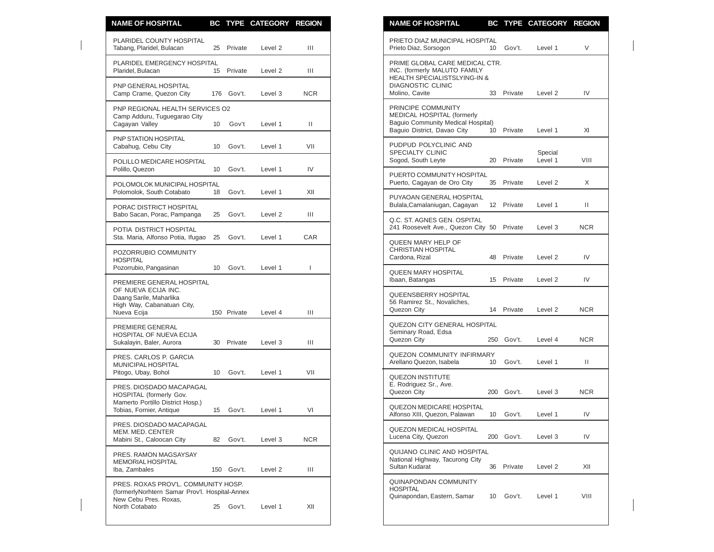| <b>NAME OF HOSPITAL</b>                                                                                                  |                  |             | BC TYPE CATEGORY REGION |              | <b>NAME OF HOSPITAL</b><br>BC TYPE CATEGORY REGION                                                                                  |                          |
|--------------------------------------------------------------------------------------------------------------------------|------------------|-------------|-------------------------|--------------|-------------------------------------------------------------------------------------------------------------------------------------|--------------------------|
| PLARIDEL COUNTY HOSPITAL<br>Tabang, Plaridel, Bulacan                                                                    |                  | 25 Private  | Level 2                 | Ш            | PRIETO DIAZ MUNICIPAL HOSPITAL<br>Gov't.<br>Prieto Diaz, Sorsogon<br>10 <sup>°</sup>                                                | V<br>Level 1             |
| PLARIDEL EMERGENCY HOSPITAL<br>Plaridel, Bulacan                                                                         |                  | 15 Private  | Level 2                 | Ш            | PRIME GLOBAL CARE MEDICAL CTR.<br>INC. (formerly MALUTO FAMILY<br>HEALTH SPECIALISTSLYING-IN &                                      |                          |
| PNP GENERAL HOSPITAL<br>Camp Crame, Quezon City                                                                          |                  | 176 Gov't.  | Level 3                 | <b>NCR</b>   | <b>DIAGNOSTIC CLINIC</b><br>Molino, Cavite<br>33<br>Private                                                                         | IV<br>Level <sub>2</sub> |
| PNP REGIONAL HEALTH SERVICES O2<br>Camp Adduru, Tuguegarao City<br>Cagayan Valley                                        | 10               | Gov't       | Level 1                 | $\mathbf{H}$ | PRINCIPE COMMUNITY<br>MEDICAL HOSPITAL (formerly<br>Baguio Community Medical Hospital)<br>Baquio District, Davao City<br>10 Private | Level 1<br>XI            |
| PNP STATION HOSPITAL<br>Cabahug, Cebu City                                                                               | 10 <sup>°</sup>  | Gov't.      | Level 1                 | VII          | PUDPUD POLYCLINIC AND<br>SPECIALTY CLINIC                                                                                           | Special                  |
| POLILLO MEDICARE HOSPITAL<br>Polillo, Quezon                                                                             |                  | 10 Gov't.   | Level 1                 | IV           | Sogod, South Leyte<br>20 Private<br>PUERTO COMMUNITY HOSPITAL                                                                       | Level 1<br>VIII          |
| POLOMOLOK MUNICIPAL HOSPITAL<br>Polomolok, South Cotabato                                                                | 18               | Gov't.      | Level 1                 | XII          | Puerto, Cagayan de Oro City<br>35 Private                                                                                           | Level 2<br>X             |
| PORAC DISTRICT HOSPITAL                                                                                                  |                  |             |                         | Ш            | PUYAOAN GENERAL HOSPITAL<br>Bulala, Camalaniugan, Cagayan<br>12 Private                                                             | Ш.<br>Level 1            |
| Babo Sacan, Porac, Pampanga<br>POTIA DISTRICT HOSPITAL                                                                   | 25               | Gov't.      | Level 2                 |              | Q.C. ST. AGNES GEN. OSPITAL<br>241 Roosevelt Ave., Quezon City 50 Private                                                           | Level 3<br>NCR.          |
| Sta. Maria, Alfonso Potia, Ifugao 25<br>POZORRUBIO COMMUNITY<br><b>HOSPITAL</b>                                          |                  | Gov't.      | Level 1                 | <b>CAR</b>   | QUEEN MARY HELP OF<br><b>CHRISTIAN HOSPITAL</b><br>48 Private<br>Cardona, Rizal                                                     | IV<br>Level 2            |
| Pozorrubio, Pangasinan                                                                                                   | 10 <sup>°</sup>  | Gov't.      | Level 1                 | T            | <b>QUEEN MARY HOSPITAL</b><br>Ibaan, Batangas<br>15 Private                                                                         | IV<br>Level 2            |
| PREMIERE GENERAL HOSPITAL<br>OF NUEVA ECIJA INC.<br>Daang Sarile, Maharlika<br>High Way, Cabanatuan City,<br>Nueva Ecija |                  | 150 Private | Level 4                 | Ш            | QUEENSBERRY HOSPITAL<br>56 Ramirez St., Novaliches,<br>Quezon City<br>14 Private                                                    | <b>NCR</b><br>Level 2    |
| PREMIERE GENERAL<br>HOSPITAL OF NUEVA ECIJA<br>Sukalayin, Baler, Aurora                                                  |                  | 30 Private  | Level 3                 | Ш            | QUEZON CITY GENERAL HOSPITAL<br>Seminary Road, Edsa<br>250 Gov't.<br>Quezon City                                                    | <b>NCR</b><br>Level 4    |
| PRES. CARLOS P. GARCIA<br>MUNICIPAL HOSPITAL                                                                             |                  |             |                         |              | QUEZON COMMUNITY INFIRMARY<br>Gov't.<br>Arellano Quezon, Isabela<br>10                                                              | Ш.<br>Level 1            |
| Pitogo, Ubay, Bohol<br>PRES. DIOSDADO MACAPAGAL<br>HOSPITAL (formerly Gov.                                               | 10 <sup>10</sup> | Gov't.      | Level 1                 | VII          | <b>QUEZON INSTITUTE</b><br>E. Rodriguez Sr., Ave.<br>200 Gov't.<br>Quezon City                                                      | <b>NCR</b><br>Level 3    |
| Mamerto Portillo District Hosp.)<br>Tobias, Fornier, Antique                                                             |                  | 15 Gov't.   | Level 1                 | VI           | <b>QUEZON MEDICARE HOSPITAL</b><br>10 Gov't.<br>Alfonso XIII, Quezon, Palawan                                                       | IV<br>Level 1            |
| PRES. DIOSDADO MACAPAGAL<br>MEM. MED. CENTER<br>Mabini St., Caloocan City                                                | 82               | Gov't.      | Level 3                 | <b>NCR</b>   | <b>QUEZON MEDICAL HOSPITAL</b><br>Lucena City, Quezon<br>200 Gov't.                                                                 | IV<br>Level 3            |
| PRES. RAMON MAGSAYSAY<br>MEMORIAL HOSPITAL<br>Iba, Zambales                                                              |                  | 150 Gov't.  | Level 2                 | Ш            | QUIJANO CLINIC AND HOSPITAL<br>National Highway, Tacurong City<br>Sultan Kudarat<br>36<br>Private                                   | Level 2<br>XII           |
| PRES. ROXAS PROV'L. COMMUNITY HOSP.                                                                                      |                  |             |                         |              | QUINAPONDAN COMMUNITY<br><b>HOSPITAL</b>                                                                                            |                          |
| (formerlyNorhtern Samar Prov'l. Hospital-Annex<br>New Cebu Pres. Roxas,<br>North Cotabato                                |                  | 25 Gov't.   | Level 1                 | XII          | Quinapondan, Eastern, Samar<br>Gov't.<br>10                                                                                         | VIII<br>Level 1          |

| <b>NAME OF HOSPITAL</b>                                                                                                                      |     | <b>BC TYPE</b> | <b>CATEGORY</b>    | <b>REGION</b> |
|----------------------------------------------------------------------------------------------------------------------------------------------|-----|----------------|--------------------|---------------|
| PRIETO DIAZ MUNICIPAL HOSPITAL<br>Prieto Diaz, Sorsogon                                                                                      | 10  | Gov't.         | Level 1            | V             |
| PRIME GLOBAL CARE MEDICAL CTR.<br>INC. (formerly MALUTO FAMILY<br>HEALTH SPECIALISTSLYING-IN &<br><b>DIAGNOSTIC CLINIC</b><br>Molino, Cavite | 33  | Private        | Level 2            | IV            |
|                                                                                                                                              |     |                |                    |               |
| PRINCIPE COMMUNITY<br>MEDICAL HOSPITAL (formerly<br>Baguio Community Medical Hospital)<br>Baguio District, Davao City                        | 10  | Private        | Level 1            | XI            |
| PUDPUD POLYCLINIC AND<br>SPECIALTY CLINIC<br>Sogod, South Leyte                                                                              | 20  | Private        | Special<br>Level 1 | VIII          |
| PUERTO COMMUNITY HOSPITAL<br>Puerto, Cagayan de Oro City                                                                                     | 35  | Private        | Level 2            | X             |
| PUYAOAN GENERAL HOSPITAL<br>Bulala, Camalaniugan, Cagayan                                                                                    | 12  | Private        | Level 1            | Ш             |
| Q.C. ST. AGNES GEN. OSPITAL<br>241 Roosevelt Ave., Quezon City 50                                                                            |     | Private        | Level 3            | NCR.          |
| QUEEN MARY HELP OF<br>CHRISTIAN HOSPITAL<br>Cardona, Rizal                                                                                   | 48  | Private        | Level 2            | IV            |
| <b>QUEEN MARY HOSPITAL</b><br>Ibaan, Batangas                                                                                                | 15  | Private        | Level 2            | IV            |
| QUEENSBERRY HOSPITAL<br>56 Ramirez St., Novaliches,<br>Quezon City                                                                           | 14  | Private        | Level 2            | NCR.          |
| QUEZON CITY GENERAL HOSPITAL<br>Seminary Road, Edsa<br>Quezon City                                                                           | 250 | Gov't.         | Level 4            | <b>NCR</b>    |
| QUEZON COMMUNITY INFIRMARY<br>Arellano Quezon, Isabela                                                                                       | 10  | Gov't.         | Level 1            | Ш             |
| <b>QUEZON INSTITUTE</b><br>E. Rodriguez Sr., Ave.<br>Quezon City                                                                             | 200 | Gov't.         | Level 3            | NCR           |
| <b>QUEZON MEDICARE HOSPITAL</b><br>Alfonso XIII, Quezon, Palawan                                                                             | 10  | Gov't.         | Level 1            | IV            |
| <b>QUEZON MEDICAL HOSPITAL</b><br>Lucena City, Quezon                                                                                        | 200 | Gov't.         | Level 3            | IV            |
| QUIJANO CLINIC AND HOSPITAL<br>National Highway, Tacurong City<br>Sultan Kudarat                                                             | 36  | Private        | Level 2            | XII           |
| QUINAPONDAN COMMUNITY<br><b>HOSPITAL</b><br>Quinapondan, Eastern, Samar                                                                      | 10  | Gov't.         | Level 1            | VIII          |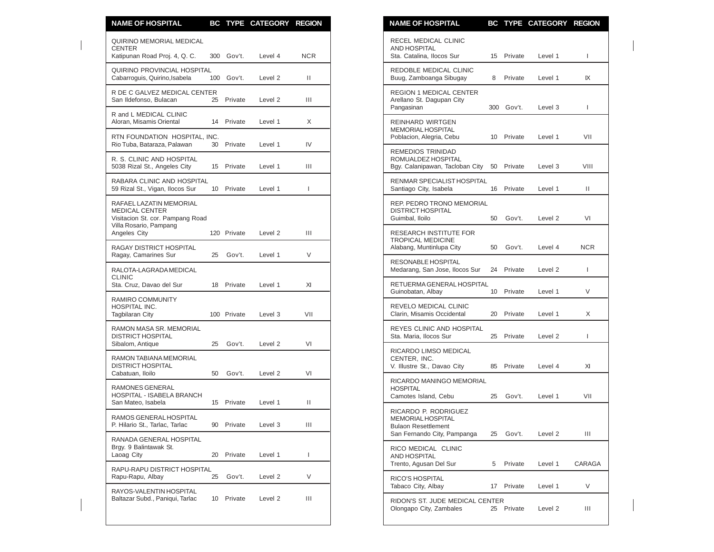| <b>NAME OF HOSPITAL</b>                                                                                        |    |             | BC TYPE CATEGORY REGION |            | <b>NAME OF HOSPITAL</b>                                                           |                       |                    | BC TYPE CATEGORY REGION |               |
|----------------------------------------------------------------------------------------------------------------|----|-------------|-------------------------|------------|-----------------------------------------------------------------------------------|-----------------------|--------------------|-------------------------|---------------|
| QUIRINO MEMORIAL MEDICAL<br><b>CENTER</b><br>Katipunan Road Proj. 4, Q. C.                                     |    | 300 Gov't.  | Level 4                 | <b>NCR</b> | <b>RECEL MEDICAL CLINIC</b><br>AND HOSPITAL<br>Sta. Catalina, Ilocos Sur          |                       | 15 Private         | Level 1                 | $\mathbf{L}$  |
| QUIRINO PROVINCIAL HOSPITAL<br>Cabarroguis, Quirino, Isabela                                                   |    | 100 Gov't.  | Level 2                 | Ш          | REDOBLE MEDICAL CLINIC<br>Buug, Zamboanga Sibugay                                 |                       | 8 Private          | Level 1                 | IX            |
| R DE C GALVEZ MEDICAL CENTER<br>San Ildefonso, Bulacan                                                         |    | 25 Private  | Level 2                 | Ш          | <b>REGION 1 MEDICAL CENTER</b><br>Arellano St. Dagupan City<br>Pangasinan         |                       | 300 Gov't.         | Level 3                 | L             |
| R and L MEDICAL CLINIC<br>Aloran, Misamis Oriental                                                             |    | 14 Private  | Level 1                 | X          | REINHARD WIRTGEN                                                                  |                       |                    |                         |               |
| RTN FOUNDATION HOSPITAL, INC.<br>Rio Tuba, Bataraza, Palawan                                                   | 30 | Private     | Level 1                 | IV         | <b>MEMORIAL HOSPITAL</b><br>Poblacion, Alegria, Cebu                              |                       | 10 Private         | Level 1                 | VII           |
| R. S. CLINIC AND HOSPITAL<br>5038 Rizal St., Angeles City                                                      |    | 15 Private  | Level 1                 | Ш          | <b>REMEDIOS TRINIDAD</b><br>ROMUALDEZ HOSPITAL<br>Bgy. Calanipawan, Tacloban City |                       | 50 Private         | Level 3                 | VIII          |
| RABARA CLINIC AND HOSPITAL<br>59 Rizal St., Vigan, Ilocos Sur                                                  |    | 10 Private  | Level 1                 | T          | <b>RENMAR SPECIALIST HOSPITAL</b><br>Santiago City, Isabela                       |                       | 16 Private         | Level 1                 | Ш             |
| RAFAEL LAZATIN MEMORIAL<br><b>MEDICAL CENTER</b><br>Visitacion St. cor. Pampang Road<br>Villa Rosario, Pampang |    |             |                         |            | REP. PEDRO TRONO MEMORIAL<br><b>DISTRICT HOSPITAL</b><br>Guimbal, Iloilo          | 50                    | Gov't.             | Level 2                 | VI            |
| Angeles City<br><b>RAGAY DISTRICT HOSPITAL</b>                                                                 |    | 120 Private | Level 2                 | Ш          | RESEARCH INSTITUTE FOR<br><b>TROPICAL MEDICINE</b><br>Alabang, Muntinlupa City    | 50                    | Gov't.             | Level 4                 | <b>NCR</b>    |
| Ragay, Camarines Sur                                                                                           | 25 | Gov't.      | Level 1                 | V          | RESONABLE HOSPITAL                                                                |                       |                    |                         |               |
| RALOTA-LAGRADA MEDICAL<br><b>CLINIC</b><br>Sta. Cruz, Davao del Sur                                            |    | 18 Private  | Level 1                 | XI         | Medarang, San Jose, Ilocos Sur<br>RETUERMA GENERAL HOSPITAL                       |                       | 24 Private         | Level 2                 | L             |
| RAMIRO COMMUNITY<br>HOSPITAL INC.<br><b>Tagbilaran City</b>                                                    |    | 100 Private | Level 3                 | VII        | Guinobatan, Albay<br>REVELO MEDICAL CLINIC<br>Clarin, Misamis Occidental          | 10 <sup>°</sup><br>20 | Private<br>Private | Level 1<br>Level 1      | V<br>X        |
| RAMON MASA SR. MEMORIAL<br><b>DISTRICT HOSPITAL</b>                                                            |    |             |                         |            | REYES CLINIC AND HOSPITAL<br>Sta. Maria, Ilocos Sur                               |                       | 25 Private         | Level 2                 | L             |
| Sibalom, Antique<br>RAMON TABIANA MEMORIAL                                                                     | 25 | Gov't.      | Level 2                 | VI         | RICARDO LIMSO MEDICAL<br>CENTER, INC.                                             |                       |                    |                         |               |
| <b>DISTRICT HOSPITAL</b><br>Cabatuan, Iloilo                                                                   | 50 | Gov't.      | Level 2                 | VI         | V. Illustre St., Davao City<br>RICARDO MANINGO MEMORIAL                           |                       | 85 Private         | Level 4                 | XI            |
| RAMONES GENERAL<br>HOSPITAL - ISABELA BRANCH<br>San Mateo, Isabela                                             |    | 15 Private  | Level 1                 | Ш          | <b>HOSPITAL</b><br>Camotes Island, Cebu                                           | 25                    | Gov't.             | Level 1                 | VII           |
| RAMOS GENERAL HOSPITAL<br>P. Hilario St., Tarlac, Tarlac                                                       |    | 90 Private  | Level 3                 | Ш          | RICARDO P. RODRIGUEZ<br>MEMORIAL HOSPITAL<br><b>Bulaon Resettlement</b>           |                       |                    |                         |               |
| RANADA GENERAL HOSPITAL                                                                                        |    |             |                         |            | San Fernando City, Pampanga                                                       | 25                    | Gov't.             | Level 2                 | Ш             |
| Brgy. 9 Balintawak St.<br>Laoag City                                                                           |    | 20 Private  | Level 1                 |            | RICO MEDICAL CLINIC<br>AND HOSPITAL<br>Trento, Agusan Del Sur                     | 5                     | Private            | Level 1                 | <b>CARAGA</b> |
| RAPU-RAPU DISTRICT HOSPITAL<br>Rapu-Rapu, Albay                                                                | 25 | Gov't.      | Level 2                 | V          | RICO'S HOSPITAL<br>Tabaco City, Albay                                             |                       | 17 Private         | Level 1                 | V             |
| RAYOS-VALENTIN HOSPITAL<br>Baltazar Subd., Paniqui, Tarlac                                                     |    | 10 Private  | Level 2                 | Ш          | RIDON'S ST. JUDE MEDICAL CENTER<br>Olongapo City, Zambales                        |                       | 25 Private         | Level 2                 | Ш             |
|                                                                                                                |    |             |                         |            |                                                                                   |                       |                    |                         |               |

| <b>NAME OF HOSPITAL</b>                                                                                       |     | <b>BC TYPE</b> | <b>CATEGORY</b>    | <b>REGION</b> |
|---------------------------------------------------------------------------------------------------------------|-----|----------------|--------------------|---------------|
| RECEL MEDICAL CLINIC<br>AND HOSPITAL<br>Sta. Catalina, Ilocos Sur                                             | 15  | Private        | Level 1            | L             |
| REDOBLE MEDICAL CLINIC<br>Buug, Zamboanga Sibugay                                                             | 8   | Private        | Level 1            | IX            |
| <b>REGION 1 MEDICAL CENTER</b><br>Arellano St. Dagupan City<br>Pangasinan                                     | 300 | Gov't.         | Level 3            | L             |
| REINHARD WIRTGEN<br><b>MEMORIAL HOSPITAL</b><br>Poblacion, Alegria, Cebu                                      | 10  | Private        | Level 1            | VII           |
| REMEDIOS TRINIDAD<br>ROMUALDEZ HOSPITAL<br>Bgy. Calanipawan, Tacloban City                                    | 50  | Private        | Level 3            | VIII          |
| RENMAR SPECIALIST HOSPITAL<br>Santiago City, Isabela                                                          | 16  | Private        | Level 1            | Ш             |
| <b>REP. PEDRO TRONO MEMORIAL</b><br><b>DISTRICT HOSPITAL</b><br>Guimbal, Iloilo                               | 50  | Gov't.         | Level <sub>2</sub> | VI            |
| <b>RESEARCH INSTITUTE FOR</b><br><b>TROPICAL MEDICINE</b><br>Alabang, Muntinlupa City                         | 50  | Gov't.         | Level 4            | <b>NCR</b>    |
| RESONABLE HOSPITAL<br>Medarang, San Jose, Ilocos Sur                                                          | 24  | Private        | Level 2            | L             |
| RETUERMA GENERAL HOSPITAL<br>Guinobatan, Albay                                                                | 10  | Private        | Level 1            | V             |
| REVELO MEDICAL CLINIC<br>Clarin, Misamis Occidental                                                           | 20  | Private        | Level 1            | X             |
| REYES CLINIC AND HOSPITAL<br>Sta. Maria, Ilocos Sur                                                           | 25  | Private        | Level 2            | L             |
| RICARDO LIMSO MEDICAL<br>CENTER, INC.<br>V. Illustre St., Davao City                                          | 85  | Private        | Level 4            | XI            |
| RICARDO MANINGO MEMORIAL<br><b>HOSPITAL</b><br>Camotes Island, Cebu                                           | 25  | Gov't.         | Level 1            | VII           |
| RICARDO P. RODRIGUEZ<br><b>MEMORIAL HOSPITAL</b><br><b>Bulaon Resettlement</b><br>San Fernando City, Pampanga | 25  | Gov't.         | Level 2            | Ш             |
| RICO MEDICAL CLINIC<br><b>AND HOSPITAL</b><br>Trento, Agusan Del Sur                                          | 5   | Private        | Level 1            | CARAGA        |
| <b>RICO'S HOSPITAL</b><br>Tabaco City, Albay                                                                  | 17  | Private        | Level 1            | V             |
| RIDON'S ST. JUDE MEDICAL CENTER<br>Olongapo City, Zambales                                                    | 25  | Private        | Level <sub>2</sub> | Ш             |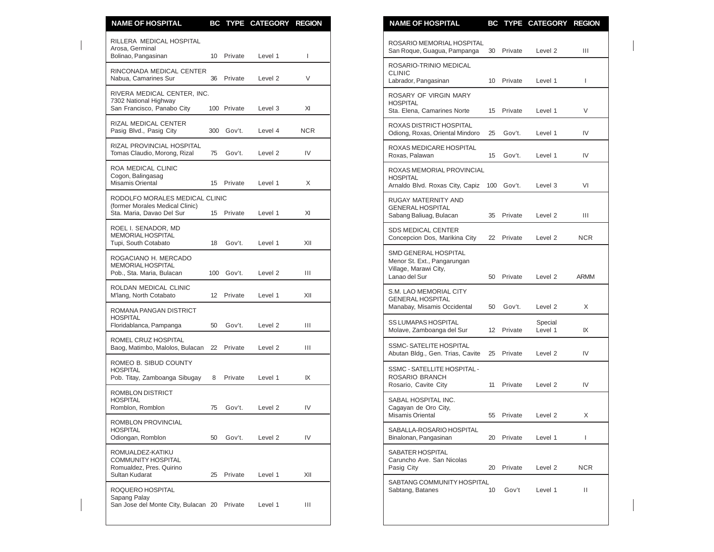| <b>NAME OF HOSPITAL</b>                                                                        |    |             | BC TYPE CATEGORY REGION |                | <b>NAME OF HOSPITAL</b>                                                                                                |                          | BC TYPE CATEGORY REGION       |             |
|------------------------------------------------------------------------------------------------|----|-------------|-------------------------|----------------|------------------------------------------------------------------------------------------------------------------------|--------------------------|-------------------------------|-------------|
| RILLERA MEDICAL HOSPITAL<br>Arosa, Germinal<br>Bolinao, Pangasinan                             |    | 10 Private  | Level 1                 |                | ROSARIO MEMORIAL HOSPITAL<br>San Roque, Guagua, Pampanga                                                               | 30 Private               | Level 2                       | Ш           |
| RINCONADA MEDICAL CENTER<br>Nabua, Camarines Sur                                               | 36 | Private     | Level 2                 | V              | ROSARIO-TRINIO MEDICAL<br><b>CLINIC</b><br>Labrador, Pangasinan                                                        | 10 Private               | Level 1                       | J.          |
| RIVERA MEDICAL CENTER, INC.<br>7302 National Highway<br>San Francisco, Panabo City             |    | 100 Private | Level 3                 | XI             | ROSARY OF VIRGIN MARY<br><b>HOSPITAL</b><br>Sta. Elena, Camarines Norte                                                | 15 Private               | Level 1                       | V           |
| RIZAL MEDICAL CENTER<br>Pasig Blvd., Pasig City                                                |    | 300 Gov't.  | Level 4                 | <b>NCR</b>     | ROXAS DISTRICT HOSPITAL<br>Odiong, Roxas, Oriental Mindoro<br>25                                                       | Gov't.                   | Level 1                       | IV          |
| RIZAL PROVINCIAL HOSPITAL<br>Tomas Claudio, Morong, Rizal                                      |    | 75 Gov't.   | Level 2                 | IV             | ROXAS MEDICARE HOSPITAL<br>Roxas, Palawan<br>15                                                                        | Gov't.                   | Level 1                       | IV          |
| ROA MEDICAL CLINIC<br>Cogon, Balingasag<br>Misamis Oriental                                    |    | 15 Private  | Level 1                 | X              | ROXAS MEMORIAL PROVINCIAL<br><b>HOSPITAL</b><br>Arnaldo Blvd. Roxas City, Capiz 100 Gov't.                             |                          | Level 3                       | VI          |
| RODOLFO MORALES MEDICAL CLINIC<br>(former Morales Medical Clinic)<br>Sta. Maria, Davao Del Sur |    | 15 Private  | Level 1                 | XI             | <b>RUGAY MATERNITY AND</b><br><b>GENERAL HOSPITAL</b><br>Sabang Baliuag, Bulacan<br>35                                 | Private                  | Level 2                       | Ш           |
| ROEL I. SENADOR, MD<br><b>MEMORIAL HOSPITAL</b><br>Tupi, South Cotabato                        | 18 | Gov't.      | Level 1                 | XII            | <b>SDS MEDICAL CENTER</b><br>Concepcion Dos, Marikina City                                                             | 22 Private               | Level 2                       | <b>NCR</b>  |
| ROGACIANO H. MERCADO<br><b>MEMORIAL HOSPITAL</b><br>Pob., Sta. Maria, Bulacan                  |    | 100 Gov't.  | Level 2                 | $\mathbf{III}$ | <b>SMD GENERAL HOSPITAL</b><br>Menor St. Ext., Pangarungan<br>Village, Marawi City,<br>Lanao del Sur<br>50             | Private                  | Level <sub>2</sub>            | <b>ARMM</b> |
| ROLDAN MEDICAL CLINIC<br>M'lang, North Cotabato                                                | 12 | Private     | Level 1                 | XII            | S.M. LAO MEMORIAL CITY<br><b>GENERAL HOSPITAL</b>                                                                      |                          |                               |             |
| ROMANA PANGAN DISTRICT<br><b>HOSPITAL</b><br>Floridablanca, Pampanga                           | 50 | Gov't.      | Level 2                 | $\mathbf{III}$ | Manabay, Misamis Occidental<br>50<br><b>SS LUMAPAS HOSPITAL</b>                                                        | Gov't.                   | Level 2<br>Special            | X           |
| ROMEL CRUZ HOSPITAL<br>Baog, Matimbo, Malolos, Bulacan 22 Private                              |    |             | Level 2                 | Ш              | Molave, Zamboanga del Sur<br><b>SSMC-SATELITE HOSPITAL</b>                                                             | 12 Private               | Level 1                       | IX          |
| ROMEO B. SIBUD COUNTY<br><b>HOSPITAL</b><br>Pob. Titay, Zamboanga Sibugay                      | 8  | Private     | Level 1                 | IX             | Abutan Bldg., Gen. Trias, Cavite<br><b>SSMC - SATELLITE HOSPITAL -</b><br>ROSARIO BRANCH<br>Rosario, Cavite City<br>11 | 25 Private<br>Private    | Level 2<br>Level <sub>2</sub> | IV<br>IV    |
| ROMBLON DISTRICT<br><b>HOSPITAL</b><br>Romblon, Romblon                                        | 75 | Gov't.      | Level 2                 | IV             | SABAL HOSPITAL INC.<br>Cagayan de Oro City,                                                                            |                          |                               |             |
| ROMBLON PROVINCIAL<br><b>HOSPITAL</b><br>Odiongan, Romblon                                     | 50 | Gov't.      | Level 2                 | IV             | Misamis Oriental<br>SABALLA-ROSARIO HOSPITAL<br>Binalonan, Pangasinan                                                  | 55 Private<br>20 Private | Level 2<br>Level 1            | X<br>T      |
| ROMUALDEZ-KATIKU<br><b>COMMUNITY HOSPITAL</b><br>Romualdez, Pres. Quirino                      |    |             |                         |                | SABATER HOSPITAL<br>Caruncho Ave. San Nicolas<br>Pasig City                                                            | 20 Private               | Level 2                       | <b>NCR</b>  |
| Sultan Kudarat<br>ROQUERO HOSPITAL<br>Sapang Palay                                             | 25 | Private     | Level 1                 | XII            | SABTANG COMMUNITY HOSPITAL<br>Sabtang, Batanes<br>10                                                                   | Gov't                    | Level 1                       | Ш           |
| San Jose del Monte City, Bulacan 20 Private                                                    |    |             | Level 1                 | Ш              |                                                                                                                        |                          |                               |             |

| <b>NAME OF HOSPITAL</b>                                                                              |                 |         | <b>BC TYPE CATEGORY</b> | <b>REGION</b> |
|------------------------------------------------------------------------------------------------------|-----------------|---------|-------------------------|---------------|
| ROSARIO MEMORIAL HOSPITAL<br>San Roque, Guagua, Pampanga                                             | 30              | Private | Level <sub>2</sub>      | Ш             |
| ROSARIO-TRINIO MEDICAL<br><b>CLINIC</b><br>Labrador, Pangasinan                                      | 10              | Private | Level 1                 | I             |
| ROSARY OF VIRGIN MARY<br><b>HOSPITAL</b><br>Sta. Elena, Camarines Norte                              | 15              | Private | Level 1                 | V             |
| ROXAS DISTRICT HOSPITAL<br>Odiong, Roxas, Oriental Mindoro                                           | 25              | Gov't.  | Level 1                 | IV            |
| ROXAS MEDICARE HOSPITAL<br>Roxas, Palawan                                                            | 15              | Gov't.  | Level 1                 | IV            |
| ROXAS MEMORIAL PROVINCIAL<br><b>HOSPITAL</b><br>Arnaldo Blvd. Roxas City, Capiz                      | 100             | Gov't.  | Level 3                 | VI            |
| <b>RUGAY MATERNITY AND</b><br><b>GENERAL HOSPITAL</b><br>Sabang Baliuag, Bulacan                     | 35              | Private | Level <sub>2</sub>      | Ш             |
| <b>SDS MEDICAL CENTER</b><br>Concepcion Dos, Marikina City                                           | 22              | Private | Level <sub>2</sub>      | NCR.          |
| <b>SMD GENERAL HOSPITAL</b><br>Menor St. Ext., Pangarungan<br>Village, Marawi City,<br>Lanao del Sur | 50              | Private | Level 2                 | ARMM          |
| S.M. LAO MEMORIAL CITY<br><b>GENERAL HOSPITAL</b><br>Manabay, Misamis Occidental                     | 50              | Gov't.  | Level 2                 | X             |
| <b>SS LUMAPAS HOSPITAL</b><br>Molave, Zamboanga del Sur                                              | 12 <sup>°</sup> | Private | Special<br>Level 1      | IX            |
| <b>SSMC-SATELITE HOSPITAL</b><br>Abutan Bldg., Gen. Trias, Cavite                                    | 25              | Private | Level 2                 | IV            |
| <b>SSMC - SATELLITE HOSPITAL -</b><br>ROSARIO BRANCH<br>Rosario, Cavite City                         | 11              | Private | Level <sub>2</sub>      | IV            |
| SABAL HOSPITAL INC.<br>Cagayan de Oro City,<br><b>Misamis Oriental</b>                               | 55              | Private | Level 2                 | X             |
| SABALLA-ROSARIO HOSPITAL<br>Binalonan, Pangasinan                                                    | 20              | Private | Level 1                 | I             |
| SABATER HOSPITAL<br>Caruncho Ave. San Nicolas<br>Pasig City                                          | 20              | Private | Level 2                 | <b>NCR</b>    |
| SABTANG COMMUNITY HOSPITAL<br>Sabtang, Batanes                                                       | 10              | Gov't   | Level 1                 | Ш             |
|                                                                                                      |                 |         |                         |               |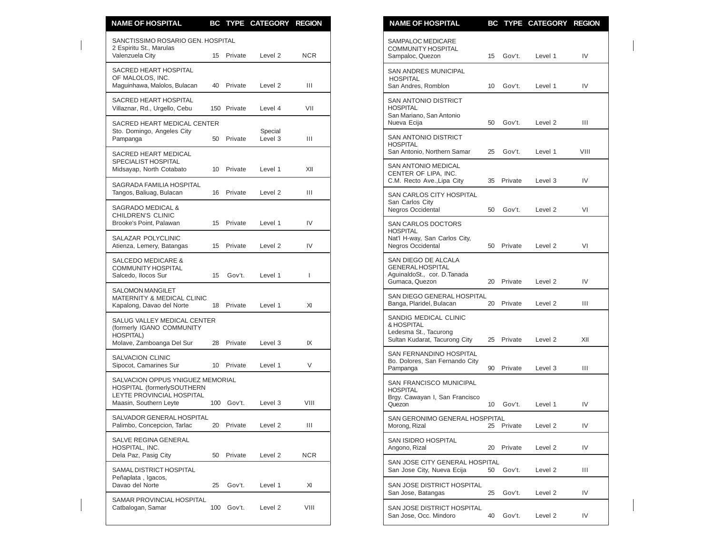| <b>NAME OF HOSPITAL</b>                                                                                               |                 |             | BC TYPE CATEGORY REGION |            | <b>NAME OF HOSPITAL</b>                                                                          |                 |            | BC TYPE CATEGORY REGION |                |
|-----------------------------------------------------------------------------------------------------------------------|-----------------|-------------|-------------------------|------------|--------------------------------------------------------------------------------------------------|-----------------|------------|-------------------------|----------------|
| SANCTISSIMO ROSARIO GEN. HOSPITAL<br>2 Espiritu St., Marulas                                                          |                 |             |                         |            | SAMPALOC MEDICARE<br><b>COMMUNITY HOSPITAL</b>                                                   |                 |            |                         |                |
| Valenzuela City                                                                                                       |                 | 15 Private  | Level 2                 | <b>NCR</b> | Sampaloc, Quezon                                                                                 | 15              | Gov't.     | Level 1                 | IV             |
| <b>SACRED HEART HOSPITAL</b><br>OF MALOLOS, INC.<br>Maguinhawa, Malolos, Bulacan                                      | 40              | Private     | Level 2                 | Ш          | <b>SAN ANDRES MUNICIPAL</b><br><b>HOSPITAL</b><br>San Andres, Romblon                            | 10              | Gov't.     | Level 1                 | IV             |
| SACRED HEART HOSPITAL<br>Villaznar, Rd., Urgello, Cebu                                                                |                 | 150 Private | Level 4                 | VII        | SAN ANTONIO DISTRICT<br><b>HOSPITAL</b>                                                          |                 |            |                         |                |
| SACRED HEART MEDICAL CENTER<br>Sto. Domingo, Angeles City<br>Pampanga                                                 | 50              | Private     | Special<br>Level 3      | Ш          | San Mariano, San Antonio<br>Nueva Ecija<br><b>SAN ANTONIO DISTRICT</b>                           | 50              | Gov't.     | Level 2                 | Ш              |
| SACRED HEART MEDICAL<br>SPECIALIST HOSPITAL                                                                           |                 |             |                         |            | <b>HOSPITAL</b><br>San Antonio, Northern Samar                                                   | 25              | Gov't.     | Level 1                 | VIII           |
| Midsayap, North Cotabato                                                                                              |                 | 10 Private  | Level 1                 | XII        | SAN ANTONIO MEDICAL<br>CENTER OF LIPA, INC.<br>C.M. Recto Ave., Lipa City                        |                 | 35 Private | Level 3                 | IV             |
| SAGRADA FAMILIA HOSPITAL<br>Tangos, Baliuag, Bulacan                                                                  | 16              | Private     | Level 2                 | Ш          | SAN CARLOS CITY HOSPITAL<br>San Carlos City                                                      |                 |            |                         |                |
| SAGRADO MEDICAL &<br>CHILDREN'S CLINIC<br>Brooke's Point, Palawan                                                     | 15              | Private     | Level 1                 | IV         | Negros Occidental<br><b>SAN CARLOS DOCTORS</b>                                                   | 50              | Gov't.     | Level 2                 | VI             |
| SALAZAR POLYCLINIC<br>Atienza, Lemery, Batangas                                                                       |                 | 15 Private  | Level 2                 | IV         | <b>HOSPITAL</b><br>Nat'l H-way, San Carlos City,<br>Negros Occidental                            |                 | 50 Private | Level 2                 | VI             |
| <b>SALCEDO MEDICARE &amp;</b><br><b>COMMUNITY HOSPITAL</b><br>Salcedo, Ilocos Sur                                     | 15              | Gov't.      | Level 1                 | I          | SAN DIEGO DE ALCALA<br><b>GENERAL HOSPITAL</b><br>AguinaldoSt., cor. D. Tanada<br>Gumaca, Quezon |                 | 20 Private | Level <sub>2</sub>      | IV             |
| <b>SALOMON MANGILET</b><br><b>MATERNITY &amp; MEDICAL CLINIC</b><br>Kapalong, Davao del Norte                         | 18              | Private     | Level 1                 | XI         | SAN DIEGO GENERAL HOSPITAL<br>Banga, Plaridel, Bulacan                                           |                 | 20 Private | Level <sub>2</sub>      | $\mathbf{III}$ |
| SALUG VALLEY MEDICAL CENTER<br>(formerly IGANO COMMUNITY<br><b>HOSPITAL)</b><br>Molave, Zamboanga Del Sur             | 28              | Private     | Level 3                 | IX         | SANDIG MEDICAL CLINIC<br>& HOSPITAL<br>Ledesma St., Tacurong<br>Sultan Kudarat, Tacurong City    | 25              | Private    | Level 2                 | XII            |
| <b>SALVACION CLINIC</b><br>Sipocot, Camarines Sur                                                                     | 10 <sup>°</sup> | Private     | Level 1                 | V          | SAN FERNANDINO HOSPITAL<br>Bo. Dolores, San Fernando City<br>Pampanga                            | 90              | Private    | Level 3                 | $\mathbf{III}$ |
| SALVACION OPPUS YNIGUEZ MEMORIAL<br>HOSPITAL (formerlySOUTHERN<br>LEYTE PROVINCIAL HOSPITAL<br>Maasin, Southern Leyte |                 | 100 Gov't.  | Level 3                 | VIII       | SAN FRANCISCO MUNICIPAL<br><b>HOSPITAL</b><br>Brgy. Cawayan I, San Francisco<br>Quezon           | 10 <sup>°</sup> | Gov't.     | Level 1                 | IV             |
| SALVADOR GENERAL HOSPITAL<br>Palimbo, Concepcion, Tarlac                                                              | 20              | Private     | Level 2                 | Ш          | SAN GERONIMO GENERAL HOSPPITAL<br>Morong, Rizal                                                  | 25              | Private    | Level 2                 | IV             |
| SALVE REGINA GENERAL<br>HOSPITAL, INC.                                                                                |                 |             |                         | <b>NCR</b> | SAN ISIDRO HOSPITAL<br>Angono, Rizal                                                             | 20              | Private    | Level 2                 | IV             |
| Dela Paz, Pasig City<br>SAMAL DISTRICT HOSPITAL                                                                       | 50              | Private     | Level 2                 |            | SAN JOSE CITY GENERAL HOSPITAL<br>San Jose City, Nueva Ecija                                     | 50              | Gov't.     | Level 2                 | Ш              |
| Peñaplata, Igacos,<br>Davao del Norte                                                                                 | 25              | Gov't.      | Level 1                 | XI         | SAN JOSE DISTRICT HOSPITAL<br>San Jose, Batangas                                                 | 25              | Gov't.     | Level 2                 | IV             |
| SAMAR PROVINCIAL HOSPITAL<br>Catbalogan, Samar                                                                        |                 | 100 Gov't.  | Level 2                 | VIII       | SAN JOSE DISTRICT HOSPITAL<br>San Jose, Occ. Mindoro                                             |                 | 40 Gov't.  | Level 2                 | IV             |

| <b>NAME OF HOSPITAL</b>                                                                            |                 |         | BC TYPE CATEGORY REGION |      |
|----------------------------------------------------------------------------------------------------|-----------------|---------|-------------------------|------|
| SAMPALOC MEDICARE<br><b>COMMUNITY HOSPITAL</b><br>Sampaloc, Quezon                                 | 15              | Gov't.  | Level 1                 | IV   |
| SAN ANDRES MUNICIPAL<br><b>HOSPITAL</b><br>San Andres, Romblon                                     | 10 <sup>1</sup> | Gov't.  | Level 1                 | IV   |
| <b>SAN ANTONIO DISTRICT</b><br><b>HOSPITAL</b><br>San Mariano, San Antonio<br>Nueva Ecija          | 50              | Gov't.  | Level 2                 | Ш    |
| <b>SAN ANTONIO DISTRICT</b><br><b>HOSPITAL</b><br>San Antonio, Northern Samar                      | 25              | Gov't.  | Level 1                 | VIII |
| SAN ANTONIO MEDICAL<br>CENTER OF LIPA, INC.<br>C.M. Recto Ave., Lipa City                          | 35              | Private | Level 3                 | IV   |
| <b>SAN CARLOS CITY HOSPITAL</b><br>San Carlos City<br>Negros Occidental                            | 50              | Gov't.  | Level 2                 | VI   |
| <b>SAN CARLOS DOCTORS</b><br><b>HOSPITAL</b><br>Nat'l H-way, San Carlos City,<br>Negros Occidental | 50              | Private | Level 2                 | VI   |
| SAN DIEGO DE ALCALA<br><b>GENERAL HOSPITAL</b><br>AguinaldoSt., cor. D. Tanada<br>Gumaca, Quezon   | 20              | Private | Level <sub>2</sub>      | IV   |
| SAN DIEGO GENERAL HOSPITAL<br>Banga, Plaridel, Bulacan                                             | 20              | Private | Level <sub>2</sub>      | Ш    |
| SANDIG MEDICAL CLINIC<br>& HOSPITAL<br>Ledesma St., Tacurong<br>Sultan Kudarat, Tacurong City      | 25              | Private | Level 2                 | XII  |
| SAN FERNANDINO HOSPITAL<br>Bo. Dolores, San Fernando City<br>Pampanga                              | 90              | Private | Level 3                 | Ш    |
| SAN FRANCISCO MUNICIPAL<br><b>HOSPITAL</b><br>Brgy. Cawayan I, San Francisco<br>Quezon             | 10              | Gov't.  | Level 1                 | IV   |
| SAN GERONIMO GENERAL HOSPPITAL<br>Morong, Rizal                                                    | 25              | Private | Level 2                 | IV   |
| SAN ISIDRO HOSPITAL<br>Angono, Rizal                                                               | 20              | Private | Level 2                 | IV   |
| SAN JOSE CITY GENERAL HOSPITAL<br>San Jose City, Nueva Ecija                                       | 50              | Gov't.  | Level 2                 | Ш    |
| SAN JOSE DISTRICT HOSPITAL<br>San Jose, Batangas                                                   | 25              | Gov't.  | Level 2                 | IV   |
| SAN JOSE DISTRICT HOSPITAL<br>San Jose, Occ. Mindoro                                               | 40              | Gov't.  | Level 2                 | IV   |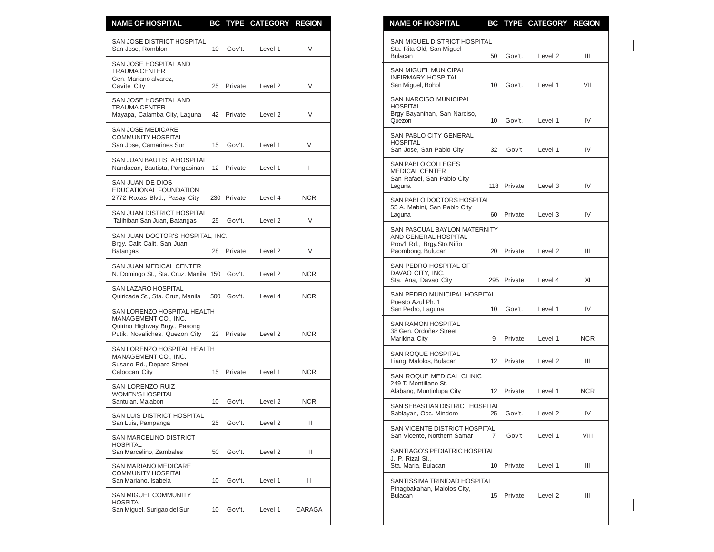| <b>NAME OF HOSPITAL</b>                                                               |     |             | BC TYPE CATEGORY REGION |            | <b>NAME OF HOSPITAL</b><br>BC TYPE CATEGORY REGION                                                                              |                |
|---------------------------------------------------------------------------------------|-----|-------------|-------------------------|------------|---------------------------------------------------------------------------------------------------------------------------------|----------------|
| SAN JOSE DISTRICT HOSPITAL<br>San Jose, Romblon                                       | 10  | Gov't.      | Level 1                 | IV         | SAN MIGUEL DISTRICT HOSPITAL<br>Sta. Rita Old, San Miguel<br><b>Bulacan</b><br>50<br>Gov't.<br>Level 2                          | Ш              |
| SAN JOSE HOSPITAL AND<br><b>TRAUMA CENTER</b><br>Gen. Mariano alvarez,<br>Cavite City | 25  | Private     | Level 2                 | IV         | SAN MIGUEL MUNICIPAL<br><b>INFIRMARY HOSPITAL</b><br>San Miguel, Bohol<br>10<br>Gov't.<br>Level 1                               | VII            |
| SAN JOSE HOSPITAL AND<br><b>TRAUMA CENTER</b><br>Mayapa, Calamba City, Laguna         |     | 42 Private  | Level 2                 | IV         | SAN NARCISO MUNICIPAL<br><b>HOSPITAL</b><br>Brgy Bayanihan, San Narciso,<br>Quezon<br>Gov't.<br>Level 1<br>10                   | IV             |
| <b>SAN JOSE MEDICARE</b><br><b>COMMUNITY HOSPITAL</b><br>San Jose, Camarines Sur      | 15  | Gov't.      | Level 1                 | V          | SAN PABLO CITY GENERAL<br><b>HOSPITAL</b><br>San Jose, San Pablo City<br>32<br>Gov't<br>Level 1                                 | IV             |
| SAN JUAN BAUTISTA HOSPITAL<br>Nandacan, Bautista, Pangasinan                          |     | 12 Private  | Level 1                 | ı          | SAN PABLO COLLEGES<br><b>MEDICAL CENTER</b>                                                                                     |                |
| SAN JUAN DE DIOS<br>EDUCATIONAL FOUNDATION<br>2772 Roxas Blvd., Pasay City            |     | 230 Private | Level 4                 | <b>NCR</b> | San Rafael, San Pablo City<br>118 Private<br>Level 3<br>Laguna                                                                  | IV             |
| SAN JUAN DISTRICT HOSPITAL<br>Talihiban San Juan, Batangas                            | 25  | Gov't.      | Level 2                 | IV         | SAN PABLO DOCTORS HOSPITAL<br>55 A. Mabini, San Pablo City<br>60<br>Private<br>Level 3<br>Laguna                                | IV             |
| SAN JUAN DOCTOR'S HOSPITAL, INC.<br>Brgy. Calit Calit, San Juan,<br>Batangas          |     | 28 Private  | Level 2                 | IV         | SAN PASCUAL BAYLON MATERNITY<br>AND GENERAL HOSPITAL<br>Prov'l Rd., Brgy.Sto.Niño<br>Paombong, Bulucan<br>20 Private<br>Level 2 | Ш              |
| SAN JUAN MEDICAL CENTER<br>N. Domingo St., Sta. Cruz, Manila 150                      |     | Gov't.      | Level 2                 | <b>NCR</b> | SAN PEDRO HOSPITAL OF<br>DAVAO CITY, INC.<br>Sta. Ana, Davao City<br>295 Private<br>Level 4                                     | XI             |
| SAN LAZARO HOSPITAL<br>Quiricada St., Sta. Cruz, Manila                               | 500 | Gov't.      | Level 4                 | <b>NCR</b> | SAN PEDRO MUNICIPAL HOSPITAL<br>Puesto Azul Ph. 1                                                                               |                |
| SAN LORENZO HOSPITAL HEALTH<br>MANAGEMENT CO., INC.                                   |     |             |                         |            | San Pedro, Laguna<br>10<br>Gov't.<br>Level 1                                                                                    | IV             |
| Quirino Highway Brgy., Pasong<br>Putik, Novaliches, Quezon City                       | 22  | Private     | Level 2                 | <b>NCR</b> | SAN RAMON HOSPITAL<br>38 Gen. Ordoñez Street<br>Marikina City<br>9<br>Private<br>Level 1                                        | <b>NCR</b>     |
| SAN LORENZO HOSPITAL HEALTH<br>MANAGEMENT CO., INC.<br>Susano Rd., Deparo Street      |     |             |                         |            | SAN ROQUE HOSPITAL<br>Liang, Malolos, Bulacan<br>12 Private<br>Level 2                                                          | $\mathbf{III}$ |
| Caloocan City<br>SAN LORENZO RUIZ                                                     | 15  | Private     | Level 1                 | <b>NCR</b> | SAN ROQUE MEDICAL CLINIC<br>249 T. Montillano St.                                                                               |                |
| <b>WOMEN'S HOSPITAL</b><br>Santulan, Malabon                                          | 10  | Gov't.      | Level 2                 | <b>NCR</b> | Alabang, Muntinlupa City<br>12 Private<br>Level 1<br>SAN SEBASTIAN DISTRICT HOSPITAL                                            | <b>NCR</b>     |
| <b>SAN LUIS DISTRICT HOSPITAL</b><br>San Luis, Pampanga                               | 25  | Gov't.      | Level 2                 | Ш          | Sablayan, Occ. Mindoro<br>25 Gov't.<br>Level 2                                                                                  | IV             |
| SAN MARCELINO DISTRICT<br><b>HOSPITAL</b>                                             |     |             |                         |            | SAN VICENTE DISTRICT HOSPITAL<br>San Vicente, Northern Samar<br>$\overline{7}$<br>Gov't<br>Level 1                              | VIII           |
| San Marcelino, Zambales<br>SAN MARIANO MEDICARE                                       | 50  | Gov't.      | Level 2                 | Ш          | SANTIAGO'S PEDIATRIC HOSPITAL<br>J. P. Rizal St.,<br>Sta. Maria, Bulacan<br>Private<br>Level 1<br>10                            | Ш              |
| <b>COMMUNITY HOSPITAL</b><br>San Mariano, Isabela                                     | 10  | Gov't.      | Level 1                 | Ш          | SANTISSIMA TRINIDAD HOSPITAL                                                                                                    |                |
| SAN MIGUEL COMMUNITY<br><b>HOSPITAL</b><br>San Miguel, Surigao del Sur                | 10  | Gov't.      | Level 1                 | CARAGA     | Pinagbakahan, Malolos City,<br>15<br>Private<br><b>Bulacan</b><br>Level 2                                                       | Ш              |

| <b>NAME OF HOSPITAL</b>                                                                                       |                 |             | BC TYPE CATEGORY REGION |            |
|---------------------------------------------------------------------------------------------------------------|-----------------|-------------|-------------------------|------------|
| SAN MIGUEL DISTRICT HOSPITAL<br>Sta. Rita Old, San Miguel<br><b>Bulacan</b>                                   | 50              | Gov't.      | Level <sub>2</sub>      | Ш          |
| SAN MIGUEL MUNICIPAL<br><b>INFIRMARY HOSPITAL</b><br>San Miguel, Bohol                                        | 10 <sup>1</sup> | Gov't.      | Level 1                 | VII        |
| <b>SAN NARCISO MUNICIPAL</b><br><b>HOSPITAL</b><br>Brgy Bayanihan, San Narciso,<br>Quezon                     | 10 <sup>°</sup> | Gov't.      | Level 1                 | IV         |
| SAN PABLO CITY GENERAL<br><b>HOSPITAL</b><br>San Jose, San Pablo City                                         | 32              | Gov't       | Level 1                 | IV         |
| SAN PABLO COLLEGES<br><b>MEDICAL CENTER</b><br>San Rafael, San Pablo City<br>Laguna                           |                 | 118 Private | Level 3                 | IV         |
| SAN PABLO DOCTORS HOSPITAL<br>55 A. Mabini, San Pablo City<br>Laguna                                          | 60              | Private     | Level 3                 | IV         |
| <b>SAN PASCUAL BAYLON MATERNITY</b><br>AND GENERAL HOSPITAL<br>Prov'l Rd., Brgy.Sto.Niño<br>Paombong, Bulucan | 20              | Private     | Level 2                 | Ш          |
| SAN PEDRO HOSPITAL OF<br>DAVAO CITY, INC.<br>Sta. Ana, Davao City                                             |                 | 295 Private | Level 4                 | XI         |
| <b>SAN PEDRO MUNICIPAL HOSPITAL</b><br>Puesto Azul Ph. 1<br>San Pedro, Laguna                                 | 10 <sup>°</sup> | Gov't.      | Level 1                 | IV         |
| <b>SAN RAMON HOSPITAL</b><br>38 Gen. Ordoñez Street<br>Marikina City                                          | 9               | Private     | Level 1                 | <b>NCR</b> |
| <b>SAN ROQUE HOSPITAL</b><br>Liang, Malolos, Bulacan                                                          | 12 <sup>2</sup> | Private     | Level <sub>2</sub>      | Ш          |
| SAN ROQUE MEDICAL CLINIC<br>249 T. Montillano St.<br>Alabang, Muntinlupa City                                 | 12 <sup>2</sup> | Private     | Level 1                 | <b>NCR</b> |
| SAN SEBASTIAN DISTRICT HOSPITAL<br>Sablayan, Occ. Mindoro                                                     | 25              | Gov't.      | Level 2                 | IV         |
| SAN VICENTE DISTRICT HOSPITAL<br>San Vicente, Northern Samar                                                  | 7               | Gov't       | Level 1                 | VIII       |
| SANTIAGO'S PEDIATRIC HOSPITAL<br>J. P. Rizal St.,<br>Sta. Maria, Bulacan                                      | 10              | Private     | Level 1                 | Ш          |
| SANTISSIMA TRINIDAD HOSPITAL<br>Pinagbakahan, Malolos City,<br><b>Bulacan</b>                                 | 15              | Private     | Level <sub>2</sub>      | Ш          |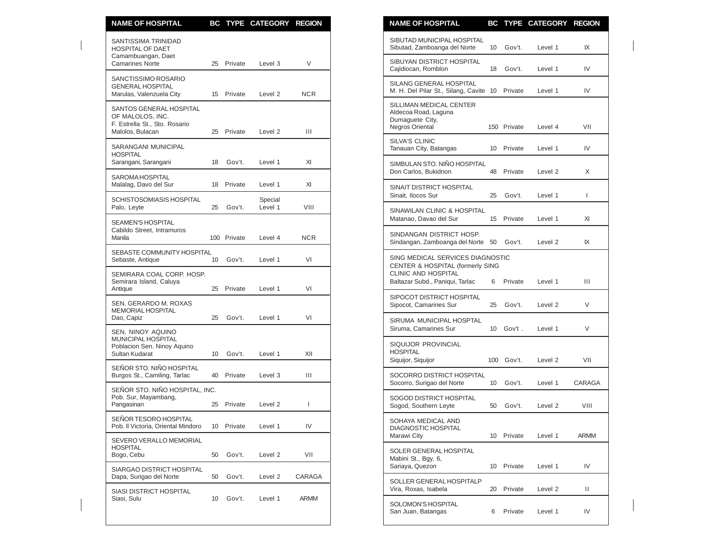| <b>NAME OF HOSPITAL</b>                                                                          |                 |             | BC TYPE CATEGORY REGION |                | <b>NAME OF HOSPITAL</b>                                                                                      |    |             | BC TYPE CATEGORY REGION |              |
|--------------------------------------------------------------------------------------------------|-----------------|-------------|-------------------------|----------------|--------------------------------------------------------------------------------------------------------------|----|-------------|-------------------------|--------------|
| SANTISSIMA TRINIDAD<br><b>HOSPITAL OF DAET</b>                                                   |                 |             |                         |                | SIBUTAD MUNICIPAL HOSPITAL<br>Sibutad, Zamboanga del Norte                                                   | 10 | Gov't.      | Level 1                 | IX           |
| Camambuangan, Daet<br><b>Camarines Norte</b>                                                     | 25              | Private     | Level 3                 | V              | SIBUYAN DISTRICT HOSPITAL<br>Cajidiocan, Romblon                                                             | 18 | Gov't.      | Level 1                 | IV           |
| SANCTISSIMO ROSARIO<br><b>GENERAL HOSPITAL</b><br>Marulas, Valenzuela City                       |                 | 15 Private  | Level 2                 | <b>NCR</b>     | SILANG GENERAL HOSPITAL<br>M. H. Del Pilar St., Silang, Cavite 10 Private                                    |    |             | Level 1                 | IV           |
| SANTOS GENERAL HOSPITAL<br>OF MALOLOS, INC.<br>F. Estrella St., Sto. Rosario<br>Malolos, Bulacan |                 | 25 Private  | Level 2                 | $\mathbf{III}$ | SILLIMAN MEDICAL CENTER<br>Aldecoa Road, Laguna<br>Dumaguete City,<br>Negros Oriental                        |    | 150 Private | Level 4                 | VII          |
| SARANGANI MUNICIPAL<br><b>HOSPITAL</b>                                                           |                 |             |                         |                | <b>SILVA'S CLINIC</b><br>Tanauan City, Batangas                                                              |    | 10 Private  | Level 1                 | IV           |
| Sarangani, Sarangani                                                                             | 18              | Gov't.      | Level 1                 | XI             | SIMBULAN STO. NIÑO HOSPITAL<br>Don Carlos, Bukidnon                                                          | 48 | Private     | Level 2                 | X            |
| SAROMA HOSPITAL<br>Malalag, Davo del Sur                                                         |                 | 18 Private  | Level 1                 | XI             | SINAIT DISTRICT HOSPITAL<br>Sinait, Ilocos Sur                                                               | 25 | Gov't.      | Level 1                 | $\mathbf{L}$ |
| <b>SCHISTOSOMIASIS HOSPITAL</b><br>Palo, Leyte                                                   | 25              | Gov't.      | Special<br>Level 1      | VIII           | SINAWILAN CLINIC & HOSPITAL<br>Matanao, Davao del Sur                                                        |    | 15 Private  | Level 1                 | XI           |
| SEAMEN'S HOSPITAL<br>Cabildo Street, Intramuros<br>Manila                                        |                 | 100 Private | Level 4                 | <b>NCR</b>     | SINDANGAN DISTRICT HOSP.<br>Sindangan, Zamboanga del Norte 50                                                |    | Gov't.      | Level <sub>2</sub>      | IX           |
| SEBASTE COMMUNITY HOSPITAL<br>Sebaste, Antique                                                   | 10 <sup>°</sup> | Gov't.      | Level 1                 | VI             | SING MEDICAL SERVICES DIAGNOSTIC                                                                             |    |             |                         |              |
| SEMIRARA COAL CORP. HOSP.<br>Semirara Island, Caluya                                             |                 |             |                         | VI             | <b>CENTER &amp; HOSPITAL (formerly SING</b><br><b>CLINIC AND HOSPITAL</b><br>Baltazar Subd., Paniqui, Tarlac | 6  | Private     | Level 1                 | Ш            |
| Antique<br>SEN. GERARDO M. ROXAS<br>MEMORIAL HOSPITAL                                            |                 | 25 Private  | Level 1                 |                | SIPOCOT DISTRICT HOSPITAL<br>Sipocot, Camarines Sur                                                          | 25 | Gov't.      | Level 2                 | V            |
| Dao, Capiz                                                                                       | 25              | Gov't.      | Level 1                 | VI             | SIRUMA MUNICIPAL HOSPTAL<br>Siruma, Camarines Sur                                                            |    | 10 Gov't.   | Level 1                 | V            |
| SEN. NINOY AQUINO<br>MUNICIPAL HOSPITAL<br>Poblacion Sen. Ninoy Aquino<br>Sultan Kudarat         | 10              | Gov't.      | Level 1                 | XII            | SIQUIJOR PROVINCIAL<br><b>HOSPITAL</b>                                                                       |    | 100 Gov't.  |                         | VII          |
| SEÑOR STO. NIÑO HOSPITAL<br>Burgos St., Camiling, Tarlac                                         |                 | 40 Private  | Level 3                 | $\mathbf{H}$   | Siquijor, Siquijor<br>SOCORRO DISTRICT HOSPITAL                                                              |    |             | Level 2                 |              |
| SEÑOR STO. NIÑO HOSPITAL, INC.                                                                   |                 |             |                         |                | Socorro, Surigao del Norte                                                                                   | 10 | Gov't.      | Level 1                 | CARAGA       |
| Pob. Sur, Mayambang,<br>Pangasinan                                                               | 25              | Private     | Level 2                 | ı              | <b>SOGOD DISTRICT HOSPITAL</b><br>Sogod, Southern Leyte                                                      | 50 | Gov't.      | Level 2                 | VIII         |
| SEÑOR TESORO HOSPITAL<br>Pob. Il Victoria, Oriental Mindoro                                      |                 | 10 Private  | Level 1                 | IV             | SOHAYA MEDICAL AND<br>DIAGNOSTIC HOSPITAL                                                                    |    |             |                         |              |
| SEVERO VERALLO MEMORIAL<br><b>HOSPITAL</b><br>Bogo, Cebu                                         | 50              | Gov't.      | Level 2                 | VII            | Marawi City<br>SOLER GENERAL HOSPITAL<br>Mabini St., Bgy. 6,                                                 |    | 10 Private  | Level 1                 | ARMM         |
| SIARGAO DISTRICT HOSPITAL<br>Dapa, Surigao del Norte                                             | 50              | Gov't.      | Level 2                 | CARAGA         | Sariaya, Quezon                                                                                              |    | 10 Private  | Level 1                 | IV           |
| SIASI DISTRICT HOSPITAL                                                                          |                 |             |                         |                | SOLLER GENERAL HOSPITALP<br>Vira, Roxas, Isabela                                                             |    | 20 Private  | Level 2                 | Ш            |
| Siasi, Sulu                                                                                      | 10              | Gov't.      | Level 1                 | <b>ARMM</b>    | SOLOMON'S HOSPITAL<br>San Juan, Batangas                                                                     | 6  | Private     | Level 1                 | IV           |

| <b>NAME OF HOSPITAL</b>                                                                                                                   | BС  | <b>TYPE</b> | <b>CATEGORY REGION</b> |        |
|-------------------------------------------------------------------------------------------------------------------------------------------|-----|-------------|------------------------|--------|
| SIBUTAD MUNICIPAL HOSPITAL<br>Sibutad, Zamboanga del Norte                                                                                | 10  | Gov't.      | Level 1                | IX     |
| SIBUYAN DISTRICT HOSPITAL<br>Cajidiocan, Romblon                                                                                          | 18  | Gov't.      | Level 1                | IV     |
| SILANG GENERAL HOSPITAL<br>M. H. Del Pilar St., Silang, Cavite 10                                                                         |     | Private     | Level 1                | IV     |
| SILLIMAN MEDICAL CENTER<br>Aldecoa Road, Laguna<br>Dumaguete City,<br>Negros Oriental                                                     |     | 150 Private | Level 4                | VII    |
| <b>SILVA'S CLINIC</b><br>Tanauan City, Batangas                                                                                           | 10  | Private     | Level 1                | IV     |
| SIMBULAN STO. NIÑO HOSPITAL<br>Don Carlos, Bukidnon                                                                                       | 48  | Private     | Level 2                | X      |
| SINAIT DISTRICT HOSPITAL<br>Sinait, Ilocos Sur                                                                                            | 25  | Gov't.      | Level 1                | I      |
| SINAWILAN CLINIC & HOSPITAL<br>Matanao, Davao del Sur                                                                                     | 15  | Private     | Level 1                | XI     |
| SINDANGAN DISTRICT HOSP.<br>Sindangan, Zamboanga del Norte                                                                                | 50  | Gov't.      | Level 2                | IX     |
| SING MEDICAL SERVICES DIAGNOSTIC<br><b>CENTER &amp; HOSPITAL (formerly SING</b><br>CLINIC AND HOSPITAL<br>Baltazar Subd., Paniqui, Tarlac | 6   | Private     | Level 1                | Ш      |
| SIPOCOT DISTRICT HOSPITAL<br>Sipocot, Camarines Sur                                                                                       | 25  | Gov't.      | Level 2                | V      |
| SIRUMA MUNICIPAL HOSPTAL<br>Siruma, Camarines Sur                                                                                         | 10  | Gov't.      | Level 1                | V      |
| SIQUIJOR PROVINCIAL<br><b>HOSPITAL</b><br>Siquijor, Siquijor                                                                              | 100 | Gov't.      | Level 2                | VII    |
| SOCORRO DISTRICT HOSPITAL<br>Socorro, Surigao del Norte                                                                                   | 10  | Gov't.      | Level 1                | CARAGA |
| SOGOD DISTRICT HOSPITAL<br>Sogod, Southern Leyte                                                                                          | 50  | Gov't.      | Level 2                | VIII   |
| SOHAYA MEDICAL AND<br><b>DIAGNOSTIC HOSPITAL</b><br>Marawi City                                                                           | 10  | Private     | Level 1                | ARMM   |
| SOLER GENERAL HOSPITAL<br>Mabini St., Bqy. 6,<br>Sariaya, Quezon                                                                          | 10  | Private     | Level 1                | IV     |
| SOLLER GENERAL HOSPITALP<br>Vira, Roxas, Isabela                                                                                          | 20  | Private     | Level 2                | Ш      |
| <b>SOLOMON'S HOSPITAL</b><br>San Juan, Batangas                                                                                           | 6   | Private     | Level 1                | IV     |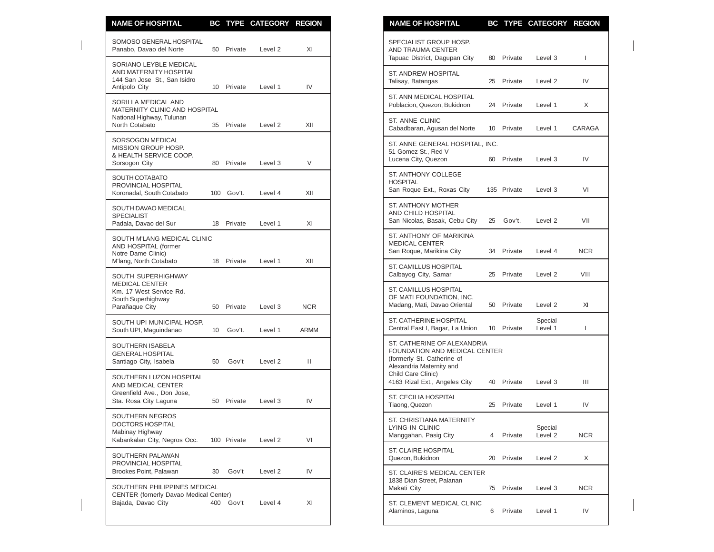| <b>NAME OF HOSPITAL</b>                                                                           |    |             | BC TYPE CATEGORY REGION |            | <b>NAME OF HOSPITAL</b><br>BC TYPE CATEGORY REGION                                                                     |                  |
|---------------------------------------------------------------------------------------------------|----|-------------|-------------------------|------------|------------------------------------------------------------------------------------------------------------------------|------------------|
| SOMOSO GENERAL HOSPITAL<br>Panabo, Davao del Norte                                                | 50 | Private     | Level 2                 | XI         | SPECIALIST GROUP HOSP.<br>AND TRAUMA CENTER<br>Tapuac District, Dagupan City<br>80 Private<br>Level 3                  | $\mathbf{I}$     |
| SORIANO LEYBLE MEDICAL<br>AND MATERNITY HOSPITAL<br>144 San Jose St., San Isidro<br>Antipolo City |    | 10 Private  | Level 1                 | IV         | <b>ST. ANDREW HOSPITAL</b><br>Talisay, Batangas<br>Private<br>Level 2<br>25                                            | IV               |
| SORILLA MEDICAL AND<br>MATERNITY CLINIC AND HOSPITAL                                              |    |             |                         |            | ST. ANN MEDICAL HOSPITAL<br>Poblacion, Quezon, Bukidnon<br>24 Private<br>Level 1                                       | X                |
| National Highway, Tulunan<br>North Cotabato                                                       | 35 | Private     | Level 2                 | XII        | ST. ANNE CLINIC<br>Cabadbaran, Agusan del Norte<br>10 Private<br>Level 1                                               | CARAGA           |
| SORSOGON MEDICAL<br>MISSION GROUP HOSP.<br>& HEALTH SERVICE COOP.<br>Sorsogon City                | 80 | Private     | Level 3                 | $\vee$     | ST. ANNE GENERAL HOSPITAL, INC.<br>51 Gomez St., Red V<br>Lucena City, Quezon<br>60 Private<br>Level 3                 | IV               |
| SOUTH COTABATO<br>PROVINCIAL HOSPITAL<br>Koronadal, South Cotabato                                |    | 100 Gov't.  | Level 4                 | XII        | ST. ANTHONY COLLEGE<br><b>HOSPITAL</b><br>San Roque Ext., Roxas City<br>135 Private<br>Level 3                         | VI               |
| SOUTH DAVAO MEDICAL<br><b>SPECIALIST</b><br>Padala, Davao del Sur                                 | 18 | Private     | Level 1                 | XI         | <b>ST. ANTHONY MOTHER</b><br>AND CHILD HOSPITAL<br>San Nicolas, Basak, Cebu City<br>Gov't.<br>25<br>Level 2            | VII              |
| SOUTH M'LANG MEDICAL CLINIC<br>AND HOSPITAL (former<br>Notre Dame Clinic)                         |    |             |                         |            | ST. ANTHONY OF MARIKINA<br><b>MEDICAL CENTER</b><br>San Roque, Marikina City<br>34 Private<br>Level 4                  | <b>NCR</b>       |
| M'lang, North Cotabato<br>SOUTH SUPERHIGHWAY                                                      | 18 | Private     | Level 1                 | XII        | <b>ST. CAMILLUS HOSPITAL</b><br>Calbayog City, Samar<br>25 Private<br>Level 2                                          | VIII             |
| <b>MEDICAL CENTER</b><br>Km. 17 West Service Rd.<br>South Superhighway<br>Parañaque City          | 50 | Private     | Level 3                 | <b>NCR</b> | ST. CAMILLUS HOSPITAL<br>OF MATI FOUNDATION, INC.<br>Madang, Mati, Davao Oriental<br>50 Private<br>Level 2             | XI               |
| SOUTH UPI MUNICIPAL HOSP.<br>South UPI, Maguindanao                                               | 10 | Gov't.      | Level 1                 | ARMM       | <b>ST. CATHERINE HOSPITAL</b><br>Special<br>Private<br>Central East I, Bagar, La Union<br>10<br>Level 1                | $\mathbf{I}$     |
| SOUTHERN ISABELA<br><b>GENERAL HOSPITAL</b><br>Santiago City, Isabela                             | 50 | Gov't       | Level 2                 | Ш          | ST. CATHERINE OF ALEXANDRIA<br>FOUNDATION AND MEDICAL CENTER<br>(formerly St. Catherine of<br>Alexandria Maternity and |                  |
| SOUTHERN LUZON HOSPITAL<br>AND MEDICAL CENTER<br>Greenfield Ave., Don Jose,                       |    |             |                         |            | Child Care Clinic)<br>4163 Rizal Ext., Angeles City<br>Private<br>40<br>Level 3                                        | Ш                |
| Sta. Rosa City Laguna                                                                             | 50 | Private     | Level 3                 | IV         | ST. CECILIA HOSPITAL<br>Private<br>Tiaong, Quezon<br>25<br>Level 1                                                     | IV               |
| SOUTHERN NEGROS<br>DOCTORS HOSPITAL<br>Mabinay Highway<br>Kabankalan City, Negros Occ.            |    | 100 Private | Level 2                 | VI         | ST. CHRISTIANA MATERNITY<br>LYING-IN CLINIC<br>Special<br>Manggahan, Pasig City<br>4 Private<br>Level 2                | <b>NCR</b>       |
| SOUTHERN PALAWAN<br>PROVINCIAL HOSPITAL                                                           |    |             |                         |            | <b>ST. CLAIRE HOSPITAL</b><br>Quezon, Bukidnon<br>Private<br>Level 2<br>20                                             | X                |
| Brookes Point, Palawan<br>SOUTHERN PHILIPPINES MEDICAL                                            | 30 | Gov't       | Level 2                 | IV         | ST. CLAIRE'S MEDICAL CENTER<br>1838 Dian Street, Palanan                                                               |                  |
| <b>CENTER (fornerly Davao Medical Center)</b><br>Bajada, Davao City                               |    | 400 Gov't   | Level 4                 | XI         | Makati City<br>75 Private<br>Level 3<br>ST. CLEMENT MEDICAL CLINIC<br>Private<br>Level 1<br>Alaminos, Laguna<br>6      | <b>NCR</b><br>IV |

| <b>NAME OF HOSPITAL</b>                                                                                                                      | ВC |             | TYPE CATEGORY REGION |            |
|----------------------------------------------------------------------------------------------------------------------------------------------|----|-------------|----------------------|------------|
| SPECIALIST GROUP HOSP.<br>AND TRAUMA CENTER<br>Tapuac District, Dagupan City                                                                 | 80 | Private     | Level 3              | L          |
| ST. ANDREW HOSPITAL<br>Talisay, Batangas                                                                                                     | 25 | Private     | Level 2              | IV         |
| ST. ANN MEDICAL HOSPITAL<br>Poblacion, Quezon, Bukidnon                                                                                      | 24 | Private     | Level 1              | X          |
| <b>ST. ANNE CLINIC</b><br>Cabadbaran, Agusan del Norte                                                                                       | 10 | Private     | Level 1              | CARAGA     |
| ST. ANNE GENERAL HOSPITAL. INC.<br>51 Gomez St., Red V<br>Lucena City, Quezon                                                                | 60 | Private     | Level 3              | IV         |
| ST. ANTHONY COLLEGE<br><b>HOSPITAL</b><br>San Roque Ext., Roxas City                                                                         |    | 135 Private | Level 3              | VI         |
| <b>ST. ANTHONY MOTHER</b><br>AND CHILD HOSPITAL<br>San Nicolas, Basak, Cebu City                                                             | 25 | Gov't.      | Level 2              | VII        |
| ST. ANTHONY OF MARIKINA<br><b>MEDICAL CENTER</b><br>San Roque, Marikina City                                                                 | 34 | Private     | Level 4              | <b>NCR</b> |
| ST. CAMILLUS HOSPITAL<br>Calbayog City, Samar                                                                                                | 25 | Private     | Level 2              | VIII       |
| ST. CAMILLUS HOSPITAL<br>OF MATI FOUNDATION, INC.<br>Madang, Mati, Davao Oriental                                                            | 50 | Private     | Level 2              | XI         |
| ST. CATHERINE HOSPITAL<br>Central East I, Bagar, La Union                                                                                    | 10 | Private     | Special<br>Level 1   | L          |
| ST. CATHERINE OF ALEXANDRIA<br>FOUNDATION AND MEDICAL CENTER<br>(formerly St. Catherine of<br>Alexandria Maternity and<br>Child Care Clinic) |    |             |                      |            |
| 4163 Rizal Ext., Angeles City                                                                                                                | 40 | Private     | Level 3              | Ш          |
| ST. CECILIA HOSPITAL<br>Tiaong, Quezon                                                                                                       | 25 | Private     | Level 1              | IV         |
| ST. CHRISTIANA MATERNITY<br>LYING-IN CLINIC<br>Manggahan, Pasig City                                                                         | 4  | Private     | Special<br>Level 2   | NCR.       |
| ST. CLAIRE HOSPITAL<br>Quezon, Bukidnon                                                                                                      | 20 | Private     | Level 2              | X          |
| ST. CLAIRE'S MEDICAL CENTER<br>1838 Dian Street, Palanan<br>Makati City                                                                      | 75 | Private     | Level 3              | <b>NCR</b> |
| ST. CLEMENT MEDICAL CLINIC<br>Alaminos, Laguna                                                                                               | 6  | Private     | Level 1              | IV         |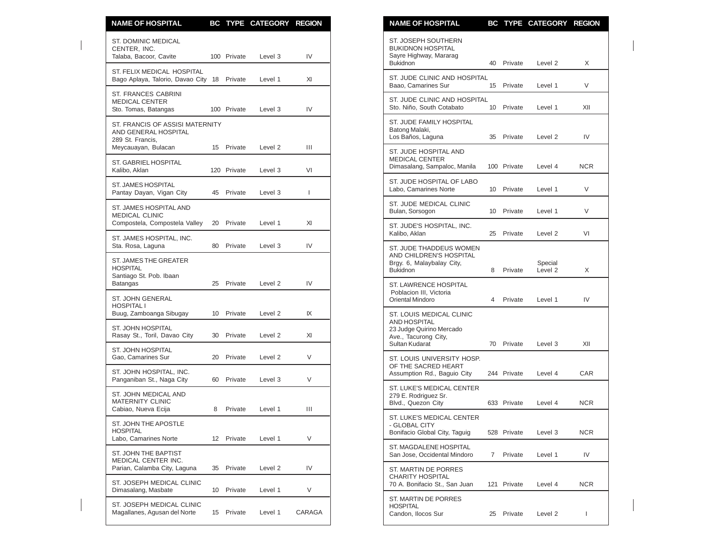| <b>NAME OF HOSPITAL</b>                                                     |    |             | BC TYPE CATEGORY REGION |                | <b>NAME OF HOSPITAL</b><br>BC TYPE CATEGORY REGION                                                                                  |              |
|-----------------------------------------------------------------------------|----|-------------|-------------------------|----------------|-------------------------------------------------------------------------------------------------------------------------------------|--------------|
| <b>ST. DOMINIC MEDICAL</b><br>CENTER, INC.<br>Talaba, Bacoor, Cavite        |    | 100 Private | Level 3                 | IV             | ST. JOSEPH SOUTHERN<br><b>BUKIDNON HOSPITAL</b><br>Sayre Highway, Mararag<br><b>Bukidnon</b><br>Private<br>Level <sub>2</sub><br>40 | X            |
| ST. FELIX MEDICAL HOSPITAL<br>Bago Aplaya, Talorio, Davao City 18 Private   |    |             | Level 1                 | XI             | ST. JUDE CLINIC AND HOSPITAL<br>Baao, Camarines Sur<br>15<br>Private<br>Level 1                                                     | V            |
| ST. FRANCES CABRINI<br><b>MEDICAL CENTER</b><br>Sto. Tomas, Batangas        |    | 100 Private | Level 3                 | IV             | ST. JUDE CLINIC AND HOSPITAL<br>Sto. Niño, South Cotabato<br>10<br>Private<br>Level 1                                               | XII          |
| ST. FRANCIS OF ASSISI MATERNITY<br>AND GENERAL HOSPITAL<br>289 St. Francis, |    |             |                         |                | ST. JUDE FAMILY HOSPITAL<br>Batong Malaki,<br>Los Baños, Laguna<br>Private<br>Level <sub>2</sub><br>35                              | IV           |
| Meycauayan, Bulacan                                                         |    | 15 Private  | Level <sub>2</sub>      | Ш              | ST. JUDE HOSPITAL AND<br>MEDICAL CENTER                                                                                             |              |
| ST. GABRIEL HOSPITAL<br>Kalibo, Aklan                                       |    | 120 Private | Level 3                 | VI             | Dimasalang, Sampaloc, Manila<br>100 Private<br>Level 4                                                                              | <b>NCR</b>   |
| ST. JAMES HOSPITAL<br>Pantay Dayan, Vigan City                              | 45 | Private     | Level 3                 | $\mathbf{I}$   | ST. JUDE HOSPITAL OF LABO<br>Labo, Camarines Norte<br>10 <sup>°</sup><br>Private<br>Level 1                                         | V            |
| ST. JAMES HOSPITAL AND<br><b>MEDICAL CLINIC</b>                             |    |             |                         |                | ST. JUDE MEDICAL CLINIC<br>Bulan, Sorsogon<br>Private<br>Level 1<br>10                                                              | V            |
| Compostela, Compostela Valley                                               | 20 | Private     | Level 1                 | XI             | ST. JUDE'S HOSPITAL, INC.<br>Kalibo, Aklan<br>25<br>Private<br>Level <sub>2</sub>                                                   | VI           |
| ST. JAMES HOSPITAL, INC.<br>Sta. Rosa, Laguna                               | 80 | Private     | Level 3                 | IV             | ST. JUDE THADDEUS WOMEN                                                                                                             |              |
| ST. JAMES THE GREATER<br><b>HOSPITAL</b><br>Santiago St. Pob. Ibaan         |    |             |                         |                | AND CHILDREN'S HOSPITAL<br>Brgy. 6, Malaybalay City,<br>Special<br>Level 2<br><b>Bukidnon</b><br>Private<br>8                       | X            |
| Batangas                                                                    | 25 | Private     | Level 2                 | IV             | ST. LAWRENCE HOSPITAL<br>Poblacion III, Victoria                                                                                    |              |
| <b>ST. JOHN GENERAL</b><br><b>HOSPITAL I</b><br>Buug, Zamboanga Sibugay     | 10 | Private     | Level 2                 | IX             | Oriental Mindoro<br>Private<br>Level 1<br>4<br>ST. LOUIS MEDICAL CLINIC                                                             | IV           |
| <b>ST. JOHN HOSPITAL</b><br>Rasay St., Toril, Davao City                    | 30 | Private     | Level 2                 | XI             | <b>AND HOSPITAL</b><br>23 Judge Quirino Mercado<br>Ave., Tacurong City,<br>Sultan Kudarat<br>Private<br>70                          | XII          |
| ST. JOHN HOSPITAL<br>Gao, Camarines Sur                                     | 20 | Private     | Level 2                 | V              | Level 3<br>ST. LOUIS UNIVERSITY HOSP.                                                                                               |              |
| ST. JOHN HOSPITAL, INC.<br>Panganiban St., Naga City                        | 60 | Private     | Level 3                 | V              | OF THE SACRED HEART<br>Assumption Rd., Baquio City<br>244 Private<br>Level 4                                                        | CAR          |
| ST. JOHN MEDICAL AND<br>MATERNITY CLINIC                                    |    |             |                         | $\mathbf{III}$ | ST. LUKE'S MEDICAL CENTER<br>279 E. Rodriguez Sr.<br>Blvd., Quezon City<br>633 Private<br>Level 4                                   | <b>NCR</b>   |
| Cabiao, Nueva Ecija<br>ST. JOHN THE APOSTLE<br><b>HOSPITAL</b>              | 8  | Private     | Level 1                 |                | ST. LUKE'S MEDICAL CENTER<br>- GLOBAL CITY<br>Bonifacio Global City, Taguig<br>528 Private<br>Level 3                               | <b>NCR</b>   |
| Labo, Camarines Norte<br>ST. JOHN THE BAPTIST                               |    | 12 Private  | Level 1                 | V              | ST. MAGDALENE HOSPITAL<br>San Jose, Occidental Mindoro                                                                              |              |
| MEDICAL CENTER INC.<br>Parian, Calamba City, Laguna                         | 35 | Private     | Level 2                 | IV             | Private<br>Level 1<br>$7^{\circ}$<br>ST. MARTIN DE PORRES                                                                           | IV           |
| ST. JOSEPH MEDICAL CLINIC<br>Dimasalang, Masbate                            | 10 | Private     | Level 1                 | V              | <b>CHARITY HOSPITAL</b><br>70 A. Bonifacio St., San Juan<br>121 Private<br>Level 4                                                  | NCR          |
| ST. JOSEPH MEDICAL CLINIC<br>Magallanes, Agusan del Norte                   |    | 15 Private  | Level 1                 | CARAGA         | ST. MARTIN DE PORRES<br><b>HOSPITAL</b><br>Candon, Ilocos Sur<br>Private<br>25<br>Level 2                                           | $\mathbf{I}$ |

| <u>NAME OF HOSPITAL</u>                                                                                               | BC. |             | <b>IYPE CAIEGORY</b> | <b>KEGIUN</b> |
|-----------------------------------------------------------------------------------------------------------------------|-----|-------------|----------------------|---------------|
| ST. JOSEPH SOUTHERN<br><b>BUKIDNON HOSPITAL</b><br>Sayre Highway, Mararag<br><b>Bukidnon</b>                          | 40  | Private     | Level 2              | Χ             |
| ST. JUDE CLINIC AND HOSPITAL<br>Baao, Camarines Sur                                                                   | 15  | Private     | Level 1              | V             |
| ST. JUDE CLINIC AND HOSPITAL<br>Sto. Niño, South Cotabato                                                             | 10  | Private     | Level 1              | XII           |
| ST. JUDE FAMILY HOSPITAL<br>Batong Malaki,<br>Los Baños, Laguna                                                       | 35  | Private     | Level 2              | IV            |
| ST. JUDE HOSPITAL AND<br><b>MEDICAL CENTER</b><br>Dimasalang, Sampaloc, Manila                                        |     | 100 Private | Level 4              | <b>NCR</b>    |
| ST. JUDE HOSPITAL OF LABO<br>Labo, Camarines Norte                                                                    | 10  | Private     | Level 1              | V             |
| ST. JUDE MEDICAL CLINIC<br>Bulan, Sorsogon                                                                            | 10  | Private     | Level 1              | V             |
| ST. JUDE'S HOSPITAL, INC.<br>Kalibo, Aklan                                                                            | 25  | Private     | Level <sub>2</sub>   | VI            |
| ST. JUDE THADDEUS WOMEN<br>AND CHILDREN'S HOSPITAL<br>Brgy. 6, Malaybalay City,<br><b>Bukidnon</b>                    | 8   | Private     | Special<br>Level 2   | X             |
| <b>ST. LAWRENCE HOSPITAL</b><br>Poblacion III, Victoria<br>Oriental Mindoro                                           | 4   | Private     | Level 1              | IV            |
| ST. LOUIS MEDICAL CLINIC<br><b>AND HOSPITAL</b><br>23 Judge Quirino Mercado<br>Ave., Tacurong City,<br>Sultan Kudarat | 70  | Private     | Level 3              | XII           |
| ST. LOUIS UNIVERSITY HOSP.<br>OF THE SACRED HEART<br>Assumption Rd., Baguio City                                      |     | 244 Private | Level 4              | CAR           |
| ST. LUKE'S MEDICAL CENTER<br>279 E. Rodriguez Sr.<br>Blvd., Quezon City                                               |     | 633 Private | Level 4              | NCR.          |
| ST. LUKE'S MEDICAL CENTER<br>- GLOBAL CITY<br>Bonifacio Global City, Taguig                                           |     | 528 Private | Level 3              | NCR           |
| ST. MAGDALENE HOSPITAL<br>San Jose, Occidental Mindoro                                                                | 7   | Private     | Level 1              | IV            |
| ST. MARTIN DE PORRES<br><b>CHARITY HOSPITAL</b><br>70 A. Bonifacio St., San Juan                                      | 121 | Private     | Level 4              | NCR           |
| ST. MARTIN DE PORRES<br><b>HOSPITAL</b><br>Candon, Ilocos Sur                                                         | 25  | Private     | Level 2              | L             |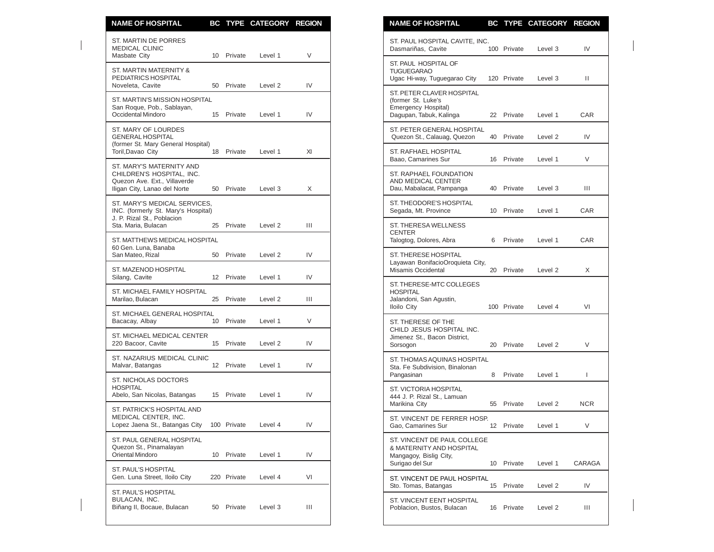| <b>NAME OF HOSPITAL</b>                                                                                               |    |             | BC TYPE CATEGORY REGION |                | <b>NAME OF HOSPITAL</b><br>BC TYPE CATEGORY REGION                                                                         |                 |
|-----------------------------------------------------------------------------------------------------------------------|----|-------------|-------------------------|----------------|----------------------------------------------------------------------------------------------------------------------------|-----------------|
| ST. MARTIN DE PORRES<br><b>MEDICAL CLINIC</b><br>Masbate City                                                         |    | 10 Private  | Level 1                 | V              | ST. PAUL HOSPITAL CAVITE, INC.<br>100 Private<br>Dasmariñas, Cavite<br>Level 3                                             | IV              |
| ST. MARTIN MATERNITY &<br>PEDIATRICS HOSPITAL<br>Noveleta, Cavite                                                     |    | 50 Private  | Level 2                 | IV             | ST. PAUL HOSPITAL OF<br><b>TUGUEGARAO</b><br>Ugac Hi-way, Tuguegarao City<br>120 Private<br>Level 3                        | $\mathbf{H}$    |
| ST. MARTIN'S MISSION HOSPITAL<br>San Roque, Pob., Sablayan,<br>Occidental Mindoro                                     |    | 15 Private  | Level 1                 | IV             | ST. PETER CLAVER HOSPITAL<br>(former St. Luke's<br>Emergency Hospital)<br>Dagupan, Tabuk, Kalinga<br>22 Private<br>Level 1 | CAR             |
| ST. MARY OF LOURDES<br><b>GENERAL HOSPITAL</b>                                                                        |    |             |                         |                | ST. PETER GENERAL HOSPITAL<br>Quezon St., Calauag, Quezon<br>Private<br>Level 2<br>40                                      | IV              |
| (former St. Mary General Hospital)<br>Toril, Davao City                                                               |    | 18 Private  | Level 1                 | XI             | ST. RAFHAEL HOSPITAL<br>Baao, Camarines Sur<br>16 Private<br>Level 1                                                       | V               |
| ST. MARY'S MATERNITY AND<br>CHILDREN'S HOSPITAL, INC.<br>Quezon Ave. Ext., Villaverde<br>Iligan City, Lanao del Norte |    | 50 Private  | Level 3                 | X              | ST. RAPHAEL FOUNDATION<br>AND MEDICAL CENTER<br>Private<br>Dau, Mabalacat, Pampanga<br>40<br>Level 3                       | Ш               |
| ST. MARY'S MEDICAL SERVICES,<br>INC. (formerly St. Mary's Hospital)                                                   |    |             |                         |                | ST. THEODORE'S HOSPITAL<br>Segada, Mt. Province<br>10 Private<br>Level 1                                                   | CAR             |
| J. P. Rizal St., Poblacion<br>Sta. Maria, Bulacan                                                                     | 25 | Private     | Level 2                 | Ш              | ST. THERESA WELLNESS<br><b>CENTER</b>                                                                                      |                 |
| ST. MATTHEWS MEDICAL HOSPITAL<br>60 Gen. Luna, Banaba<br>San Mateo, Rizal                                             |    | 50 Private  | Level 2                 | IV             | Talogtog, Dolores, Abra<br>Private<br>6<br>Level 1<br>ST. THERESE HOSPITAL                                                 | CAR             |
| ST. MAZENOD HOSPITAL                                                                                                  |    |             |                         |                | Layawan BonifacioOroquieta City,<br>Misamis Occidental<br>20 Private<br>Level 2                                            | X               |
| Silang, Cavite<br>ST. MICHAEL FAMILY HOSPITAL                                                                         |    | 12 Private  | Level 1                 | IV             | ST. THERESE-MTC COLLEGES<br><b>HOSPITAL</b>                                                                                |                 |
| Marilao, Bulacan                                                                                                      | 25 | Private     | Level 2                 | $\mathbf{III}$ | Jalandoni, San Agustin,<br><b>Iloilo City</b><br>100 Private<br>Level 4                                                    | VI              |
| ST. MICHAEL GENERAL HOSPITAL<br>Bacacay, Albay                                                                        | 10 | Private     | Level 1                 | V              | ST. THERESE OF THE<br>CHILD JESUS HOSPITAL INC.                                                                            |                 |
| ST. MICHAEL MEDICAL CENTER<br>220 Bacoor, Cavite                                                                      | 15 | Private     | Level 2                 | IV             | Jimenez St., Bacon District,<br>Sorsogon<br>20 Private<br>Level 2                                                          | V               |
| ST. NAZARIUS MEDICAL CLINIC<br>Malvar, Batangas                                                                       |    | 12 Private  | Level 1                 | IV             | ST. THOMAS AQUINAS HOSPITAL<br>Sta. Fe Subdivision, Binalonan                                                              |                 |
| ST. NICHOLAS DOCTORS<br><b>HOSPITAL</b><br>Abelo, San Nicolas, Batangas                                               |    | 15 Private  | Level 1                 | IV             | Pangasinan<br>Private<br>8<br>Level 1<br><b>ST. VICTORIA HOSPITAL</b><br>444 J. P. Rizal St., Lamuan                       | $\mathbf{I}$    |
| ST. PATRICK'S HOSPITAL AND<br>MEDICAL CENTER, INC.<br>Lopez Jaena St., Batangas City                                  |    | 100 Private | Level 4                 | IV             | 55 Private<br>Level 2<br>Marikina City<br>ST. VINCENT DE FERRER HOSP.<br>Gao, Camarines Sur<br>12 Private<br>Level 1       | <b>NCR</b><br>V |
| ST. PAUL GENERAL HOSPITAL<br>Quezon St., Pinamalayan<br>Oriental Mindoro                                              |    | 10 Private  | Level 1                 | IV             | ST. VINCENT DE PAUL COLLEGE<br>& MATERNITY AND HOSPITAL<br>Mangagoy, Bislig City,                                          |                 |
| ST. PAUL'S HOSPITAL<br>Gen. Luna Street. Iloilo City                                                                  |    | 220 Private | Level 4                 | VI             | Surigao del Sur<br>10 Private<br>Level 1<br>ST. VINCENT DE PAUL HOSPITAL                                                   | CARAGA          |
| ST. PAUL'S HOSPITAL                                                                                                   |    |             |                         |                | Sto. Tomas, Batangas<br>15 Private<br>Level 2                                                                              | IV              |
| BULACAN, INC.<br>Biñang II, Bocaue, Bulacan                                                                           |    | 50 Private  | Level 3                 | Ш              | ST. VINCENT EENT HOSPITAL<br>Poblacion, Bustos, Bulacan<br>16 Private<br>Level 2                                           | Ш               |

| <b>NAME OF HOSPITAL</b>                                                                              |    |             | BC TYPE CATEGORY   | <b>REGION</b> |
|------------------------------------------------------------------------------------------------------|----|-------------|--------------------|---------------|
| ST. PAUL HOSPITAL CAVITE, INC.<br>Dasmariñas, Cavite                                                 |    | 100 Private | Level 3            | IV            |
| ST. PAUL HOSPITAL OF<br><b>TUGUEGARAO</b><br>Ugac Hi-way, Tuguegarao City                            |    | 120 Private | Level 3            | Ш             |
| ST. PETER CLAVER HOSPITAL<br>(former St. Luke's<br>Emergency Hospital)<br>Dagupan, Tabuk, Kalinga    | 22 | Private     | Level 1            | <b>CAR</b>    |
| ST. PETER GENERAL HOSPITAL<br>Quezon St., Calauag, Quezon                                            | 40 | Private     | Level 2            | IV            |
| ST. RAFHAEL HOSPITAL<br>Baao, Camarines Sur                                                          | 16 | Private     | Level 1            | V             |
| <b>ST. RAPHAEL FOUNDATION</b><br>AND MEDICAL CENTER<br>Dau, Mabalacat, Pampanga                      | 40 | Private     | Level 3            | Ш             |
| ST. THEODORE'S HOSPITAL<br>Segada, Mt. Province                                                      | 10 | Private     | Level 1            | CAR           |
| ST. THERESA WELLNESS<br><b>CENTER</b><br>Talogtog, Dolores, Abra                                     | 6  | Private     | Level 1            | <b>CAR</b>    |
| ST. THERESE HOSPITAL<br>Layawan BonifacioOroquieta City,<br>Misamis Occidental                       | 20 | Private     | Level <sub>2</sub> | X             |
| ST. THERESE-MTC COLLEGES<br><b>HOSPITAL</b><br>Jalandoni, San Agustin,<br>Iloilo City                |    | 100 Private | Level 4            | VI            |
| ST. THERESE OF THE<br>CHILD JESUS HOSPITAL INC.<br>Jimenez St., Bacon District,<br>Sorsogon          | 20 | Private     | Level <sub>2</sub> | V             |
| ST. THOMAS AQUINAS HOSPITAL<br>Sta. Fe Subdivision, Binalonan<br>Pangasinan                          | 8  | Private     | Level 1            | L             |
| ST. VICTORIA HOSPITAL<br>444 J. P. Rizal St., Lamuan<br>Marikina City                                | 55 | Private     | Level 2            | NCR           |
| ST. VINCENT DE FERRER HOSP.<br>Gao, Camarines Sur                                                    | 12 | Private     | Level 1            |               |
| ST. VINCENT DE PAUL COLLEGE<br>& MATERNITY AND HOSPITAL<br>Mangagoy, Bislig City,<br>Surigao del Sur | 10 | Private     | Level 1            | CARAGA        |
| ST. VINCENT DE PAUL HOSPITAL<br>Sto. Tomas. Batangas                                                 | 15 | Private     | Level 2            | IV            |
| ST. VINCENT EENT HOSPITAL<br>Poblacion, Bustos, Bulacan                                              | 16 | Private     | Level <sub>2</sub> | Ш             |
|                                                                                                      |    |             |                    |               |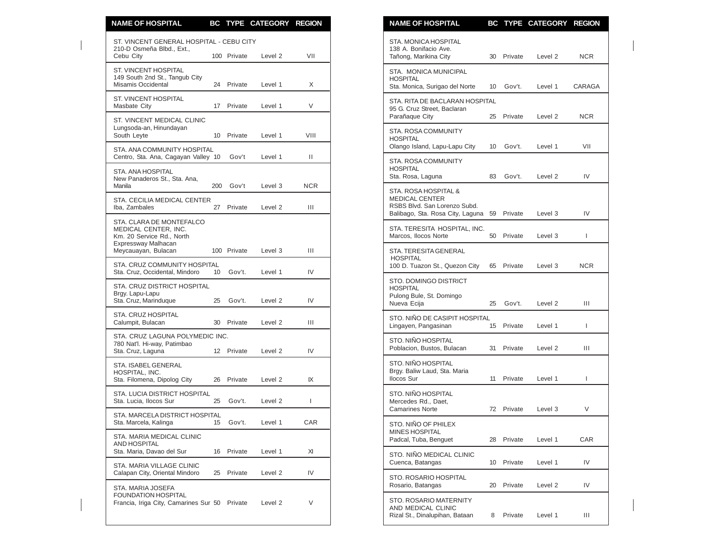| <b>NAME OF HOSPITAL</b>                                                                              |                 |             | BC TYPE CATEGORY REGION |              | <b>NAME OF HOSPITAL</b>                                                                              |    |            | BC TYPE CATEGORY REGION |              |
|------------------------------------------------------------------------------------------------------|-----------------|-------------|-------------------------|--------------|------------------------------------------------------------------------------------------------------|----|------------|-------------------------|--------------|
| ST. VINCENT GENERAL HOSPITAL - CEBU CITY<br>210-D Osmeña Blbd., Ext.,                                |                 |             |                         |              | STA, MONICA HOSPITAL<br>138 A. Bonifacio Ave.                                                        |    |            |                         |              |
| Cebu City                                                                                            |                 | 100 Private | Level <sub>2</sub>      | VII          | Tañong, Marikina City                                                                                |    | 30 Private | Level 2                 | <b>NCR</b>   |
| <b>ST. VINCENT HOSPITAL</b><br>149 South 2nd St., Tangub City<br>Misamis Occidental                  |                 | 24 Private  | Level 1                 | X            | STA. MONICA MUNICIPAL<br><b>HOSPITAL</b><br>Sta. Monica, Surigao del Norte                           | 10 | Gov't.     | Level 1                 | CARAGA       |
| ST. VINCENT HOSPITAL<br>Masbate City                                                                 | 17 <sup>2</sup> | Private     | Level 1                 | V            | STA. RITA DE BACLARAN HOSPITAL<br>95 G. Cruz Street, Baclaran                                        |    |            |                         |              |
| ST. VINCENT MEDICAL CLINIC<br>Lungsoda-an, Hinundayan<br>South Leyte                                 |                 | 10 Private  | Level 1                 | VIII         | Parañaque City<br>STA. ROSA COMMUNITY                                                                | 25 | Private    | Level 2                 | NCR.         |
| STA, ANA COMMUNITY HOSPITAL                                                                          |                 | Gov't       | Level 1                 | Ш            | <b>HOSPITAL</b><br>Olango Island, Lapu-Lapu City                                                     | 10 | Gov't.     | Level 1                 | VII          |
| Centro, Sta. Ana, Cagayan Valley 10<br>STA. ANA HOSPITAL<br>New Panaderos St., Sta. Ana,             |                 |             |                         |              | STA. ROSA COMMUNITY<br><b>HOSPITAL</b><br>Sta. Rosa, Laguna                                          | 83 | Gov't.     | Level 2                 | IV           |
| Manila                                                                                               | 200             | Gov't       | Level 3                 | <b>NCR</b>   | STA. ROSA HOSPITAL &                                                                                 |    |            |                         |              |
| STA. CECILIA MEDICAL CENTER<br>Iba, Zambales                                                         |                 | 27 Private  | Level 2                 | Ш            | <b>MEDICAL CENTER</b><br>RSBS Blvd. San Lorenzo Subd.<br>Balibago, Sta. Rosa City, Laguna 59 Private |    |            | Level 3                 | IV           |
| STA. CLARA DE MONTEFALCO<br>MEDICAL CENTER, INC.<br>Km. 20 Service Rd., North<br>Expressway Malhacan |                 |             |                         |              | STA. TERESITA HOSPITAL, INC.<br>Marcos, Ilocos Norte                                                 | 50 | Private    | Level 3                 | $\mathbf{I}$ |
| Meycauayan, Bulacan                                                                                  |                 | 100 Private | Level 3                 | Ш            | STA. TERESITA GENERAL<br><b>HOSPITAL</b>                                                             |    |            |                         |              |
| STA. CRUZ COMMUNITY HOSPITAL<br>Sta. Cruz, Occidental, Mindoro                                       | 10 <sup>°</sup> | Gov't.      | Level 1                 | IV           | 100 D. Tuazon St., Quezon City                                                                       | 65 | Private    | Level 3                 | <b>NCR</b>   |
| STA. CRUZ DISTRICT HOSPITAL<br>Brgy. Lapu-Lapu                                                       |                 |             |                         |              | STO. DOMINGO DISTRICT<br><b>HOSPITAL</b><br>Pulong Bule, St. Domingo                                 |    |            |                         |              |
| Sta. Cruz, Marinduque                                                                                | 25              | Gov't.      | Level 2                 | IV           | Nueva Ecija                                                                                          | 25 | Gov't.     | Level 2                 | Ш            |
| STA. CRUZ HOSPITAL<br>Calumpit, Bulacan                                                              | 30              | Private     | Level 2                 | Ш            | STO. NIÑO DE CASIPIT HOSPITAL<br>Lingayen, Pangasinan                                                |    | 15 Private | Level 1                 | $\mathbf{I}$ |
| STA. CRUZ LAGUNA POLYMEDIC INC.<br>780 Nat'l. Hi-way, Patimbao<br>Sta. Cruz, Laguna                  |                 | 12 Private  | Level 2                 | IV           | STO. NIÑO HOSPITAL<br>Poblacion, Bustos, Bulacan                                                     | 31 | Private    | Level 2                 | Ш            |
| STA. ISABEL GENERAL<br>HOSPITAL, INC.<br>Sta. Filomena, Dipolog City                                 | 26              | Private     | Level 2                 | IX           | STO. NIÑO HOSPITAL<br>Brgy. Baliw Laud, Sta. Maria<br><b>Ilocos Sur</b>                              | 11 | Private    | Level 1                 | $\mathbf{I}$ |
| STA. LUCIA DISTRICT HOSPITAL<br>Sta. Lucia, Ilocos Sur                                               | 25              | Gov't.      | Level 2                 | $\mathbf{I}$ | STO. NIÑO HOSPITAL<br>Mercedes Rd., Daet.                                                            |    |            |                         |              |
| STA. MARCELA DISTRICT HOSPITAL<br>Sta. Marcela, Kalinga                                              | 15              | Gov't.      | Level 1                 | CAR          | <b>Camarines Norte</b><br>STO. NINO OF PHILEX                                                        |    | 72 Private | Level 3                 | V            |
| STA. MARIA MEDICAL CLINIC<br><b>AND HOSPITAL</b>                                                     |                 |             |                         |              | MINES HOSPITAL<br>Padcal, Tuba, Benguet                                                              | 28 | Private    | Level 1                 | CAR          |
| Sta. Maria, Davao del Sur<br>STA. MARIA VILLAGE CLINIC                                               |                 | 16 Private  | Level 1                 | XI           | STO. NIÑO MEDICAL CLINIC<br>Cuenca, Batangas                                                         |    | 10 Private | Level 1                 | IV           |
| Calapan City, Oriental Mindoro                                                                       |                 | 25 Private  | Level 2                 | IV           | STO. ROSARIO HOSPITAL<br>Rosario, Batangas                                                           | 20 | Private    | Level 2                 | IV           |
| STA. MARIA JOSEFA<br><b>FOUNDATION HOSPITAL</b><br>Francia, Iriga City, Camarines Sur 50             |                 | Private     | Level 2                 | V            | STO. ROSARIO MATERNITY<br>AND MEDICAL CLINIC<br>Rizal St., Dinalupihan, Bataan                       |    | 8 Private  | Level 1                 | III          |

| <b>NAME OF HOSPITAL</b>                                                                  |                 |                    | BC TYPE CATEGORY REGION |            |
|------------------------------------------------------------------------------------------|-----------------|--------------------|-------------------------|------------|
| STA. MONICA HOSPITAL<br>138 A. Bonifacio Ave.<br>Tañong, Marikina City                   | 30              | Private            | Level 2                 | NCR.       |
| STA. MONICA MUNICIPAL<br><b>HOSPITAL</b><br>Sta. Monica, Surigao del Norte               | 10 <sup>°</sup> | Gov't.             | Level 1                 | CARAGA     |
| STA. RITA DE BACLARAN HOSPITAL<br>95 G. Cruz Street, Baclaran<br>Parañaque City          | 25              | Private            | Level 2                 | NCR.       |
| <b>STA. ROSA COMMUNITY</b><br><b>HOSPITAL</b><br>Olango Island, Lapu-Lapu City           | 10 <sup>°</sup> | Gov't.             | Level 1                 | VII        |
| STA. ROSA COMMUNITY<br><b>HOSPITAL</b><br>Sta. Rosa, Laguna                              | 83              | Gov't.             | Level 2                 | IV         |
| STA. ROSA HOSPITAL &<br><b>MEDICAL CENTER</b><br>RSBS Blvd. San Lorenzo Subd.            |                 |                    |                         |            |
| Balibago, Sta. Rosa City, Laguna<br>STA. TERESITA HOSPITAL, INC.<br>Marcos, Ilocos Norte | 59<br>50        | Private<br>Private | Level 3<br>Level 3      | IV<br>L    |
| STA. TERESITA GENERAL<br><b>HOSPITAL</b><br>100 D. Tuazon St., Quezon City               | 65              | Private            | Level 3                 | <b>NCR</b> |
| STO. DOMINGO DISTRICT<br><b>HOSPITAL</b><br>Pulong Bule, St. Domingo<br>Nueva Ecija      | 25              | Gov't.             | Level 2                 | Ш          |
| STO. NIÑO DE CASIPIT HOSPITAL<br>Lingayen, Pangasinan                                    | 15              | Private            | Level 1                 | L          |
| STO. NIÑO HOSPITAL<br>Poblacion, Bustos, Bulacan                                         | 31              | Private            | Level 2                 | Ш          |
| STO. NIÑO HOSPITAL<br>Brgy. Baliw Laud, Sta. Maria<br><b>Ilocos Sur</b>                  | 11              | Private            | Level 1                 | L          |
| STO. NIÑO HOSPITAL<br>Mercedes Rd., Daet,<br><b>Camarines Norte</b>                      | 72              | Private            | Level 3                 | V          |
| STO. NIÑO OF PHILEX<br><b>MINES HOSPITAL</b><br>Padcal, Tuba, Benguet                    | 28              | Private            | Level 1                 | CAR        |
| STO. NIÑO MEDICAL CLINIC<br>Cuenca, Batangas                                             | 10              | Private            | Level 1                 | IV         |
| <b>STO. ROSARIO HOSPITAL</b><br>Rosario, Batangas                                        | 20              | Private            | Level 2                 | IV         |
| <b>STO. ROSARIO MATERNITY</b><br>AND MEDICAL CLINIC<br>Rizal St., Dinalupihan, Bataan    | 8               | Private            | Level 1                 | Ш          |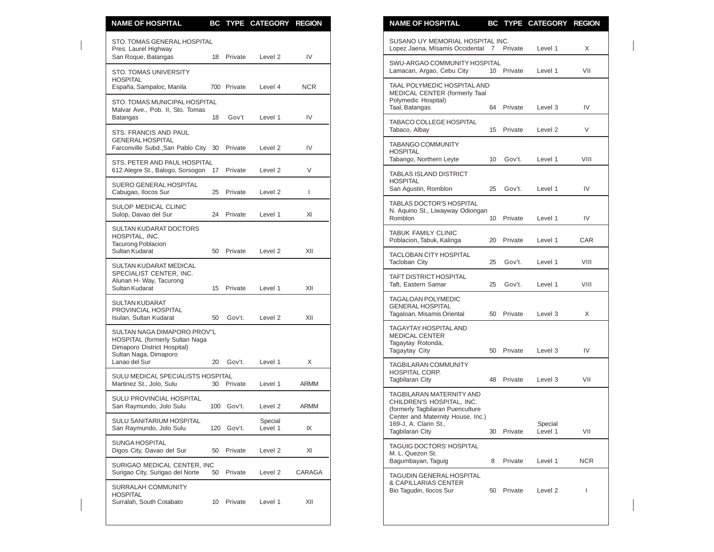| <b>NAME OF HOSPITAL</b>                                                                                               |    |             | BC TYPE CATEGORY REGION |              | <b>NAME OF HOSPITAL</b><br>BC TYPE CATEGORY REGION                                                                          |                          |
|-----------------------------------------------------------------------------------------------------------------------|----|-------------|-------------------------|--------------|-----------------------------------------------------------------------------------------------------------------------------|--------------------------|
| STO. TOMAS GENERAL HOSPITAL<br>Pres. Laurel Highway                                                                   |    |             |                         |              | SUSANO UY MEMORIAL HOSPITAL INC.<br>Lopez Jaena, MIsamis Occidental 7<br>Private<br>Level 1                                 | X                        |
| San Roque, Batangas<br><b>STO. TOMAS UNIVERSITY</b>                                                                   |    | 18 Private  | Level 2                 | IV           | SWU-ARGAO COMMUNITY HOSPITAL<br>10 Private<br>Lamacan, Argao, Cebu City<br>Level 1                                          | VII                      |
| <b>HOSPITAL</b><br>España, Sampaloc, Manila                                                                           |    | 700 Private | Level 4                 | <b>NCR</b>   | TAAL POLYMEDIC HOSPITAL AND<br>MEDICAL CENTER (formerly Taal                                                                |                          |
| STO. TOMAS MUNICIPAL HOSPITAL<br>Malvar Ave., Pob. II, Sto. Tomas<br>Batangas                                         | 18 | Gov't       | Level 1                 | IV           | Polymedic Hospital)<br>Taal, Batangas<br>Private<br>Level 3<br>64                                                           | IV                       |
| STS. FRANCIS AND PAUL                                                                                                 |    |             |                         |              | TABACO COLLEGE HOSPITAL<br>Tabaco, Albay<br>15 Private<br>Level 2                                                           | $\vee$                   |
| <b>GENERAL HOSPITAL</b><br>Farconville Subd., San Pablo City 30 Private                                               |    |             | Level 2                 | IV           | TABANGO COMMUNITY<br><b>HOSPITAL</b>                                                                                        |                          |
| STS. PETER AND PAUL HOSPITAL<br>612 Alegre St., Balogo, Sorsogon 17 Private                                           |    |             | Level 2                 | V            | Tabango, Northern Leyte<br>Gov't.<br>Level 1<br>10<br><b>TABLAS ISLAND DISTRICT</b>                                         | VIII                     |
| SUERO GENERAL HOSPITAL<br>Cabugao, Ilocos Sur                                                                         |    | 25 Private  | Level 2                 | $\mathbf{I}$ | <b>HOSPITAL</b><br>San Agustin, Romblon<br>Gov't.<br>25<br>Level 1                                                          | IV                       |
| SULOP MEDICAL CLINIC<br>Sulop, Davao del Sur                                                                          |    | 24 Private  | Level 1                 | XI           | <b>TABLAS DOCTOR'S HOSPITAL</b><br>N. Aquino St., Liwayway Odiongan<br>Romblon<br>10 Private<br>Level 1                     | IV                       |
| SULTAN KUDARAT DOCTORS<br>HOSPITAL, INC.<br><b>Tacurong Poblacion</b>                                                 |    |             |                         |              | <b>TABUK FAMILY CLINIC</b><br>Poblacion, Tabuk, Kalinga<br>Private<br>20<br>Level 1                                         | CAR                      |
| Sultan Kudarat<br>SULTAN KUDARAT MEDICAL                                                                              |    | 50 Private  | Level 2                 | XII          | <b>TACLOBAN CITY HOSPITAL</b><br><b>Tacloban City</b><br>25<br>Gov't.<br>Level 1                                            | VIII                     |
| SPECIALIST CENTER, INC.<br>Alunan H- Way, Tacurong<br>Sultan Kudarat                                                  |    | 15 Private  | Level 1                 | XII          | TAFT DISTRICT HOSPITAL<br>Taft, Eastern Samar<br>25<br>Gov't.<br>Level 1                                                    | VIII                     |
| <b>SULTAN KUDARAT</b><br>PROVINCIAL HOSPITAL<br>Isulan, Sultan Kudarat                                                | 50 | Gov't.      | Level 2                 | XII          | <b>TAGALOAN POLYMEDIC</b><br><b>GENERAL HOSPITAL</b><br>Tagaloan, Misamis Oriental<br>50 Private<br>Level 3                 | X                        |
| SULTAN NAGA DIMAPORO PROV"L<br>HOSPITAL (formerly Sultan Naga<br>Dimaporo District Hospital)<br>Sultan Naga, Dimaporo |    |             |                         |              | TAGAYTAY HOSPITAL AND<br><b>MEDICAL CENTER</b><br>Tagaytay Rotonda,<br>Tagaytay City<br>Private<br>50<br>Level 3            | IV                       |
| Lanao del Sur<br>SULU MEDICAL SPECIALISTS HOSPITAL                                                                    | 20 | Gov't.      | Level 1                 | X            | <b>TAGBILARAN COMMUNITY</b><br>HOSPITAL CORP.                                                                               |                          |
| Martinez St., Jolo, Sulu                                                                                              |    | 30 Private  | Level 1                 | ARMM         | Tagbilaran City<br>48<br>Private<br>Level 3<br>TAGBILARAN MATERNITY AND                                                     | VII                      |
| <b>SULU PROVINCIAL HOSPITAL</b><br>San Raymundo, Jolo Sulu                                                            |    | 100 Gov't.  | Level 2                 | <b>ARMM</b>  | CHILDREN'S HOSPITAL. INC.<br>(formerly Tagbilaran Puericulture                                                              |                          |
| SULU SANITARIUM HOSPITAL<br>San Raymundo, Jolo Sulu                                                                   |    | 120 Gov't.  | Special<br>Level 1      | ΙX           | Center and Maternity House, Inc.)<br>169-J, A. Clarin St.,<br>Special<br><b>Tagbilaran City</b><br>Private<br>Level 1<br>30 | VII                      |
| SUNGA HOSPITAL<br>Digos City, Davao del Sur                                                                           | 50 | Private     | Level 2                 | XI           | TAGUIG DOCTORS' HOSPITAL<br>M. L. Quezon St.                                                                                |                          |
| SURIGAO MEDICAL CENTER. INC<br>Surigao City, Surigao del Norte                                                        |    | 50 Private  | Level 2                 | CARAGA       | Bagumbayan, Taguig<br>8<br>Private<br>Level 1<br>TAGUDIN GENERAL HOSPITAL                                                   | <b>NCR</b>               |
| SURRALAH COMMUNITY<br><b>HOSPITAL</b><br>Surralah, South Cotabato                                                     |    | 10 Private  | Level 1                 | XII          | & CAPILLARIAS CENTER<br>Bio Tagudin, Ilocos Sur<br>Private<br>Level 2<br>50                                                 | $\overline{\phantom{a}}$ |

| <b>NAME OF HOSPITAL</b>                                                                                                                                                            |    |         | BC TYPE CATEGORY REGION |      |
|------------------------------------------------------------------------------------------------------------------------------------------------------------------------------------|----|---------|-------------------------|------|
| SUSANO UY MEMORIAL HOSPITAL INC.<br>Lopez Jaena, MIsamis Occidental                                                                                                                | 7  | Private | Level 1                 | Χ    |
| SWU-ARGAO COMMUNITY HOSPITAL<br>Lamacan, Argao, Cebu City                                                                                                                          | 10 | Private | Level 1                 | VII  |
| TAAL POLYMEDIC HOSPITAL AND<br>MEDICAL CENTER (formerly Taal<br>Polymedic Hospital)<br>Taal, Batangas                                                                              | 64 | Private | Level 3                 | IV   |
| TABACO COLLEGE HOSPITAL<br>Tabaco, Albay                                                                                                                                           | 15 | Private | Level 2                 | V    |
| <b>TABANGO COMMUNITY</b><br><b>HOSPITAL</b><br>Tabango, Northern Leyte                                                                                                             | 10 | Gov't.  | Level 1                 | VIII |
| <b>TABLAS ISLAND DISTRICT</b><br><b>HOSPITAL</b><br>San Agustin, Romblon                                                                                                           | 25 | Gov't.  | Level 1                 | IV   |
| <b>TABLAS DOCTOR'S HOSPITAL</b><br>N. Aquino St., Liwayway Odiongan<br>Romblon                                                                                                     | 10 | Private | Level 1                 | IV   |
| <b>TABUK FAMILY CLINIC</b><br>Poblacion, Tabuk, Kalinga                                                                                                                            | 20 | Private | Level 1                 | CAR  |
| <b>TACLOBAN CITY HOSPITAL</b><br><b>Tacloban City</b>                                                                                                                              | 25 | Gov't.  | Level 1                 | VIII |
| <b>TAFT DISTRICT HOSPITAL</b><br>Taft, Eastern Samar                                                                                                                               | 25 | Gov't.  | Level 1                 | VIII |
| <b>TAGALOAN POLYMEDIC</b><br><b>GENERAL HOSPITAL</b><br>Tagaloan, Misamis Oriental                                                                                                 | 50 | Private | Level 3                 | X    |
| TAGAYTAY HOSPITAL AND<br>MEDICAL CENTER<br>Tagaytay Rotonda,<br>Tagaytay City                                                                                                      | 50 | Private | Level 3                 | IV   |
| <b>TAGBILARAN COMMUNITY</b><br>HOSPITAL CORP.<br><b>Tagbilaran City</b>                                                                                                            | 48 | Private | Level 3                 | VII  |
| TAGBILARAN MATERNITY AND<br>CHILDREN'S HOSPITAL, INC.<br>(formerly Tagbilaran Puericulture<br>Center and Maternity House, Inc.)<br>169-J, A. Clarin St.,<br><b>Tagbilaran City</b> | 30 | Private | Special<br>Level 1      | VII  |
| TAGUIG DOCTORS' HOSPITAL<br>M. L. Quezon St.<br>Bagumbayan, Taguig                                                                                                                 | 8  | Private | Level 1                 | NCR  |
| TAGUDIN GENERAL HOSPITAL<br>& CAPILLARIAS CENTER<br>Bio Tagudin, Ilocos Sur                                                                                                        | 50 | Private | Level 2                 | I    |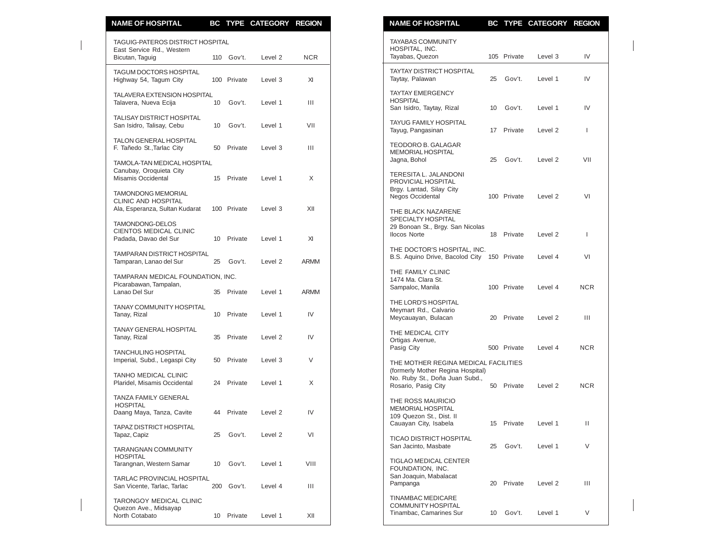| <b>NAME OF HOSPITAL</b>                                                      |    |             | BC TYPE CATEGORY REGION |             | <b>NAME OF HOSPITAL</b>                                                                    |    |             | BC TYPE CATEGORY REGION |            |
|------------------------------------------------------------------------------|----|-------------|-------------------------|-------------|--------------------------------------------------------------------------------------------|----|-------------|-------------------------|------------|
| TAGUIG-PATEROS DISTRICT HOSPITAL<br>East Service Rd., Western                |    |             |                         |             | <b>TAYABAS COMMUNITY</b><br>HOSPITAL, INC.                                                 |    |             |                         |            |
| Bicutan, Taguig                                                              |    | 110 Gov't.  | Level 2                 | <b>NCR</b>  | Tayabas, Quezon                                                                            |    | 105 Private | Level 3                 | IV         |
| TAGUM DOCTORS HOSPITAL<br>Highway 54, Tagum City                             |    | 100 Private | Level 3                 | XI          | <b>TAYTAY DISTRICT HOSPITAL</b><br>Taytay, Palawan                                         | 25 | Gov't.      | Level 1                 | IV         |
| TALAVERA EXTENSION HOSPITAL<br>Talavera, Nueva Ecija                         | 10 | Gov't.      | Level 1                 | Ш           | <b>TAYTAY EMERGENCY</b><br><b>HOSPITAL</b><br>San Isidro, Taytay, Rizal                    | 10 | Gov't.      | Level 1                 | IV         |
| TALISAY DISTRICT HOSPITAL<br>San Isidro, Talisay, Cebu                       | 10 | Gov't.      | Level 1                 | VII         | <b>TAYUG FAMILY HOSPITAL</b><br>Tayug, Pangasinan                                          |    | 17 Private  | Level 2                 |            |
| <b>TALON GENERAL HOSPITAL</b><br>F. Tañedo St., Tarlac City                  | 50 | Private     | Level 3                 | Ш           | TEODORO B. GALAGAR<br><b>MEMORIAL HOSPITAL</b>                                             |    |             |                         |            |
| TAMOLA-TAN MEDICAL HOSPITAL<br>Canubay, Oroquieta City<br>Misamis Occidental | 15 | Private     | Level 1                 | X           | Jagna, Bohol<br>TERESITA L. JALANDONI                                                      | 25 | Gov't.      | Level 2                 | VII        |
| <b>TAMONDONG MEMORIAL</b><br>CLINIC AND HOSPITAL                             |    |             |                         |             | PROVICIAL HOSPITAL<br>Brgy. Lantad, Silay City<br>Negos Occidental                         |    | 100 Private | Level 2                 | VI         |
| Ala, Esperanza, Sultan Kudarat<br>TAMONDONG-DELOS                            |    | 100 Private | Level 3                 | XII         | THE BLACK NAZARENE<br><b>SPECIALTY HOSPITAL</b><br>29 Bonoan St., Brgy. San Nicolas        |    |             |                         |            |
| CIENTOS MEDICAL CLINIC<br>Padada, Davao del Sur                              |    | 10 Private  | Level 1                 | XI          | <b>Ilocos Norte</b><br>THE DOCTOR'S HOSPITAL, INC.                                         |    | 18 Private  | Level 2                 |            |
| <b>TAMPARAN DISTRICT HOSPITAL</b><br>Tamparan, Lanao del Sur                 | 25 | Gov't.      | Level 2                 | <b>ARMM</b> | B.S. Aquino Drive, Bacolod City 150 Private                                                |    |             | Level 4                 |            |
| TAMPARAN MEDICAL FOUNDATION, INC.<br>Picarabawan, Tampalan,<br>Lanao Del Sur | 35 | Private     | Level 1                 | <b>ARMM</b> | THE FAMILY CLINIC<br>1474 Ma. Clara St.<br>Sampaloc, Manila                                |    | 100 Private | Level 4                 | <b>NCR</b> |
| <b>TANAY COMMUNITY HOSPITAL</b><br>Tanay, Rizal                              |    | 10 Private  | Level 1                 | IV          | THE LORD'S HOSPITAL<br>Meymart Rd., Calvario<br>Meycauayan, Bulacan                        | 20 | Private     | Level 2                 | Ш          |
| TANAY GENERAL HOSPITAL<br>Tanay, Rizal                                       | 35 | Private     | Level 2                 | IV          | THE MEDICAL CITY<br>Ortigas Avenue,                                                        |    |             |                         |            |
| <b>TANCHULING HOSPITAL</b><br>Imperial, Subd., Legaspi City                  | 50 | Private     | Level 3                 | V           | Pasig City<br>THE MOTHER REGINA MEDICAL FACILITIES                                         |    | 500 Private | Level 4                 | <b>NCR</b> |
| TANHO MEDICAL CLINIC<br>Plaridel, Misamis Occidental                         | 24 | Private     | Level 1                 | X           | (formerly Mother Regina Hospital)<br>No. Ruby St., Doña Juan Subd.,<br>Rosario, Pasig City |    | 50 Private  | Level 2                 | <b>NCR</b> |
| TANZA FAMILY GENERAL<br><b>HOSPITAL</b><br>Daang Maya, Tanza, Cavite         |    | 44 Private  | Level 2                 | IV          | THE ROSS MAURICIO<br><b>MEMORIAL HOSPITAL</b>                                              |    |             |                         |            |
| TAPAZ DISTRICT HOSPITAL<br>Tapaz, Capiz                                      | 25 | Gov't.      | Level 2                 | VI          | 109 Quezon St., Dist. II<br>Cauayan City, Isabela                                          |    | 15 Private  | Level 1                 |            |
| <b>TARANGNAN COMMUNITY</b><br><b>HOSPITAL</b>                                |    |             |                         |             | <b>TICAO DISTRICT HOSPITAL</b><br>San Jacinto, Masbate                                     | 25 | Gov't.      | Level 1                 |            |
| Tarangnan, Western Samar<br>TARLAC PROVINCIAL HOSPITAL                       | 10 | Gov't.      | Level 1                 | VIII        | TIGLAO MEDICAL CENTER<br>FOUNDATION, INC.<br>San Joaquin, Mabalacat                        |    |             |                         |            |
| San Vicente, Tarlac, Tarlac<br>TARONGOY MEDICAL CLINIC                       |    | 200 Gov't.  | Level 4                 | Ш           | Pampanga<br><b>TINAMBAC MEDICARE</b>                                                       | 20 | Private     | Level 2                 |            |
| Quezon Ave., Midsayap<br>North Cotabato                                      |    | 10 Private  | Level 1                 | XII         | COMMUNITY HOSPITAL<br>Tinambac, Camarines Sur                                              | 10 | Gov't.      | Level 1                 |            |

| <u>NAME OF HOSPITAL</u>                                                                             | ВÇ | <u>IYPE</u> | <b>CALEGORY</b> | <b>KEGIUN</b> |
|-----------------------------------------------------------------------------------------------------|----|-------------|-----------------|---------------|
| <b>TAYABAS COMMUNITY</b><br>HOSPITAL, INC.<br>Tayabas, Quezon                                       |    | 105 Private | Level 3         | IV            |
| <b>TAYTAY DISTRICT HOSPITAL</b><br>Taytay, Palawan                                                  | 25 | Gov't.      | Level 1         | IV            |
| <b>TAYTAY EMERGENCY</b><br><b>HOSPITAL</b><br>San Isidro, Taytay, Rizal                             | 10 | Gov't.      | Level 1         | IV            |
| TAYUG FAMILY HOSPITAL<br>Tayug, Pangasinan                                                          | 17 | Private     | Level 2         | T             |
| TEODORO B. GALAGAR<br><b>MEMORIAL HOSPITAL</b><br>Jagna, Bohol                                      | 25 | Gov't.      | Level 2         | VII           |
| TERESITA L. JALANDONI<br>PROVICIAL HOSPITAL<br>Brgy. Lantad, Silay City<br>Negos Occidental         |    | 100 Private | Level 2         | VI            |
| THE BLACK NAZARENE<br>SPECIALTY HOSPITAL<br>29 Bonoan St., Brgy. San Nicolas<br><b>Ilocos Norte</b> |    | 18 Private  | Level 2         | T             |
| THE DOCTOR'S HOSPITAL, INC.<br>B.S. Aquino Drive, Bacolod City 150 Private                          |    |             | Level 4         | VI            |
| THE FAMILY CLINIC<br>1474 Ma. Clara St.<br>Sampaloc, Manila                                         |    | 100 Private | Level 4         | <b>NCR</b>    |
| THE LORD'S HOSPITAL<br>Meymart Rd., Calvario<br>Meycauayan, Bulacan                                 |    | 20 Private  | Level 2         | Ш             |
| THE MEDICAL CITY<br>Ortigas Avenue,<br>Pasig City                                                   |    | 500 Private | Level 4         | NCR.          |
| THE MOTHER REGINA MEDICAL FACILITIES                                                                |    |             |                 |               |
| (formerly Mother Regina Hospital)<br>No. Ruby St., Doña Juan Subd.,<br>Rosario, Pasig City          | 50 | Private     | Level 2         | NCR.          |
| THE ROSS MAURICIO<br><b>MEMORIAL HOSPITAL</b><br>109 Quezon St., Dist. II<br>Cauayan City, Isabela  | 15 | Private     | Level 1         | н             |
| <b>TICAO DISTRICT HOSPITAL</b><br>San Jacinto, Masbate                                              | 25 | Gov't.      | Level 1         | V             |
| <b>TIGLAO MEDICAL CENTER</b><br>FOUNDATION, INC.<br>San Joaquin, Mabalacat<br>Pampanga              | 20 | Private     | Level 2         | Ш             |
| <b>TINAMBAC MEDICARE</b><br><b>COMMUNITY HOSPITAL</b><br>Tinambac, Camarines Sur                    | 10 | Gov't.      | Level 1         | V             |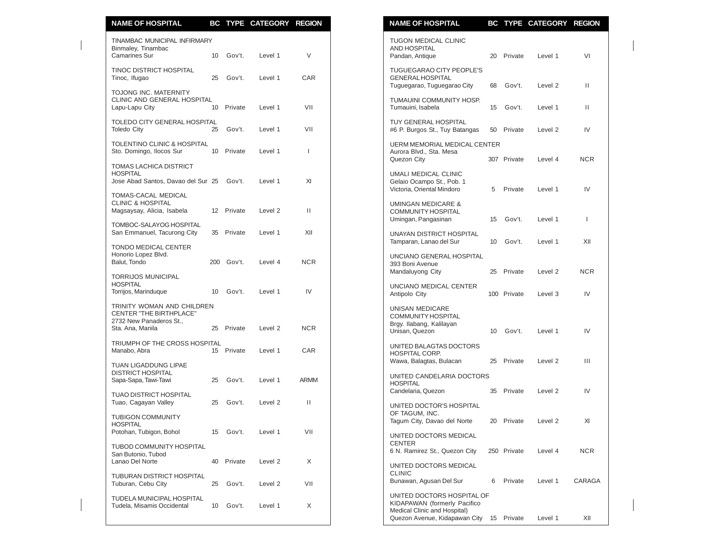| <b>NAME OF HOSPITAL</b>                                                                  |    |            | BC TYPE CATEGORY REGION |              | <b>NAME OF HOSPITAL</b>                                                                                                                       | BC TYPE CATEGORY REGION |                  |
|------------------------------------------------------------------------------------------|----|------------|-------------------------|--------------|-----------------------------------------------------------------------------------------------------------------------------------------------|-------------------------|------------------|
| TINAMBAC MUNICIPAL INFIRMARY<br>Binmaley, Tinambac<br><b>Camarines Sur</b>               |    | 10 Gov't.  | Level 1                 | $\vee$       | <b>TUGON MEDICAL CLINIC</b><br>AND HOSPITAL<br>Pandan, Antique<br>20 Private                                                                  | Level 1                 | VI               |
| TINOC DISTRICT HOSPITAL<br>Tinoc, Ifugao                                                 | 25 | Gov't.     | Level 1                 | CAR          | <b>TUGUEGARAO CITY PEOPLE'S</b><br><b>GENERAL HOSPITAL</b><br>Tuguegarao, Tuguegarao City<br>Gov't.<br>68                                     | Level 2                 | $\mathbf{H}$     |
| TOJONG INC. MATERNITY<br>CLINIC AND GENERAL HOSPITAL<br>Lapu-Lapu City                   | 10 | Private    | Level 1                 | VII          | TUMAUINI COMMUNITY HOSP.<br>Tumauini, Isabela<br>Gov't.<br>15                                                                                 | Level 1                 | $\mathbf{H}$     |
| TOLEDO CITY GENERAL HOSPITAL<br><b>Toledo City</b>                                       | 25 | Gov't.     | Level 1                 | VII          | <b>TUY GENERAL HOSPITAL</b><br>#6 P. Burgos St., Tuy Batangas<br>50<br>Private                                                                | Level 2                 | IV               |
| <b>TOLENTINO CLINIC &amp; HOSPITAL</b><br>Sto. Domingo, Ilocos Sur                       |    | 10 Private | Level 1                 | $\mathbf{I}$ | <b>UERM MEMORIAL MEDICAL CENTER</b><br>Aurora Blvd., Sta. Mesa<br>Quezon City<br>307 Private                                                  | Level 4                 | <b>NCR</b>       |
| TOMAS LACHICA DISTRICT<br><b>HOSPITAL</b><br>Jose Abad Santos, Davao del Sur 25 Gov't.   |    |            | Level 1                 | XI           | UMALI MEDICAL CLINIC<br>Gelaio Ocampo St., Pob. 1<br>Victoria, Oriental Mindoro<br>Private<br>5                                               | Level 1                 | IV               |
| <b>TOMAS-CACAL MEDICAL</b><br><b>CLINIC &amp; HOSPITAL</b><br>Magsaysay, Alicia, Isabela |    | 12 Private | Level 2                 | Ш            | <b>UMINGAN MEDICARE &amp;</b><br>COMMUNITY HOSPITAL<br>Gov't.<br>Umingan, Pangasinan<br>15                                                    | Level 1                 | $\mathbf{I}$     |
| TOMBOC-SALAYOG HOSPITAL<br>San Emmanuel, Tacurong City                                   |    | 35 Private | Level 1                 | XII          | UNAYAN DISTRICT HOSPITAL<br>Tamparan, Lanao del Sur<br>10 <sup>°</sup><br>Gov't.                                                              | Level 1                 | XII              |
| <b>TONDO MEDICAL CENTER</b><br>Honorio Lopez Blvd.<br>Balut, Tondo                       |    | 200 Gov't. | Level 4                 | <b>NCR</b>   | UNCIANO GENERAL HOSPITAL<br>393 Boni Avenue                                                                                                   |                         |                  |
| <b>TORRIJOS MUNICIPAL</b><br><b>HOSPITAL</b><br>Torrijos, Marinduque                     | 10 | Gov't.     | Level 1                 | IV           | Mandaluyong City<br>25 Private<br>UNCIANO MEDICAL CENTER<br>Antipolo City<br>100 Private                                                      | Level 2<br>Level 3      | <b>NCR</b><br>IV |
| TRINITY WOMAN AND CHILDREN                                                               |    |            |                         |              | UNISAN MEDICARE                                                                                                                               |                         |                  |
| <b>CENTER "THE BIRTHPLACE"</b><br>2732 New Panaderos St.,<br>Sta. Ana, Manila            | 25 | Private    | Level 2                 | <b>NCR</b>   | COMMUNITY HOSPITAL<br>Brgy. Ilabang, Kalilayan<br>Unisan, Quezon<br>Gov't.<br>10                                                              | Level 1                 | IV               |
| TRIUMPH OF THE CROSS HOSPITAL<br>Manabo, Abra                                            |    | 15 Private | Level 1                 | CAR          | UNITED BALAGTAS DOCTORS<br><b>HOSPITAL CORP.</b>                                                                                              |                         | Ш                |
| TUAN LIGADDUNG LIPAE<br><b>DISTRICT HOSPITAL</b><br>Sapa-Sapa, Tawi-Tawi                 |    | 25 Gov't.  | Level 1                 | <b>ARMM</b>  | Wawa, Balagtas, Bulacan<br>25<br>Private<br>UNITED CANDELARIA DOCTORS<br><b>HOSPITAL</b>                                                      | Level 2                 |                  |
| <b>TUAO DISTRICT HOSPITAL</b><br>Tuao, Cagayan Valley                                    | 25 | Gov't.     | Level 2                 | Ш            | Candelaria, Quezon<br>35 Private<br>UNITED DOCTOR'S HOSPITAL                                                                                  | Level 2                 | IV               |
| <b>TUBIGON COMMUNITY</b><br><b>HOSPITAL</b>                                              |    |            |                         |              | OF TAGUM, INC.<br>20 Private<br>Tagum City, Davao del Norte                                                                                   | Level 2                 |                  |
| Potohan, Tubigon, Bohol<br>TUBOD COMMUNITY HOSPITAL                                      | 15 | Gov't.     | Level 1                 | VII          | UNITED DOCTORS MEDICAL<br><b>CENTER</b>                                                                                                       |                         |                  |
| San Butonio, Tubod<br>Lanao Del Norte                                                    |    | 40 Private | Level 2                 | X            | 6 N. Ramirez St., Quezon City<br>250 Private<br>UNITED DOCTORS MEDICAL                                                                        | Level 4                 | NCR.             |
| TUBURAN DISTRICT HOSPITAL<br>Tuburan, Cebu City                                          | 25 | Gov't.     | Level 2                 | VII          | <b>CLINIC</b><br>Bunawan, Agusan Del Sur<br>6<br>Private                                                                                      | Level 1                 | CARAGA           |
| TUDELA MUNICIPAL HOSPITAL<br>Tudela, Misamis Occidental                                  | 10 | Gov't.     | Level 1                 | X            | UNITED DOCTORS HOSPITAL OF<br>KIDAPAWAN (formerly Pacifico<br>Medical Clinic and Hospital)<br>Ouezon Avenue Kidanawan City 15 Private Level 1 |                         | <b>YII</b>       |

| NAME OF HOSPITAL                                                                           |    |             | BC TYPE CATEGORY REGION |            |
|--------------------------------------------------------------------------------------------|----|-------------|-------------------------|------------|
| TUGON MEDICAL CLINIC<br><b>AND HOSPITAL</b><br>Pandan, Antique                             |    | 20 Private  | Level 1                 | VI         |
| TUGUEGARAO CITY PEOPLE'S<br><b>GENERAL HOSPITAL</b><br>Tuguegarao, Tuguegarao City         |    | 68 Gov't.   | Level 2                 | Ш          |
| TUMAUINI COMMUNITY HOSP.<br>Tumauini, Isabela                                              | 15 | Gov't.      | Level 1                 | П          |
| TUY GENERAL HOSPITAL<br>#6 P. Burgos St., Tuy Batangas                                     |    | 50 Private  | Level 2                 | IV         |
| <b>UERM MEMORIAL MEDICAL CENTER</b><br>Aurora Blvd., Sta. Mesa<br>Quezon City              |    | 307 Private | Level 4                 | NCR.       |
| UMALI MEDICAL CLINIC<br>Gelaio Ocampo St., Pob. 1<br>Victoria, Oriental Mindoro            |    | 5 Private   | Level 1                 | IV         |
| <b>UMINGAN MEDICARE &amp;</b><br><b>COMMUNITY HOSPITAL</b><br>Umingan, Pangasinan          | 15 | Gov't.      | Level 1                 | L          |
| UNAYAN DISTRICT HOSPITAL<br>Tamparan, Lanao del Sur                                        | 10 | Gov't.      | Level 1                 | XII        |
| UNCIANO GENERAL HOSPITAL<br>393 Boni Avenue<br>Mandaluyong City                            | 25 | Private     | Level 2                 | <b>NCR</b> |
| UNCIANO MEDICAL CENTER<br>Antipolo City                                                    |    | 100 Private | Level 3                 | IV         |
| <b>UNISAN MEDICARE</b><br>COMMUNITY HOSPITAL<br>Brgy. Ilabang, Kalilayan<br>Unisan, Quezon |    |             | 10 Gov't. Level 1       | IV         |
| UNITED BALAGTAS DOCTORS<br>HOSPITAL CORP.<br>Wawa, Balagtas, Bulacan                       |    | 25 Private  | Level 2                 | Ш          |
| UNITED CANDELARIA DOCTORS<br><b>HOSPITAL</b>                                               |    |             |                         |            |
| Candelaria, Quezon                                                                         | 35 | Private     | Level 2                 | IV         |
| UNITED DOCTOR'S HOSPITAL<br>OF TAGUM, INC.<br>Tagum City, Davao del Norte                  |    | 20 Private  | Level 2                 | XI         |
| UNITED DOCTORS MEDICAL<br><b>CENTER</b><br>6 N. Ramirez St., Quezon City                   |    | 250 Private | Level 4                 | <b>NCR</b> |
| UNITED DOCTORS MEDICAL<br><b>CLINIC</b><br>Bunawan, Agusan Del Sur                         | 6  | Private     | Level 1                 | CARAGA     |
| UNITED DOCTORS HOSPITAL OF<br>KIDAPAWAN (formerly Pacifico                                 |    |             |                         |            |
| Medical Clinic and Hospital)<br>Quezon Avenue, Kidapawan City                              | 15 | Private     | Level 1                 | XII        |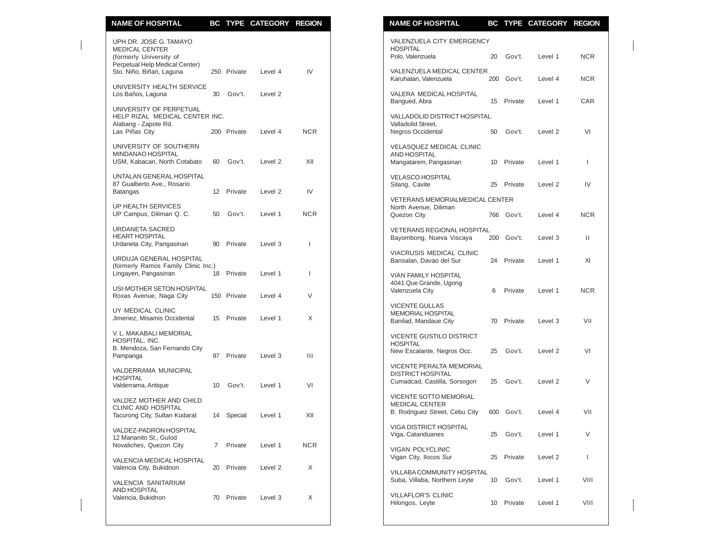| <b>NAME OF HOSPITAL</b>                                                                                                                  | BC              | TYPE        | <b>CATEGORY</b>    | <b>REGION</b> |
|------------------------------------------------------------------------------------------------------------------------------------------|-----------------|-------------|--------------------|---------------|
| UPH DR. JOSE G. TAMAYO<br><b>MEDICAL CENTER</b><br>(formerly University of<br>Perpetual Help Medical Center)<br>Sto. Niño, Biñan, Laguna |                 | 250 Private | Level 4            | IV            |
| UNIVERSITY HEALTH SERVICE<br>Los Baños, Laguna                                                                                           | 30              | Gov't.      | Level <sub>2</sub> |               |
| UNIVERSITY OF PERPETUAL<br>HELP RIZAL MEDICAL CENTER INC.<br>Alabang - Zapote Rd.<br>Las Piñas City                                      |                 | 200 Private | Level 4            | <b>NCR</b>    |
| UNIVERSITY OF SOUTHERN<br>MINDANAO HOSPITAL<br>USM, Kabacan, North Cotabato                                                              | 60              | Gov't.      | Level 2            | XII           |
| UNTALAN GENERAL HOSPITAL<br>87 Gualberto Ave., Rosario<br>Batangas                                                                       | 12 <sup>2</sup> | Private     | Level <sub>2</sub> | IV            |
| <b>UP HEALTH SERVICES</b><br>UP Campus, Diliman Q. C.                                                                                    | 50              | Gov't.      | Level 1            | <b>NCR</b>    |
| URDANETA SACRED<br><b>HEART HOSPITAL</b><br>Urdaneta City, Pangasinan                                                                    | 90              | Private     | Level 3            | T             |
| URDUJA GENERAL HOSPITAL<br>(formerly Ramos Family Clinic Inc.)<br>Lingayen, Pangasinan                                                   | 18              | Private     | Level 1            | L             |
| USI-MOTHER SETON HOSPITAL<br>Roxas Avenue, Naga City                                                                                     |                 | 150 Private | Level 4            | V             |
| UY MEDICAL CLINIC<br>Jimenez, Misamis Occidental                                                                                         | 15              | Private     | Level 1            | X             |
| V. L. MAKABALI MEMORIAL<br>HOSPITAL, INC.<br>B. Mendoza, San Fernando City<br>Pampanga                                                   | 97              | Private     | Level 3            | Ш             |
| VALDERRAMA MUNICIPAL<br><b>HOSPITAL</b><br>Valderrama, Antique                                                                           | 10              | Gov't.      | Level 1            | VI            |
| VALDEZ MOTHER AND CHILD<br><b>CLINIC AND HOSPITAL</b><br>Tacurong City, Sultan Kudarat                                                   | 14              | Special     | Level 1            | XII           |
| <b>VALDEZ-PADRON HOSPITAL</b><br>12 Marianito St., Gulod<br>Novaliches, Quezon City                                                      | $\overline{7}$  | Private     | Level 1            | <b>NCR</b>    |
| VALENCIA MEDICAL HOSPITAL<br>Valencia City, Bukidnon                                                                                     | 20              | Private     | Level 2            | X             |
| VALENCIA SANITARIUM<br>AND HOSPITAL<br>Valencia, Bukidnon                                                                                | 70              | Private     | Level 3            | X             |

| VALENZUELA CITY EMERGENCY<br>UPH DR. JOSE G. TAMAYO<br><b>HOSPITAL</b><br><b>MEDICAL CENTER</b><br>Gov't.<br>Polo, Valenzuela<br>20<br>(formerly University of<br>Perpetual Help Medical Center)<br>VALENZUELA MEDICAL CENTER<br>IV<br>Sto. Niño, Biñan, Laguna<br>250 Private<br>Level 4<br>200 Gov't.<br>Karuhatan, Valenzuela<br>VALERA MEDICAL HOSPITAL<br>30<br>Gov't.<br>Level 2<br>Bangued, Abra<br>15 Private<br>HELP RIZAL MEDICAL CENTER INC.<br><b>VALLADOLID DISTRICT HOSPITAL</b><br>Valladolid Street,<br><b>NCR</b><br>200 Private<br>Level 4<br>Negros Occidental<br>50<br>Gov't.<br><b>VELASQUEZ MEDICAL CLINIC</b><br>AND HOSPITAL<br>XII<br>Gov't.<br>Level 2<br>60<br>10 Private<br>Mangatarem, Pangasinan<br><b>VELASCO HOSPITAL</b><br>87 Gualberto Ave., Rosario<br>25 Private<br>Silang, Cavite<br>IV<br>12 Private<br>Level 2<br>VETERANS MEMORIALMEDICAL CENTER<br>UP HEALTH SERVICES<br>North Avenue. Diliman<br><b>NCR</b><br>Gov't.<br>Level 1<br>50<br>Quezon City<br>766 Gov't.<br><b>VETERANS REGIONAL HOSPITAL</b><br>Bayombong, Nueva Viscaya<br>200 Gov't.<br>90<br>Private<br>Level 3<br>VIACRUSIS MEDICAL CLINIC<br>24 Private<br>Bansalan, Davao del Sur<br>18<br>Private<br>Level 1<br>ı<br><b>VIAN FAMILY HOSPITAL</b><br>4041 Que Grande, Ugong<br>USI-MOTHER SETON HOSPITAL<br>Valenzuela City<br>Private<br>6<br>V<br>150 Private<br>Level 4<br><b>VICENTE GULLAS</b><br>UY MEDICAL CLINIC<br>MEMORIAL HOSPITAL<br>X<br>Private<br>Level 1<br>15<br>70 Private<br>Banilad, Mandaue City<br><b>VICENTE GUSTILO DISTRICT</b><br><b>HOSPITAL</b><br>New Escalante, Negros Occ.<br>25<br>Gov't.<br>Ш<br>Private<br>Level 3<br>97<br>VICENTE PERALTA MEMORIAL<br><b>DISTRICT HOSPITAL</b><br>Cumadcad, Castilla, Sorsogon<br>25<br>Gov't.<br>VI<br>Gov't.<br>Level 1<br>10<br>VICENTE SOTTO MEMORIAL<br><b>MEDICAL CENTER</b><br>600 Gov't.<br>B. Rodriguez Street, Cebu City<br>XII<br>Special<br>Level 1<br>14<br>VIGA DISTRICT HOSPITAL<br>Viga, Catanduanes<br>25<br>Gov't.<br><b>NCR</b><br>Novaliches, Quezon City<br>Private<br>Level 1<br>7<br><b>VIGAN POLYCLINIC</b><br>Vigan City, Ilocos Sur<br>Private<br>25<br>Valencia City, Bukidnon<br>Private<br>X<br>20<br>Level 2<br>VILLABA COMMUNITY HOSPITAL<br>Suba, Villaba, Northern Leyte<br>Gov't.<br>10<br><b>VILLAFLOR'S CLINIC</b><br>Private<br>Level 3<br>X<br>70<br>10 Private<br>Hilongos, Leyte | <b>NAME OF HOSPITAL</b>                                                                |  | BC TYPE CATEGORY REGION |  |
|-----------------------------------------------------------------------------------------------------------------------------------------------------------------------------------------------------------------------------------------------------------------------------------------------------------------------------------------------------------------------------------------------------------------------------------------------------------------------------------------------------------------------------------------------------------------------------------------------------------------------------------------------------------------------------------------------------------------------------------------------------------------------------------------------------------------------------------------------------------------------------------------------------------------------------------------------------------------------------------------------------------------------------------------------------------------------------------------------------------------------------------------------------------------------------------------------------------------------------------------------------------------------------------------------------------------------------------------------------------------------------------------------------------------------------------------------------------------------------------------------------------------------------------------------------------------------------------------------------------------------------------------------------------------------------------------------------------------------------------------------------------------------------------------------------------------------------------------------------------------------------------------------------------------------------------------------------------------------------------------------------------------------------------------------------------------------------------------------------------------------------------------------------------------------------------------------------------------------------------------------------------------------------------------------------------------------------------------------------------------------------------------------------------|----------------------------------------------------------------------------------------|--|-------------------------|--|
| Level 1<br>Level 4                                                                                                                                                                                                                                                                                                                                                                                                                                                                                                                                                                                                                                                                                                                                                                                                                                                                                                                                                                                                                                                                                                                                                                                                                                                                                                                                                                                                                                                                                                                                                                                                                                                                                                                                                                                                                                                                                                                                                                                                                                                                                                                                                                                                                                                                                                                                                                                        |                                                                                        |  |                         |  |
| Level 1                                                                                                                                                                                                                                                                                                                                                                                                                                                                                                                                                                                                                                                                                                                                                                                                                                                                                                                                                                                                                                                                                                                                                                                                                                                                                                                                                                                                                                                                                                                                                                                                                                                                                                                                                                                                                                                                                                                                                                                                                                                                                                                                                                                                                                                                                                                                                                                                   |                                                                                        |  |                         |  |
|                                                                                                                                                                                                                                                                                                                                                                                                                                                                                                                                                                                                                                                                                                                                                                                                                                                                                                                                                                                                                                                                                                                                                                                                                                                                                                                                                                                                                                                                                                                                                                                                                                                                                                                                                                                                                                                                                                                                                                                                                                                                                                                                                                                                                                                                                                                                                                                                           | UNIVERSITY HEALTH SERVICE<br>Los Baños, Laguna                                         |  |                         |  |
| Level 2<br>Level 1<br>Level <sub>2</sub><br>Level 4<br>Level 3<br>Level 1<br>Level 1<br>Level 3<br>Level 2<br>Level 2<br>Level 4<br>Level 1<br>Level 2<br>Level 1<br>Level 1                                                                                                                                                                                                                                                                                                                                                                                                                                                                                                                                                                                                                                                                                                                                                                                                                                                                                                                                                                                                                                                                                                                                                                                                                                                                                                                                                                                                                                                                                                                                                                                                                                                                                                                                                                                                                                                                                                                                                                                                                                                                                                                                                                                                                              | UNIVERSITY OF PERPETUAL                                                                |  |                         |  |
|                                                                                                                                                                                                                                                                                                                                                                                                                                                                                                                                                                                                                                                                                                                                                                                                                                                                                                                                                                                                                                                                                                                                                                                                                                                                                                                                                                                                                                                                                                                                                                                                                                                                                                                                                                                                                                                                                                                                                                                                                                                                                                                                                                                                                                                                                                                                                                                                           | Alabang - Zapote Rd.<br>Las Piñas City                                                 |  |                         |  |
|                                                                                                                                                                                                                                                                                                                                                                                                                                                                                                                                                                                                                                                                                                                                                                                                                                                                                                                                                                                                                                                                                                                                                                                                                                                                                                                                                                                                                                                                                                                                                                                                                                                                                                                                                                                                                                                                                                                                                                                                                                                                                                                                                                                                                                                                                                                                                                                                           | UNIVERSITY OF SOUTHERN<br>MINDANAO HOSPITAL<br>USM, Kabacan, North Cotabato            |  |                         |  |
|                                                                                                                                                                                                                                                                                                                                                                                                                                                                                                                                                                                                                                                                                                                                                                                                                                                                                                                                                                                                                                                                                                                                                                                                                                                                                                                                                                                                                                                                                                                                                                                                                                                                                                                                                                                                                                                                                                                                                                                                                                                                                                                                                                                                                                                                                                                                                                                                           | UNTALAN GENERAL HOSPITAL                                                               |  |                         |  |
|                                                                                                                                                                                                                                                                                                                                                                                                                                                                                                                                                                                                                                                                                                                                                                                                                                                                                                                                                                                                                                                                                                                                                                                                                                                                                                                                                                                                                                                                                                                                                                                                                                                                                                                                                                                                                                                                                                                                                                                                                                                                                                                                                                                                                                                                                                                                                                                                           | Batangas                                                                               |  |                         |  |
|                                                                                                                                                                                                                                                                                                                                                                                                                                                                                                                                                                                                                                                                                                                                                                                                                                                                                                                                                                                                                                                                                                                                                                                                                                                                                                                                                                                                                                                                                                                                                                                                                                                                                                                                                                                                                                                                                                                                                                                                                                                                                                                                                                                                                                                                                                                                                                                                           | UP Campus, Diliman Q. C.                                                               |  |                         |  |
|                                                                                                                                                                                                                                                                                                                                                                                                                                                                                                                                                                                                                                                                                                                                                                                                                                                                                                                                                                                                                                                                                                                                                                                                                                                                                                                                                                                                                                                                                                                                                                                                                                                                                                                                                                                                                                                                                                                                                                                                                                                                                                                                                                                                                                                                                                                                                                                                           | <b>URDANETA SACRED</b><br>HEART HOSPITAL<br>Urdaneta City, Pangasinan                  |  |                         |  |
|                                                                                                                                                                                                                                                                                                                                                                                                                                                                                                                                                                                                                                                                                                                                                                                                                                                                                                                                                                                                                                                                                                                                                                                                                                                                                                                                                                                                                                                                                                                                                                                                                                                                                                                                                                                                                                                                                                                                                                                                                                                                                                                                                                                                                                                                                                                                                                                                           | <b>URDUJA GENERAL HOSPITAL</b><br>(formerly Ramos Family Clinic Inc.)                  |  |                         |  |
|                                                                                                                                                                                                                                                                                                                                                                                                                                                                                                                                                                                                                                                                                                                                                                                                                                                                                                                                                                                                                                                                                                                                                                                                                                                                                                                                                                                                                                                                                                                                                                                                                                                                                                                                                                                                                                                                                                                                                                                                                                                                                                                                                                                                                                                                                                                                                                                                           | Lingayen, Pangasinan                                                                   |  |                         |  |
|                                                                                                                                                                                                                                                                                                                                                                                                                                                                                                                                                                                                                                                                                                                                                                                                                                                                                                                                                                                                                                                                                                                                                                                                                                                                                                                                                                                                                                                                                                                                                                                                                                                                                                                                                                                                                                                                                                                                                                                                                                                                                                                                                                                                                                                                                                                                                                                                           | Roxas Avenue, Naga City                                                                |  |                         |  |
|                                                                                                                                                                                                                                                                                                                                                                                                                                                                                                                                                                                                                                                                                                                                                                                                                                                                                                                                                                                                                                                                                                                                                                                                                                                                                                                                                                                                                                                                                                                                                                                                                                                                                                                                                                                                                                                                                                                                                                                                                                                                                                                                                                                                                                                                                                                                                                                                           | Jimenez, Misamis Occidental                                                            |  |                         |  |
|                                                                                                                                                                                                                                                                                                                                                                                                                                                                                                                                                                                                                                                                                                                                                                                                                                                                                                                                                                                                                                                                                                                                                                                                                                                                                                                                                                                                                                                                                                                                                                                                                                                                                                                                                                                                                                                                                                                                                                                                                                                                                                                                                                                                                                                                                                                                                                                                           | V. L. MAKABALI MEMORIAL<br>HOSPITAL, INC.<br>B. Mendoza, San Fernando City<br>Pampanga |  |                         |  |
|                                                                                                                                                                                                                                                                                                                                                                                                                                                                                                                                                                                                                                                                                                                                                                                                                                                                                                                                                                                                                                                                                                                                                                                                                                                                                                                                                                                                                                                                                                                                                                                                                                                                                                                                                                                                                                                                                                                                                                                                                                                                                                                                                                                                                                                                                                                                                                                                           | VALDERRAMA MUNICIPAL<br><b>HOSPITAL</b><br>Valderrama, Antique                         |  |                         |  |
|                                                                                                                                                                                                                                                                                                                                                                                                                                                                                                                                                                                                                                                                                                                                                                                                                                                                                                                                                                                                                                                                                                                                                                                                                                                                                                                                                                                                                                                                                                                                                                                                                                                                                                                                                                                                                                                                                                                                                                                                                                                                                                                                                                                                                                                                                                                                                                                                           | VALDEZ MOTHER AND CHILD<br><b>CLINIC AND HOSPITAL</b><br>Tacurong City, Sultan Kudarat |  |                         |  |
|                                                                                                                                                                                                                                                                                                                                                                                                                                                                                                                                                                                                                                                                                                                                                                                                                                                                                                                                                                                                                                                                                                                                                                                                                                                                                                                                                                                                                                                                                                                                                                                                                                                                                                                                                                                                                                                                                                                                                                                                                                                                                                                                                                                                                                                                                                                                                                                                           | VALDEZ-PADRON HOSPITAL<br>12 Marianito St., Gulod                                      |  |                         |  |
|                                                                                                                                                                                                                                                                                                                                                                                                                                                                                                                                                                                                                                                                                                                                                                                                                                                                                                                                                                                                                                                                                                                                                                                                                                                                                                                                                                                                                                                                                                                                                                                                                                                                                                                                                                                                                                                                                                                                                                                                                                                                                                                                                                                                                                                                                                                                                                                                           | VALENCIA MEDICAL HOSPITAL                                                              |  |                         |  |
|                                                                                                                                                                                                                                                                                                                                                                                                                                                                                                                                                                                                                                                                                                                                                                                                                                                                                                                                                                                                                                                                                                                                                                                                                                                                                                                                                                                                                                                                                                                                                                                                                                                                                                                                                                                                                                                                                                                                                                                                                                                                                                                                                                                                                                                                                                                                                                                                           | VALENCIA SANITARIUM                                                                    |  |                         |  |
|                                                                                                                                                                                                                                                                                                                                                                                                                                                                                                                                                                                                                                                                                                                                                                                                                                                                                                                                                                                                                                                                                                                                                                                                                                                                                                                                                                                                                                                                                                                                                                                                                                                                                                                                                                                                                                                                                                                                                                                                                                                                                                                                                                                                                                                                                                                                                                                                           | AND HOSPITAL<br>Valencia, Bukidnon                                                     |  |                         |  |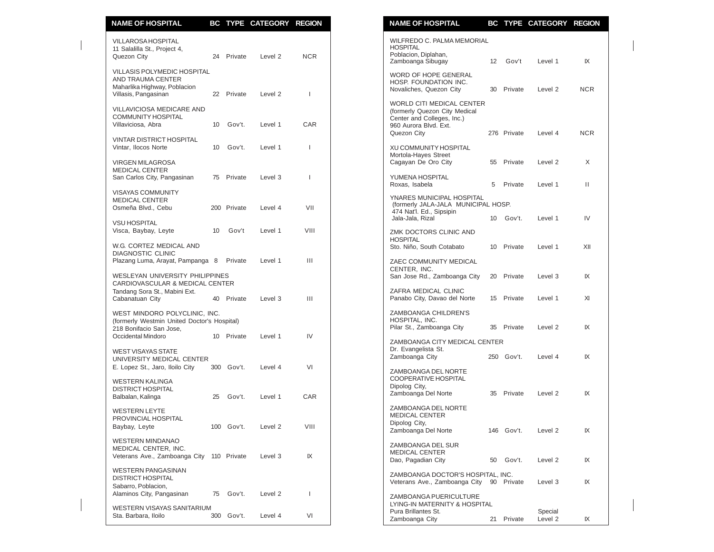| <b>NAME OF HOSPITAL</b>                                                |    |             | BC TYPE CATEGORY REGION |                          | <b>NAME OF HOSPITAL</b><br>BC TYPE CATEGORY REGION                      |            |
|------------------------------------------------------------------------|----|-------------|-------------------------|--------------------------|-------------------------------------------------------------------------|------------|
| <b>VILLAROSA HOSPITAL</b>                                              |    |             |                         |                          | WILFREDO C. PALMA MEMORIAL                                              |            |
| 11 Salalilla St., Project 4,                                           |    |             |                         |                          | <b>HOSPITAL</b><br>Poblacion, Diplahan,                                 |            |
| Quezon City                                                            |    | 24 Private  | Level 2                 | <b>NCR</b>               | Zamboanga Sibugay<br>12<br>Gov't<br>Level 1                             |            |
| VILLASIS POLYMEDIC HOSPITAL                                            |    |             |                         |                          |                                                                         |            |
| <b>AND TRAUMA CENTER</b>                                               |    |             |                         |                          | WORD OF HOPE GENERAL<br>HOSP. FOUNDATION INC.                           |            |
| Maharlika Highway, Poblacion                                           |    |             |                         |                          | Novaliches, Quezon City<br>30 Private<br>Level 2                        | <b>NCR</b> |
| Villasis, Pangasinan                                                   |    | 22 Private  | Level 2                 | ı                        |                                                                         |            |
| VILLAVICIOSA MEDICARE AND                                              |    |             |                         |                          | WORLD CITI MEDICAL CENTER<br>(formerly Quezon City Medical              |            |
| <b>COMMUNITY HOSPITAL</b>                                              |    |             |                         |                          | Center and Colleges, Inc.)                                              |            |
| Villaviciosa, Abra                                                     | 10 | Gov't.      | Level 1                 | CAR                      | 960 Aurora Blvd. Ext.                                                   |            |
|                                                                        |    |             |                         |                          | 276 Private<br>Quezon City<br>Level 4                                   | <b>NCR</b> |
| <b>VINTAR DISTRICT HOSPITAL</b>                                        |    |             |                         |                          |                                                                         |            |
| Vintar, Ilocos Norte                                                   | 10 | Gov't.      | Level 1                 | $\overline{\phantom{a}}$ | XU COMMUNITY HOSPITAL                                                   |            |
| <b>VIRGEN MILAGROSA</b>                                                |    |             |                         |                          | Mortola-Hayes Street<br>Cagayan De Oro City<br>Private<br>Level 2<br>55 |            |
| <b>MEDICAL CENTER</b>                                                  |    |             |                         |                          |                                                                         |            |
| San Carlos City, Pangasinan                                            | 75 | Private     | Level 3                 | $\overline{\phantom{a}}$ | YUMENA HOSPITAL                                                         |            |
|                                                                        |    |             |                         |                          | 5<br>Private<br>Roxas, Isabela<br>Level 1                               |            |
| <b>VISAYAS COMMUNITY</b><br><b>MEDICAL CENTER</b>                      |    |             |                         |                          | YNARES MUNICIPAL HOSPITAL                                               |            |
| Osmeña Blvd., Cebu                                                     |    | 200 Private | Level 4                 | VII                      | (formerly JALA-JALA MUNICIPAL HOSP.                                     |            |
|                                                                        |    |             |                         |                          | 474 Nat'l. Ed., Sipsipin<br>Jala-Jala, Rizal<br>10 Gov't.<br>Level 1    |            |
| <b>VSU HOSPITAL</b>                                                    |    |             |                         |                          |                                                                         |            |
| Visca, Baybay, Leyte                                                   | 10 | Gov't       | Level 1                 | VIII                     | ZMK DOCTORS CLINIC AND                                                  |            |
| W.G. CORTEZ MEDICAL AND                                                |    |             |                         |                          | <b>HOSPITAL</b>                                                         |            |
| <b>DIAGNOSTIC CLINIC</b>                                               |    |             |                         |                          | Sto. Niño, South Cotabato<br>10 Private<br>Level 1                      |            |
| Plazang Luma, Arayat, Pampanga 8                                       |    | Private     | Level 1                 | $\mathbf{III}$           | ZAEC COMMUNITY MEDICAL                                                  |            |
|                                                                        |    |             |                         |                          | CENTER. INC.                                                            |            |
| WESLEYAN UNIVERSITY PHILIPPINES                                        |    |             |                         |                          | San Jose Rd., Zamboanga City<br>Private<br>20<br>Level 3                |            |
| CARDIOVASCULAR & MEDICAL CENTER<br>Tandang Sora St., Mabini Ext.       |    |             |                         |                          | ZAFRA MEDICAL CLINIC                                                    |            |
| Cabanatuan City                                                        |    | 40 Private  | Level 3                 | Ш                        | Panabo City, Davao del Norte<br>15 Private<br>Level 1                   |            |
|                                                                        |    |             |                         |                          |                                                                         |            |
| WEST MINDORO POLYCLINIC, INC.                                          |    |             |                         |                          | ZAMBOANGA CHILDREN'S                                                    |            |
| (formerly Westmin United Doctor's Hospital)<br>218 Bonifacio San Jose, |    |             |                         |                          | HOSPITAL, INC.<br>Pilar St., Zamboanga City<br>35 Private<br>Level 2    |            |
| Occidental Mindoro                                                     |    | 10 Private  | Level 1                 | IV                       |                                                                         |            |
|                                                                        |    |             |                         |                          | ZAMBOANGA CITY MEDICAL CENTER                                           |            |
| <b>WEST VISAYAS STATE</b>                                              |    |             |                         |                          | Dr. Evangelista St.                                                     |            |
| UNIVERSITY MEDICAL CENTER                                              |    |             |                         |                          | Zamboanga City<br>250 Gov't.<br>Level 4                                 |            |
| E. Lopez St., Jaro, Iloilo City                                        |    | 300 Gov't.  | Level 4                 | VI                       | ZAMBOANGA DEL NORTE                                                     |            |
| <b>WESTERN KALINGA</b>                                                 |    |             |                         |                          | COOPERATIVE HOSPITAL                                                    |            |
| <b>DISTRICT HOSPITAL</b>                                               |    |             |                         |                          | Dipolog City,                                                           |            |
| Balbalan, Kalinga                                                      | 25 | Gov't.      | Level 1                 | CAR                      | Zamboanga Del Norte<br>Private<br>35<br>Level 2                         |            |
| <b>WESTERN LEYTE</b>                                                   |    |             |                         |                          | ZAMBOANGA DEL NORTE                                                     |            |
| PROVINCIAL HOSPITAL                                                    |    |             |                         |                          | <b>MEDICAL CENTER</b>                                                   |            |
| Baybay, Leyte                                                          |    | 100 Gov't.  | Level 2                 | VIII                     | Dipolog City,                                                           |            |
|                                                                        |    |             |                         |                          | Zamboanga Del Norte<br>146 Gov't.<br>Level 2                            |            |
| <b>WESTERN MINDANAO</b>                                                |    |             |                         |                          | ZAMBOANGA DEL SUR                                                       |            |
| MEDICAL CENTER, INC.<br>Veterans Ave., Zamboanga City 110 Private      |    |             | Level 3                 | IX                       | <b>MEDICAL CENTER</b>                                                   |            |
|                                                                        |    |             |                         |                          | Dao, Pagadian City<br>Gov't.<br>Level 2<br>50                           |            |
| <b>WESTERN PANGASINAN</b>                                              |    |             |                         |                          | ZAMBOANGA DOCTOR'S HOSPITAL, INC.                                       |            |
| <b>DISTRICT HOSPITAL</b>                                               |    |             |                         |                          | Veterans Ave., Zamboanga City<br>90 Private<br>Level 3                  |            |
| Sabarro, Poblacion,                                                    |    |             |                         | ı                        |                                                                         |            |
| Alaminos City, Pangasinan                                              |    | 75 Gov't.   | Level 2                 |                          | ZAMBOANGA PUERICULTURE                                                  |            |
| WESTERN VISAYAS SANITARIUM                                             |    |             |                         |                          | LYING-IN MATERNITY & HOSPITAL                                           |            |
| Sta. Barbara, Iloilo                                                   |    | 300 Gov't.  | Level 4                 | VI                       | Pura Brillantes St.<br>Special<br>Zamboange City<br>21<br>Dirichlet     |            |

| NAME OF HOSPITAL                                                                                                                        |    |            | TYPE CATEGORY       | <b>KEGIUN</b> |
|-----------------------------------------------------------------------------------------------------------------------------------------|----|------------|---------------------|---------------|
| WILFREDO C. PALMA MEMORIAL<br><b>HOSPITAL</b><br>Poblacion, Diplahan,                                                                   |    |            |                     |               |
| Zamboanga Sibugay                                                                                                                       |    |            | 12 Gov't Level 1    | IX            |
| WORD OF HOPE GENERAL<br>HOSP. FOUNDATION INC.<br>Novaliches, Quezon City                                                                |    |            | 30 Private Level 2  | <b>NCR</b>    |
| <b>WORLD CITI MEDICAL CENTER</b><br>(formerly Quezon City Medical<br>Center and Colleges, Inc.)<br>960 Aurora Blvd. Ext.<br>Quezon City |    |            | 276 Private Level 4 | <b>NCR</b>    |
| XU COMMUNITY HOSPITAL<br>Mortola-Hayes Street<br>Cagayan De Oro City                                                                    |    |            | 55 Private Level 2  | X             |
| YUMENA HOSPITAL<br>Roxas, Isabela                                                                                                       |    | 5 Private  | Level 1             | Ш             |
| YNARES MUNICIPAL HOSPITAL<br>(formerly JALA-JALA MUNICIPAL HOSP.<br>474 Nat'l. Ed., Sipsipin                                            |    |            |                     |               |
| Jala-Jala, Rizal                                                                                                                        |    |            | 10 Gov't. Level 1   | IV            |
| ZMK DOCTORS CLINIC AND<br><b>HOSPITAL</b><br>Sto. Niño, South Cotabato 10 Private                                                       |    |            | Level 1             | XII           |
| ZAEC COMMUNITY MEDICAL<br>CENTER, INC.<br>San Jose Rd., Zamboanga City 20 Private                                                       |    |            | Level 3             | IX            |
| ZAFRA MEDICAL CLINIC<br>Panabo City, Davao del Norte 15 Private                                                                         |    |            | Level 1             | XI            |
| ZAMBOANGA CHILDREN'S<br>HOSPITAL, INC.<br>Pilar St., Zamboanga City 35 Private                                                          |    |            | Level 2             | IX            |
| ZAMBOANGA CITY MEDICAL CENTER                                                                                                           |    |            |                     |               |
| Dr. Evangelista St.<br>Zamboanga City                                                                                                   |    |            | 250 Gov't. Level 4  | IX            |
| ZAMBOANGA DEL NORTE<br>COOPERATIVE HOSPITAL<br>Dipolog City,<br>Zamboanga Del Norte                                                     | 35 | Private    | Level 2             | IX            |
| ZAMBOANGA DEL NORTE<br><b>MEDICAL CENTER</b>                                                                                            |    |            |                     |               |
| Dipolog City,<br>Zamboanga Del Norte                                                                                                    |    | 146 Gov't. | Level 2             | IX            |
| ZAMBOANGA DEL SUR<br><b>MEDICAL CENTER</b><br>Dao, Pagadian City                                                                        | 50 | Gov't.     | Level 2             | IX            |
| ZAMBOANGA DOCTOR'S HOSPITAL, INC.<br>Veterans Ave., Zamboanga City                                                                      | 90 | Private    | Level 3             | IX            |
| ZAMBOANGA PUERICULTURE<br>LYING-IN MATERNITY & HOSPITAL<br>Pura Brillantes St.                                                          |    |            | Special             |               |
| Zamboanga City                                                                                                                          | 21 | Private    | Level 2             | IX            |